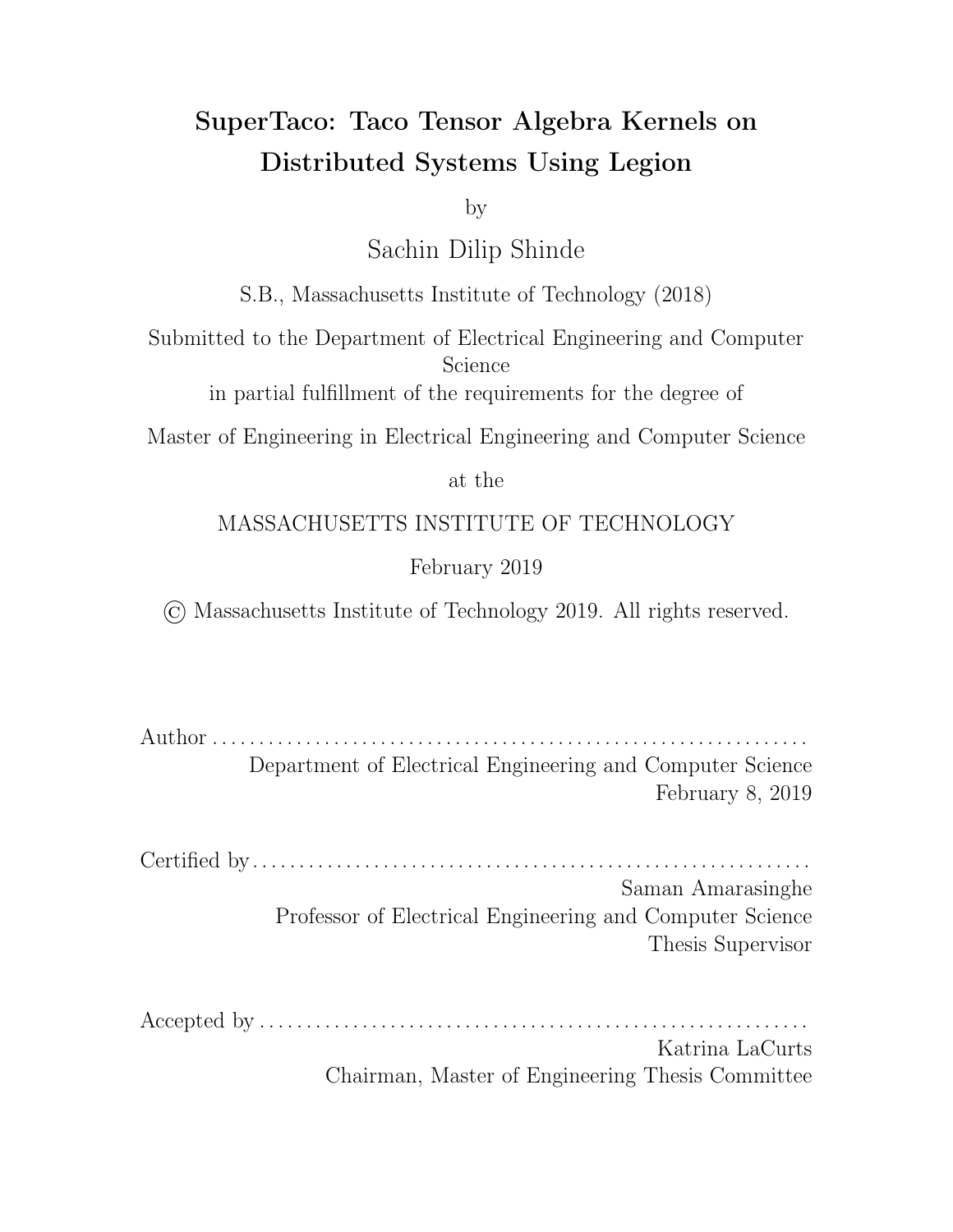### SuperTaco: Taco Tensor Algebra Kernels on Distributed Systems Using Legion

by

Sachin Dilip Shinde

S.B., Massachusetts Institute of Technology (2018)

Submitted to the Department of Electrical Engineering and Computer Science

in partial fulfillment of the requirements for the degree of

Master of Engineering in Electrical Engineering and Computer Science

at the

#### MASSACHUSETTS INSTITUTE OF TECHNOLOGY

#### February 2019

© Massachusetts Institute of Technology 2019. All rights reserved.

Author . . . . . . . . . . . . . . . . . . . . . . . . . . . . . . . . . . . . . . . . . . . . . . . . . . . . . . . . . . . . . . . . Department of Electrical Engineering and Computer Science February 8, 2019

Certified by. . . . . . . . . . . . . . . . . . . . . . . . . . . . . . . . . . . . . . . . . . . . . . . . . . . . . . . . . . . . Saman Amarasinghe Professor of Electrical Engineering and Computer Science Thesis Supervisor

Accepted by . . . . . . . . . . . . . . . . . . . . . . . . . . . . . . . . . . . . . . . . . . . . . . . . . . . . . . . . . . .

Katrina LaCurts Chairman, Master of Engineering Thesis Committee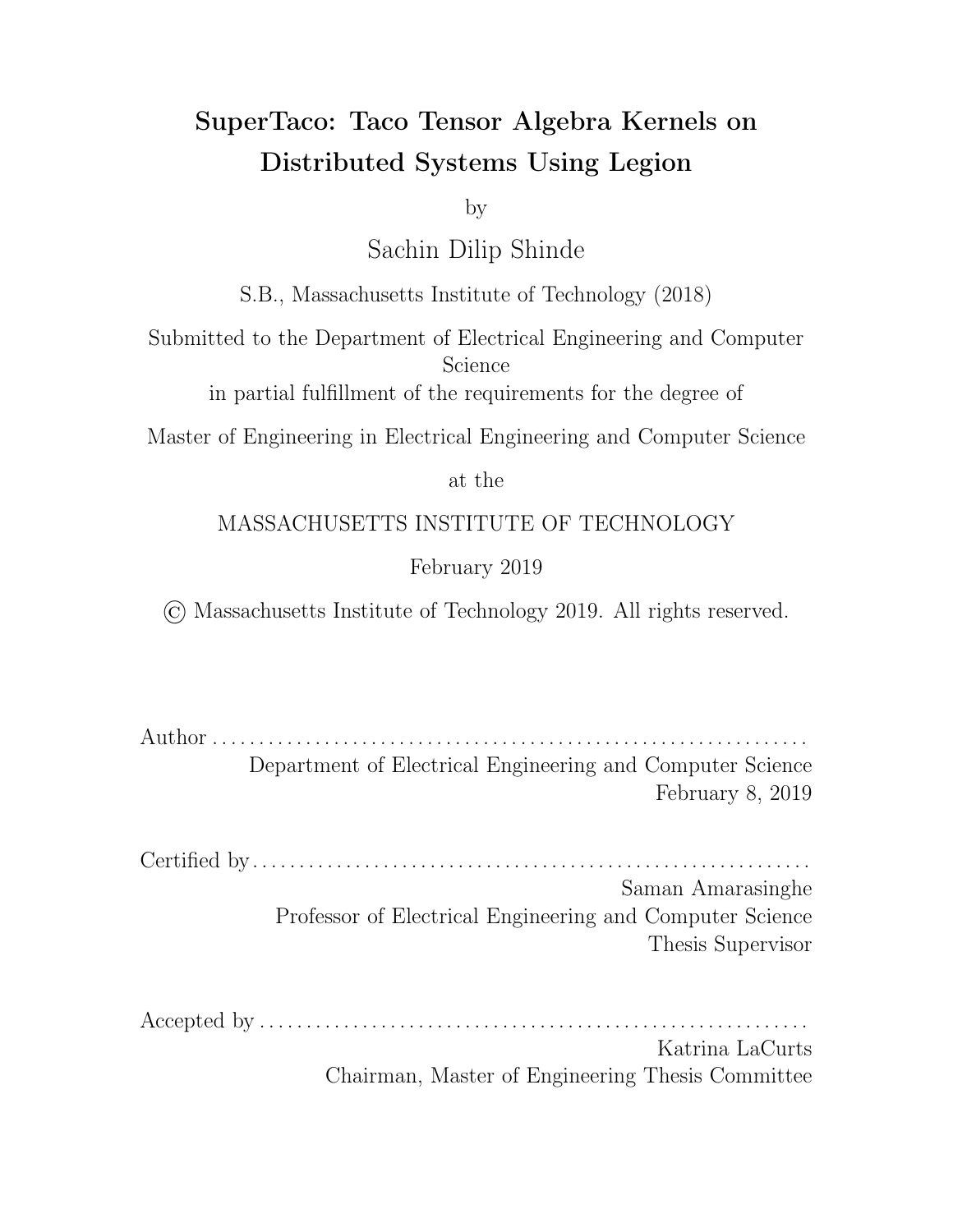### SuperTaco: Taco Tensor Algebra Kernels on Distributed Systems Using Legion

by

#### Sachin Dilip Shinde

Submitted to the Department of Electrical Engineering and Computer Science on February 8, 2019, in partial fulfillment of the requirements for the degree of Master of Engineering in Electrical Engineering and Computer Science

#### Abstract

Tensor algebra is a powerful language for expressing computation on multidimensional data. While many tensor datasets are sparse, most tensor algebra libraries have limited support for handling sparsity. The Tensor Algebra Compiler (Taco) has introduced a taxonomy for sparse tensor formats that has allowed them to compile sparse tensor algebra expressions to performant C code, but they have not taken advantage of distributed systems.

This work provides a code generation technique for creating Legion programs that distribute the computation of Taco tensor algebra kernels across distributed systems, and a scheduling language for controlling how this distributed computation is structured. This technique is implemented in the form of a command-line tool called SuperTaco. We perform a strong scaling analysis for the SpMV and TTM kernels under a row blocking distribution schedule, and find speedups of 9-10x when using 20 cores on a single node. For multi-node systems using 20 cores per node, SpMV achieves a 33.3x speedup at 160 cores and TTM achieves a 42.0x speedup at 140 cores.

Thesis Supervisor: Saman Amarasinghe Title: Professor of Electrical Engineering and Computer Science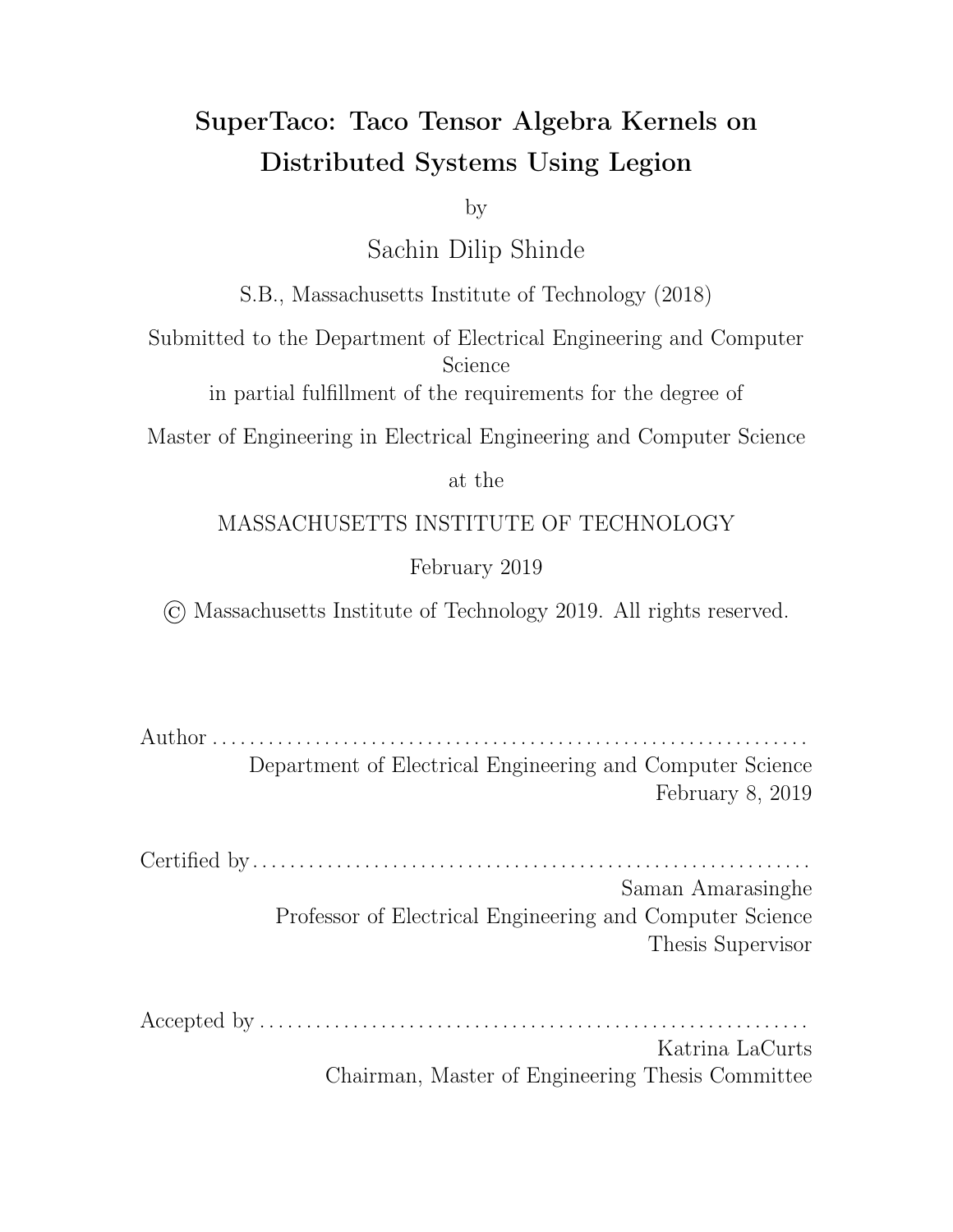### Acknowledgments

I thank my thesis supervisor, Saman Amarasinghe, and my colleague, Fredrik Kjolstad, for their help throughout my time at MIT. Saman has guided me through the world of performance engineering and given me countless opportunities, and Fred's insights and feedback have been indispensable to me as a researcher.

Finally and most importantly, I thank my family. My parents, Pratima and Dilip, my sister, Ranjita, my brother-in-law, David, and my nephews, Bryce and Dylan. Their unwavering support pushes me to greater heights.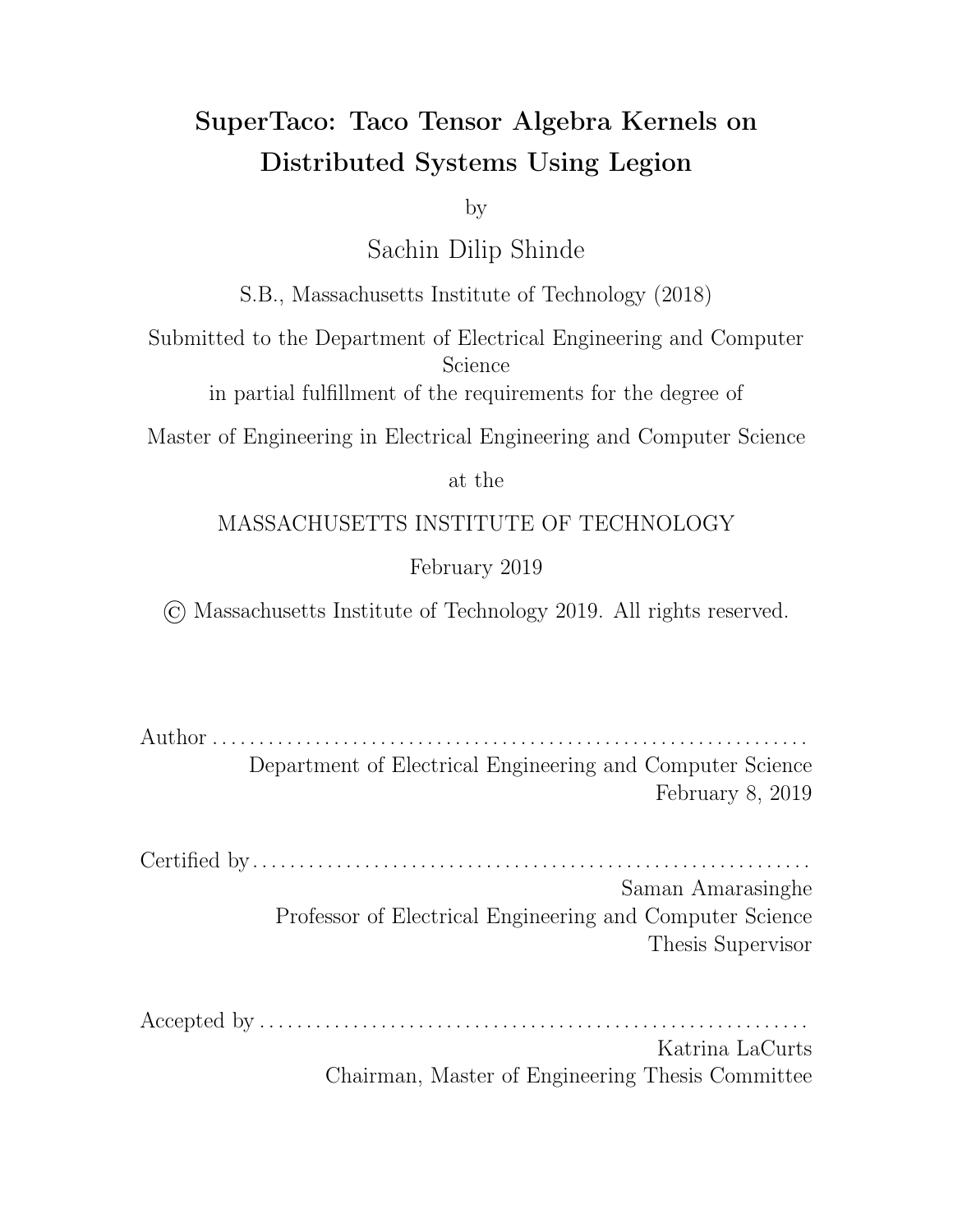# **Contents**

| 1              |              | Introduction                                                                                                   |                                                                                                                | 11 |  |
|----------------|--------------|----------------------------------------------------------------------------------------------------------------|----------------------------------------------------------------------------------------------------------------|----|--|
| $\overline{2}$ | Background   |                                                                                                                |                                                                                                                |    |  |
|                | 2.1          |                                                                                                                |                                                                                                                | 15 |  |
|                | 2.2          |                                                                                                                | Taco Tensor Storage Formats Alberta Alberta Alberta Alberta Alberta Alberta Alberta Alberta Alberta Alberta Al | 16 |  |
|                | 2.3          |                                                                                                                |                                                                                                                | 19 |  |
|                | 2.4          |                                                                                                                |                                                                                                                | 20 |  |
| 3              | Related Work |                                                                                                                |                                                                                                                |    |  |
|                | 3.1          |                                                                                                                |                                                                                                                |    |  |
|                | 3.2          |                                                                                                                |                                                                                                                | 27 |  |
| 4              | SuperTaco    |                                                                                                                |                                                                                                                |    |  |
|                | 4.1          |                                                                                                                |                                                                                                                |    |  |
|                | 4.2          | Taco Tensor Storage Format Augmentation                                                                        |                                                                                                                |    |  |
|                | 4.3          |                                                                                                                |                                                                                                                |    |  |
|                | 4.4          | Distributed Tensor Loading Tanger and Tanger and Tensor and Tensor Loading Tanger and Tanger and Tanger and Ta |                                                                                                                |    |  |
|                |              | 4.4.1                                                                                                          |                                                                                                                | 38 |  |
|                |              | 4.4.2                                                                                                          | Tensor Block Header Assembly The Research Assembly Theorem Albert Assembly                                     | 40 |  |
|                |              | 4.4.3                                                                                                          | Tensor Block Piece Assembly The Reserve Line and Reserve Block Piece Assembly The Reserve Line and Reserve     | 43 |  |
|                |              | 4.4.4                                                                                                          |                                                                                                                | 44 |  |
|                | 4.5          | Distributed Tensor Algebra Computation                                                                         |                                                                                                                | 45 |  |
|                |              | 4.5.1                                                                                                          |                                                                                                                | 46 |  |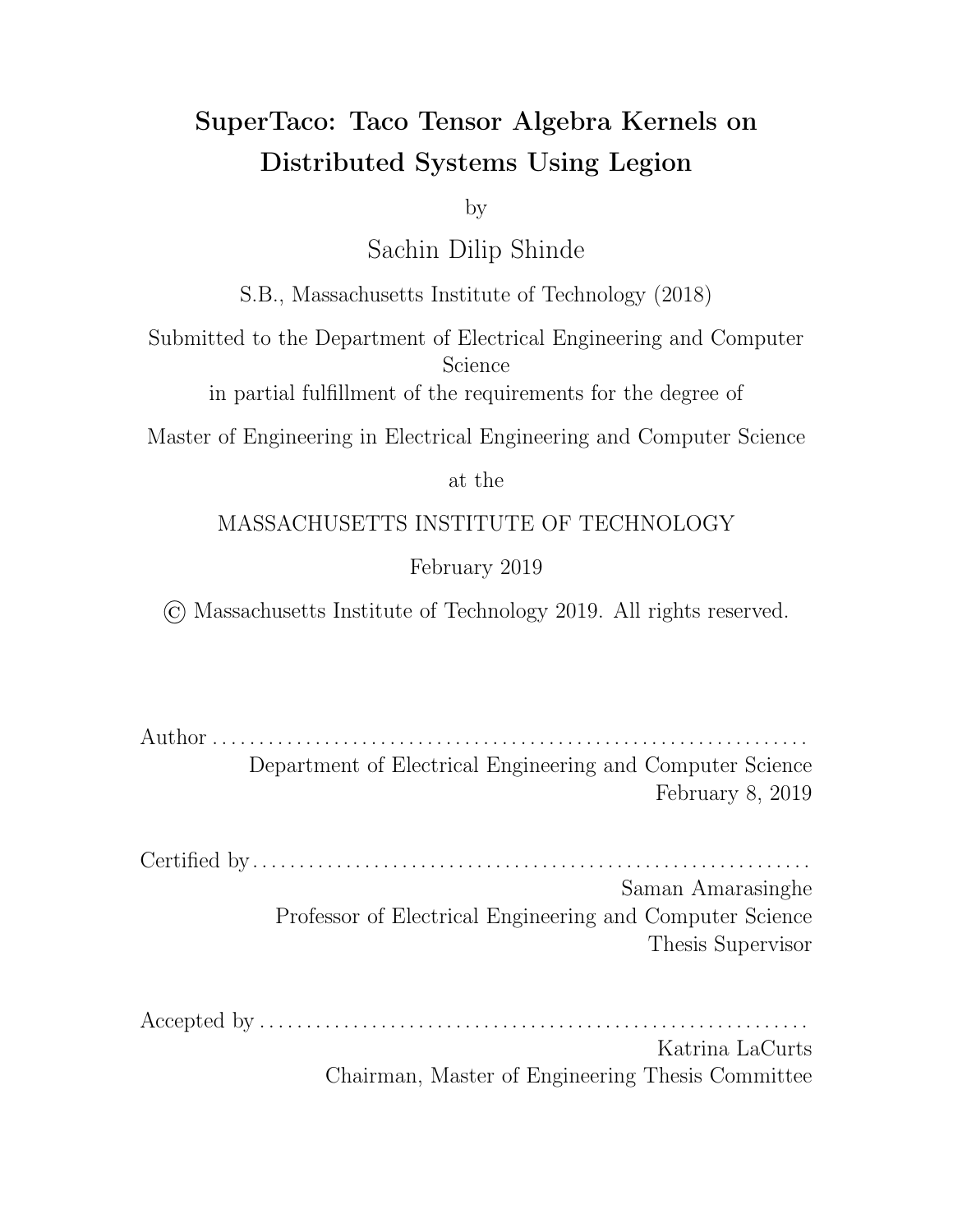|   |     | 4.5.2      |                                                                                                                  | 51 |  |  |  |
|---|-----|------------|------------------------------------------------------------------------------------------------------------------|----|--|--|--|
|   |     | 4.5.3      |                                                                                                                  | 58 |  |  |  |
|   |     | 4.5.4      | Summation Task Theory Albert Albert Albert Albert Albert Albert Albert Albert Albert Albert Albert Albert Albert | 61 |  |  |  |
|   |     | 4.5.5      |                                                                                                                  | 61 |  |  |  |
|   |     | 4.5.6      | Tensor Block Eviction (Fig. 1, The Protocology Protocology Protocology Protocology Protocology Protocology Pro   | 65 |  |  |  |
|   | 4.6 |            |                                                                                                                  | 68 |  |  |  |
|   |     | 4.6.1      | Load Balancing The Letter Letter Letter Letter Letter Letter                                                     | 69 |  |  |  |
|   |     | 4.6.2      |                                                                                                                  | 71 |  |  |  |
|   |     | 4.6.3      |                                                                                                                  | 72 |  |  |  |
|   |     | 4.6.4      |                                                                                                                  | 73 |  |  |  |
|   |     | 4.6.5      |                                                                                                                  | 73 |  |  |  |
| 5 |     | Evaluation |                                                                                                                  |    |  |  |  |
|   | 5.1 |            |                                                                                                                  |    |  |  |  |
|   | 5.2 |            |                                                                                                                  | 76 |  |  |  |
|   | 5.3 |            |                                                                                                                  | 79 |  |  |  |
|   | 5.4 |            |                                                                                                                  | 83 |  |  |  |
| 6 |     |            | Conclusion and Future Work                                                                                       | 87 |  |  |  |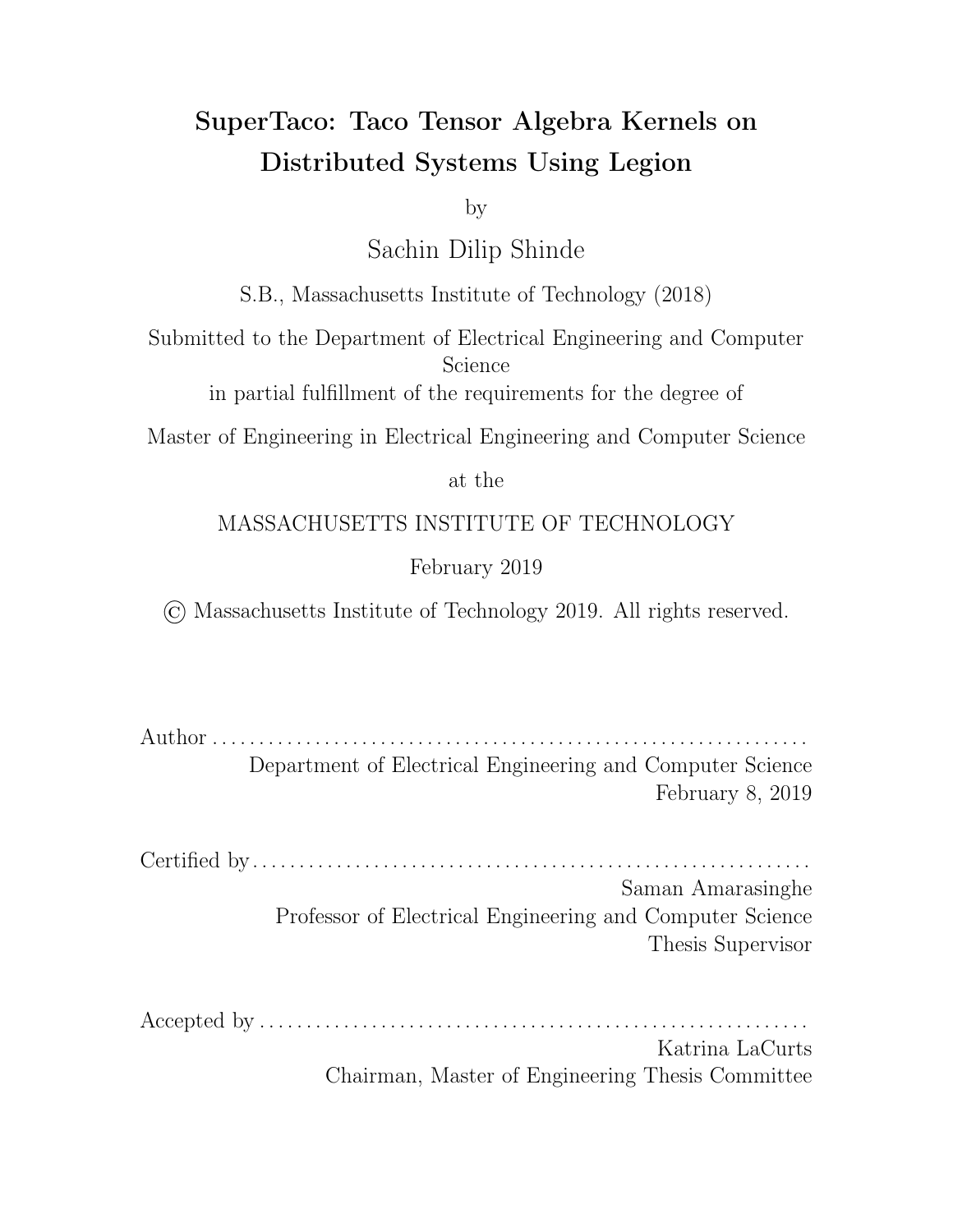# List of Figures

| 2-1 Storage format trees contract the contract of the state of the Storage format trees contract the contract of                                                                                                              | 16 |
|-------------------------------------------------------------------------------------------------------------------------------------------------------------------------------------------------------------------------------|----|
| 2-2 Storage formats for index variable ordering $(d_1, d_2)$                                                                                                                                                                  | 18 |
| 2-3 Storage formats for index variable ordering $(d_2, d_1)$                                                                                                                                                                  | 18 |
|                                                                                                                                                                                                                               | 20 |
|                                                                                                                                                                                                                               | 21 |
| 4-1 Overview of the SuperTaco command-line tool                                                                                                                                                                               | 30 |
| 5-1 SpMV strong scaling analysis and all contained and such a series of the 77                                                                                                                                                |    |
| 5-2 SpMV overhead from increasing number of splits for reduction variable                                                                                                                                                     | 79 |
| 5-3 TTM strong scaling analysis with the contract of the state of the state of the state of the state of the state of the state of the state of the state of the state of the state of the state of the state of the state of | 81 |
| 5-4 TTM overhead from increasing number of splits for reduction variable                                                                                                                                                      | 83 |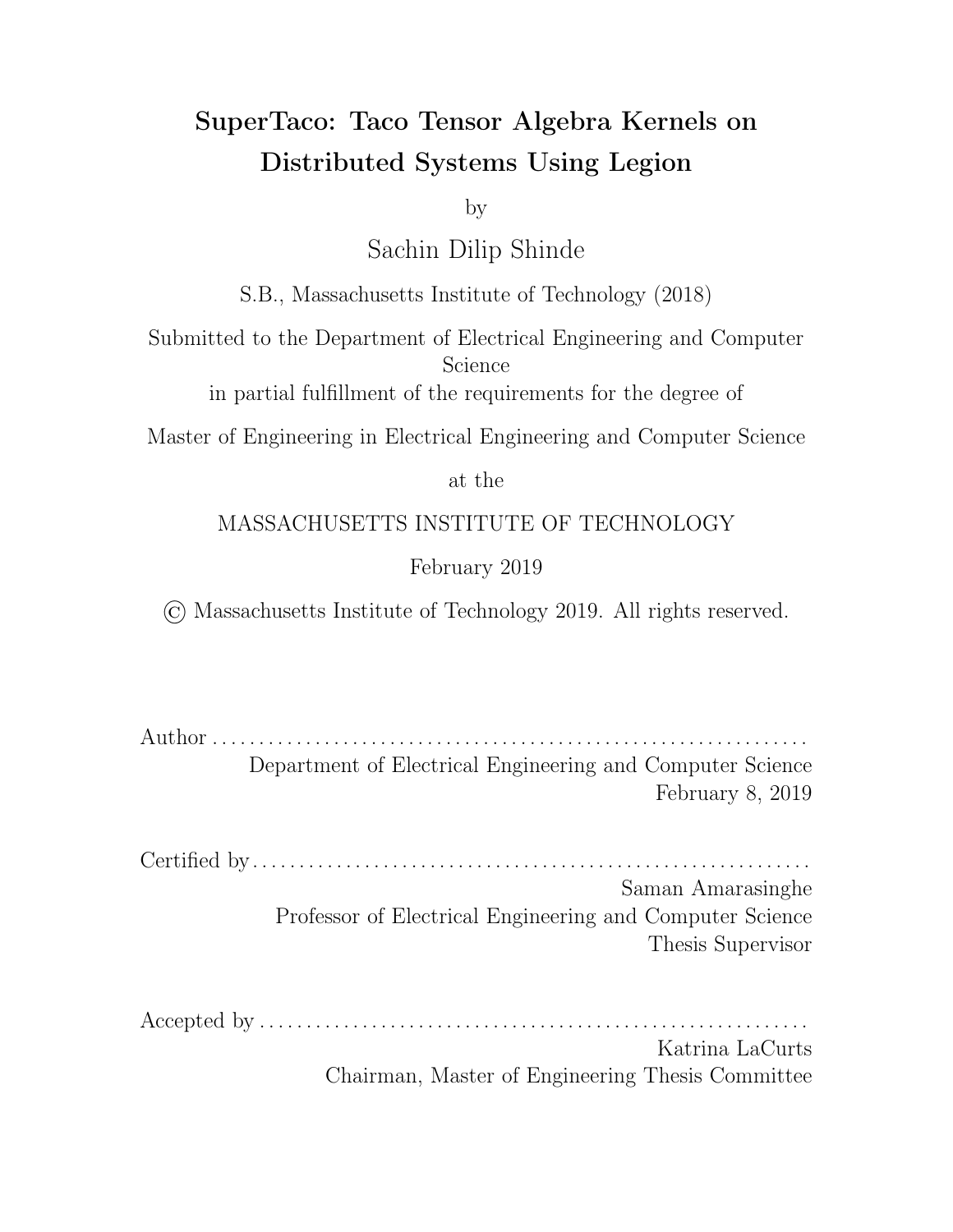# Chapter 1

### Introduction

Tensors are a generalization of vectors and matrices to multiple dimensions, and permit algebraic operations that can be conveniently expressed using summation notation, e.g.  $A_{ij} = \sum_k B_{ijk} c_k$ . This tensor algebra is a powerful language for expressing computations involving multidimensional data, and is central in many practical applications and fields of study, such as chemometrics, signal processing, graph analysis, computer vision, and machine learning [1]. While numerous software tools and libraries have emerged for computing with tensor algebra, their capabilities have been limited when dealing with sparse tensors, which are tensors with many zeros that can be compressed to reduce storage space and computation. This is problematic considering many large real-world datasets are sparse tensors, such as Netflix ratings [2], Facebook ratings [3], and Amazon reviews [4].

Recently Kjolstad *et al.* have developed the Tensor Algebra Compiler (Taco) [5] [6], a library for compiling dense and sparse tensor algebra expressions into C code. Their work provides a taxonomy for tensor storage formats, which is capable of describing many widely-used sparse matrix formats such as compressed sparse row (CSR), compressed sparse column (CSC), doubly compressed sparse row (DCSR), Ellpack (ELL), and Diagonal (DIA), and generalizes to sparse tensor formats such as compressed sparse fiber (CSF). Given a tensor algebra expression and the tensor formats of the expression operands, their library can generate C code loop nests that compute the expression. While their generated code can take advantage of multicore systems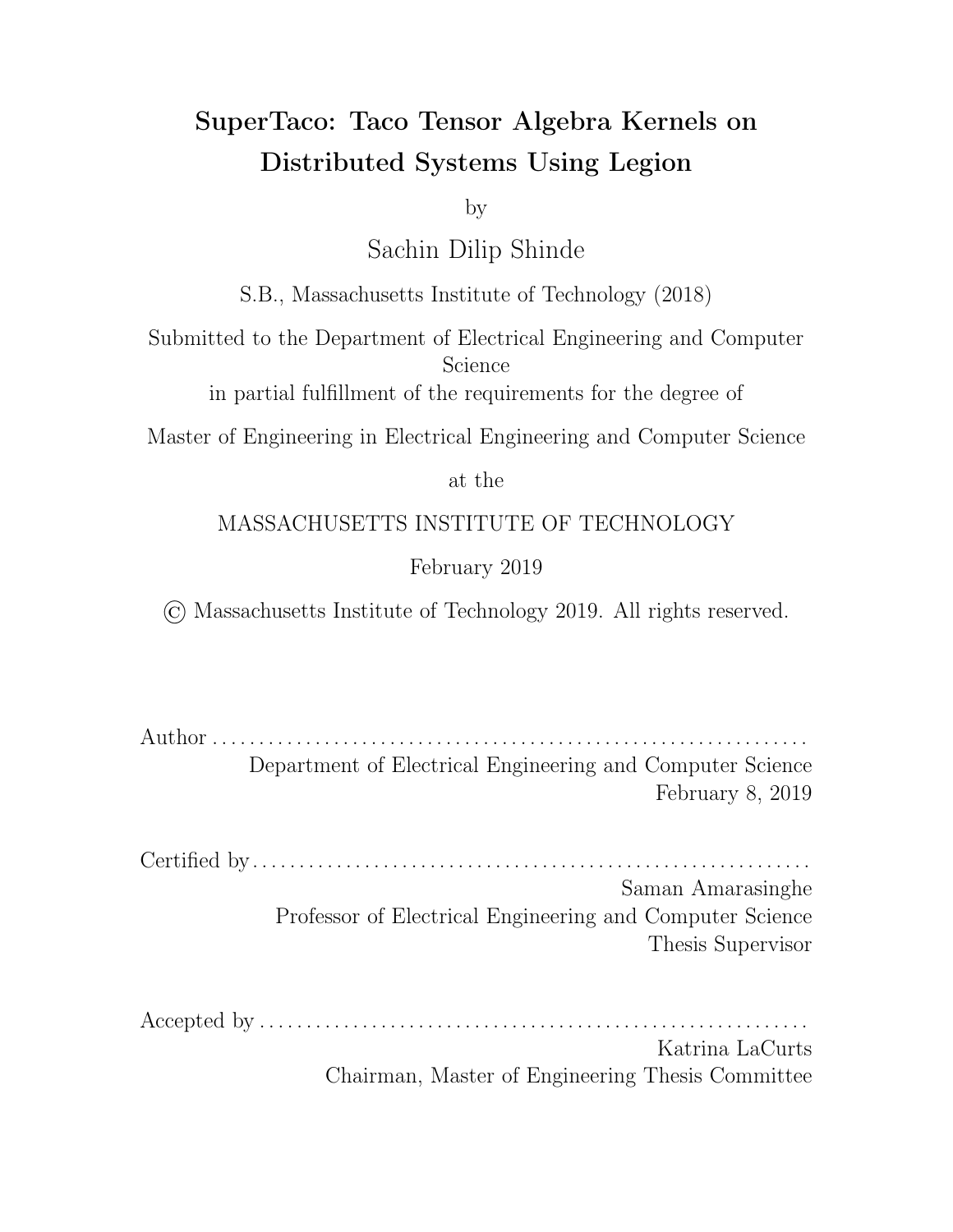using OpenMP, they have not taken advantage of distributed systems.

One of the di culties of distributing the computation of Taco-generated code across nodes is that it requires the tensor data to be split into blocks and for those blocks to be distributed only to the nodes that make use of those blocks in their computations. The Legion programming system [7] is a runtime programming system for developing parallel applications and libraries which has abstractions that allow the expression of these block dependencies succinctly. Specifically, Legion tasks can be used to describe per-node computation, and Legion logical regions can be used to describe the tensor data blocks needed by those computations.

This work provides a method to generate Legion programs for distributing the computation of Taco tensor algebra expressions across distributed systems. This Legion program generator, which we call SuperTaco, is implemented using C/C++ for the generated Legion programs and Python with Mako templating for program generation. Our method introduces a *distribution schedule* for computation, which describes how the Taco computation is distributed among nodes, and is capable of expressing several di erent paradigms for distribution such as owner's compute [8]. We find that for large random tensors and row blocking distribution schedules, these generated programs exhibit a strong scaling e ciency near 50% for SpMV and 58% for TTM in the single-node case, achieving speedups around 10x on 20 cores. For the multi-node case with 20 cores per node, performance peaks with SpMV at 160 cores with a speedup of  $33.3x$  (21% strong scaling e ciency), while performance peaks with TTM at 140 cores with a speedup of  $42.0x$  (30% strong scaling e ciency). Adding more nodes past this point degrades e ciency due to node-to-node overhead. In these experiments, SpMV operated on a  $50\,000\,000$   $50\,000\,000$  sparse matrix (density  $1 \quad 10^{-7}$ ) and a length  $50\,000\,000$  dense vector, while TTM operated on a 500 000  $-50000$  5000 sparse tensor (density 1  $-10^{-6}$ ) and a 32  $-5000$  dense matrix.

Using the methods described in this work, tensor libraries can distribute tensor algebra computation across distributed systems through the Legion programming system. This work contributes to the future development of tensor libraries by (1) developing a technique for distributing tensor algebra computation across multiple

12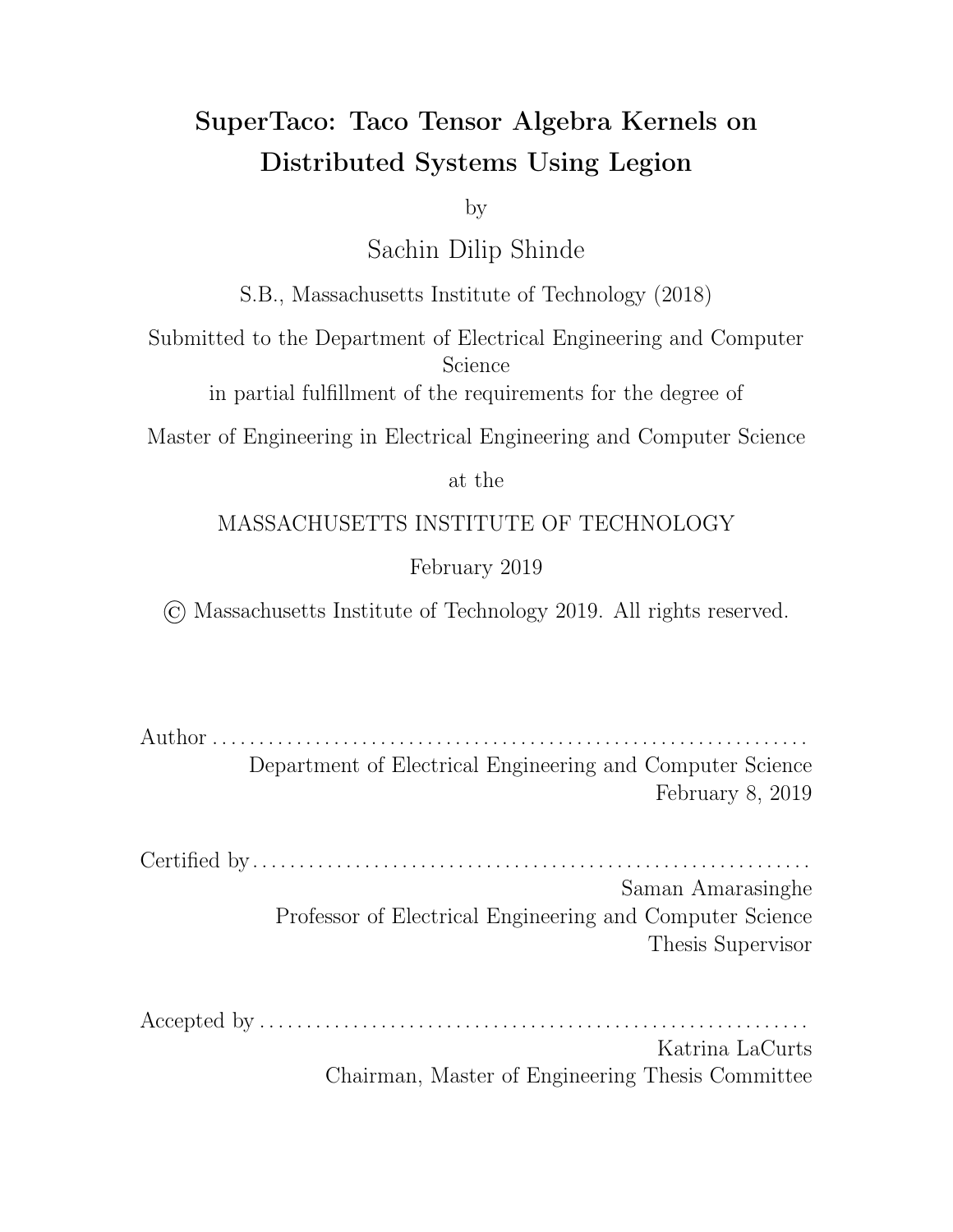nodes, (2) introducing a taxonomy for describing how to distribute tensor algebra computation via distribution schedules, and (3) providing a scaling analysis of the Legion programs generated through these methods.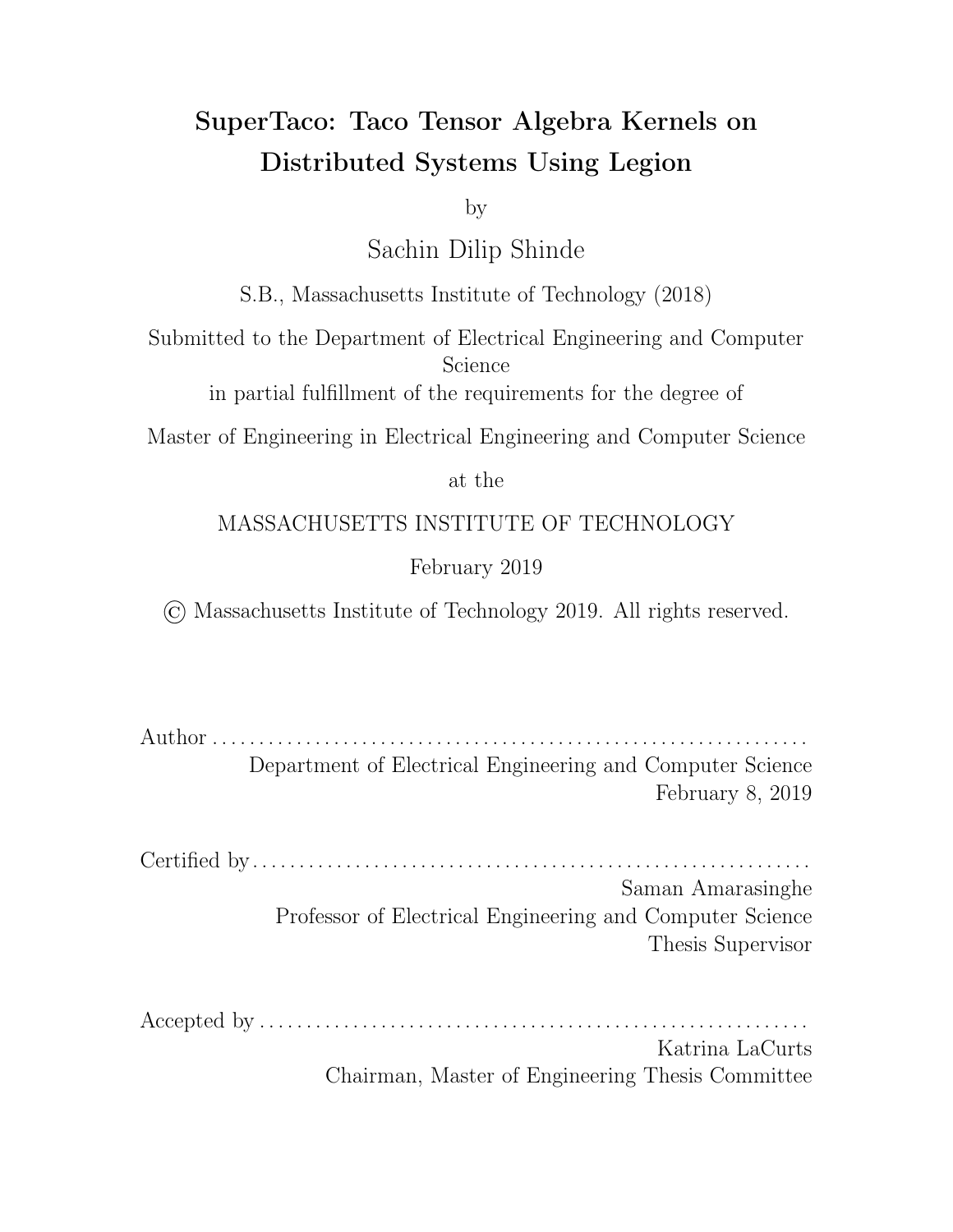# Chapter 2

### Background

This chapter gives an overview of the relevant concepts and terminology needed to talk about tensor algebra, Taco tensor storage formats, Taco code generation, and the Legion programming system in the context of distributing Taco computation. For more information regarding Taco code generation, please refer to Kjolstad *et al.* [5]; for more information regarding the Legion programming system, please refer to Bauer et al. [7].

#### 2.1 Tensor Notation

The notation and terminology used for tensors is similar to that used in the Taco library. A tensor  $A$  of rank (or order)  $R$  is an association between  $R$ -tuples (or coordinates)  $(i_0, i_1, \ldots, i_{R-1})$  of non-negative integers and tensor entries (or compo*nents*). These components are written using tensor notation as  $A_{i_0i_1...i_{R-1}}$ , where  $i_m$ is an *index variable* (or *index*). The position of an index variable in the tensor's tuple is known as its *mode*, so that the  $m<sup>th</sup>$  mode refers to index variable  $i_m$ . The non-negative integers that are possible for a given mode are limited by the size (or dimension) of that mode, so that if mode m has dimension  $N_m$ , then  $i_m < N_m$ .

Using this notation allows us to express tensor algebra operations with summations, e.g.  $A_{ij} = \sum_k B_{ijk} c_k$  represents evaluating tensor component  $A_{ij}$  for a given  $i$ and *j* by summing  $B_{ijk}C_k$  for all values of index variable  $k$ . The index variables that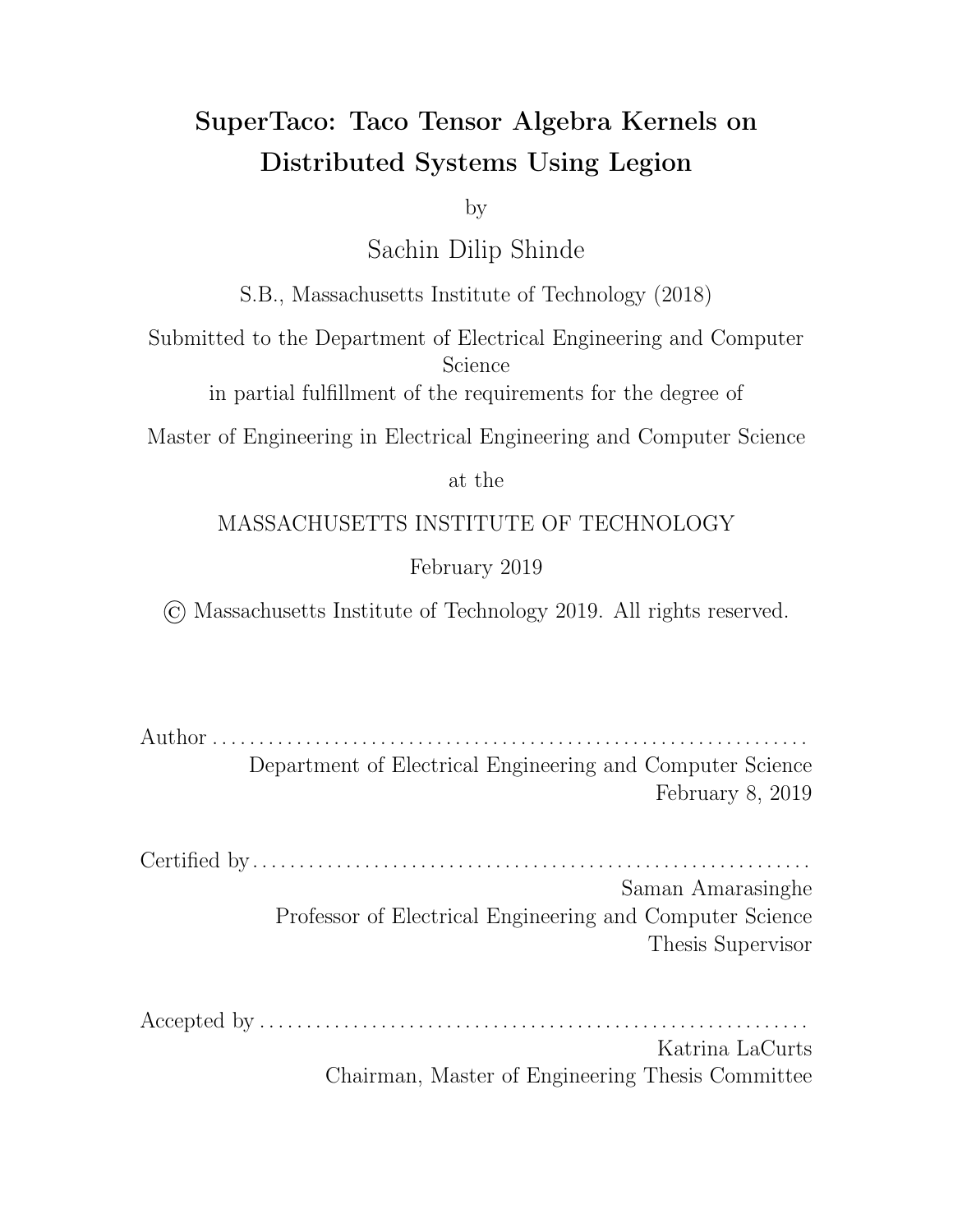

Figure 2-1: A 2nd-rank tensor  $A_{d_1d_2}$  and its possible storage format trees [5].

appear in the output tensor ( $i$  and  $j$  in this example) are known are free variables, while any index variables that don't appear in the output  $(k$  in this example) are known as reduction variables.

#### 2.2 Taco Tensor Storage Formats

An important consideration when computing with tensors is the format in which the tensor data is stored, which can be specialized to accommodate underlying structure in the tensor data. In particular for sparse tensors (which contain a large percentage of zero components), the zeros can be compressed to reduce storage space and avoid computations that involve zeros. As mentioned previously, there are many commonlyused sparse storage formats, which compress the data in di erent ways. The Taco library introduces a taxonomy for constructing these storage formats from a set of base primitives.

For a tensor  $A_{i_0i_1...i_{R-1}}$ , a Taco storage format consists of an ordering of the index variables (i.e. a permutation of  $(i_0, i_1, \ldots, i_{R-1})$ ) and a declaration for each index variable as being stored as either a *sparse level* or a *dense level*. The ordering of the index variables allows us to express the non-zero components of the tensor using a tree, where each tree level corresponds to an index variable and the nodes on a level are the values of the corresponding index variable. Specifically, for an index variable ordering  $(i_{\sigma_0}, i_{\sigma_1}, \ldots, i_{\sigma_{R-1}})$ , there is a node on level  $k$  for each  $k$ -tuple  $(j_0, j_1, \ldots, j_{k-1})$  for which there is a non-zero entry  $(i_0^{\ell},i_1^{\ell},\ldots,i_{R-1}^{\ell})$  in  $A$  satisfying  $j_q=i_{\sigma_q}^{\ell}$  for  $0 \;\;\;\;\; q < k$ ,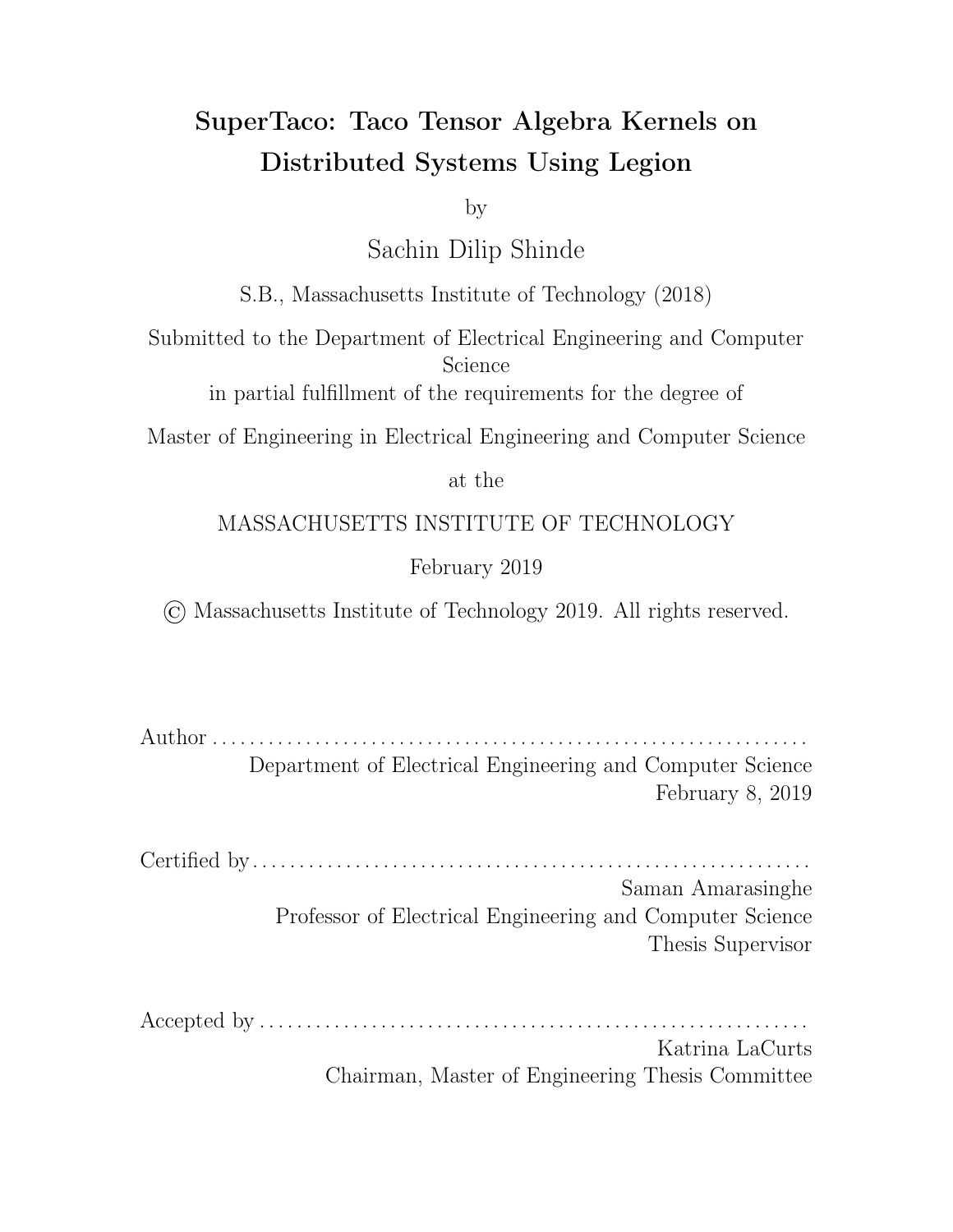and its parent is the node in level  $k-1$  corresponding to tuple  $(j_0, j_1, \ldots, j_{k-2})$ . (Since a node's parent corresponds to its tuple's prefix, the node on level  $k$  need only show the value of  $j_{k-1}$ , i.e. the value of level  $k$ 's index variable  $i_{\sigma_k}$ . The rest of the tuple is implicit from the path to the root.) The  $R$ -tuples corresponding to the leaf nodes of the tree then consist of all the non-zero entries of  $A$ . As an example, consider the sparse matrix  $A_{d_1d_2}$  as shown in Figure 2-1a. If the index variable ordering is  $(d_1, d_2)$ , the storage format tree is given in Figure 2-1b; if the index variable ordering is  $(d_2, d_1)$ , the tree is instead given by Figure 2-1c.

The Taco storage format e ectively stores the format tree given by the index variable ordering, keeping a data structure for each level along with a data structure for the tensor component values. The data structure for each level depends on whether the corresponding index variable is declared dense or sparse. For dense levels, the data structure only consists of metadata, namely the dimension of the index variable. Conceptually, this is because dense levels assume that the corresponding index variable can take on all values in the range  $[0, D)$  for index variable dimension D. More concretely, for a dense level k, it assumes that each node in level  $k-1$  has D children, regardless of whether there's actually a non-zero entry in  $A$  satisfying the aforementioned conditions for k-tuple  $(j_0, j_1, \ldots, j_{k-1})$ . This allows for e cient storage of the dense level, but potentially ine cient storage of lower levels depending on the validity of the assumption.

Sparse levels, in contrast to dense levels, only store the non-zero entries of the level. Sparse levels specifically keep a pos array and an idx array, where the idx array consists of several segments stored contiguously and the pos array keeps track of the positional bounds of the segments in the  $i$  dx array. That is, segment  $i$  runs from  $pos[i]$ :  $pos[i+1]$  in the idx array, where the last element of the pos array is a sentinel equal to the length of idx. Each segment corresponds to a parent node in the previous level, and the segment itself stores the index variable values of the parent's children, in sorted order.

The data structure containing the tensor component values consists of a val array, with an entry for every leaf node in the tree. Note that there may be zero entries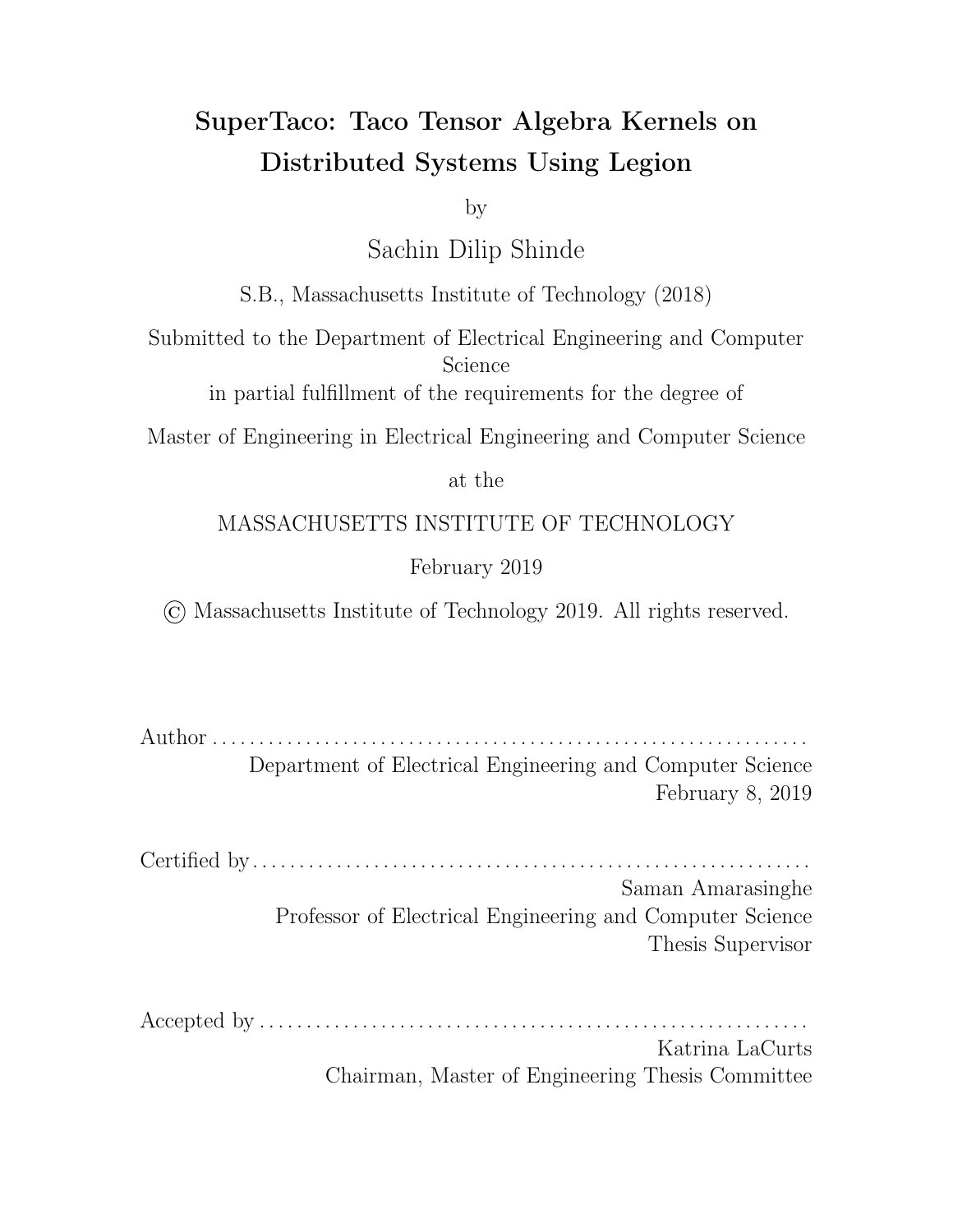

Figure 2-2: Possible storage formats for index variable ordering  $(d_1, d_2)$  [5].



Figure 2-3: Possible storage formats for index variable ordering  $(d_2, d_1)$  [5].

in the val array, since dense levels assume that the number of children per parent node is equal to the corresponding index variable's dimension. Figure 2-2 shows the storage formats for index variable ordering  $(d_1, d_2)$ , while Figure 2-3 shows the storage formats for index variable ordering  $(d_2, d_1)$ .

Note that dense levels also implicitly consist of a pos and idx array, similar to sparse levels. In the dense case, each segment contains all the integers in the range  $[0, D)$  for a level with dimension D, which makes pos  $[i] = D$  *i* for segment *i*. Storing only the dimension  $D$  is just a form of compression here. This view makes iterating through tensors easier to conceptualize, since we can just think of each data structure as having an e ective position pointer which points into the data structure's idx array (for the component value data structure, the e ective position pointer just points into the val array). More concretely, for sparse level  $k$ , the e-ective position  $p_k$  satisfies  $pos[p_{k-1}]$   $p_k$  <  $pos[p_{k-1} + 1]$  and indicates index value  $idx[p_k]$ . For dense level k, the e ective position  $p_k$  satisfies  $bp_k/DC = p_{k-1}$  and indicates index value  $p_k$   $Dbp_k/Dc$ . For the component value, the e ective position satisfies  $p_k = p_{k-1}$  and indicates component value val  $[p_k]$ . Iterating through the tensor involves advancing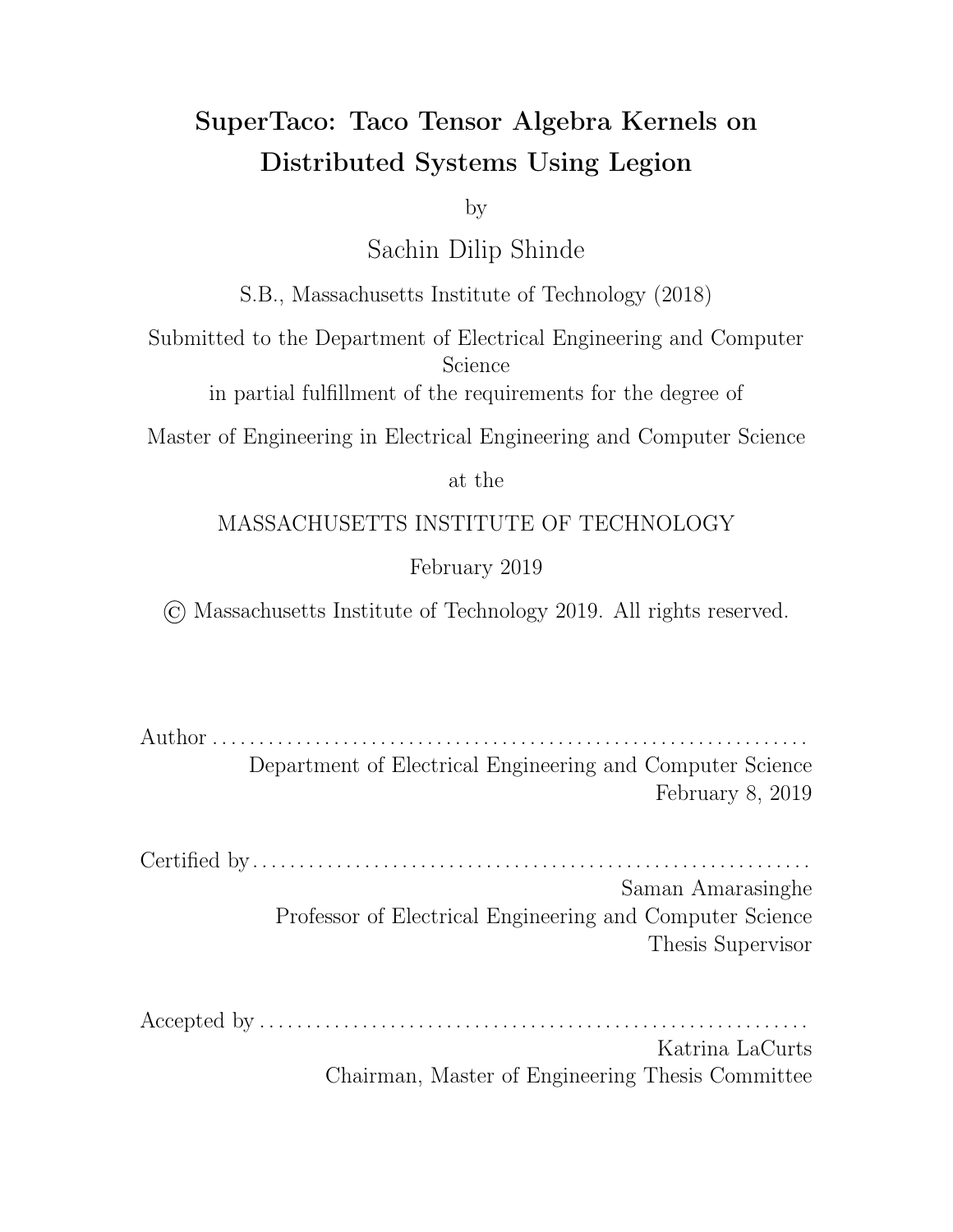these e ective positions while maintaining the invariants. Note that given the e ective position for the val array, we can uniquely determine the e ective positions for the other levels; this makes sense intuitively, since the val array's e ective position points to a component of the tensor.

#### 2.3 Taco Code Generation

Using the tensor format taxonomy from the previous section, the Taco library can compile tensor algebra expressions involving tensors of given formats into C code. While an understanding of tensor storage formats is critical to understanding how to break tensor data into blocks and distribute those blocks across nodes, the specific details of Taco code generation are less relevant. The techniques used in this work largely treat Taco code generation as a black-box, and only modify the generated C code slightly to account for storage format modifications. This is one of the benefits of our methods, since it means changes to the internals of Taco code generation will not require significant changes to our methods. It also means that these techniques can be applicable to other tensor algebra libraries, provided they use similar tensor storage format taxonomy to Taco. In this context, it is more important to understand the nature and structure of the generated code than to understand how it is generated.

The Taco library takes a tensor algebra expression as input, written using the Einstein summation convention, and transforms each summation into a loop nest in C code. The storage formats of the tensors impose restrictions on the order of those loop nests for iteration to be e cient, and the Taco library may accordingly rearrange loop nests to satisfy those restrictions. We access the Taco library through the Taco command-line tool, which generates two functions for computing the tensor algebra kernel. The first is the assemble() function, which performs part of the computation to allocate space for the data structures in the output tensor and calculate the output indices. The second is the compute() function, which performs the rest of the computation to calculate the component values of the output tensor. Our Legion program generation routine uses the Taco command-line tool to generate assemble()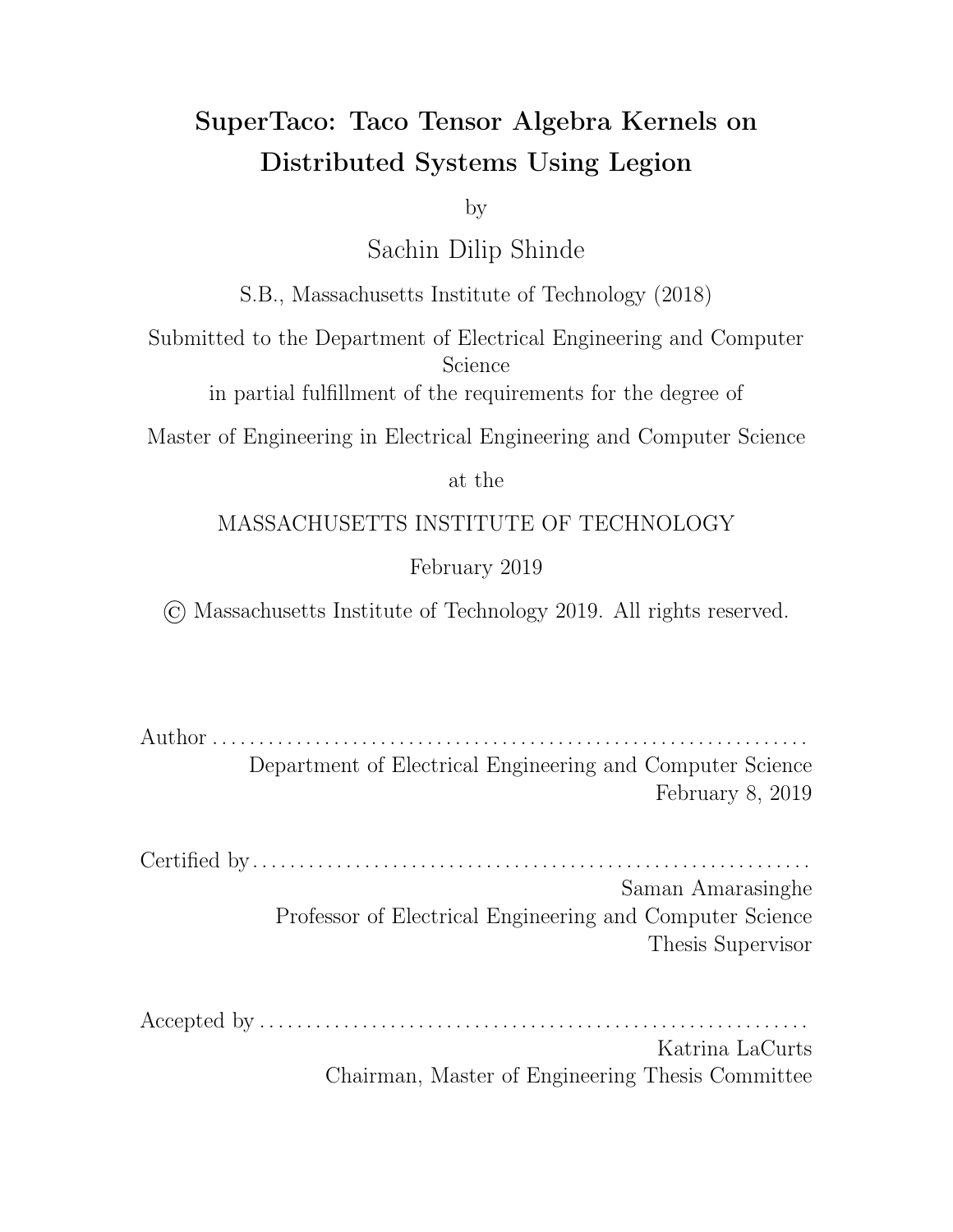

Figure 2-4: The Legion programming system software stack [9].

and compute() functions for the appropriate tensor algebra kernels, modifies them slightly to allow for computation using tensor blocks, and then emits the C code into the Legion program. For an overview of how Taco compiles tensor algebra expressions and the optimizations it uses, please refer to Kjolstad et al. [5].

### 2.4 Legion Programming System

Legion is a parallel programming system that eases high-performance distributed application development through the use of abstractions that allow the programmer to explicitly express the locality and independence of program data [7]. Legion runs on top of the Realm runtime, which uses GASNet for high-performance networking on distributed systems; the full runtime stack is shown in Figure 2-4.

The main primitive in Legion is the *logical region*, an abstraction for storing program data similar to a table in a relational database, which uses an *index space* for rows and a *field space* for columns. The index space can be a single- or multidimensional array of points, either structured (indicating the index space is a collection of one or more dense Cartesian grids) or unstructured (indicating the index space is an arbitrary collection of keys or pointers). A field space consists of a collection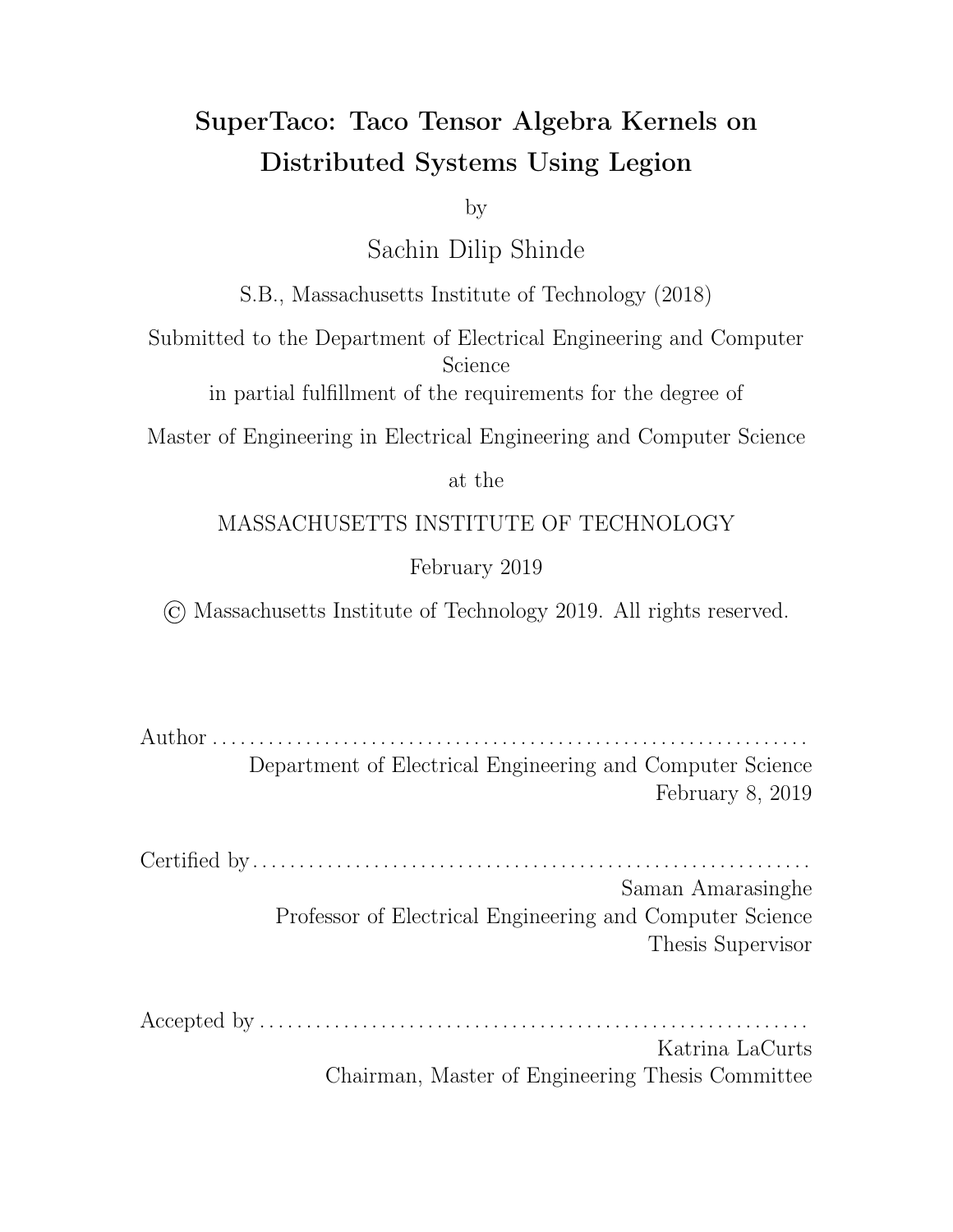

Figure 2-5: An example of a region tree, where the black bars represent partitions and the asterisks indicate disjoint partitions [7].

of named fields, each of which may either store a plain old data (POD) type or a compound type. Logical regions are e ectively a cross product between a field space and an index space, and are first-class objects in Legion, i.e. they can be created and destroyed at runtime and stored in data structures.

Logical regions can be partitioned into logical sub-regions through *colorings*, which are maps from colors (which lie in a *color space*) to sets of points in the logical region's index space. Each color in the coloring map thus defines an index sub-space, which in turn defines a logical sub-region. If the index sub-spaces are *disjoint*, then the logical partition is considered disjoint; otherwise, the partition is considered *aliased*. These partitions create a region tree, which codifies the dependencies between logical subregions in the same tree (see Figure 2-4 for an example). It is through this primitive that Legion allows the programmer to indicate program data dependencies.

For performing computation, Legion uses *tasks*, which are functions that operate on logical regions and pass-by-value arguments. Legion tasks declare the regions they access through *region requirements*, which specify the fields of a region being accessed along with the *privilege* being used to access it (read-only, read-write, write-discard, or reduce). The privilege specifies the type of side e ect the computation is allowed to have on the region. Region requirements thus allow the programmer to express the dependencies of computation on data.

Tasks can in turn launch sub-tasks asynchronously using a deferred execution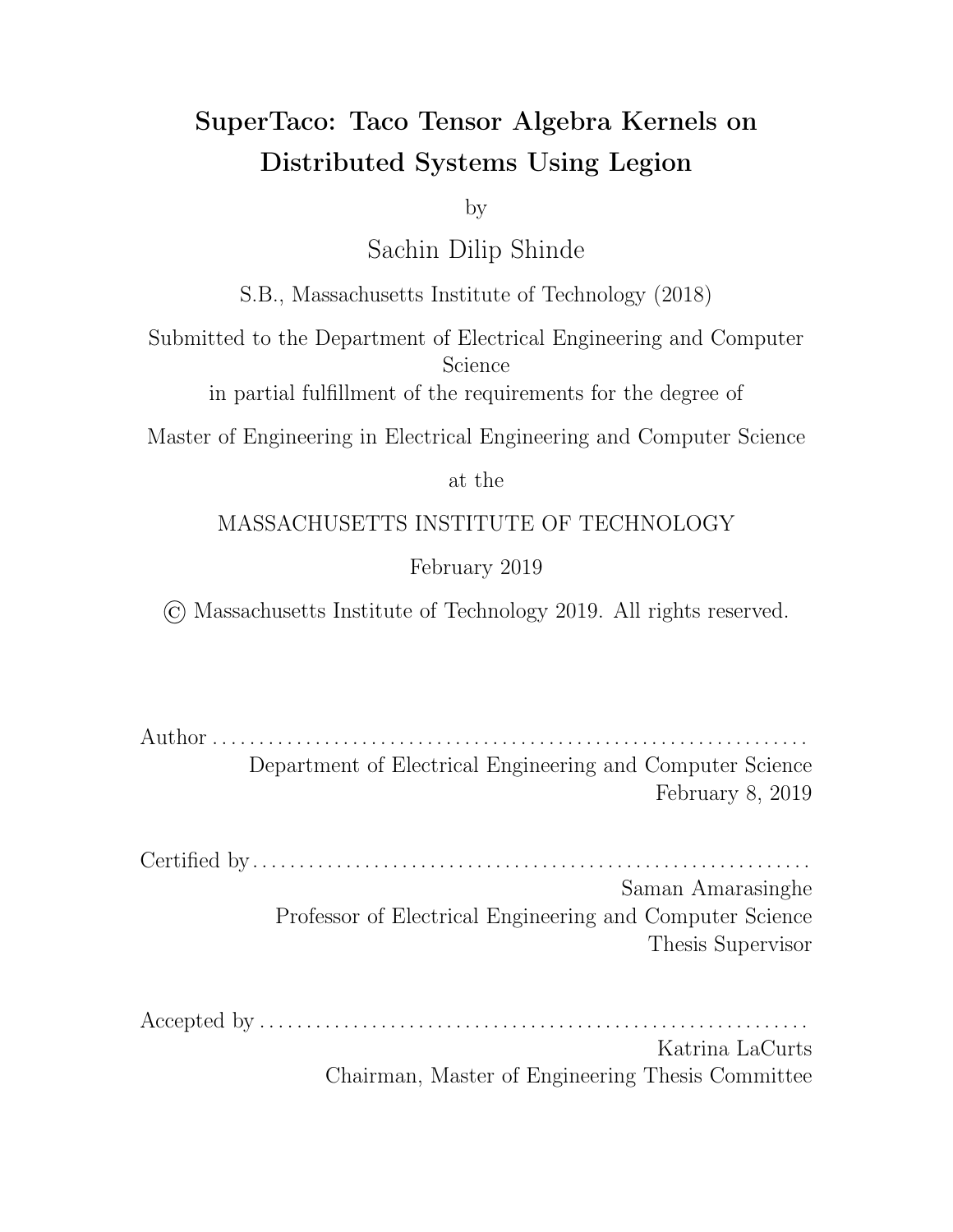model, which forms a tree of tasks with the top-level root task being the first to execute. The Legion runtime performs a dependency analysis on tasks to discover implicit parallelism by checking whether tasks are non-interfering on their logical regions; this allows the runtime to execute these tasks in parallel while maintaining sequential program order semantics. Legion requires that for a sub-task to declare privileges on a region, its parent task must possess the same privileges (or stronger) for the same fields and for the same logical region (or an ancestor in its region tree); this containment property allows the use of an e cient hierarchical scheduling algorithm for tasks, and makes Legion functional at coarse granularity (between tasks) while imperative at fine granularity (within a task). A sub-task that creates a logical region is granted read-write privileges on that region, and will pass those privileges to its parent task if it does not destroy the region by the end of its execution. Sub-tasks may additionally return values to their parent tasks in the form of futures, which can either be passed to other sub-tasks (causing those sub-tasks to delay execution until the future's result is available) or waited on in the parent task (causing the parent task to block until the future's result is available).

When a task requires access to data contained with a logical region, it has to instantiate that logical region in memory with some data layout; this process is called mapping the logical region, and the resulting data in memory is referred to as a physical instance of that logical region. When a task runs on a processor, the Legion runtime guarantees that the logical regions specified in the task's region requirements will be mapped to physical instances in that processor's memory. Tasks may also manually map logical regions during execution, but only if the task has the necessary privileges on the logical region; this is called *inline mapping*, and inline mapping launchers are similarly set up through region requirements. (This may block execution if the task attempts to access the instance before the logical region is mapped.) One consequence of these mapping semantics is that a task must manually unmap a logical region if it launches a sub-task that would require interfering privileges on that same logical region, since otherwise the sub-task would never execute.

Legion exposes scheduler decisions regarding how to map tasks to processors and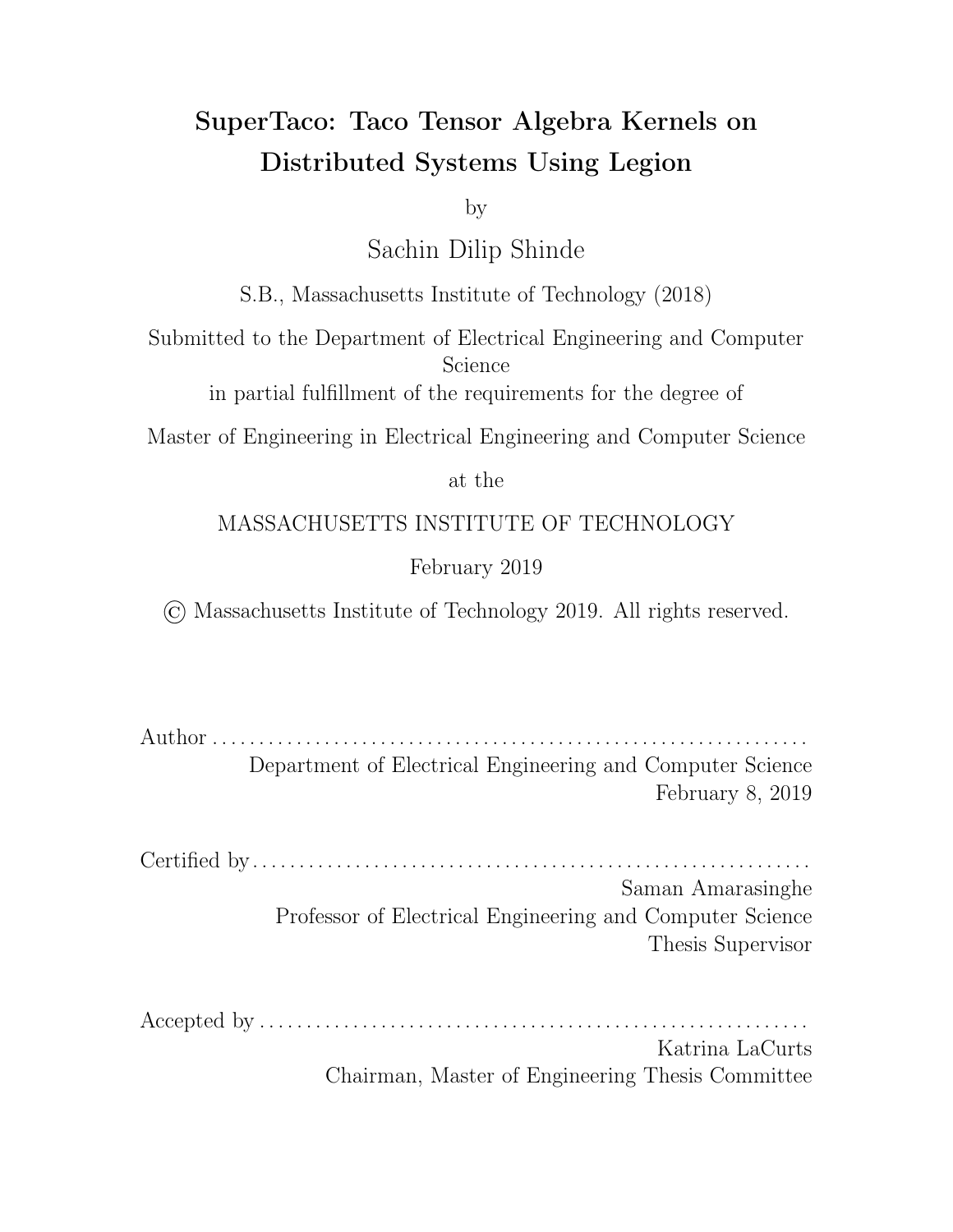how to map logical regions to processor memories using the mapper interface. Mappers are classes developed by the programmer that implement the mapper interface; the Legion runtime instantiates a mapper object for every mapper type registered with the runtime and for every processor in the system. Once a sub-task is launched, the mapper that corresponds to the processor running the parent task is queried with the sub-task using its select\_task\_options() call. During this call, the mapper can decide to do one of three things. It can map the sub-task inline, which causes it to be inlined into the parent task using the parent task's regions. It can choose to map the sub-task remotely, in which case the mapper selects a remote processor to send the sub-task to (whose corresponding mapper then maps the task). Finally, the sub-task can be sent to a remote processor but mapped locally, in which case the current mapper maps the sub-task and sends the results to the remote node, which then uses the results to immediately launch the task.

The act of mapping itself is carried out using the mapper's map\_task() call. The mapper in this call decides the layout of the physical instances needed by the task, and for each physical instance ranks the physical memories with regards to which memory is the most desirable to instantiate the physical instance on. The mapper also has the ability in this call to specify that the task may by executed by any processor within a processor group, which provides a form of load-balancing to task execution. To learn more about the Legion runtime's software out-of-order processor (SOOP) and the algorithms it uses for dependency analysis and task scheduling, refer to Bauer's dissertation [9].

23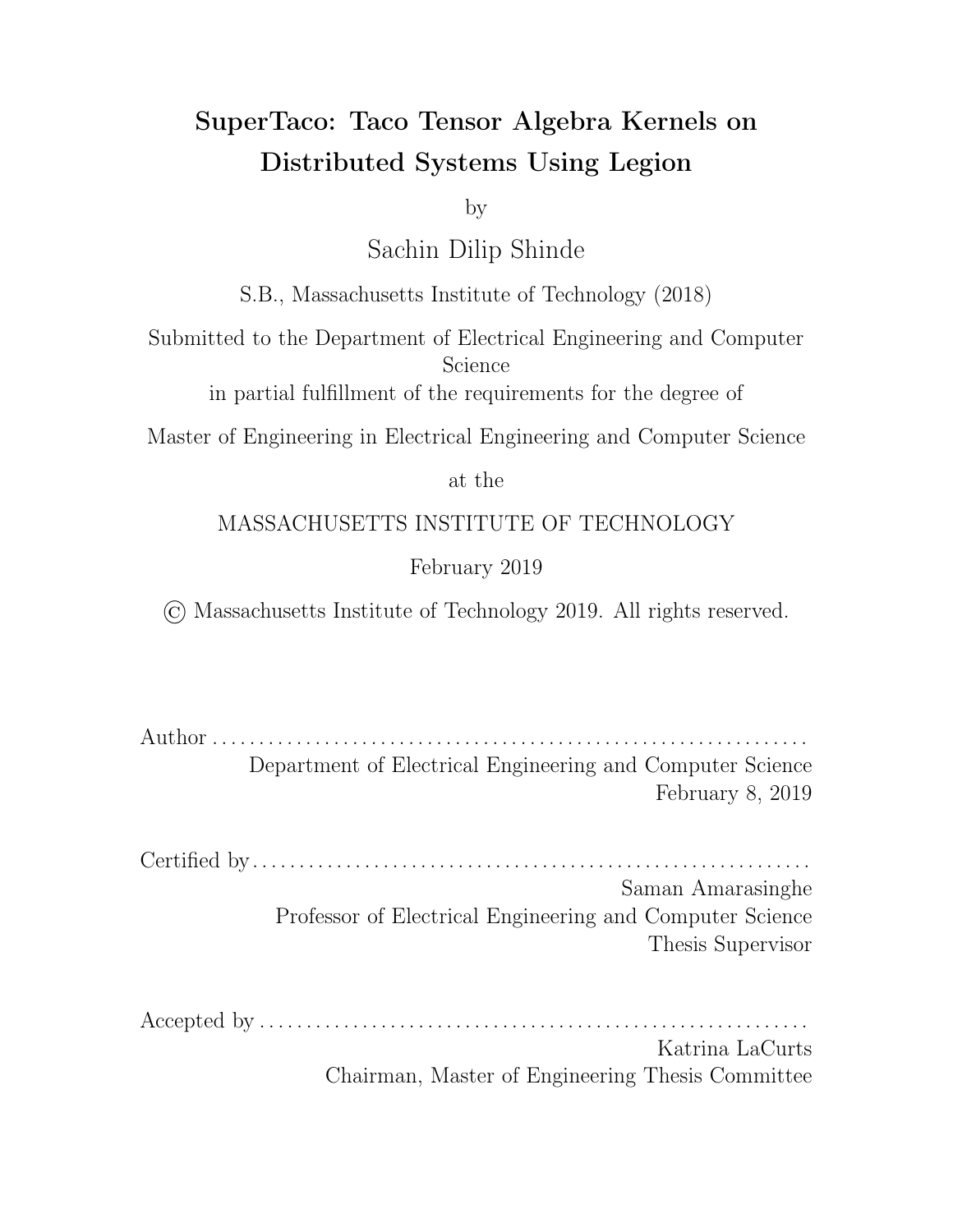## Chapter 3

### Related Work

In this chapter, we turn our focus to previous works that have parallelized the computation of sparse tensor algebra. To the best of our knowledge, the Taco compiler is the first compiler capable of generating kernel code for general sparse tensor algebra expressions. Thus, distributing the computation of these expressions in the general case presents a novel problem. This makes it di cult to compare to prior work, which often has focused on parallelizing very specific tensor algebra expressions and has accordingly developed solutions that may not generalize to other expressions. Nevertheless, we have still gained insight from seeing approaches to distributing these computations.

#### 3.1 SpMV Partitioning

Much e ort has been put into optimizing the sparse matrix-vector (SpMV) kernel  $a_i = \sum_j B_{ij} c_j$  due to its heavy use in scientific computing, which has given rise to several optimization techniques [10]. To exploit thread-level parallelism, the matrix data has to be partitioned in some way. Earlier work has suggested partitioning by row blocks, column blocks, or by sections of the sparse matrix data structure [10], while recent work has led to more complex, specialized techniques.

For example, using row splitting, long rows of CSR matrices are split into regularized sections and distributed to processors, with the partial sums aggregated later in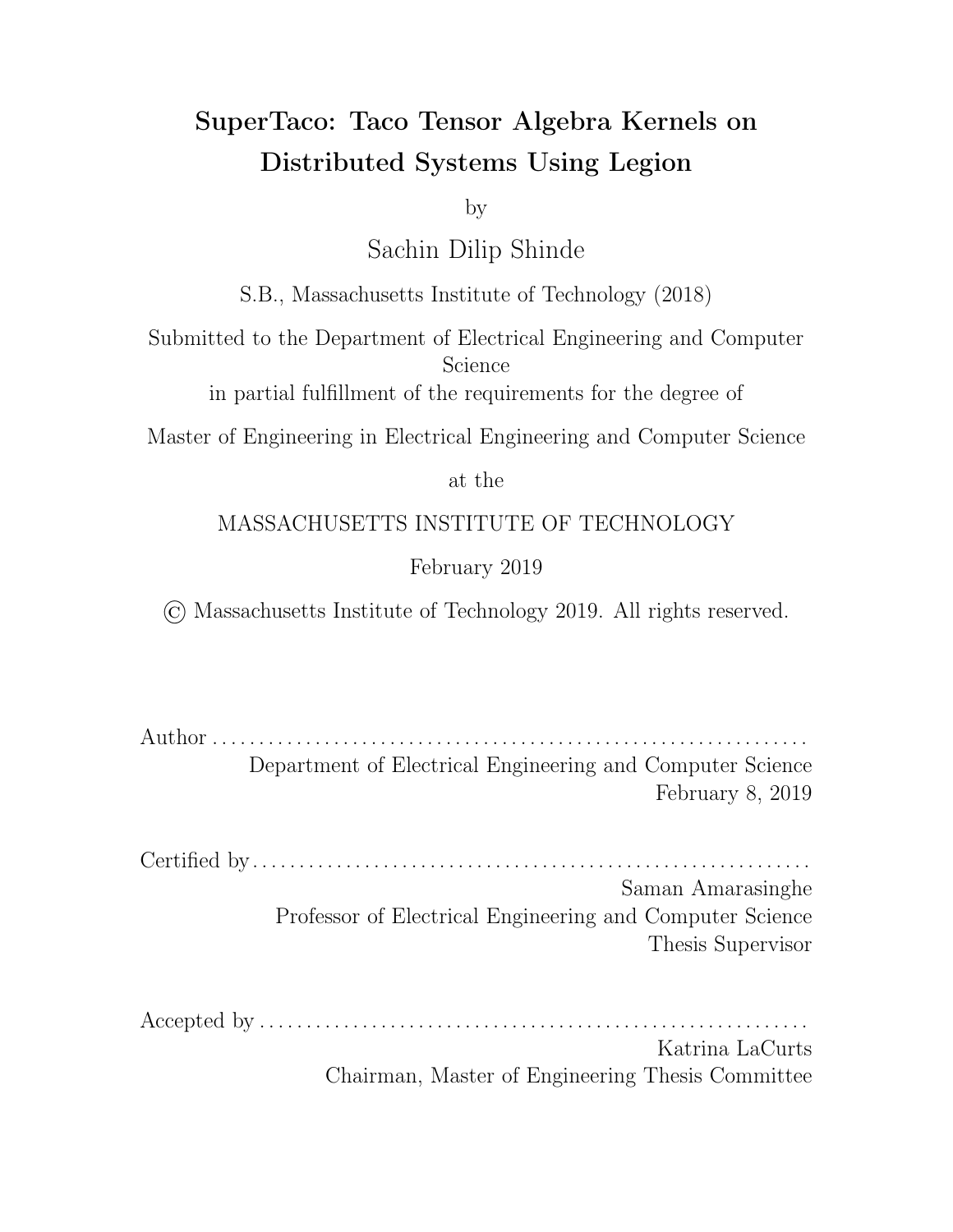a subsequent pass [11]. This has the benefit of limiting the amount of data assigned to any given thread and thus improves load balance compared to simply blocking along rows, but still possesses some load imbalance due to rows which are shorter than the regularized size. Another modern technique is nonzero splitting, which assigns equal amounts of non-zero data in CSR matrices to each processor, but requires a search in the pos array to find which rows the non-zero data sections begin and end on [11]. This improves load balancing by directly dividing up the non-zero data, but is still susceptible to imbalance if some non-zero data sections cover many more rows than other sections.

While these modern partitioning techniques improve load balancing for the SpMV kernel, they don't generalize past SpMV well since they require random access into the vector to be able to compute the output e ciently. More generally, these techniques are attempting to partition the set of tensor components into disjoint sets, and assigning these sets to processors in such a way that the time a processor spends iterating through its components is around the same per processor. However, iterating through the tensor's index variables in this complex fashion, while designed to be e cient for the partitioned tensor, may not be e cient for other tensors in the computation which depend on the same index variables. If any of these other tensors is similar in size to the partitioned tensor, the ine ciencies of this iteration will outweigh the benefits of the complex partitioning.

It is for this reason that we use tensor blocking based on index splitting, as described in Section 4.1. This in e ect allows us to partition all the tensors simultaneously in such a way that iteration for a given processor is not rendered ine cient by the partitioning. At first glance, this suggests complex partitions may be salvageable through partitioning the other tensors to match in index variables, similar to index splitting. However, this does not necessarily result in a partition. For example, consider row splitting for SpMV but with a sparse vector; the parts of the sparse vector that correspond to the regularized row sections overlap each other and thus do not constitute a partition, meaning the approach would require extra work through duplicating data.

26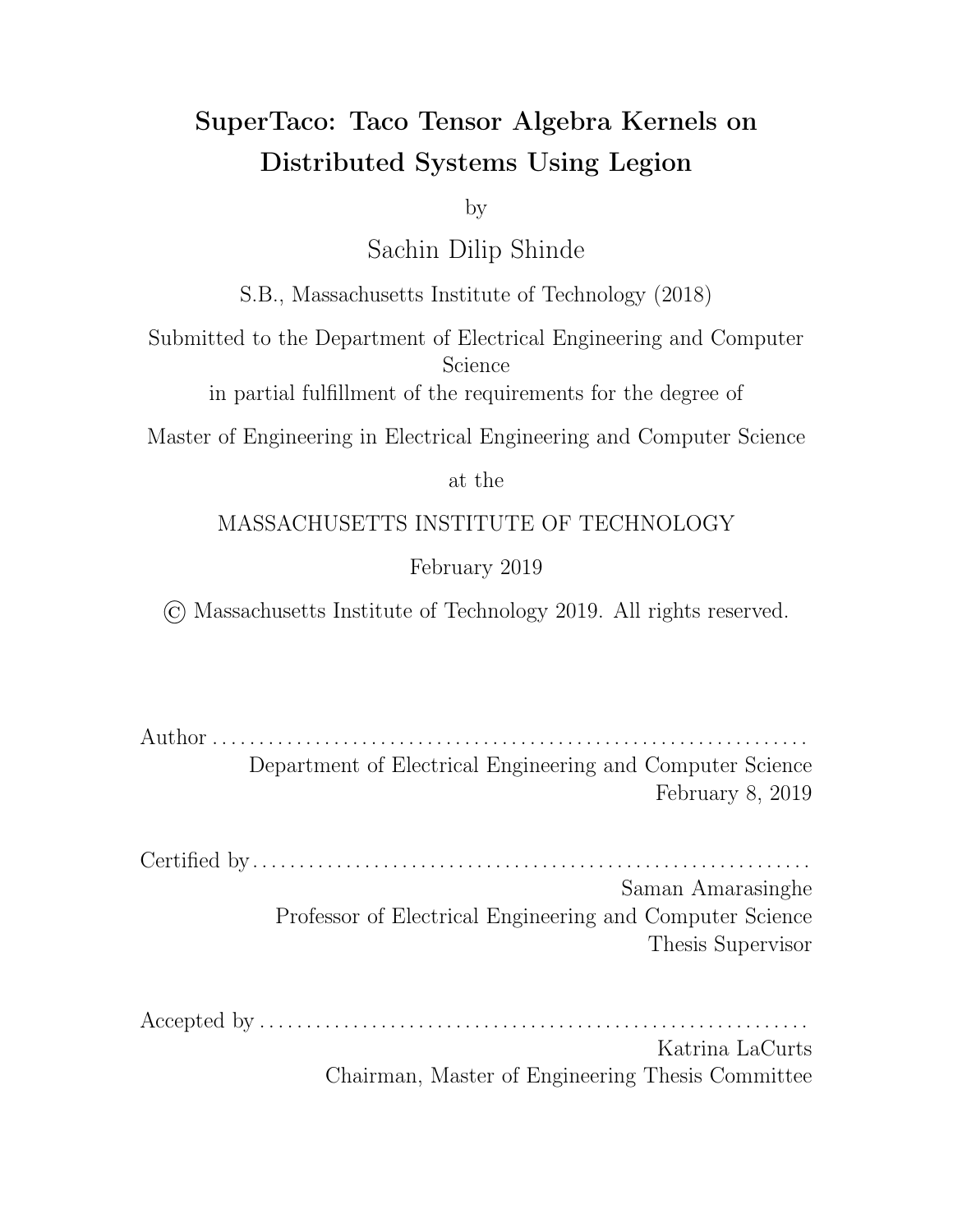### 3.2 PETSc

PETSc is a suite of data structures and routines for developing parallel solutions to problems modelled by partial dievential equations. The suite in particular is notable since it manages to provide a clean object-oriented abstraction for computing with sparse matrices and vectors in parallel without exposing the underlying MPI details [12]. The suite specifically provides a parallel sparse matrix type called mpiaij that uses row blocking to distribute the matrix data across processors, and further separates each row block into a diagonal block and an o -diagonal block (both stored using CSR). While the suite does not support sparse tensors, the suite makes computing parallel SpMV as simple as computing single-threaded SpMV since it doesn't expose the underlying parallel implementation; the user just calls MatMult() in both cases. SuperTaco is somewhat similar, as the tensor algebra expression remains unchanged by parallelizing the computation. However, SuperTaco uses a distribution schedule to control how computation is split among nodes; for PETSc, changing how computation is distributed would require changing the underlying matrix object to a di erent parallel implementation. In this sense, PETSc associates this property with the matrix, while SuperTaco associates it with the computation itself.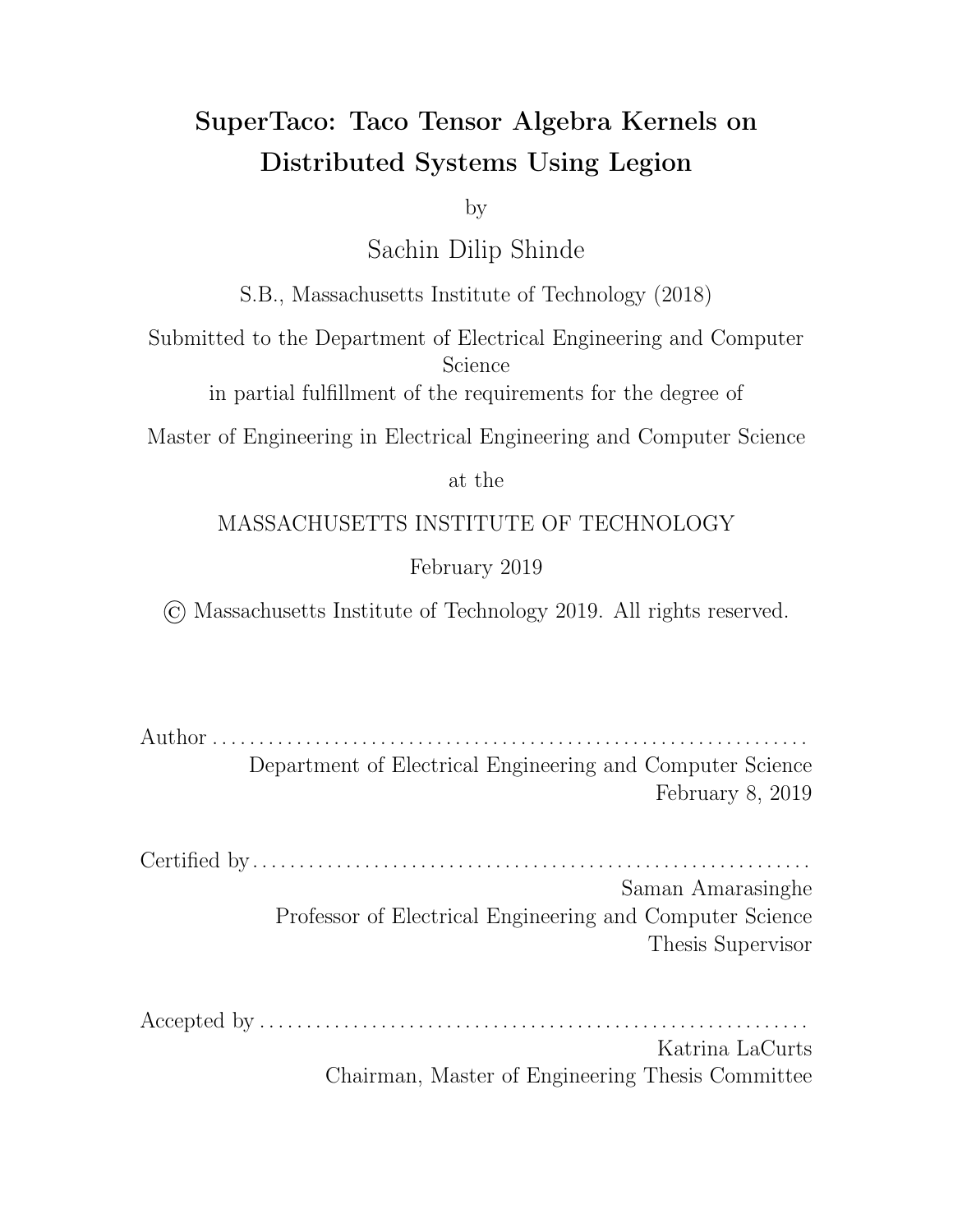## Chapter 4

# **SuperTaco**

Chapter 2 gave an introduction to tensor storage formats, Taco code generation, and the Legion programming system. In this chapter, we describe our implementation of SuperTaco, a compiler that takes sparse tensor algebra expressions and generates Legion programs that distribute the computation of those expressions across homogeneous distributed systems. The SuperTaco command-line tool e ectively wraps the Taco command-line tool, using it as a black-box to generate kernel code to run on each processor.

The SuperTaco command-line tool accepts similar arguments to the Taco commandline tool. At its core, it accepts a tensor algebra expression written using Einstein summation convention, such as a(i ) = B(i , j ) \* c(j ) to express  $a_i = \sum_j B_{ij} c_j$ . It requires that the storage formats of the tensor operands in the expression be specified. E.g. to specify that  $B_{ij}$  is a CSR matrix (dense $_{d1},$ sparse $_{d_2}$ ), we would use the format flag -f:B:ds. SuperTaco additionally accepts arguments that can control how it distributes computation, which we refer to as the distribution schedule.

The SuperTaco command-line tool itself is a Python script. During execution, it processes the arguments and distribution schedule, and generates a  $C_{++}$  Legion program from a template using the Mako templating library. SuperTaco does not dynamically generate all the code in the program; some routines, such as iterating through a tensor or binary-searching a tensor, are static, and are accordingly packaged in a static library that the generated Legion program uses. SuperTaco also at times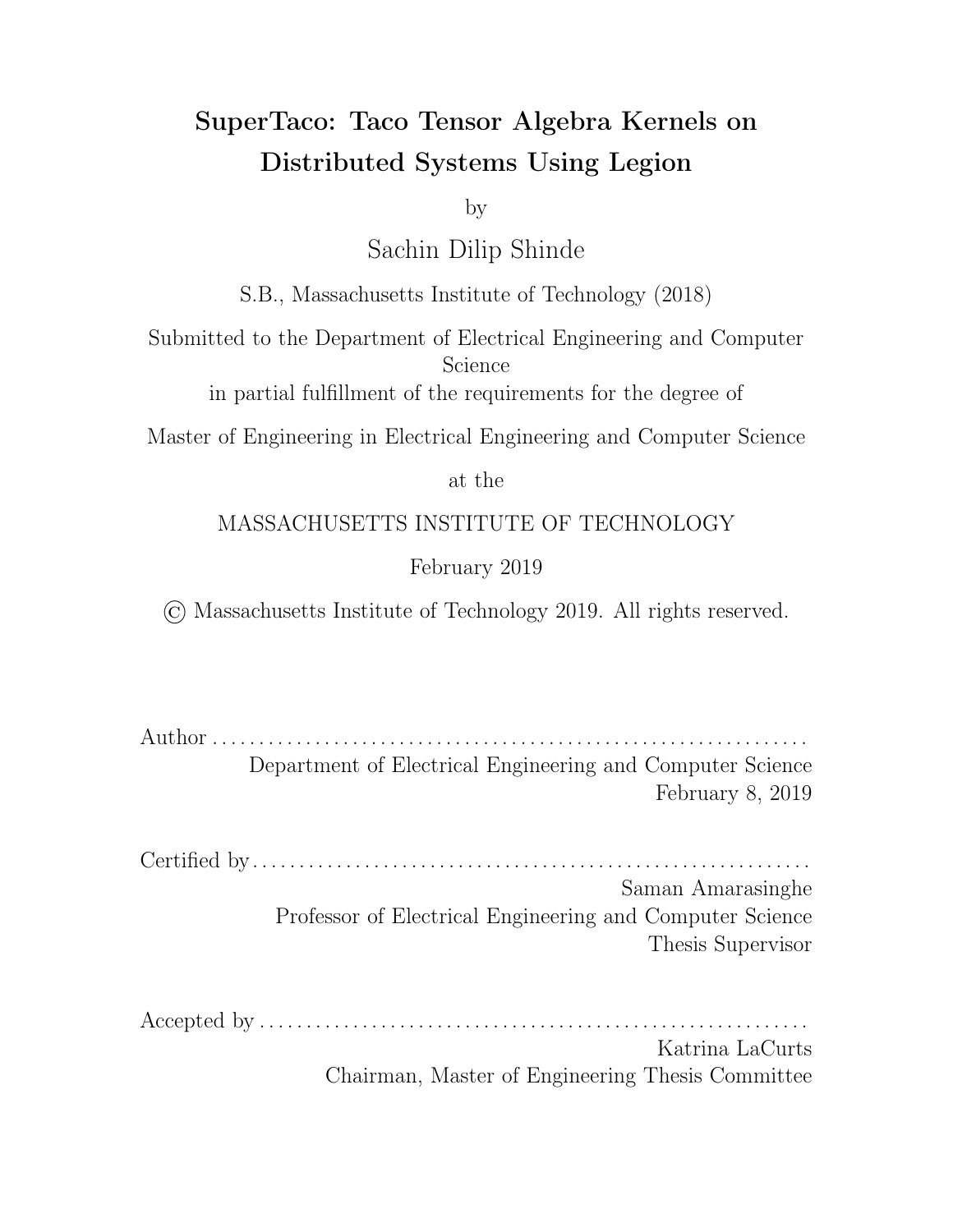

Figure 4-1: Overview of the SuperTaco command-line tool.

needs to compile tensor algebra kernels to single-processor C code; to do this, it calls the Taco command-line tool to generate the code, packs it into a C source file after slight modifications, and then has the Legion program call the functions in the file. Compiling the generated Legion program into an executable is performed using the standard Legion Makefile distributed to Legion application developers. An overview of the SuperTaco tool components are shown in Figure 4-1.

SuperTaco extracts parallelism from tensor algebra expressions by breaking tensors into blocks, and computing the requested kernel on those blocks instead of on the entire operand tensors at once. Since the requested kernel must be computed on many dieferent combinations of these blocks, the kernel must be executed many times, and many of these executions can be run in parallel. However, dependencies can arise between the kernel executions depending on how the distribution takes place, e.g. if two of these kernel operations sum into the same output block.

A Legion program generated by SuperTaco consists of three phases: distributed tensor loading, distributed tensor algebra computation, and distributed tensor storing. In the first phase, a tensor (potentially larger than any single node's memory) is streamed through the nodes and loaded into blocks, which are evenly distributed over the nodes. In the second phase, the kernel is computed in parallel for various combinations of these blocks. In Legion, this amounts to a nest of for loops in the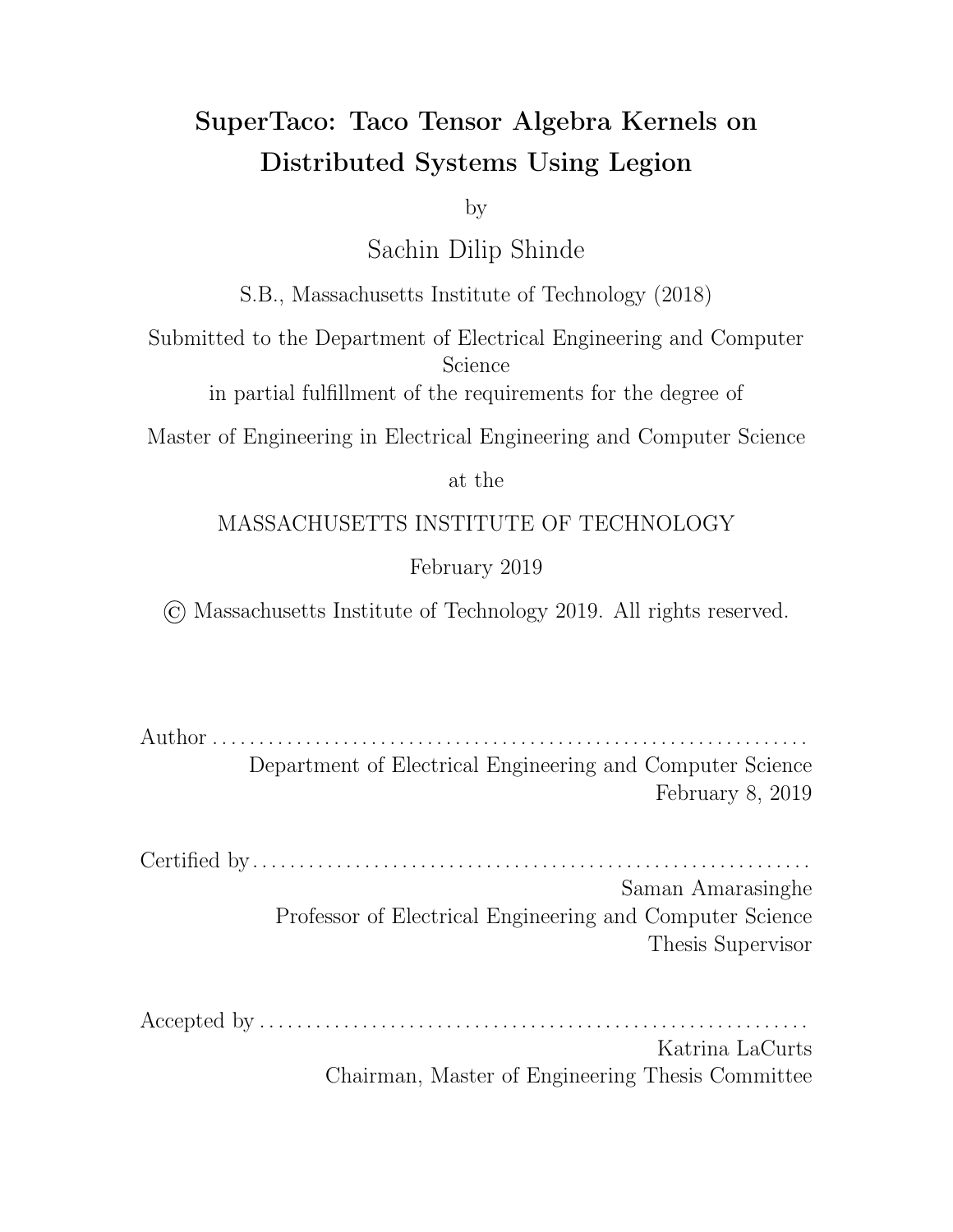top-level task, with a kernel task launch in the innermost loop body. Through region requirements, the task launch receives references to the logical regions containing the blocks that the kernel task must operate on. When the kernel task finishes computing an output block, the block is packed in a logical region and passed back to the parent through a future. The parent task adds this future to the next kernel task that operates on that output block, which codifies the dependencies between kernel tasks. At the end of this phase, the Legion program adds together output blocks that were treated separately during kernel computation, but in reality refer to the same block (the extent to which this happens is one of components controlled by the distribution schedule). In the third phase, the tensor blocks are merged together via a distributed multi-way merge, and are then written back to disk.

Section 4.1 describes the theoretical notation and primitives needed to discuss tensor blocking and index splitting, while Section 4.2 describes how we augment Taco tensor storage formats to allow more e cient tensor block storage. In Section 4.3, we discuss a file format for storing the data structures of Taco tensor storage formats, and how to convert to this file type from the . tns file type. Section 4.4 discusses how our Legion programs load a tensor and partition it into tensor blocks in a distributed fashion. Section 4.5 presents the theory behind how a tensor algebra expression is transformed by tensor blocking, and describes the code generation techniques that SuperTaco uses to compute these transformed expressions along with the options that arise for structuring that computation, which is exposed through distribution schedules. Finally section 4.6 describes how our Legion programs merge the output tensor blocks into an output tensor in a distributed fashion and store it to disk.

#### 4.1 Distributed Scheduling Primitives

For distributed systems, we require a notation that allows us to express tensor blocking and index splitting. *Index splitting* describes the process in which the range representing the possible values for an index variable, i.e.  $[0, D)$  for an index variable of dimension D, is split into P contiguous split ranges  $[0, s_0), [s_0, s_1), \ldots, [s_{P-2}, D]$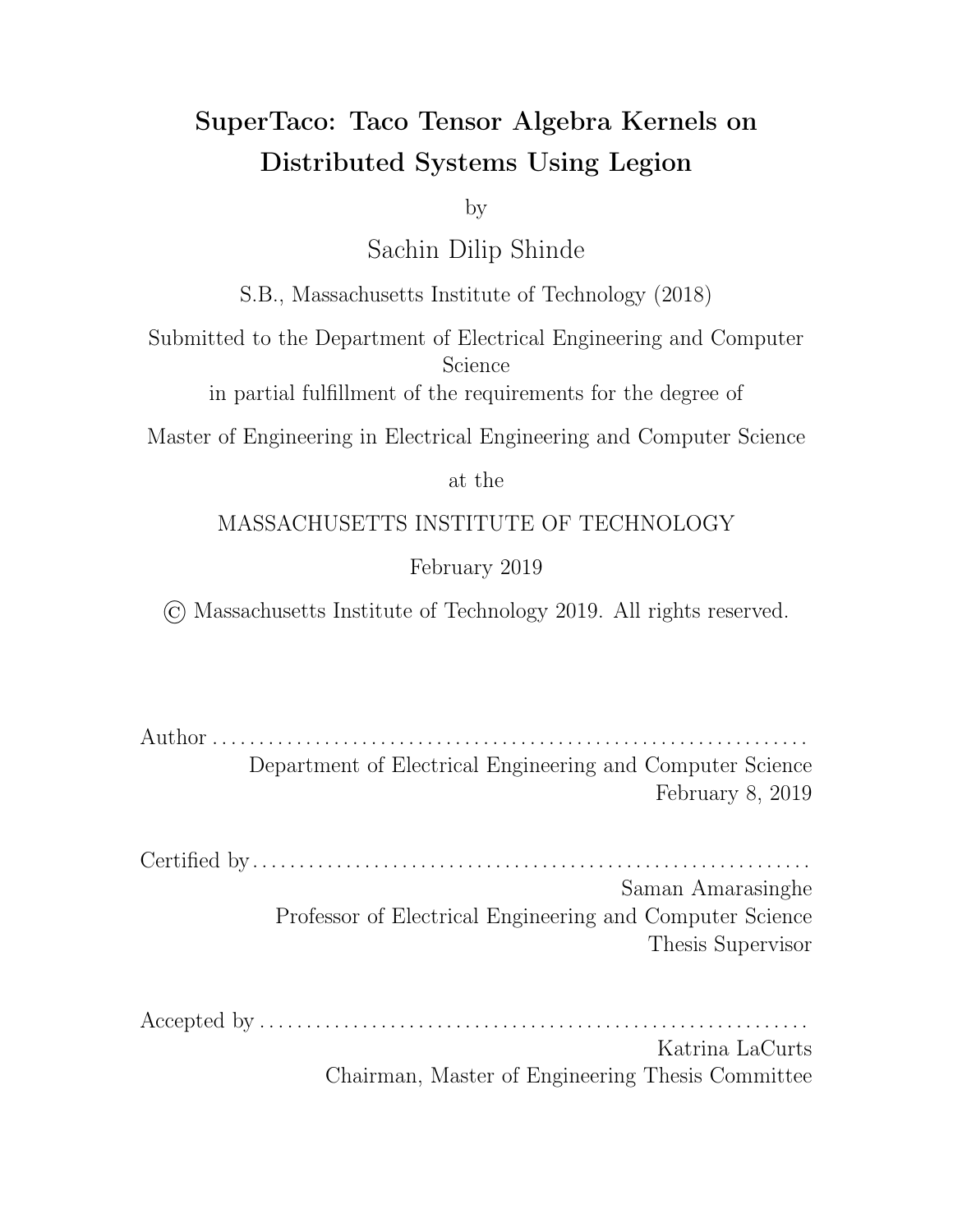for a given non-decreasing tuple of P 1 split points  $(s_0, s_1, \ldots, s_{P-2})$ . Note that we allow here for the possibility that  $P = 1$ , so that the split points tuple is empty. For a given split range, let its index within its parent list of split ranges be known as its split index.

As part of its distribution schedule, SuperTaco accepts a list of index variables to be split, and for each variable its corresponding list of split points. Instead of supplying the split points for an index variable, a user can also supply a single number representing the number of split ranges to make, and SuperTaco will uniformly split the index variable into the requested number of ranges. If an index variable is not asked to be split, SuperTaco will split it with a single range of  $[0, D)$ .

Now suppose we have a tensor  $A_{i_0i_1...i_{R-1}}$  of dimensions  $(N_0, N_1, \ldots, N_{R-1})$ , where each index variable  $i_m$  has been split into  $P_m$  split ranges using the split points  $(s_0^{(m)}$  $_0^{(m)},s_1^{(m)}$  $\binom{m}{1},\ldots,\binom{m}{P_m}$  $\binom{m}{P_m}$  <sub>2</sub>). The splitting of these index variables define a *tensor blocking* of  $A$ ; that is, we can split the components of  $A$  into  $P_0$   $P_1$  ...  $P_{R-1}$  tensor blocks  $A^{I_0I_1...I_R}$  a for non-negative integers  $I_m$  satisfying  $I_m\,<\,P_m$ , where the components of the tensor  $A^{I_0I_1...I_R}$  a consist of the components of A that have  $i_m$  in  $I_m$ -th split range of mode m for all m. In this notation,  $I_0, I_1, \ldots, I_{R-1}$  represent the block index variables of tensor block  $A^{I_0I_1...I_R}$  1. We use bars to distinguish the index variables of  $A^{I_0I_1...I_R}$  i from the index variables of  $A$ , so that the components of  $A^{I_0I_1...I_R}$  i are written as  $A^{I_0I_1...I_{R-1}}_{i_0i_1...i_{R-1}}$  $i_0 i_1 ... i_R$  1<br> $i_0 i_1 ... i_R$  1

In this sense, the index variable  $i_m$  has been split into two index variables  $I_m$ and  $\bar{i}_m$ , in which  $i_m = p_m + \bar{i}_m$  where  $[p_m, p_{m+1}]$  is the  $I_m$ -th split range of index variable  $i_m$ . Note that it appears at first glance that  $A^{I_0I_1...I_{R-1}}_{i_0i_1...i_{R-1}}$  $\frac{1011...1R-1}{i_0i_1...i_{R-1}}$  could be considered a tensor with rank 2R and index variables  $(I_0, I_1, \ldots, I_{R-1}, \overline{i}_0, \overline{i}_1, \ldots, \overline{i}_{R-1})$ , but this loses important information about the relationship between  $I_m$  and  $\bar{i}_m$ . Specifically, the possible values of  $\bar{i}_m$  are determined by  $I_m$  via the  $I_m$ -th split range. If we discard this relationship, then the range of  $\bar{i}_m$  becomes the full range of  $i_m$  (i.e.  $[0, N_m)$ ), which would defeat the purpose of blocking. It is for this reason we must consider the block index variables separately when splitting index variables.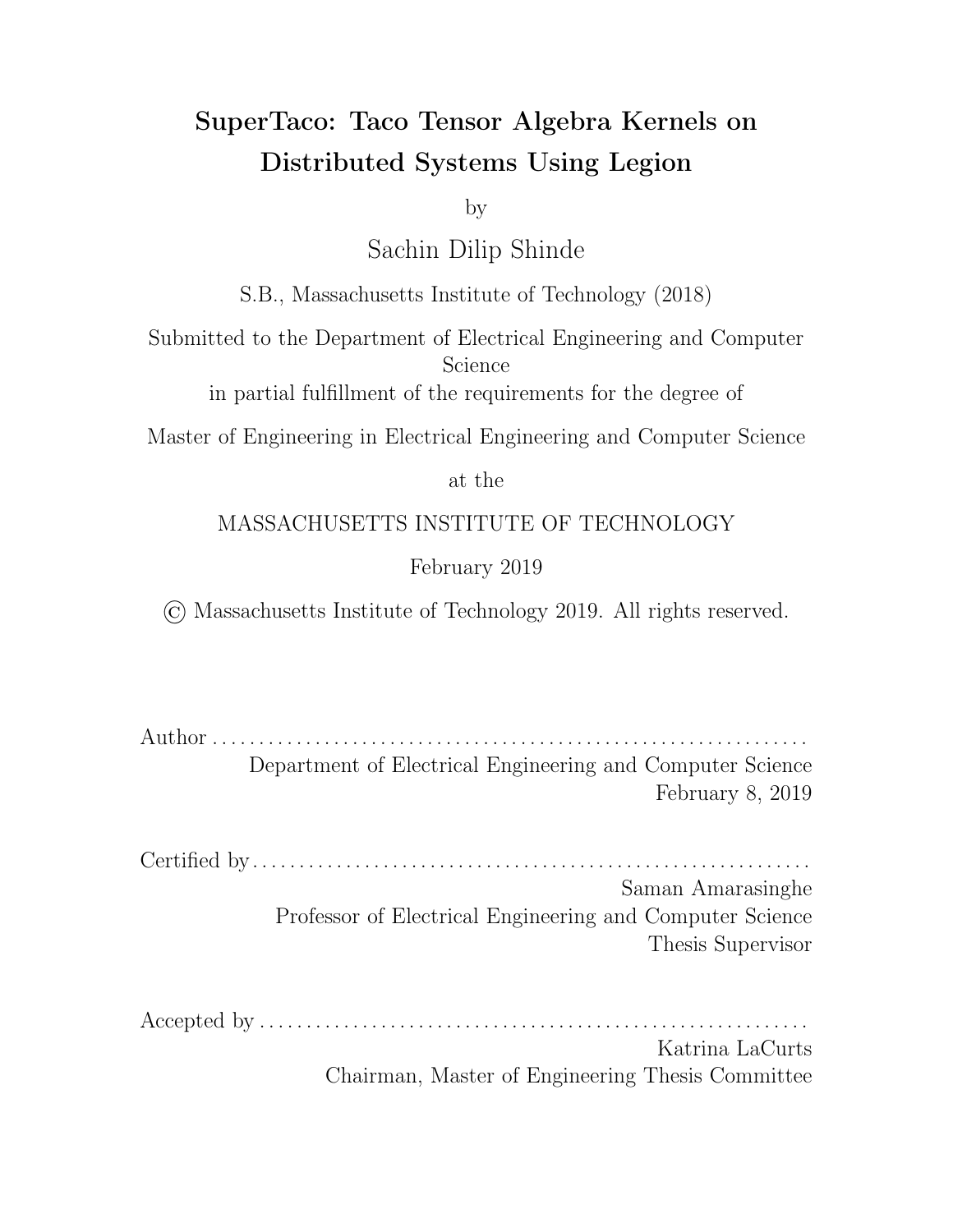#### 4.2 Taco Tensor Storage Format Augmentation

To e ciently store tensor blocks, there is one minor modification we need to make to Taco's sparse tensor storage formats. The dense level type currently assumes that the corresponding index variable can take values in the range  $[0, D)$  for dimension size D. However, when splitting the range  $[0, D)$ , many ranges are created that don't begin at 0. For example, consider splitting into  $D$  ranges, so that the last range is  $[D \quad 1, D)$ . The tensor block corresponding to this range can only take one value for this index variable, namely  $D = 1$ . However, if the dimension is stored dense, then the tensor block is forced to use dimension size  $D$ , which assumes the index variable can take on  $D$  values. This illustrates that the dense level type is ine cient for index variables with high minimum values.

To remedy this, we augment the dense level type to include an o set  $T$ , so that the corresponding index variable can take values in the range  $(T, T+D)$ . This formulation allows us to use the dense level type to store tensor blocks e ciently. Similar to how dimension sizes must match when computing with tensors that have the same index variable, dimension o sets must also match. The changes that this imposes on Taco code generation is fairly minimal. In particular, if there's an index variable in the generated loop nests that is stored sparse in some tensor and dense in some other tensor, then any value read from an idx array corresponding to that index variable must be decremented by the dense dimension's o set. Similarly, any value written to an idx array corresponding to that index variable must be incremented by the dense dimension's o set prior to being written. These changes e ectively add support for dense o sets to Taco-generated assemble() and compute() code by taking advantage of the fact that sparse dimension idx values only matter relative to the other index variable values. (This isn't true of dense dimension index values, since at times the dense index value is used as a stand-in for the distance between the dense index value and the dense initial index value due to the initial index value being assumed as zero in the generated code.)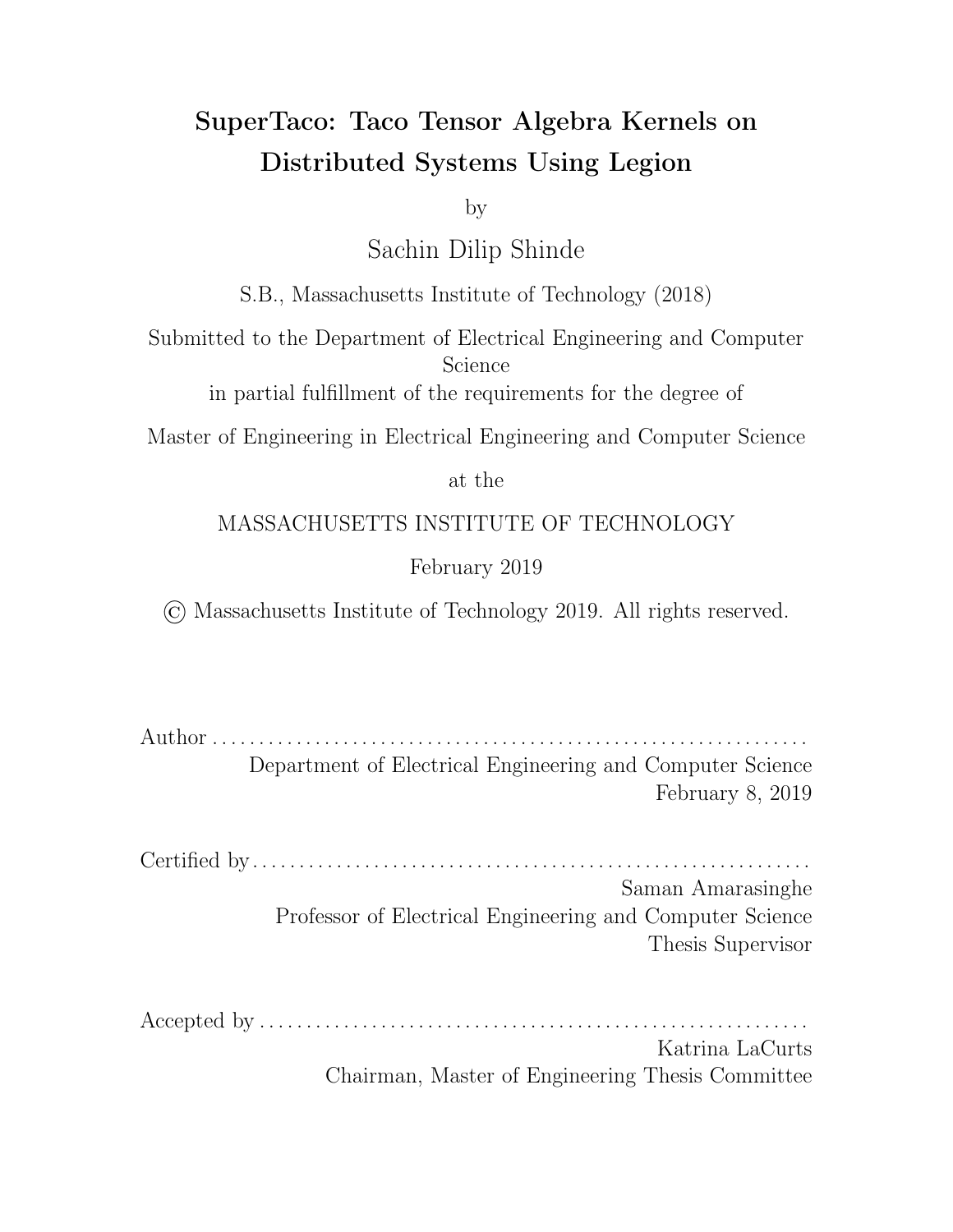#### 4.3 Sparse Tensor File Format

While the Taco library defines a taxonomy for sparse tensor storage formats as described in Section 2.2, it does not define a file format for storing the associated data structures. A common existing file format for storing sparse tensors is the . tns file format, which stores a tensor entry and its indices on each line. That is, if a tensor maps R-tuple  $(i_0, i_1, \ldots, i_{R-1})$  to component c, then the . tns file has a corresponding line reading " $i_0$   $i_1$  ...  $i_R$   $\uparrow$  c". This file format is sparse in the sense that zero-component entries are omitted. While . tns files do not necessarily have to have their lines be sorted by indices, in this work we assume that . tns files are sorted.

One of the downsides of this format is that it uses plaintext to store numbers, which takes up more space for larger numbers compared to a binary format (a 64 bit integer takes up the same space as 8 plaintext characters). This is particularly bad for large tensors, since storage bandwidth can be limiting for tensor loading. Furthermore, if we have a desired sparse tensor storage format, then the tensor must be converted into this format from the . tns file. For these reasons, we have created a binary file format for storing sparse tensors that mirrors the data structures defined by Taco's sparse tensor storage formats, which we call . tcs.

A .tcs file consists of a header section and a data section. The header stores metadata about the tensor and its dimensions, while the data section stores the pos and idx arrays (as 64-bit integers) for sparse dimensions along with storing the val array (as double-precision floats). More specifically, the header stores the rank, the file size, the type of each dimension (dense or sparse), the byte o sets of the arrays in the data section, and the dimension of set and size for dense dimensions. For tensor blocks, the header additionally stores for each dimension its split range endpoints, that range's corresponding index in the list of split ranges for that index variable, and the number of split ranges for that index variable. The file format being binary means that accessing any pos, idx, and val arrays only requires copying the relevant file sections to bu er space; this is an improvement over the . tns file format, where the relevant data would have to be parsed from plaintext. Moreover, the byte layout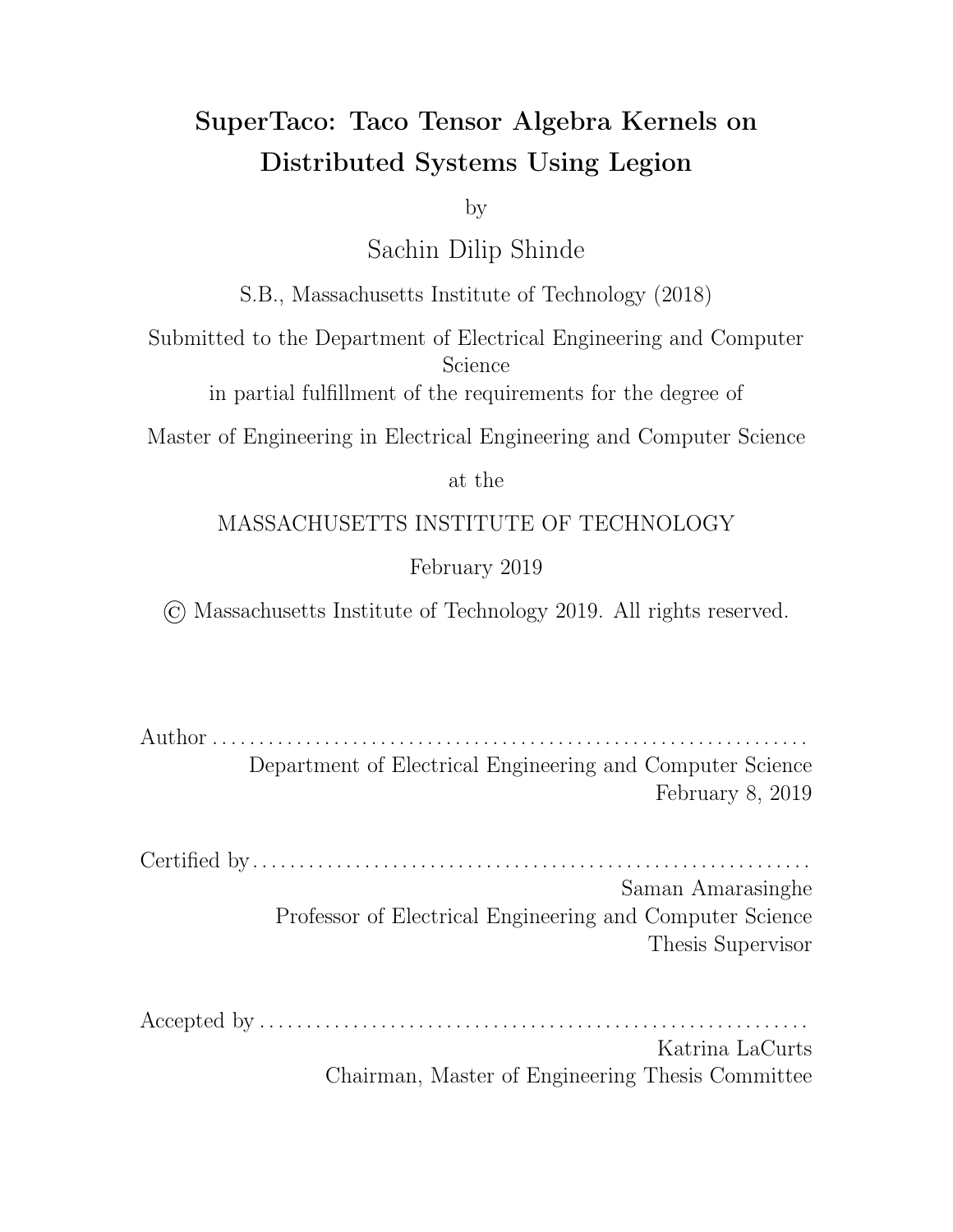defined by the . tcs file format can alternatively be used as a memory layout, in which the header section is a struct with a variable-length array at the end that stores perdimension metadata, and the data section is a series of arrays. In this sense, the . tcs format is as much a memory format as it is a file format.

We generally expect users to convert . tns files to . tcs files only when they first receive their dataset, so we do not attempt to distribute this conversion across processors. However, this conversion must be capable of dealing with tensors that cannot fit into a single node's memory. We thus perform this conversion with a two-pass streaming algorithm that computes header information in the first pass and populates the arrays in the data section in the second pass.

The streaming conversion algorithm takes as input the . tns file and a type for each dimension (dense or sparse). Note that we assume the index variable order for the storage format is the same as the order of variables in the .tns file; if not, the appropriate columns in the . tns file must be swapped and the . tns file resorted. During the first pass, we stream through the lines of the . tns file, keeping track of of the maximum and minimum value for each dimension (for dense dimensions whose o set and size are unspecified by input arguments, these are used to determine the o set and size). As we stream, we also keep a level size counter for each dimension, which represents how many storage format tree nodes are in a particular level. The counters all start at 0, and for every line, we determine the first level for which there is a diecrence between this line and the previous line; suppose it is level  $k$  (if there is no previous line, then we say it is level 0, i.e. the root node level). We then increment the level size counter for all levels  $k$ , as the storage format tree splits into a branch at level  $k$ . After going through all pairs of consecutive lines, we can use these level size counters and the dense dimension sizes to determine the sizes of the pos, idx, and val arrays, which in turn lets us compute their byte o sets along with the file size.

The length of any sparse level's idx array is equal to its level size counter. The length of any sparse level's pos array can be found by finding the closest sparse level that's higher than the original sparse level (i.e. closer to the tree root), taking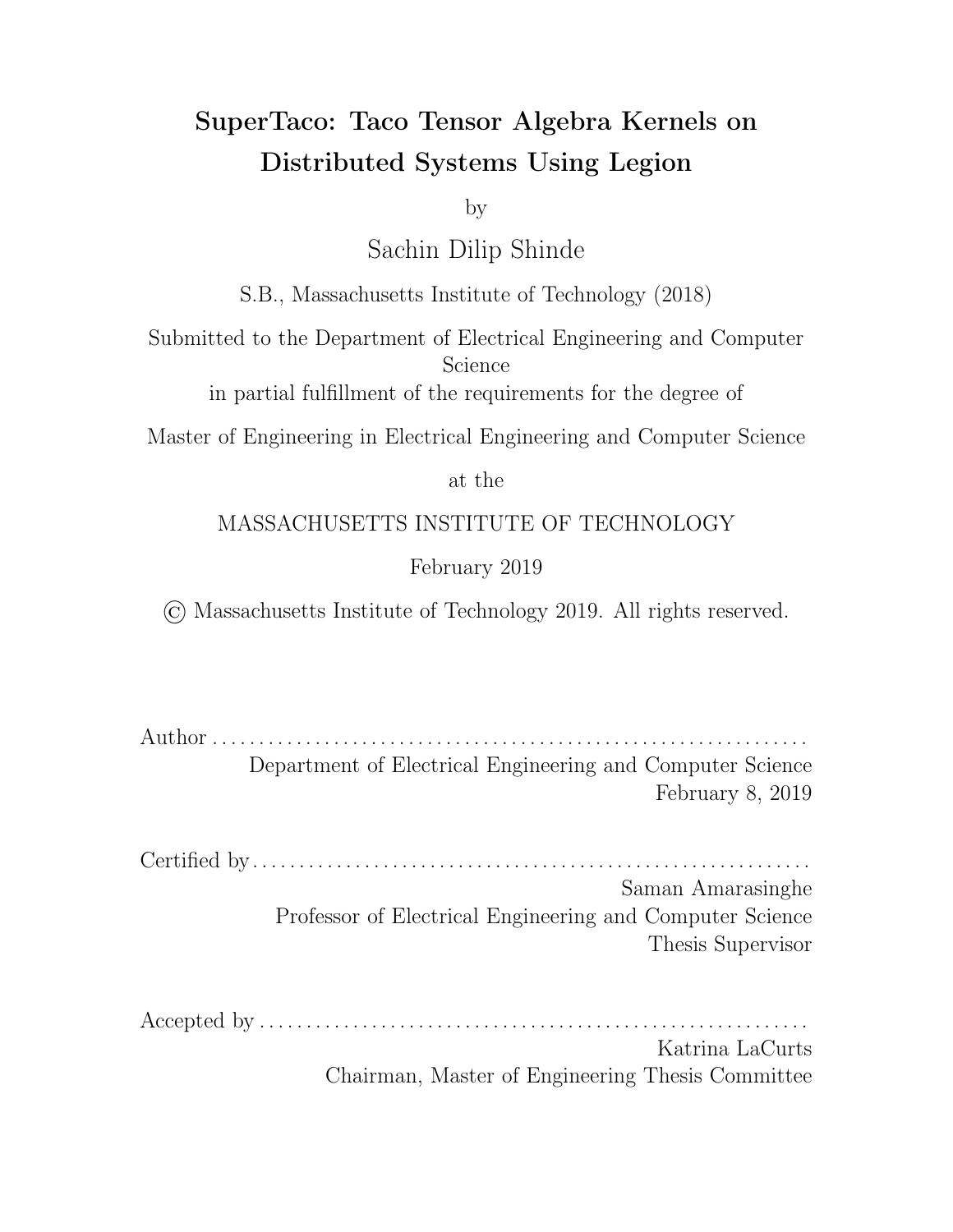the length of its idx array, multiplying that by the dimension sizes of any dense dimensions between the original sparse level and its closest higher sparse level, and then adding one (due to the sentinel placed at the end of pos arrays). If there is no sparse level higher than the original sparse level, then we use the root node and assume an idx array length of 1. We can also use this method to determine the length of the val array if we just consider it as an extra level  $R + 1$  past the leaf nodes, but for the val array we don't add a 1 since there is no sentinel.

For the second-pass of the conversion, we similarly stream through the lines of the . tns file, this time filling the data section of the . tcs file. Note that we write to the pos, idx, and val arrays sequentially, so we can stream output as well with bu ers. Once again we iterate through every line and compare to its previous one, finding the first level  $k$  for which there is a difference between this line and the previous one, and keeping track of level size through level size counters. However, when we're processing a given line, we do not update the level size counters immediately; instead, we use these level size counters to write the appropriate values to the arrays in the data section, and then update the level counters afterwards.

Writing the appropriate values to the arrays once again involves comparing the current line to the previous line. As we iterate through the levels of a line, we keep track of an integer displacement (initialized to 0 at the start of the line) which tells us how many copies of a value need to be pushed onto the pos array. Starting at level  $k$ , we iterate through the remaining levels and do the following for each level. If the level is dense, we update the displacement by multiplying it by the dimension size, adding the current line's index value for the level, and subtracting the previous line's index value for the level. If the level is sparse, we push the value of the level size counter onto the pos array a total number of times equal to the displacement, push the current line's index value for the level onto the idx array, and then reset the displacement to 1. When we reach the component value at the end of the line, we push displacement minus one instances of 0 onto the val array and then push the actual component value onto the val array. The displacement here e ectively accounts for the fact that dense levels assume that nodes in the tree have a number of children equal to the dimension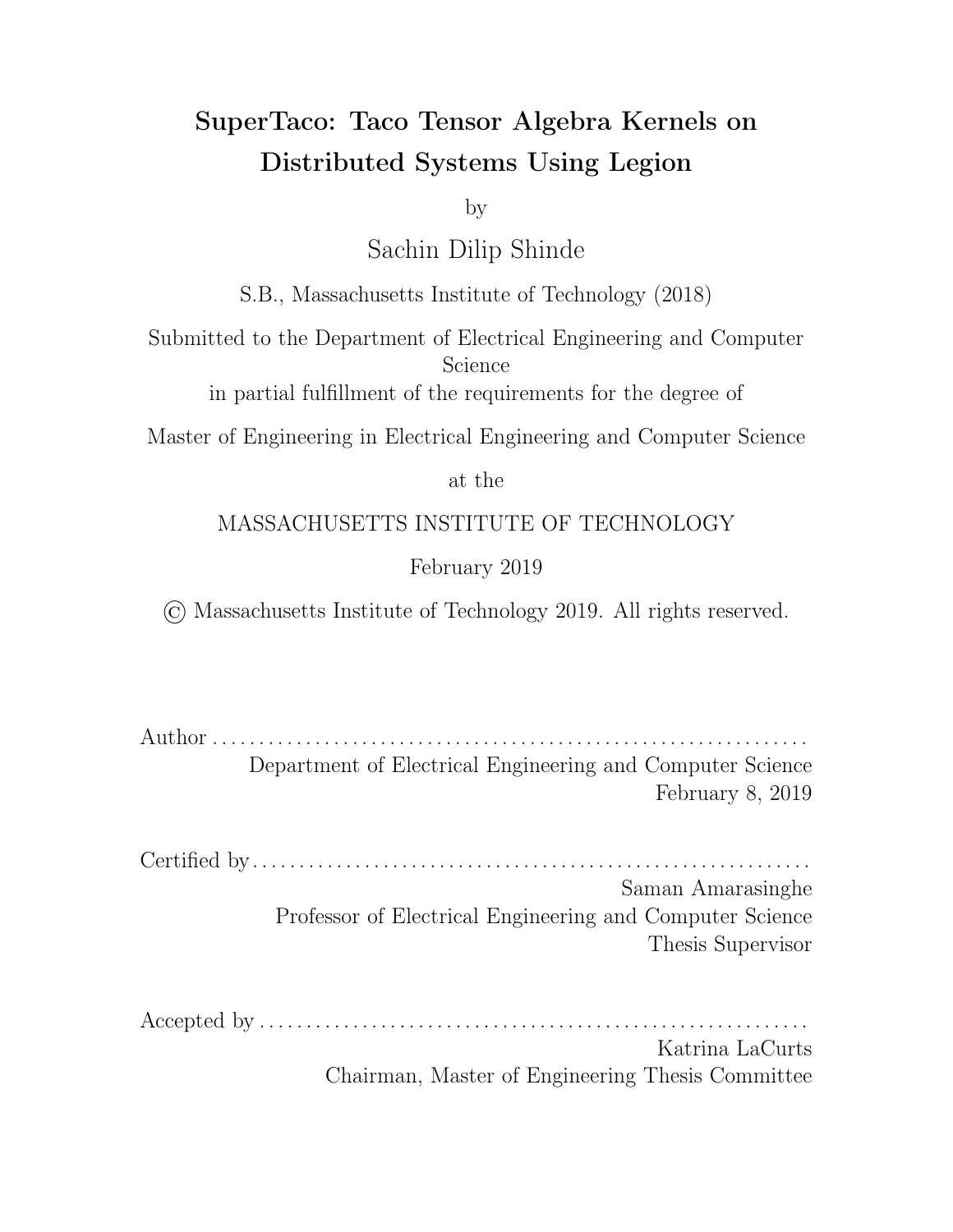size, which causes a subsequent sparse level to accordingly have zero children for those extra nodes that appeared in the dense levels. This process is slightly di erent for the first line in the . tns file, where we actually initialize the displacement to 1 and use a sentinel for the previous line in which sparse levels have an index value of 0 and dense levels have an index value of  $D-1$  for dimension size  $D$ . Similarly, at the end of the streaming algorithm we have to process an additional sentinel line where the displacement is once again initialized to 1 and all of the sentinel line's index values are 0 (for the val array here we only push the zeros since there is no component value).

More generally, this streaming algorithm e ectively allows any iterator that iterates through the entries of a tensor in sorted order to convert those entries to the .tcs format. This will become useful in the next section in which we discuss the distributed loading of a tensor into tensor blocks.

# 4.4 Distributed Tensor Loading

The first phase of a Legion program generated by SuperTaco is loading each tensor into memory and partitioning them into tensor blocks. Since the tensor may not be able to fit into a single node's memory, this needs to be done in a distributed fashion. Note that most of the code for this phase does not need to be generated dynamically; such routines are packaged into a static library that the dynamically-generated Legion code calls.

During the first step (Section 4.4.1), the tensor on disk is conceptually split into pieces via load balancing, in such a way that each of the pieces are around the same size and can be easily iterated over. If we were to list in-order all the entries in a tensor, a tensor piece would be a contiguous section of this list; in this sense, we could also define it by a contiguous section of the val array. Each processor uses binary search to look for a point in the tensor such that the size of the tensor piece spanning the start of the tensor to that point is a desired size offset, where the desired offset for each processor is determined by the parent task. Once the location in the tensor is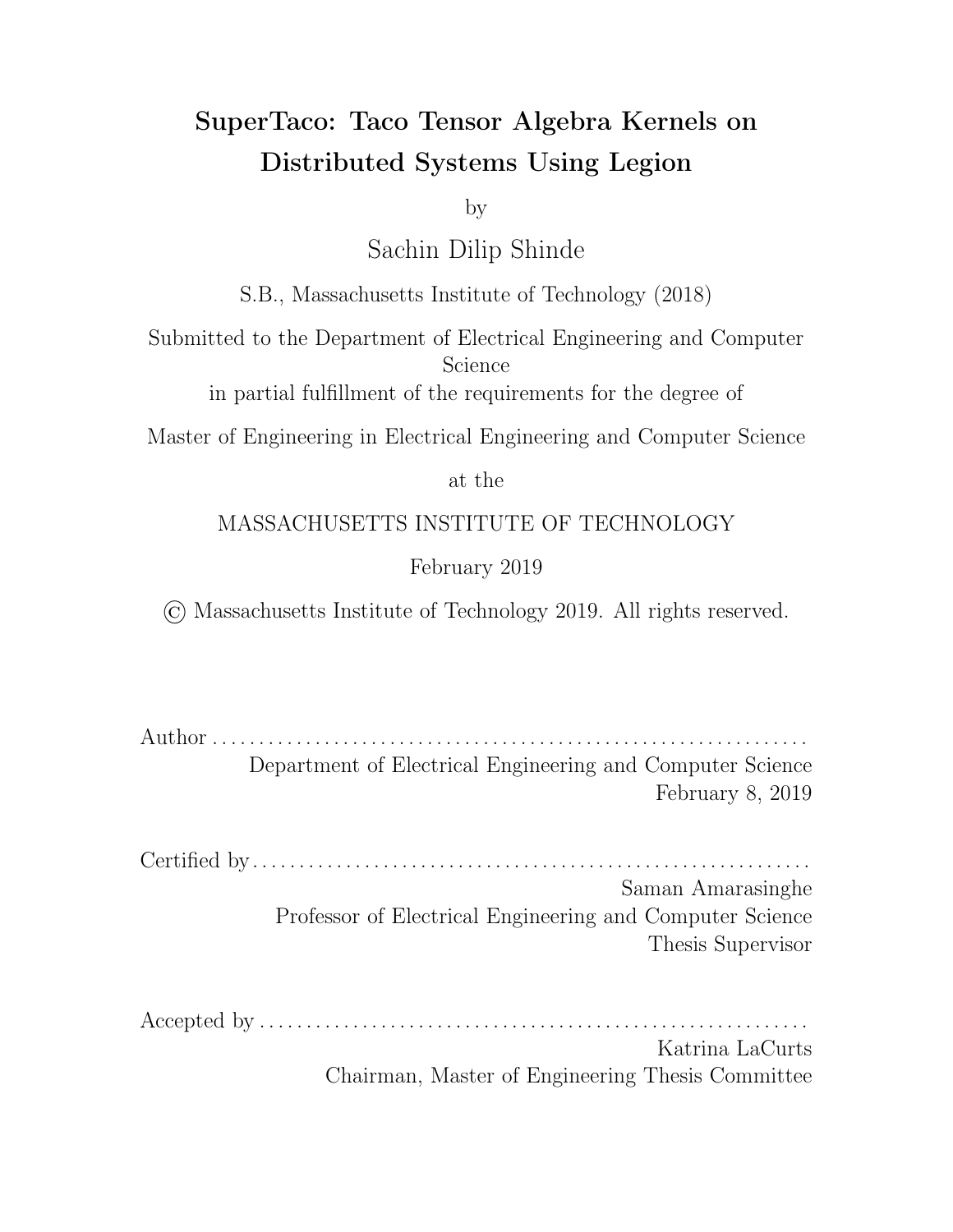found, it is passed back to the parent Legion task, which then uses that information to define the tensor pieces by their endpoints. Each processor is assigned a piece.

Next, each processor will stream through its tensor piece, and place each entry it sees in the corresponding tensor block it belongs to. Since each processor is only iterating through a piece of the tensor, each processor will only be assembling tensor block pieces. This process requires two passes, and is correspondingly divided into two parts. The first part (Section 4.4.2) is for each processor to iterate through its piece in a streaming fashion, and gather partial header information for each tensor block. This partial header information is sent back to the parent task, which allows it to assemble the full. tcs header for each tensor block.

For the second part (Section 4.4.3), the parent task computes certain state information that the processors need to make the second pass, in which it assembles the tensor block pieces. It sends that state information to each processor, and then the processors make their second pass through their tensor piece to assemble the tensor block pieces. For the final step (Section 4.4.4), each tensor block is assembled on its designated node by gathering its tensor block pieces from the other processors.

## 4.4.1 Load Balancing

Before we can discuss load balancing, we need a clear way of defining the endpoints of a tensor piece, along with its size. Recall from Section 2.2 that we can uniquely identify a particular point in the process of tensor iteration via e ective position pointers for each of the levels, essentially creating a vector of positions. Thus, by specifying a starting position vector and ending position vector, we can specify a piece of the tensor that can easily be iterated over. To load balance, we want to find a set of position vectors that divides the tensor into pieces of roughly equal size.

We would like to define the *tensor piece size* as the number of bytes in the data structures that would be traversed while iterating from the starting position to the ending position, which is a good approximation of the bandwidth consumed from iterating through such a piece. To calculate the size of a tensor piece, it is simpler to think of it in terms of the dierence between the size o sets of the starting and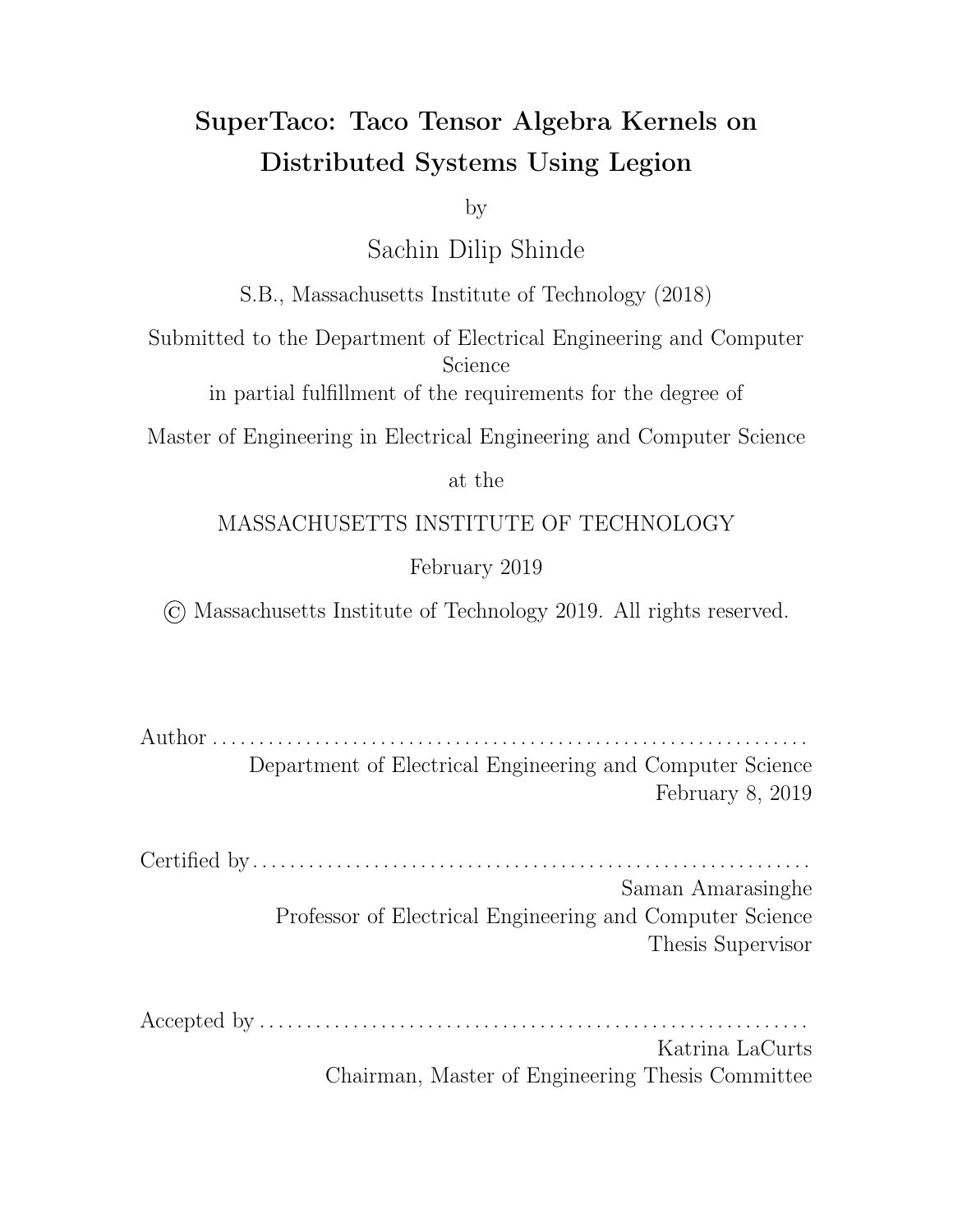ending position vectors, where the size o set of a position vector is the size of the tensor piece between the start of the tensor and that position.

Calculating the size o set given a position vector is straightforward. Note that the e ective positions in the position vector give locations in the idx arrays and the val array, but they also give the locations in the pos arrays, since the location in a pos array is just the e ective position of the previous level. Thus, given a position vector, we can easily determine the distance between the locations in these arrays and the starts of the arrays. We then define the size  $\sigma$  set as the sum of these distances, when converted to bytes, for each of the sparse levels and the val array. (We leave out the distances from the pos and idx arrays for dense levels since these are only conceptual; dense levels only really store a small amount of metadata in the header.)

With these definitions made clear, we can now discuss how generated Legion programs load balance tensor loading. Since the program knows the file size of the tensor, it can determine the ideal size o sets that would evenly divide the tensor into pieces. The next step then for each size o set is to find a position vector that approximately achieves that size o set, which can be done through binary search. Our Legion program parallelizes this by launching a binary search task for each size o set, with the number of size o sets equal to the number of processors in the distributed system.

For the binary search task executed on each processor, the first step is to take a guess as to the e ective position in the val array that achieves the desired size o set (recall from Section 2.1 that the e ective position in the val array uniquely defines the other e ective positions). To compute the size o set for the guess, we then need to determine the e ective positions for all the levels, which we can do by going up the levels of the tree to the root. Recall that the location in an idx array is the same as the location in the pos or val array in the level below it, so determining the location in an idx array from lower levels is straightforward. The tricky part is determining the location in the pos array from the location in the same level's idx array. If the level is dense, this computation is just a straightforward floor division by the dimension size. However, if it is sparse, this requires a binary search to find the appropriate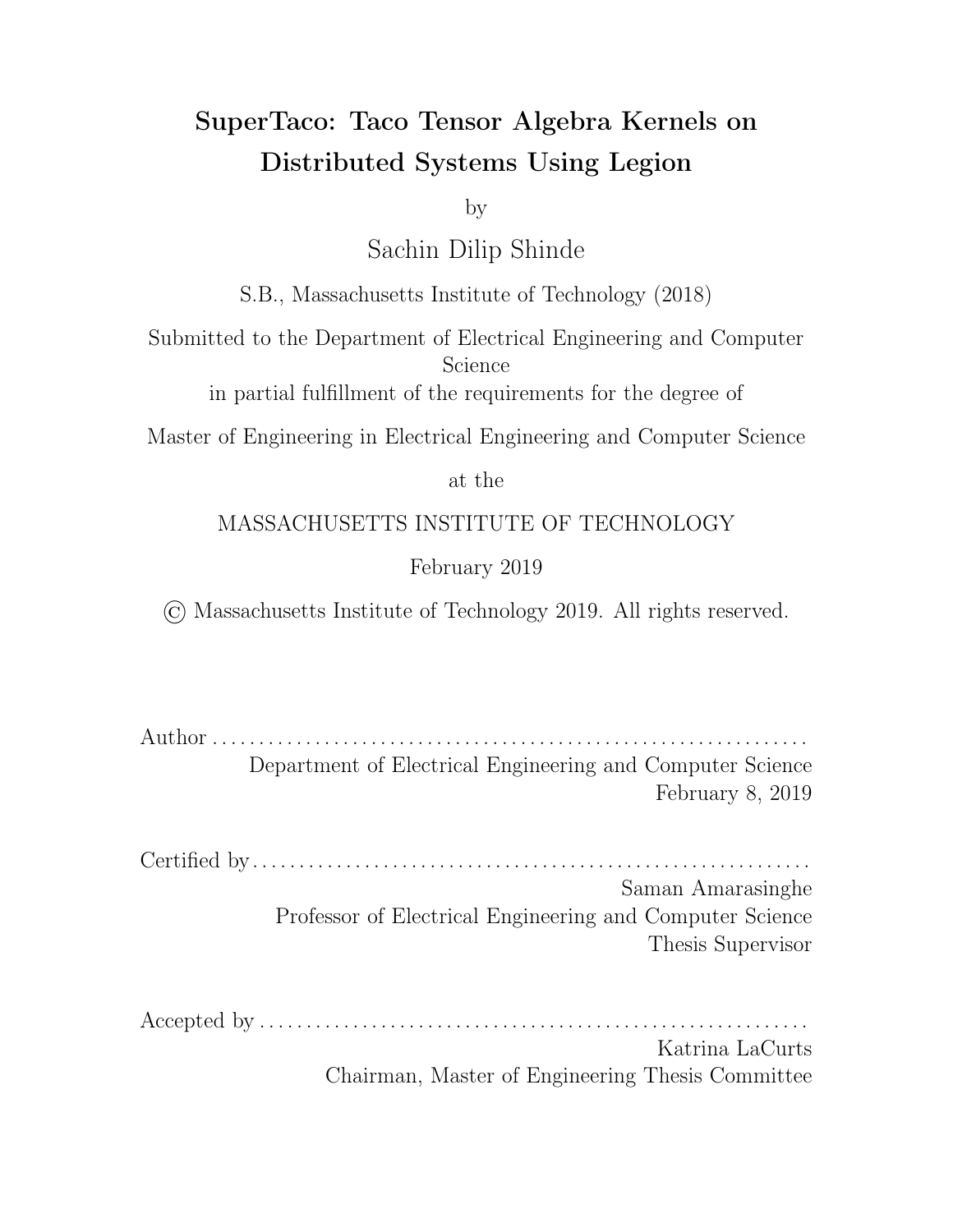location in the pos array. Using this method, we can determine the entire position vector for our guessed e ective position into the val array, and determine the actual size o set. We can then binary search the space of size o sets by querying more val array e ective positions to eventually find the position vector near the desired size o set.

This process of finding the position vector that approximates the desired size o set can be sped up by using heuristic versions of binary search. In our case, we implemented binary search with a guess, in which the search accepts an initial guess and expands the search window exponentially around the guess until the desired point is in the bounds of the window, at which the point the window shrinks around the desired point exponentially as it would in traditional binary search. We specifically use a proportional guess based on size information, which has been su cient for the tensor datasets we've used thus far.

Once a binary search task completes, it writes its resulting position vector into a logical region to share its output with its parent task, and then the parent task accordingly waits on all binary search tasks to finish before assembling the position start points and end points for each tensor piece. (The logical regions here are "flat", i.e. they have a 1D, contiguous index space and a field space with a single byte-wide column, which makes them suitable for raw data transfer. This is to optimize access performance, and all logical regions in this work should be assumed flat unless stated otherwise.)

#### 4.4.2 Tensor Block Header Assembly

Now that we've created tensor pieces that are approximately equal in size, each processor in the system can iterate through its piece to find partial header information about the tensor blocks. Note that since each processor is only iterating through a piece of the tensor, it's also only iterating through a piece of each tensor block, and can accordingly only find partial information about the tensor. The information must be combined in the parent task to get a complete header for the tensor block.

Iterating through a particular piece of a tensor is relatively straightforward, and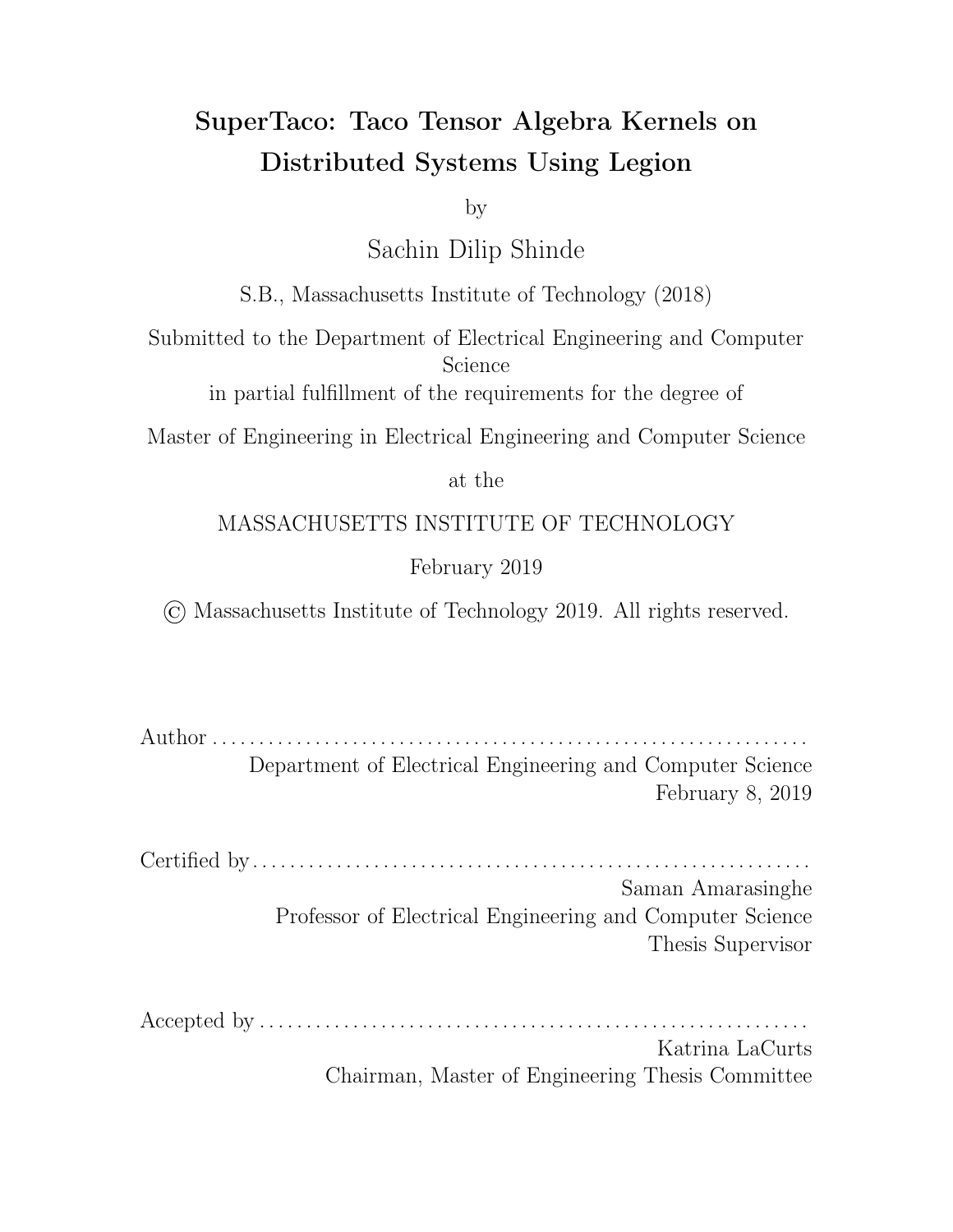can be thought of as a traversal of the sparse format tree. Because we still move sequentially through the pos, idx, and val arrays, we can again stream through these arrays using bu ers. We use a position vector to keep track of our locations in the tensor level data structures, and initialize to the starting position. We also use an index vector to keep track of the current index value for each level, and for sparse levels, we keep track of the right position endpoint from pos. For the dense dimensions, we initialize the index value to the sum of the e ective position modulo the dimension size and the dimension o set. Iteration is performed using a while loop that keeps track of tree level and whether traversal is moving down or up; initially the tree level is 1 and traversal is moving down. The while loop only exits if the tree level reaches 0, or if the current position vector's last element (i.e. the e ective position into the val array) becomes at least as large as the ending position vector's last element. For tree levels between 1 and  $R$ , the behavior of the loop diers depending on whether the level is dense or sparse. If the level is sparse and traversal is moving down, then we fetch the next right position endpoint from the pos array and determine whether the level's e ective position is less than it (we also update the right position endpoint vector accordingly). If it is, then there are still children left in the corresponding segment, so we fetch the index value from i dx corresponding to the e ective position, increment the tree level, and keep moving down. If it's not, then there are no children left in the segment, in which case we decrement the tree level and move up. If instead we enter a sparse level while moving up, we increment the e ective position and once again check whether our e ective position is less than the right position endpoint, doing the same as before. If the level is dense and traversal is moving down, we need only increment the tree level and keep moving down. If instead we enter a dense level while moving up, we increment both the e ective position and the index value, and check whether the index value is less than the sum of the dimension o set and the dimension size. If so, the segment still has children, so we increment the tree level and move down. If not, then the segment is finished, so we reset the index value to the dimension o set, decrement the tree level, and keep moving up. If our tree level becomes  $R + 1$ , then we've reached the val array in the tree, so we read the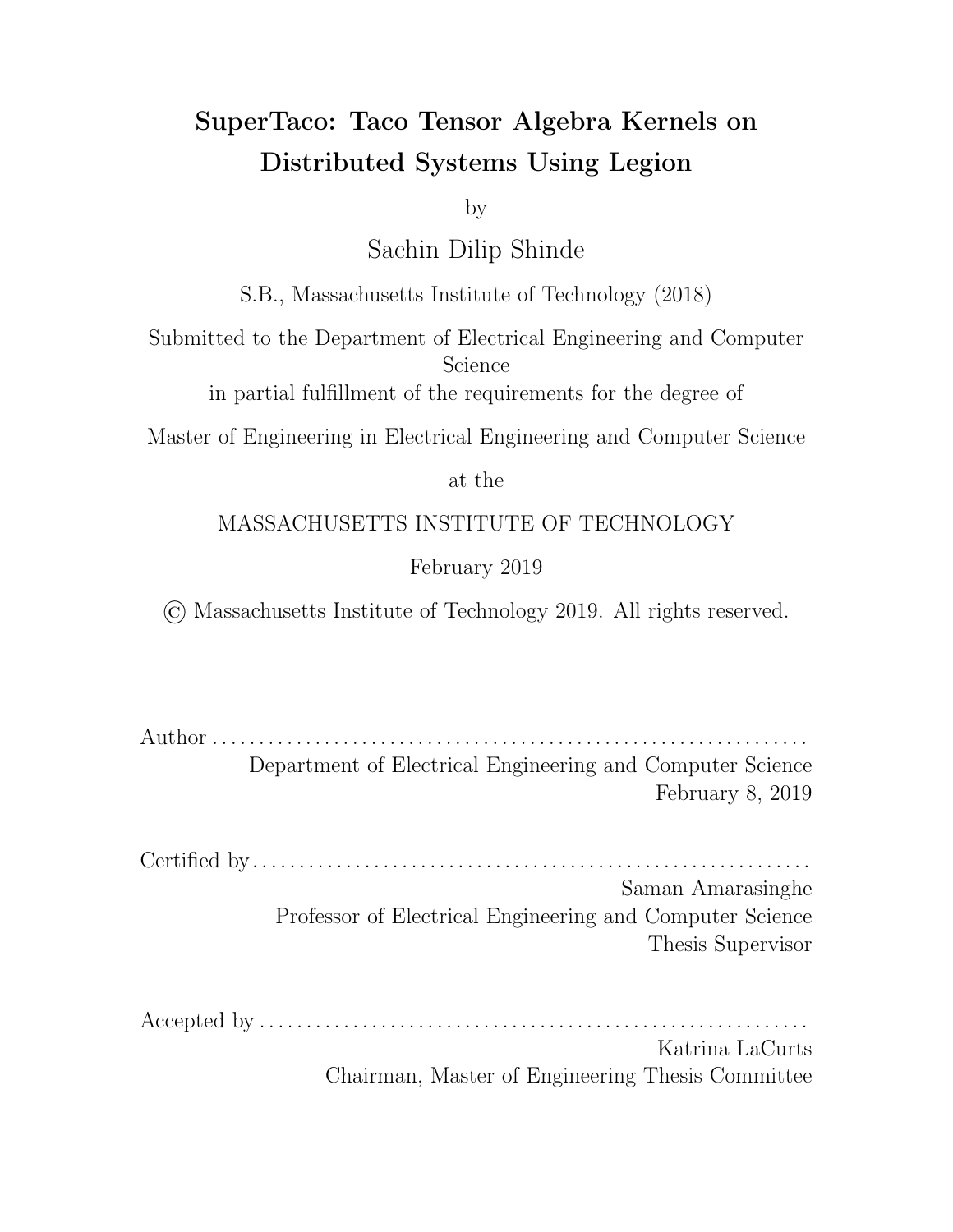appropriate component from val using the e ective position of the previous level. At this point, we have a full tensor entry from our index value vector and component, and can use a callback to decide how to handle the entry. After this, we begin moving back up and decrement the tree level.

We can augment this iteration process to further supply our callback with the split index for each dimension. That is, we can keep track of which split range each index value falls within. To do so, when an index value is increased from a position bounds check succeeding, we keep incrementing the split index until the new index value is within the bounds of the split index's range. If at any point we move down into a sparse or dense level (and a bounds check succeeds, if it exists), we reset the split index to 0 and again increment the split index until the new index value is within the bounds of the split index's range.

Using this procedure, we can iterate through the entries of a tensor piece and assign each one to its corresponding tensor block in the callback, as determined by the split index for each dimension of the entry. As for what information is gathered by the callback, it is similar to the first-pass of . tns to . tcs conversion; for each block, we keep vectors that store the level size, the minimum and maximum values, and additionally we keep copies of the first and last lines encountered for that block so we can account for edge e ects when we merge this information together with that of other processors.

In the Legion program, we parallelize this procedure similar to how the binary search was parallelized. The parent task launches a block header child task for every tensor piece (as defined by its start and end position vectors), and the parent task receives from each processor the information they gathered while streaming via logical regions. For each tensor block, the parent task then reconstructs the tensor block's .tcs header based on the information it received from each processor about that block. (This primarily consists of pooling minima/maxima, adding together the level size vectors, and accounting for edge e ects.) This essentially parallelizes the firstpass of . tcs conversion.

42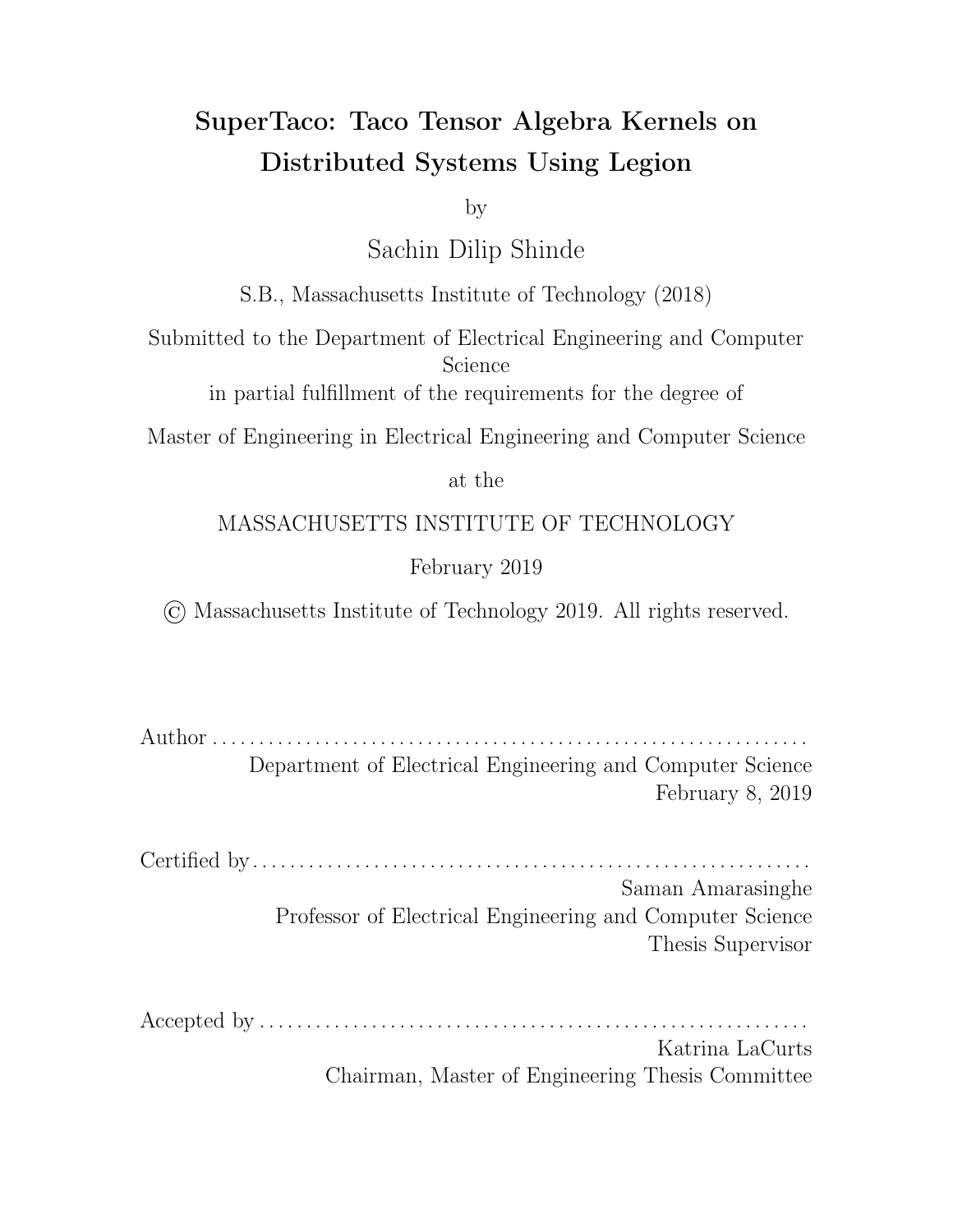## 4.4.3 Tensor Block Piece Assembly

Now that the tensor block headers have been computed, the next step is for each processor to make a second-pass through its assigned tensor piece, and assemble the tensor block pieces for each of its tensor blocks. Similar to the previous section, this e ectively uses the augmented iteration code to iterate through the entries of a tensor piece while determining which block each entry belongs to, and the callback resembles the second-pass of . tcs conversion to form the tensor block pieces. However, while the first-pass of conversion was easily parallelized, the second-pass requires more work.

In particular, during the second-pass of conversion the level size counters are built up over the course of iterating through the entire tensor, and during the processing of each line those counters are used when writing to the pos array. Since each processor only iterates through a piece of the tensor for loading, the level size counters aren't built up appropriately, which would make the values written to the pos arrays incorrect. Each processor instead needs to start with the level size counters that would have resulted from iterating from the start of the tensor to the start of that processor's assigned tensor piece. The parent task can thankfully provide this by computing partial sums over the level size counters it collected from each processor (and accounting for edge e ects). The parent task additionally provides information to each processor about the size of the arrays for each of its tensor block pieces.

Hence, using this approach we are able to parallelize the second-pass of conversion, and generate the tensor block pieces on each processor. In the Legion program, we again parallelize this procedure similar to the binary search task and tensor header block computation, except this time the parent task doesn't access the output of the task, i.e. the tensor block pieces. The parent task does, however, have references to the logical regions holding that data, so that it may pass those logical regions to other child tasks.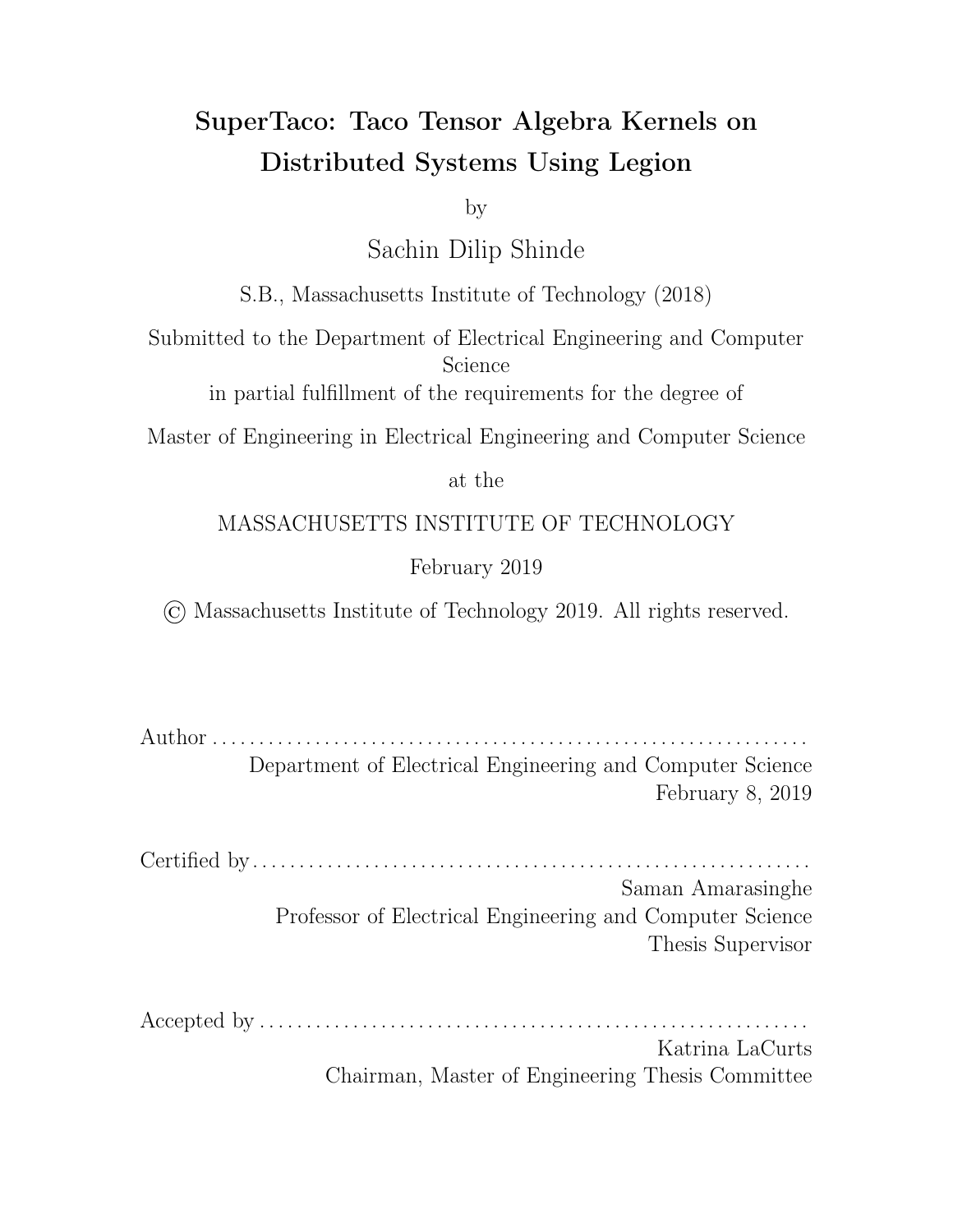## 4.4.4 Tensor Block Assembly

The final step of tensor loading is assembling the tensor blocks from their tensor block pieces. For each tensor block, this requires loading the tensor block header from the parent task, and loading the tensor block pieces from the other processors. The pos, idx, and val arrays within the tensor block pieces are simply concatenated to form the data section of the tensor block.

In the Legion program, parallelization is dievent than the previous steps. Instead of creating a child task for every processor, we create a child task for every block. The parent passes the appropriate tensor block header through a logical region when creating the child task. The parent task also passes logical regions containing the tensor block pieces to the child task assembling that tensor block. This means that the child task will not run until the tasks that generate the tensor block pieces have finished. Furthermore, Legion will take care of copying those tensor block pieces to the processor that will assemble that tensor block, so that when the child task runs, the pieces will be in its memory. After the child task has finished assembling the tensor block, it will destroy the logical regions containing the tensor block pieces, allowing them to be garbage collected.

Through these steps, we are able to assemble the tensor blocks in a distributed fashion. The original tensor is divided into pieces of equal size, which means the sum of the sizes of the tensor block pieces on any given node should be roughly the same in size, provided the tensor and index variable split ranges are not significantly skewed. To this extent, this tensor loading scheme is load-balanced, and should be able to handle tensors that can't fit into a node's memory. One aspect that has not yet been discussed is which nodes end up receiving which tensor blocks. This is a ected by the block's *mapping key*, and will be explained in the next section on distributing the computation of tensor algebra.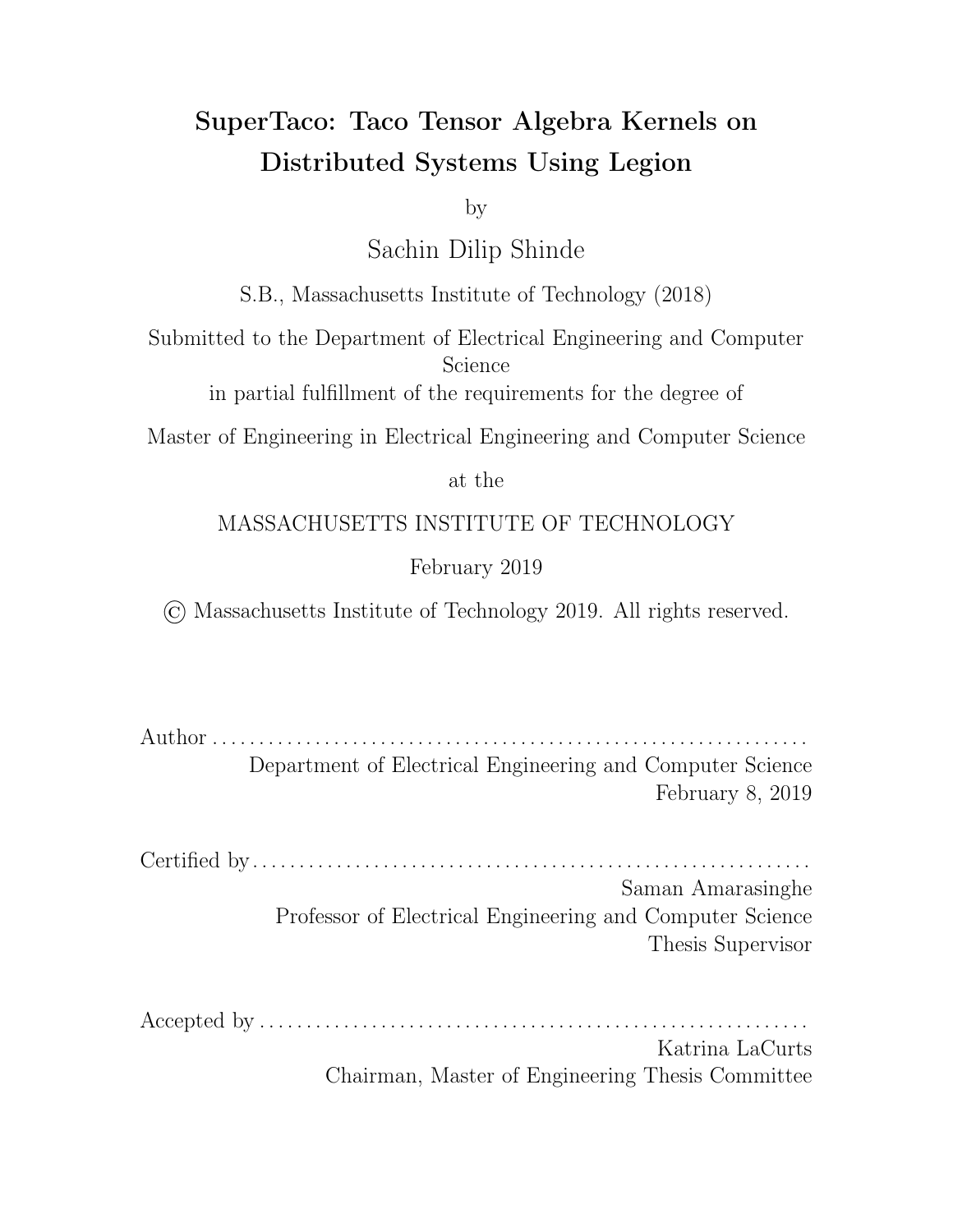# 4.5 Distributed Tensor Algebra Computation

In the previous section, we discussed how our generated Legion programs load tensors from disk into tensor blocks. The next phase of our Legion program is to compute the desired tensor algebra expression in a distributed fashion using these tensor blocks. This consists of two major steps.

The first step is the execution of the kernel itself. This is done in the top-level parent task through a nest of for loops, each of which iterates through a block index variable, and a child task launch in the innermost for loop body that executes the kernel. In this innermost loop body, the parent task adds region requirements to the kernel task launch for logical regions containing the tensor blocks that the kernel task must operate on, which is determined by the value of the block index variables in the for loop nest. The kernel task returns its output block logical region to the parent through a future, which the parent may then add to the next kernel task that sums into the same output block. A second step, which may or may not be necessary depending on the distribution schedule, is to sum together any output blocks that were treated as di erent during the first step, but in reality referred to the same output block. This is done in a distributed fashion by launching pair-wise summation tasks to form a tree-like dependency graph between tasks, with the final output block being returned from the summation task at the root of the tree.

To understand how this code is generated requires an understanding of how the computation of the tensor algebra expression is changed theoretically when blocking tensors, which is explained in Section 4.5.1. With this insight in hand, Section 4.5.2 talks about how those transformed expressions are implemented in Legion code, and accordingly how that code is generated from distribution schedules. Section 4.5.3 describes the code generation method for creating the kernel task, while section 4.5.4 describes the code generation method for creating the summation task. Section 4.5.5 talks about how tasks and data are mapped to particular nodes in Legion, and how this is controlled in code generation through the distribution schedule. Finally section 4.5.6 describes an issue posed by Legion's garbage collection to keeping memory use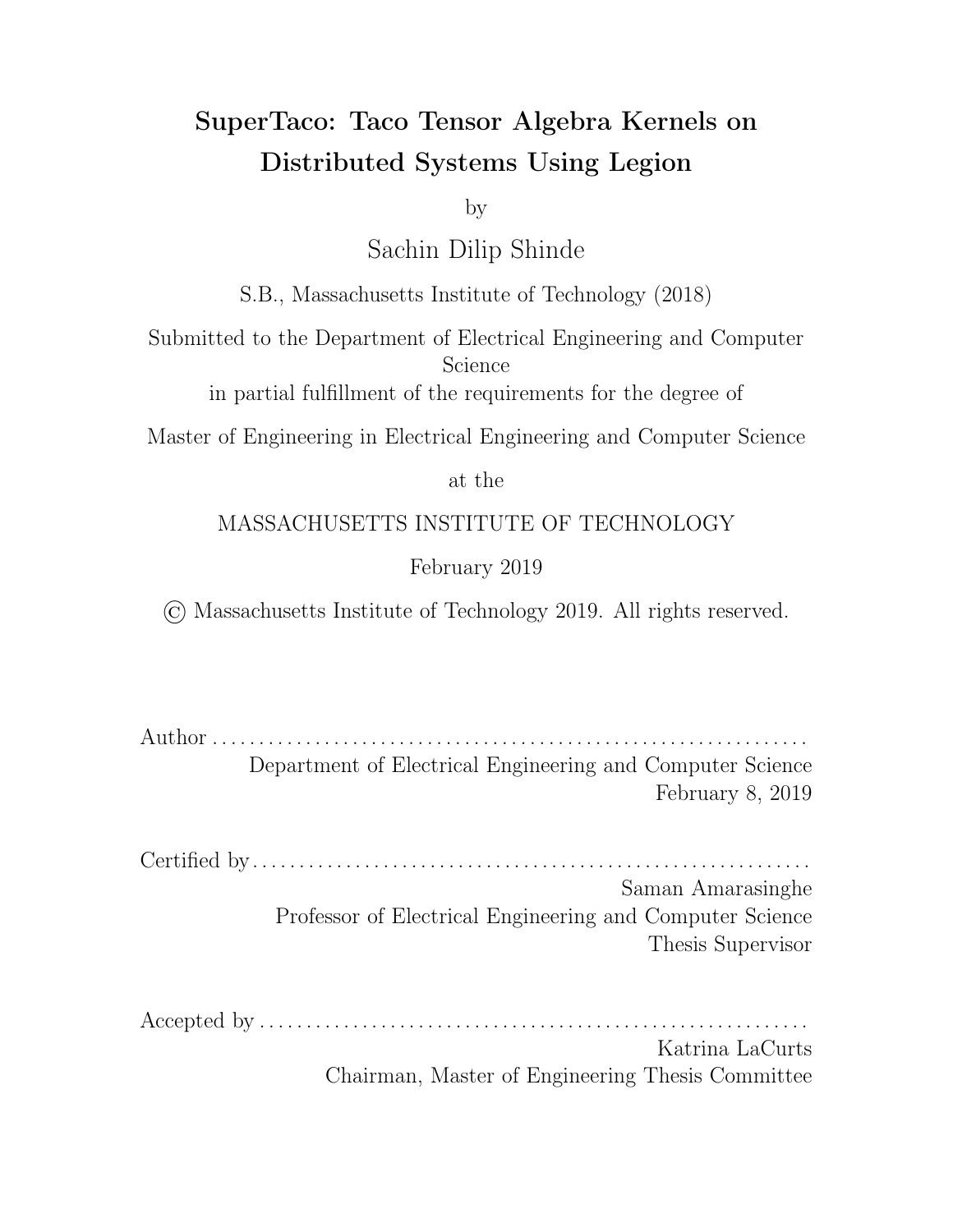bounded, and how this is solved in code generation by emitting tensor block eviction code in the for loop nest.

## 4.5.1 Expression Transformation

As mentioned previously, we divide the computation of sparse tensor algebra expressions via tensor blocking and index splitting. In order to know what Legion code to generate for this distributed computation, we need to understand how blocking a ects the computation of this expression.

Consider a simple example kernel such as SpMV, which is typically written as  $a_i = \sum_j B_{ij} c_j$ . To more explicitly represent the dependence on index variable  $i$ , we use concrete index notation [13] to write this as  $\beta_{i}\left(a_{i}=\sum_{j}B_{ij}c_{j}\right)$ . This says that we evaluate the expression surrounded by the  $\beta$  for each i. Now consider row blocking, in which we split the index variable i into I and  $\overline{i}$ . This is e ectively splitting the for loop  $S_i$  into two for loops  $S^{P_i}_{I=0}$   $S^{p_{I+1}-1}_{i=p_I}$  $\frac{p_{I+1}-1}{p_{I+1}}$  , where  $P_i$  is the number of split ranges and the *I*-th split range is given by  $[p_I, p_{I+1})$ .

Note here that since we're not blocking columns, we're e ectively splitting index variable  $j$  into one split range  $[0,N_j).$  The  $\sum_j$  term above similarly becomes  $\sum_{J=0}^{P_j-1}\sum_{j=p_J}^{p_{J+1}-1}$ , but in this case the  $\sum_{J=0}^{P_j-1}$  term becomes a no-op (since  $P_j=1$ ), and the  $\sum_{j=p_J}^{p_{J+1}-1}$  term becomes  $\sum_{j=0}^{N_j-1}=\sum_j$  (since the only split range is  $[0,N_j)$ ). This means that for a non-split index variable like  $j$ , we can just treat it as a split index variable but with  $J = 0$  and  $\overline{j} = j$ .

Splitting the for loops and writing our tensors using tensor block notation gives us our new expression after index splitting as

$$
\mathcal{S}_I\mathcal{S}_i\left(a_i^I=\textstyle\sum_jB_{ij}^{I0}c_j^0\right)
$$

If we then parenthesize our expression as

$$
\mathcal{S}_I\left[\mathcal{S}_i\left(a_i^I = \sum_j B^{I0}_{ij} c_j^0\right)\right]
$$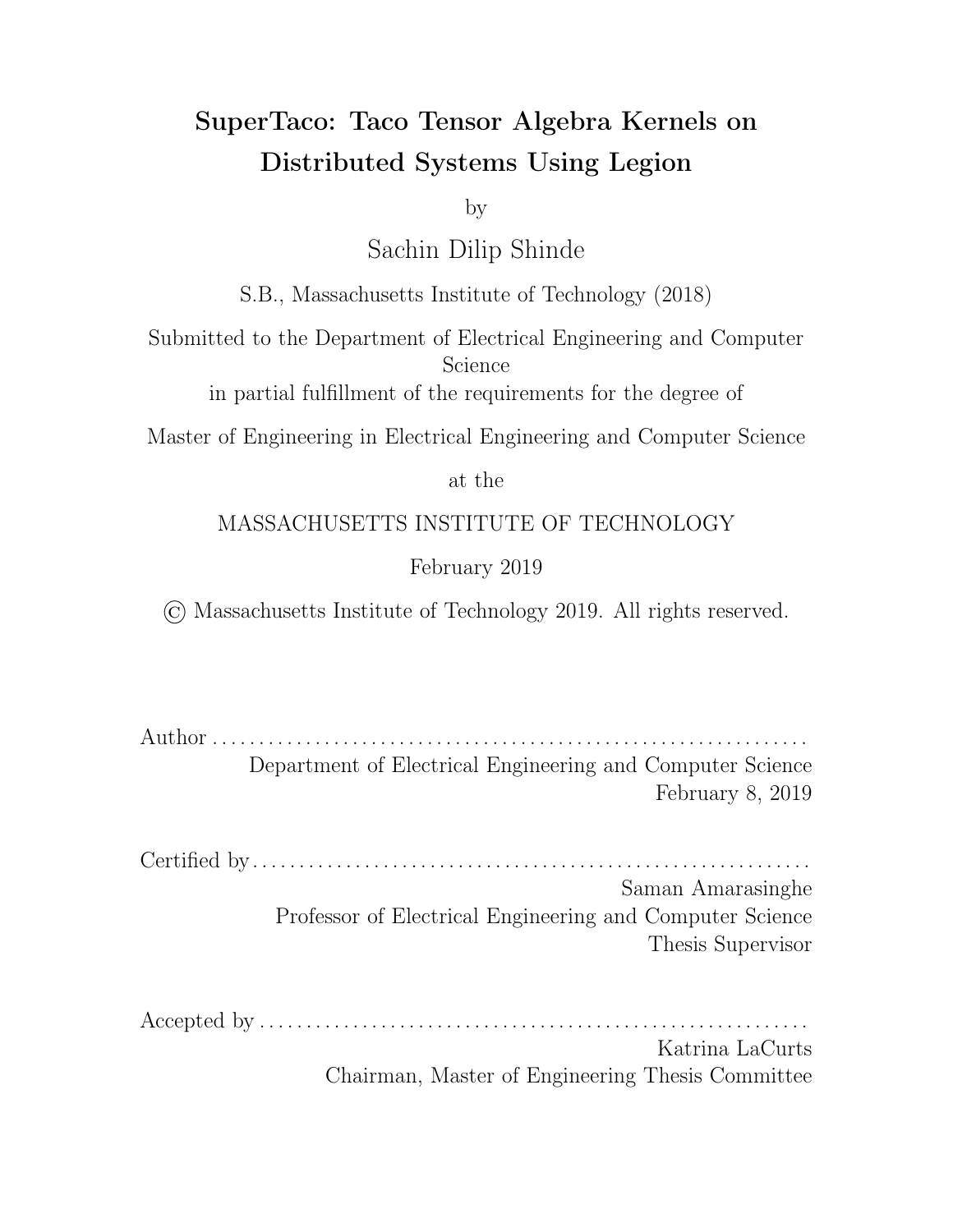we can interpret the outer for loop  $\mathcal{S}_I$  as a loop over processors, and the inner expression as what each processor needs to compute, i.e. the SpMV kernel computed on tensor blocks.

Now consider the case of column splitting. Our expression similarly becomes

$$
\mathcal{S}_i\left(a_i^0 = \sum_J \sum_j B_{ij}^{0J} c_j^J\right)
$$

We would like to hoist the  $\sum_J$  term out of the expression into a  $\beta_J$  loop so that we can interpret it as a for loop over processors, similar to how we did for  $\mathcal{S}_I$ . However, doing so naively would create multiple copies of each  $a_i^0$  $_i^0$ , one on each processor, and each would only be a partial sum. To arrive at the actual value for  $a_i^0$  $\frac{0}{i}$ , we need to sum together the partial values. We can express this transformed computation as

$$
\mathcal{S}_{J}\left[\mathcal{S}_{i}\left(\bar{a}_{i}^{0J}=\sum_{j}B_{ij}^{0J}c_{j}^{J}\right)\right];\mathcal{S}_{i}\left(a_{i}^{0}=\sum_{j}\bar{a}_{i}^{0J}\right)
$$

where we have created intermediate vectors, namely  $\bar{a}^{0J}$ , to hold the partial sums. More generally, if we have an expression of the form

$$
\mathcal{S}_{I_0}\mathcal{S}_{I_1}\ldots\mathcal{S}_{I_{R-1}}\left[\mathcal{S}_{i_0}\mathcal{S}_{i_1}\ldots\mathcal{S}_{i_{R-1}}\left(A_{i_0i_1\ldots i_{R-1}}^{I_0I_1\ldots I_{R-1}}=\sum_{J_0}\sum_{J_1}\ldots\sum_{J_{R^0-1}}(expr)\right)\right]
$$

for free variables  $i_q$  and reduction variables  $j_q$ , we can hoist the block index variables  $J_q$  for those reduction variables out of the expression by creating intermediary tensors  $\bar{A}^{I_0I_1...I_R}$  1 J<sub>0</sub>J<sub>1</sub>  $...$  J<sub>R</sub> $\ell$  1 according to

$$
\mathcal{S}_{I_0} \mathcal{S}_{I_1} \dots \mathcal{S}_{I_{R-1}} \mathcal{S}_{J_0} \mathcal{S}_{J_1} \dots \mathcal{S}_{J_{R^{\theta-1}}} \left[ \mathcal{S}_{i_0} \mathcal{S}_{i_1} \dots \mathcal{S}_{i_{R-1}} \left( \bar{A}_{i_0 i_1 \dots i_{R-1}}^{I_0 I_1 \dots I_{R-1} J_0 J_1 \dots J_{R^{\theta-1}}} = exp \right) \right];
$$
  

$$
\mathcal{S}_{I_0} \mathcal{S}_{I_1} \dots \mathcal{S}_{I_{R-1}} \left[ \mathcal{S}_{i_0} \mathcal{S}_{i_1} \dots \mathcal{S}_{i_{R-1}} \left( A_{i_0 i_1 \dots i_{R-1}}^{I_0 I_1 \dots I_{R-1}} = \sum_{J_0} \sum_{J_1} \dots \sum_{J_{R^{\theta-1}}} \bar{A}_{i_0 i_1 \dots i_{R-1}}^{I_0 I_1 \dots I_{R-1} J_0 J_1 \dots J_{R^{\theta-1}}} \right) \right]
$$

Going back to our SpMV example, if we split along both rows and columns, we would arrive at

$$
\beta_I \beta_J \left[ \beta_i \left( \bar{a}_i^{IJ} = \sum_j B_{ij}^{IJ} c_j^J \right) \right]; \beta_I \left[ \beta_i \left( a_i^I = \sum_j \bar{a}_i^{IJ} \right) \right]
$$

Splitting along  $j$  in this way allows us to further parallelize the computation of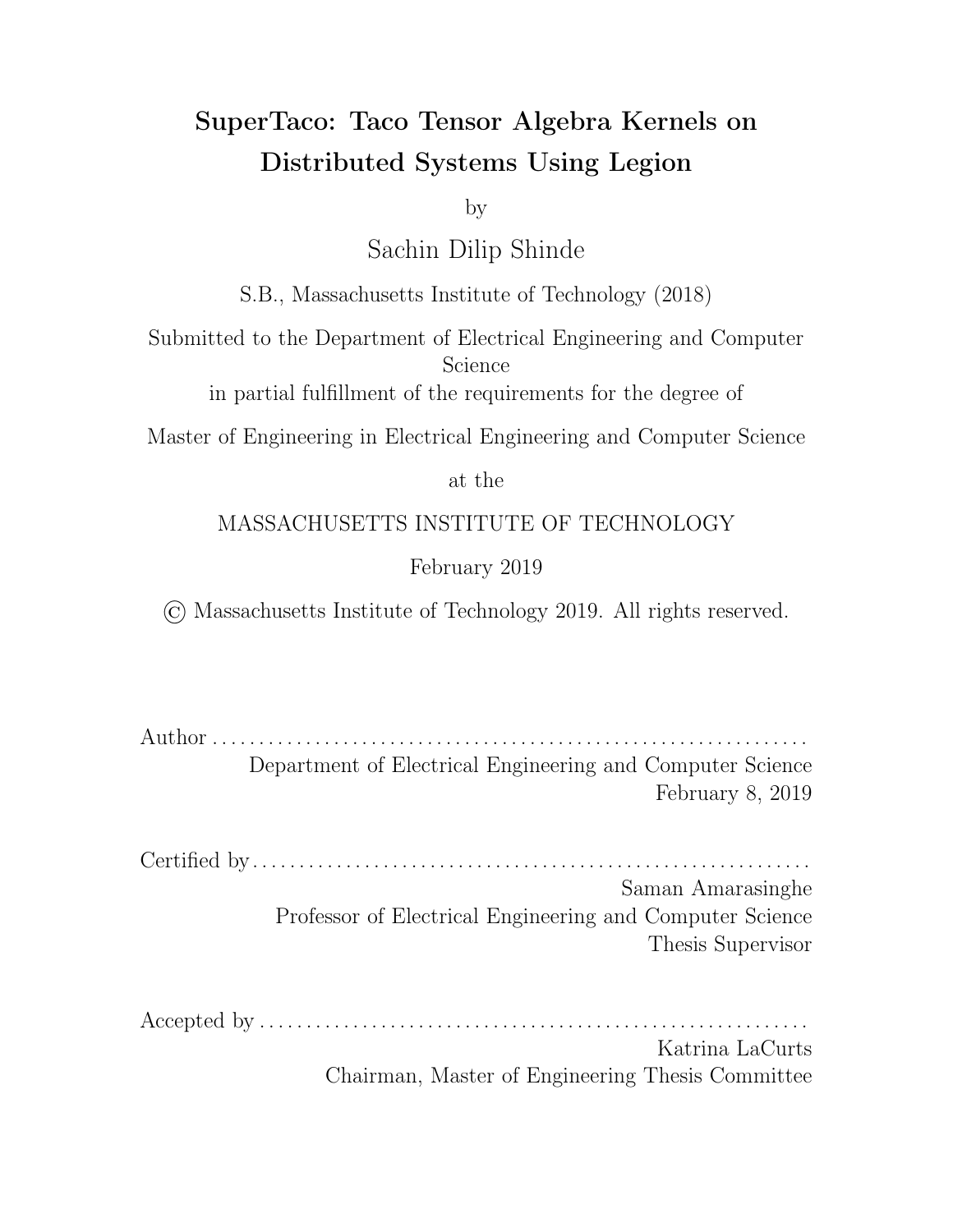the expression at the price of having to combine the partial sums later. But there is another hidden cost; namely, the distributed system needs enough space to store the intermediary tensors. The tensor blocks  $A^{I_0I_1...I_R}$  are just a partition of A, so the amount of space they take up should be only some small factor larger than  $A$  on average. However, the intermediary tensors  $\bar{A}^{I_0I_1...I_R}$  <sup>1</sup> $J_0J_1...J_{R}$ <sup>0</sup> 1 are not a partition, and may accordingly exceed the total space of tensor blocks  $A^{I_0I_1...I_R}$  1 by a factor of  $P_{J_0}$   $P_{J_1}$  ...  $P_{J_{R^{\theta}-1}}$ . Depending on how the indices  $J_q$  are split, the amount of space needed by the intermediary tensors may be too large.

Luckily, there is another way to restructure the computation that allows us to hoist the  $\sum_J$  terms without increasingly many intermediaries. Returning to our SpMV example, we can instead transform

$$
\mathcal{S}_i\left(a_i^0 = \sum_J \sum_j B_{ij}^{0J} c_j^J\right)
$$

by summing directly into the output, i.e.

$$
\mathcal{S}_{i}\left(a_{i}^{0}=0\right); \mathcal{S}_{J}\left[\mathcal{S}_{i}\left(\bar{a}_{i}^{0}=\sum_{j}B_{ij}^{0J}c_{j}^{J}\right); \mathcal{S}_{i}\left(a_{i}^{0} \right) = \bar{a}_{i}^{0}\right]
$$

where  $\bar{a}_i^0$  is a temporary tensor (this tensor is the same size as  $a_i^0$ , and can be deleted once it is summed into  $a_i^0$ ). Note that while this transformation does split the computation into  $P_J$  steps consisting of  $\mathscr{\mathscr{S}}_i\left(a_i^0\right.\mathrel{{+}{=}}\sum_j\!B_{ij}^{0J}c_j^J$  $\binom{J}{j}$ , these steps cannot be computed in parallel across  $J$  since each step writes to  $a_i^0$ . However, the act of splitting along  $j$  still decreases the size of tensor blocks depending on  $j$ , and thus this transformation is still useful in that it decreases the amount of memory needed by a processor to compute a step. Going back to our SpMV example, if we split along both rows and columns with this new hoisting method, we would arrive at

$$
\mathcal{S}_{I}\left[\mathcal{S}_{i}\left(a_{i}^{I}=0\right)\right];\mathcal{S}_{I}\mathcal{S}_{J}\left[\mathcal{S}_{i}\left(\bar{a}_{i}^{I}=\sum_{j}B_{ij}^{IJ}c_{j}^{J}\right);\mathcal{S}_{i}\left(a_{i}^{I}\right)=\bar{a}_{i}^{I}\right)\right]
$$

Hence, we have two methods to hoist a block reduction variable out of a tensor algebra expression. The first way a ords parallelism at the cost of increased space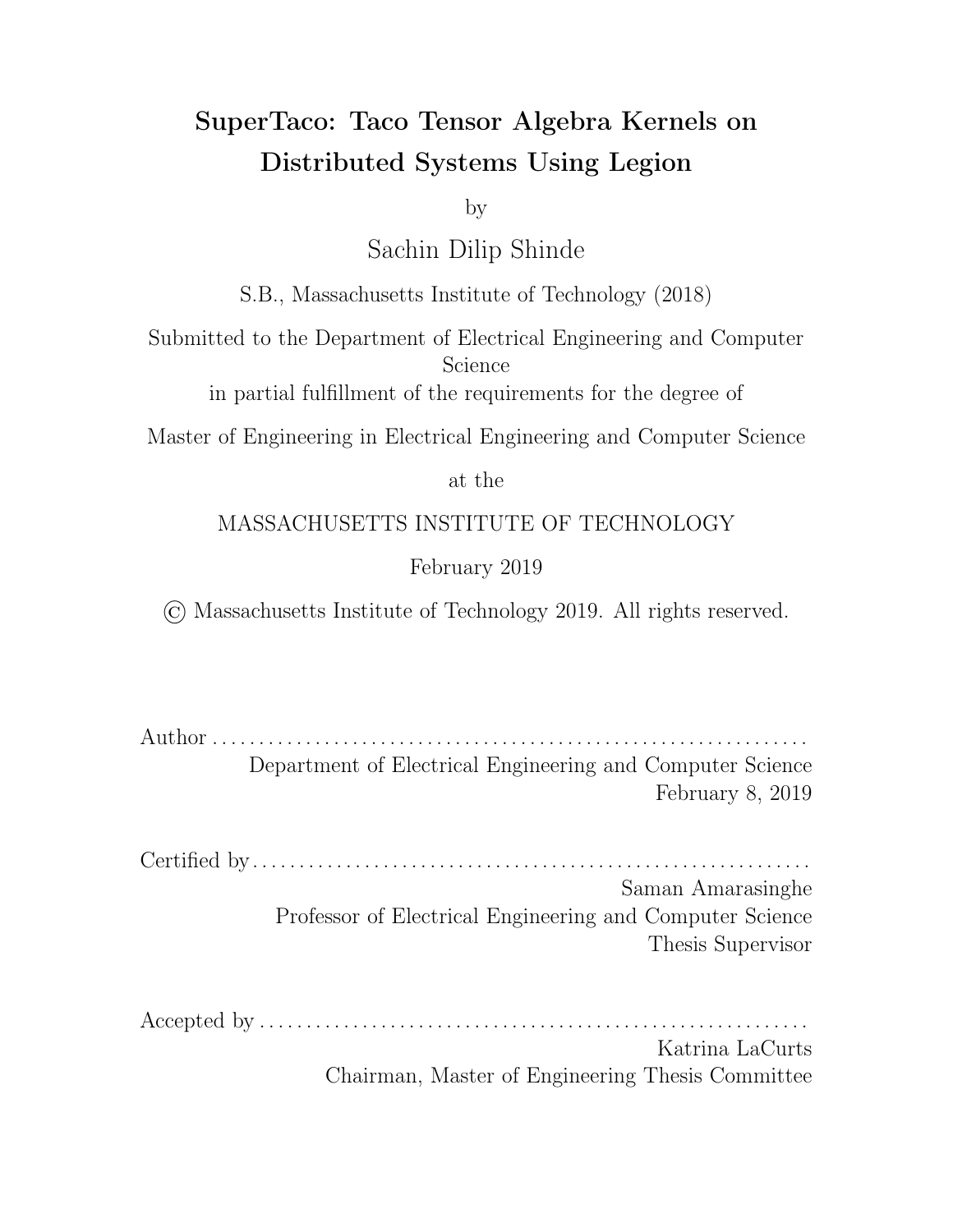from intermediary tensors and some increased time due to summing the intermediary tensors, while the second way doesn't a ord parallelism but still decreases the size of the tensor blocks that use the index variable and thus decreases the memory needed by the processor to compute a step. These methods can be mixed and matched on reduction variables as well; consider an expression of the form

$$
\mathcal{S}_{I_0} \mathcal{S}_{I_1} \dots \mathcal{S}_{I_{R-1}} \Big[ \newline \mathcal{S}_{i_0} \mathcal{S}_{i_1} \dots \mathcal{S}_{i_{R-1}} \Big( A^{I_0 I_1 \dots I_{R-1}}_{i_0 i_1 \dots i_{R-1}} = \sum_{J_0 \sum_{J_1} \dots \sum_{J_{R^{\theta-1}}} \sum_{J_0^{\theta} \sum_{J_1^{\theta}} \dots \sum_{J_{R^{\theta-1}}} (expr) \Big)} \Big]
$$

for free variables  $i_q$  and reduction variables  $j_q$  and  $j_q^\ell$ . If we use parallel hoisting on  $J_q$  and non-parallel hoisting on  $J_{q'}^\ell$  we arrive at

$$
\begin{split}\n\partial_{I_0} \partial_{I_1} \dots \partial_{I_{R-1}} \partial_{J_0} \partial_{J_1} \dots \partial_{J_{R^{\theta-1}}} \left[ \partial_{i_0} \partial_{i_1} \dots \partial_{i_{R-1}} \left( \bar{A}_{i_0 i_1 \dots i_{R-1}}^{I_0 I_1 \dots I_{R-1} J_0 J_1 \dots J_{R^{\theta-1}}} = 0 \right) \right]; \\
\partial_{I_0} \partial_{I_1} \dots \partial_{I_{R-1}} \partial_{J_0} \partial_{J_1} \dots \partial_{J_{R^{\theta-1}}} \partial_{J_0^0} \partial_{J_1^0} \dots \partial_{J_{R^{\theta-1}}} \left[ \right] \\
\partial_{i_0} \partial_{i_1} \dots \partial_{i_{R-1}} \left( \bar{A}_{i_0 i_1 \dots i_{R-1}}^{I_0 I_1 \dots I_{R-1} J_0 J_1 \dots J_{R^{\theta-1}}} = exp \right); \\
\partial_{i_0} \partial_{i_1} \dots \partial_{i_{R-1}} \left( \bar{A}_{i_0 i_1 \dots i_{R-1}}^{I_0 I_1 \dots I_{R-1} J_0 J_1 \dots J_{R^{\theta-1}}} + \right) = \bar{A}_{i_0 i_1 \dots i_{R-1}}^{I_0 I_1 \dots I_{R-1} J_0 J_1 \dots J_{R^{\theta-1}}} \right]; \\
\partial_{I_0} \partial_{I_1} \dots \partial_{I_{R-1}} \left[ \partial_{i_0} \partial_{i_1} \dots \partial_{i_{R-1}} \left( A_{i_0 i_1 \dots i_{R-1}}^{I_0 I_1 \dots I_{R-1}} - \sum_{J_0 \sum_{J_1} \dots \sum_{J_{R^{\theta-1}}} \bar{A}_{i_0 i_1 \dots i_{R-1}}^{I_0 I_1 \dots I_{R-1} J_0 J_1 \dots J_{R^{\theta-1}}} \right) \right]\n\end{split}
$$

Looking back at the SpMV example, regardless of how we hoist variables or what variables are split, the underlying kernel computed by each processor is still another SpMV, just using the tensor blocks instead of the full tensors. A similar observation holds true for the more general case shown above. However, we have been making an assumption about our tensor algebra expressions so far, specifically that the reduction variable summation can always be hoisted to the outside of the expression on the right-hand side. In some expressions, there are reduction variables that cannot be trivially hoisted; for example, consider  $\,\partial_i\,\Big( a_i = d_i + \sum_j B_{ij} c_j \Big).$ Suppose we split along  $j$  to get  $\mathscr{S}_i\left(a_i^0 = d_i^0 + \sum_J\sum_j B_{ij}^{0J} c_j^J\right)$  $\left(\begin{smallmatrix}J\\j\end{smallmatrix}\right)$ ; the right-hand side is not equivalent to  $\sum_{J}\left(d_{i}^{0}+\sum_{j}B_{ij}^{0J}c_{j}^{J}\right)$  $\binom{J}{j}$ . Hoisting  $\sum_J$  doesn't work here because addition doesn't distribute over addition. One potential solution to this is to use a ternary conditional operator ?: to ensure the addition only occurs once, i.e.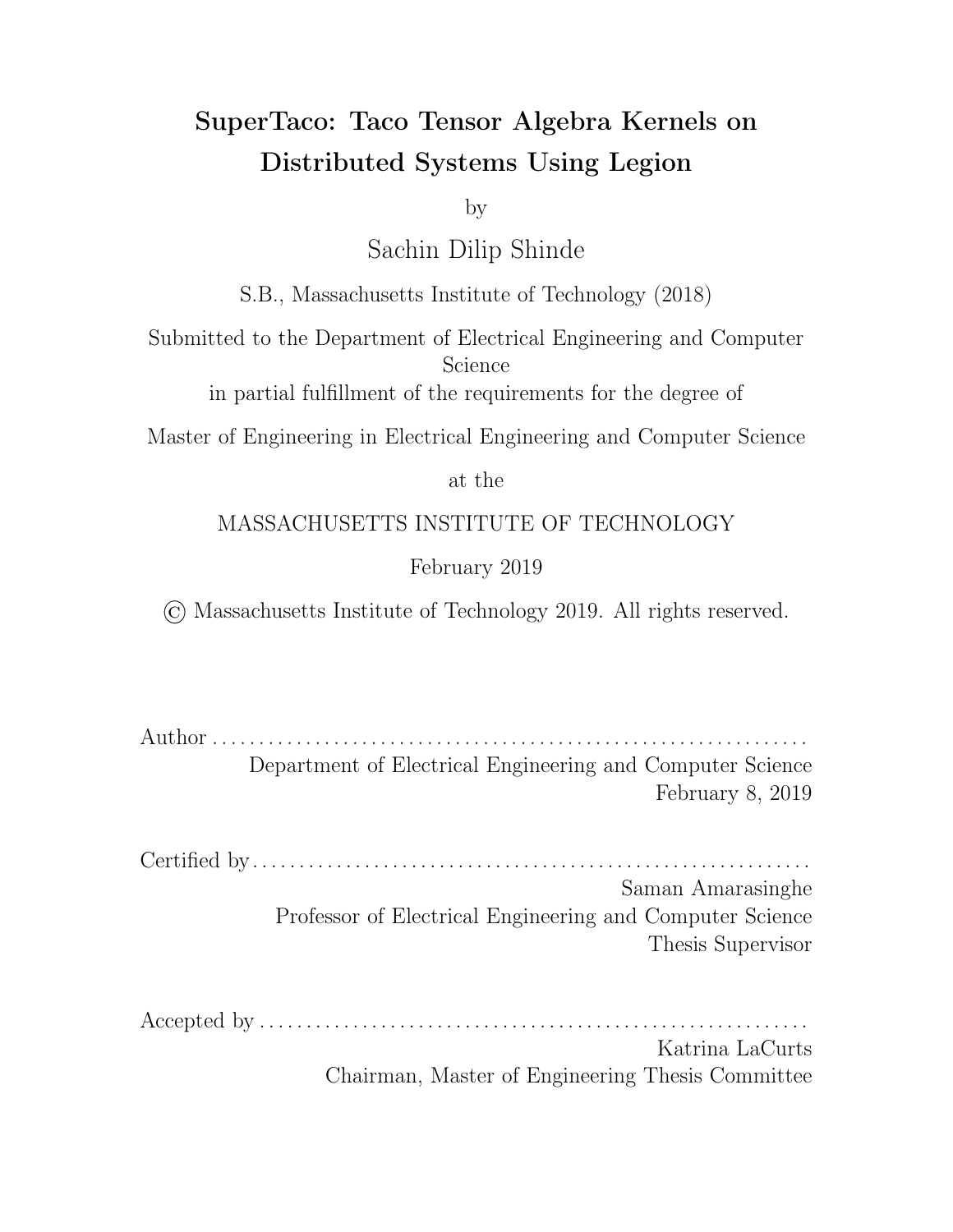$\partial_i \left( a_i^0 = \sum_J \left( ((J == 0) ? d_i^0 : 0) + \sum_j B_{ij}^{0J} c_j^J \right) \right)$  $\begin{pmatrix} J\ j \end{pmatrix}$ . However, Taco doesn't currently support ternary conditional operators, and trying to modify the outputted C code to support it would be non-trivial. A simpler solution is to have one processor (e.g. the one corresponding to  $J=0)$  compute  $\partial_i\left(\bar{a}^{0J}_i = d^0_i + \sum_j B^{0J}_{ij} c^J_j\right)$  $\binom{J}{j}$  while the other processors compute  $\displaystyle{\mathcal{S}_{i}\left(\bar{a}_{i}^{0J}=\sum_{j}B_{ij}^{0J}c_{j}^{J}\right)}$  $\sigma_j^{(J)}$ . However, this requires multiple calls to the Taco command-line tool, one for each kernel. Moreover, for each index variable that encounters this problem while being hoisted, the number of kernels needed doubles, so the compile time varies exponentially with the number of such index variables. We leave implementing support for this kind of reduction variable hoisting to future work, and assume that if a block index variable is hoisted over addition, that the variable has only one split range (in this case, no changes are needed since the summation is a no-op). Hence, we move forward under the assumption that the main kernel computed by each processor is the same as the original expression to be distributed; the only dievence is that the per-processor kernel operates on tensor blocks.

This theory thus allows us to distribute our tensor algebra expression computation into executions of the same kernel but on tensor blocks, and is done by hoisting any split index variables out of the expression in the ways we have described. Note that even for index variables  $i$  that aren't split, we can treat them as split variables that only having one split range. This allows us to use the same transformations as before to hoist them out (some of the summations may be no-ops, but this doesn't a ect correctness). This means we can consider all index variables to be hoisted. That is, we can use the convention that the  $\beta$  loops surrounding the kernel iterate through every block index variable.

Using this convention, we have exposed two choices in the general-case expression. The first is how to order these  $\beta$  loops, since they can be rearranged in any order; in SuperTaco's distribution schedule, this is referred to as the *index variable ordering* and must be a permutation of all index variables in the expression. The second choice is, for each reduction index variable, whether it is parallel hoisted or non-parallel hoisted. SuperTaco will by default assume reduction variables are non-parallel hoisted since it doesn't impose an extra space requirement for intermediate tensors like parallel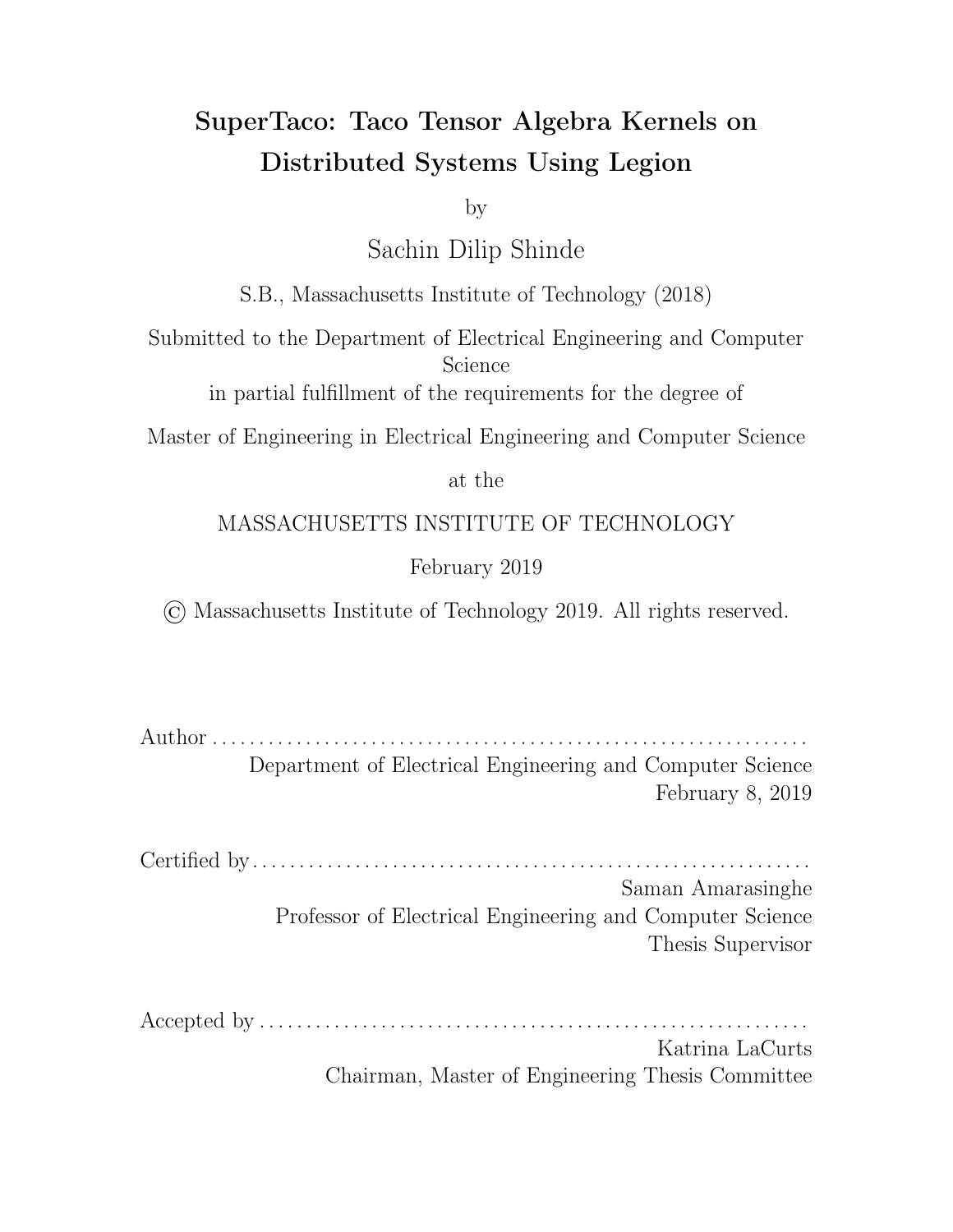hoisting does. For SuperTaco to parallel hoist a variable instead, the user must declare it as an *output-extension variable* of the distribution schedule. This is named as such since the intermediate tensors  $\bar{A}^{I_0I_1...I_R}_{i_0i_1...i_{R}1...i_{R^0-1}}$  $\frac{1011...1R}{i_0i_1...i_{R-1}}$  in parallel hoisting are similar to the output tensor  $A_{i_0i_1\ldots i_{R-1}}^{I_0I_1\ldots I_{R-1}}$  $\frac{I_{0}I_{1}...I_{R-1}}{I_{0}I_{1}...I_{R-1}}$ , but extended along the dimensions  $J_{0}, J_{1}, \ldots, J_{R^{\theta}-1}.$ With this, we have enough information to discuss SuperTaco's code generation for tensor algebra computation.

#### 4.5.2 Code Generation

Recall from the previous section that after allowing for index variables to be split, the general-case transformed expression for describing the distributed computation of tensor algebra is

$$
\begin{split}\n\partial_{I_0} \partial_{I_1} \dots \partial_{I_{R-1}} \partial_{J_0} \partial_{J_1} \dots \partial_{J_{R^{\theta-1}}} \left[ \partial_{i_0} \partial_{i_1} \dots \partial_{i_{R-1}} \left( \bar{A}_{i_0 i_1 \dots i_{R-1}}^{I_0 I_1 \dots I_{R-1} J_0 J_1 \dots J_{R^{\theta-1}}} = 0 \right) \right]; \\
\partial_{I_0} \partial_{I_1} \dots \partial_{I_{R-1}} \partial_{J_0} \partial_{J_1} \dots \partial_{J_{R^{\theta-1}}} \partial_{J_0^0} \partial_{J_1^0} \dots \partial_{J_{R^{\theta-1}}} \left[ \right] \\
\partial_{i_0} \partial_{i_1} \dots \partial_{i_{R-1}} \left( \bar{A}_{i_0 i_1 \dots i_{R-1}}^{I_0 I_1 \dots I_{R-1} J_0 J_1 \dots J_{R^{\theta-1}}} = exp \right); \\
\partial_{i_0} \partial_{i_1} \dots \partial_{i_{R-1}} \left( \bar{A}_{i_0 i_1 \dots i_{R-1}}^{I_0 I_1 \dots I_{R-1} J_0 J_1 \dots J_{R^{\theta-1}}} + \right) = \bar{A}_{i_0 i_1 \dots i_{R-1}}^{I_0 I_1 \dots I_{R-1} J_0 J_1 \dots J_{R^{\theta-1}}} \right); \\
\partial_{I_0} \partial_{I_1} \dots \partial_{I_{R-1}} \left[ \partial_{i_0} \partial_{i_1} \dots \partial_{i_{R-1}} \left( A_{i_0 i_1 \dots i_{R-1}}^{I_0 I_1 \dots I_{R-1}} = \sum_{J_0} \sum_{J_1} \dots \sum_{J_{R^{\theta-1}}} \bar{A}_{i_0 i_1 \dots i_{R-1}}^{I_0 I_1 \dots I_{R-1} J_0 J_1 \dots J_{R^{\theta-1}}} \right) \right] \n\end{split}
$$

In this section, we discuss how SuperTaco generates code to compute this transformed expression. From section 4.5.1, the expression above is not fully-defined; it requires the user to make a choice regarding how to order the  $\beta$  loops (through the distribution schedule's *index variable ordering*) and a choice regarding which reduction variables get parallel-hoisted (through the distribution schedule's list of *output*extension variables). The user must also decide how to split the index variables (if it all), which is also specified through the distribution schedule as described in Section 4.1. Given a distribution schedule with these properties, the transformed expression above becomes fully-defined, and SuperTaco can accordingly generate code for it.

The transformed expression here consists of three steps. The first one is just an initialization step, in which we initialize all intermediate tensors  $\bar{A}^{I_0I_1...I_R}_{i_0i_1...i_{R-1}}$  $i_0i_1...i_{R-1}$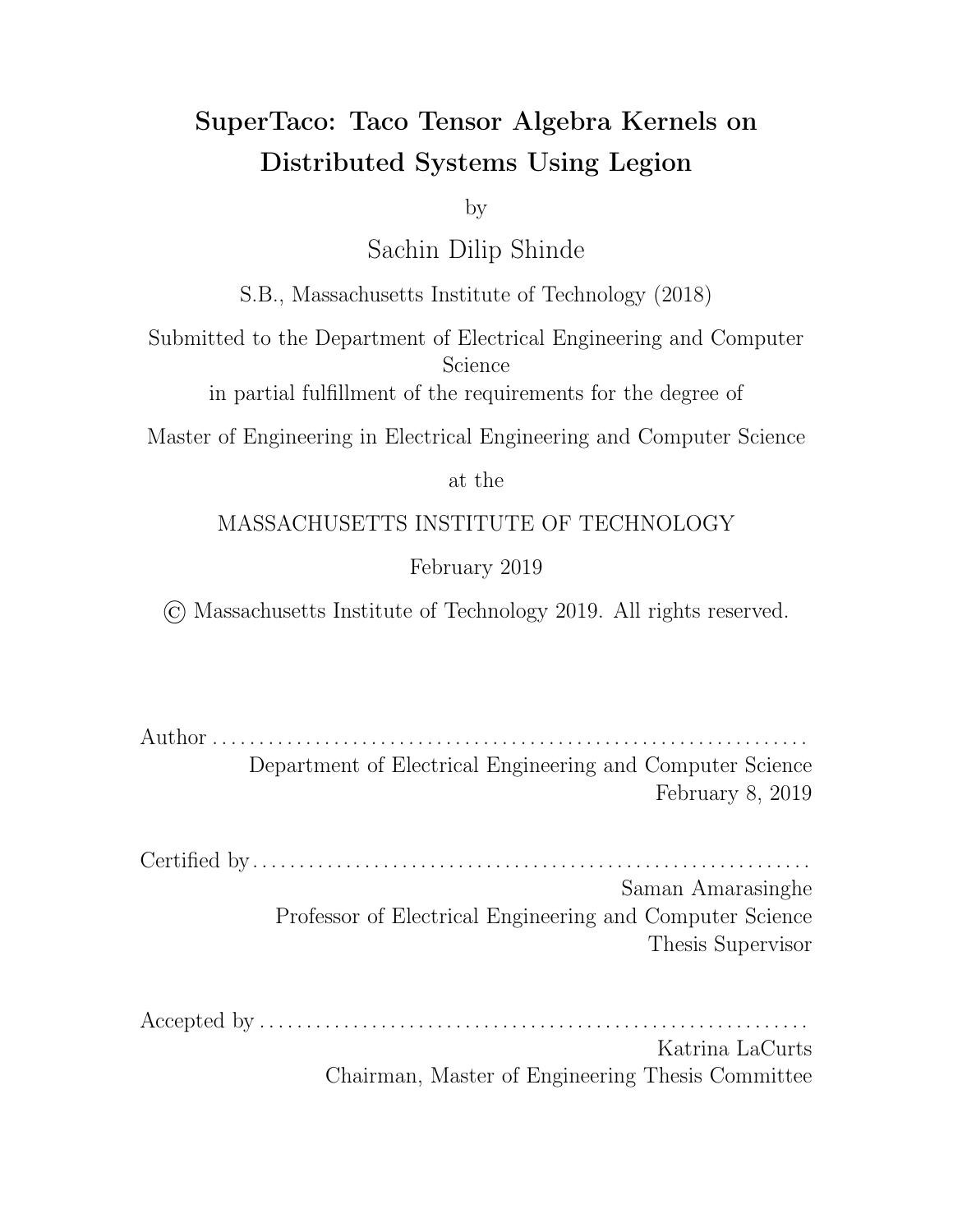to 0. The second step is the kernel computation step, in which the kernel is computed for every appropriate combination of tensor blocks, and the results summed into the output intermediate tensor. More specifically, the kernel is computed for every integer point  $(I_0,I_1,\ldots,I_{R-1},J_0,J_1,\ldots,J_{R^{\theta}-1},J_0^{\theta},J_1^{\theta},\ldots,J_{R^{\theta-\theta}-1}^{\theta})$  in the Cartesian grid spanning from the origin to  $(P_{i_0} \quad 1, P_{i_1} \quad 1, \ldots, P_{i_{R-1}} \quad 1, P_{j_0} \quad 1, P_{j_1} \quad 1, \ldots, P_{j_{R^{\theta}-1}}$  $1, P_{j_0^{\theta}}-1, P_{j_1^{\theta}}-1, \ldots, P_{j_{R^{\theta}}^{\theta}-1}-1)$ . At a given integer point, the specific tensor blocks used in the execution of a kernel are based  $\sigma$  the values of the block index variables in the point's coordinates. The order of the  $\beta$  loops determines the order in which these points are traversed in the grid. Finally in the third step, the intermediate tensors  $\bar{A}^{I_0 I_1...I_R}$  1  $J_0 J_1...J_R$ <sup>0</sup> 1  $a_{i_0i_1...i_{R-1}}^{I_0I_1...I_{R-1}J_0J_1...J_{R-1}}$  are summed together into the actual output tensor  $A_{i_0i_1...i_{R-1}}^{I_0I_1...I_{R-1}}$  $\frac{i_0 i_1 ... i_R}{i_0 i_1 ... i_R}$  1

It is useful here to define a *mapping key function*  $\sigma$ () on any tuple of block index variables  $(I_0, I_1, \ldots, I_{R-1})$ , such that  $\sigma(I_0, I_1, \ldots, I_{R-1}) = I_{R-1} + P_{i_{R-1}} \ \ (I_{R-2} + P_{i_{R-2}})$ ...  $(I_1 + P_{i_1} (I_0)) \ldots$ ). That is, the mapping key function generates from the tuple  $(I_0, I_1, \ldots, I_{R-1})$  a unique index into an array of size  $P_{i_0}$   $P_{i_1}$   $\ldots$   $P_{i_{R-1}}$ ; we call this the *mapping key size*. If we have some total ordering to the block index variables, we can also define  $\sigma$ () on sets of index variables instead of tuples, in which case it is equal to  $\sigma$ () applied the tuple formed from sorting the set by the total ordering. Since our distribution schedule provides a index variable ordering, we shall use this ordering for our mapping key function. Another useful function is the inverse mapping key  $\sigma^{-1}()$  function, which computes a tuple  $(I_0, I_1, \ldots, I_{R-1})$  from a positive integer  $k$ through repeated division, i.e.  $k = q_{R-1} P_{i_{R-1}} + r_{R-1} q_{R-1} = q_{R-2} P_{i_{R-2}} + r_{R-2} \ldots$  $q_1 = q_0$   $P_{i_0} + r_0$  for quotients  $q_m$  and remainders  $r_m$ . The tuple generated by  $\sigma^{-1}()$ is then just  $(r_0, r_1, \ldots, r_{R-1})$ .

Before SuperTaco begins generating code, it does some preprocessing involving the distribution schedule. It determines the set of free variables  $f_0, I_1, \ldots, I_{R-1}$  by taking the variables from the output tensor, it determines the set of parallel hoisted reduction variables  $fJ_0, J_1, \ldots, J_{R^{\beta-1}}g$  by taking the variables from the list of outputextension variables, and it determines the set of non-parallel hoisted reduction variables  $fJ_0^{\theta}, J_1^{\theta}, \ldots, J_{R^{\theta\theta}-1}^{\theta} g$  by taking the set of all index variables in the expression, and subtracting out the set of free variables and the set of output-extension variables. It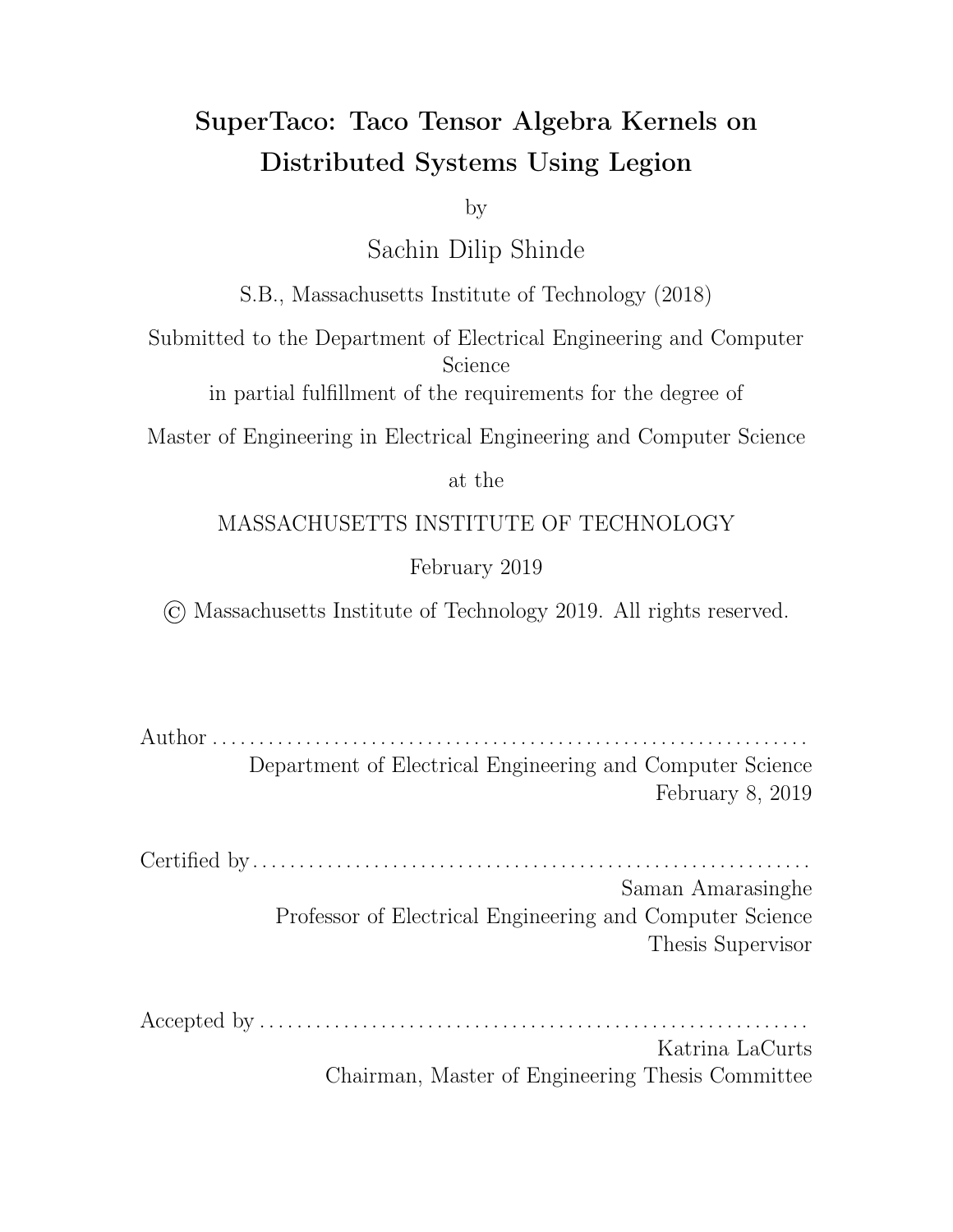then generates  $C/C++$  functions that compute the mapping keys for each of these sets of variables (using the ordering given in the distribution schedule's index variable ordering), along with the mapping key sizes. To simplify notation, let the mapping key function for  $f_0, I_1, \ldots, I_{R-1}$  g be  $\sigma_I$  and the mapping key size be  $\lambda_I$ , and similarly define  $\sigma_{J}$ ,  $\lambda_{J}$ ,  $\sigma_{J^0}$ , and  $\lambda_{J^0}$ . For each tensor, SuperTaco also calculates the mapping key and mapping key sizes of its set of variables. To simplify notation, let the mapping key function for the variables of tensor A be  $\sigma_A$  and the mapping key size be  $\lambda_A$ .

For the first step of the transformed expression, we generate code for

$$
\mathcal{S}_{I_0} \mathcal{S}_{I_1} \dots \mathcal{S}_{I_{R-1}} \mathcal{S}_{J_0} \mathcal{S}_{J_1} \dots \mathcal{S}_{J_{R^{\theta-1}}} \left[ \mathcal{S}_{i_0} \mathcal{S}_{i_1} \dots \mathcal{S}_{i_{R-1}} \left( \bar{A}_{i_0 i_1 \dots i_{R-1}}^{I_0 I_1 \dots I_{R-1} J_0 J_1 \dots J_{R^{\theta-1}}} = 0 \right) \right]
$$

However, instead of actually initializing an intermediate . tcs tensor to 0 and storing it inside a logical region, we will place a small sentinel value in the logical region instead. Later when the logical region is passed to a kernel task, the kernel task will check whether the sentinel is there. If it is, the kernel task will accordingly skip adding its output tensor block to a zero tensor, and just return its output tensor block to the parent task.

For this step's code generation, we initialize an array intermediate\_fts of futures, with length equal to  $\lambda_I$   $\lambda_J$ . This array will store the futures containing the logical regions that store the intermediate tensors. We then emit two nested for loops. The first for loop iterates through the mapping keys  $k_J$  for  $fJ_0, J_1, \ldots, J_{R-1}g$ , i.e. from 0 to  $\lambda_J$  1. The second for loop iterates through the mapping keys  $k_I$ for  $f_0, I_1, \ldots, I_{R-1}$ , i.e. from 0 to  $\lambda_I$  1. In the innermost loop body, we create a logical region and store a sentinel in it (via an inline map), and pack it inside a future that is set to resolve immediately if waited on. We then compute the key into intermediate\_fts as  $k_I + \lambda_I$   $k_J$ , and then store the future to this location. Note that the overall loop order here doesn't matter since the intermediate tensors are all di erent, which is why the e ective loop ordering used here isn't sorted according to the distribution schedule's index variable ordering.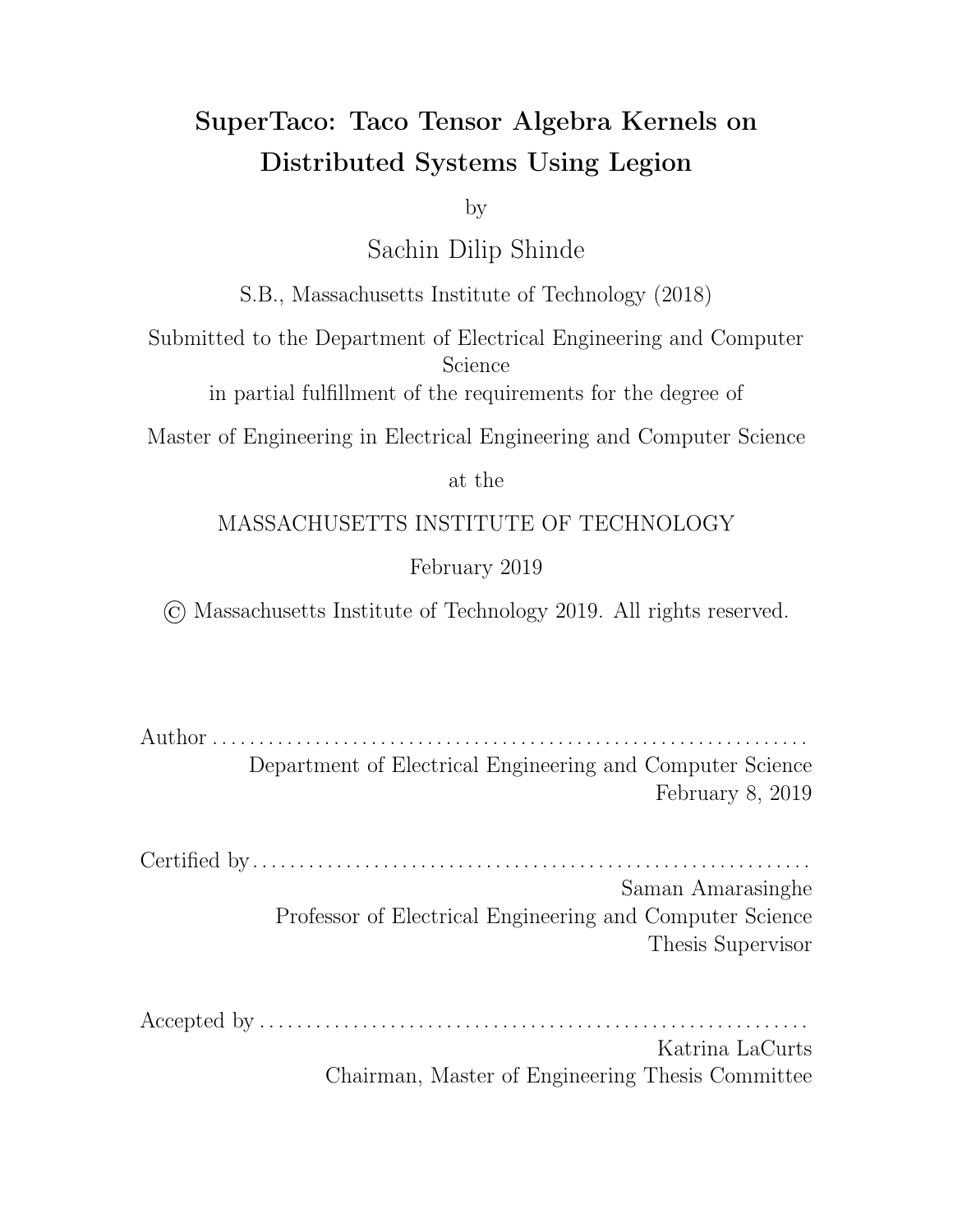For the second step of the transformed expression, we generate code for kernel computation, i.e.

$$
\begin{aligned}\n\mathcal{S}_{I_0} \mathcal{S}_{I_1} \dots \mathcal{S}_{I_{R-1}} \mathcal{S}_{J_0} \mathcal{S}_{J_1} \dots \mathcal{S}_{J_{R^{\theta-1}}} \mathcal{S}_{J_0^{\theta}} \mathcal{S}_{J_1^{\theta}} \dots \mathcal{S}_{J_{R^{\theta-1}}} \Big[ \\
\mathcal{S}_{i_0} \mathcal{S}_{i_1} \dots \mathcal{S}_{i_{R-1}} \Big( \bar{A}_{i_0 i_1 \dots i_{R-1}}^{I_0 I_1 \dots I_{R-1} J_0 J_1 \dots J_{R^{\theta-1}}} = exp \Big); \\
\mathcal{S}_{i_0} \mathcal{S}_{i_1} \dots \mathcal{S}_{i_{R-1}} \Big( \bar{A}_{i_0 i_1 \dots i_{R-1}}^{I_0 I_1 \dots I_{R-1} J_0 J_1 \dots J_{R^{\theta-1}}} + \bar{A}_{i_0 i_1 \dots i_{R-1}}^{I_0 I_1 \dots I_{R-1} J_0 J_1 \dots J_{R^{\theta-1}}} \Big) \Big]\n\end{aligned}
$$

This can be viewed as a nest of for loops with a child task launch in the innermost loop that computes

$$
\begin{aligned}\n\mathcal{S}_{i_0} \mathcal{S}_{i_1} \dots \mathcal{S}_{i_{R-1}} \Big( \bar{A}_{i_0 i_1 \dots i_{R-1}}^{I_0 I_1 \dots I_{R-1} J_0 J_1 \dots J_{R^{\hat{0}-1}}} = expr \Big); \\
\mathcal{S}_{i_0} \mathcal{S}_{i_1} \dots \mathcal{S}_{i_{R-1}} \Big( \bar{A}_{i_0 i_1 \dots i_{R-1}}^{I_0 I_1 \dots I_{R-1} J_0 J_1 \dots J_{R^{\hat{0}-1}}} + \bar{A}_{i_0 i_1 \dots i_{R-1}}^{I_0 I_1 \dots I_{R-1} J_0 J_1 \dots J_{R^{\hat{0}-1}}} \Big)\n\end{aligned}
$$

which executes the kernel on the tensor blocks and adds the result into the intermediate tensor block.

For this step's code generation, we emit a nest of for loops, with a for loop for each index variable in the expression (even unsplit index variables). The order of the loops is the same as the distribution schedule's index variable ordering. In each for loop, the block index variable i runs from 0 to  $P_i$  1. In the innermost for loop body, we issue a task launch for the kernel task. For each input tensor  $A$  in the expression, the innermost loop body computes the mapping key for the tensor  $\sigma_A$ and uses it to index into an array that contains logical regions that store the tensor blocks of  $A$  (this was obtained during the distributed tensor loading step). This gives the logical region containing the appropriate tensor block of  $A$  needed for the kernel task launch, and that logical region is then added to the task launch through a region requirement (with read-only privilege). The innermost for loop body also computes the intermediate tensor block mapping key  $k_I + \lambda_I$   $k_J$ , which it uses to index into intermediate\_fts to get the future wrapping the logical region that contains the intermediate tensor block needed by the kernel task. It then adds this future to the kernel task launch to give it a reference to the logical region. Adding the future also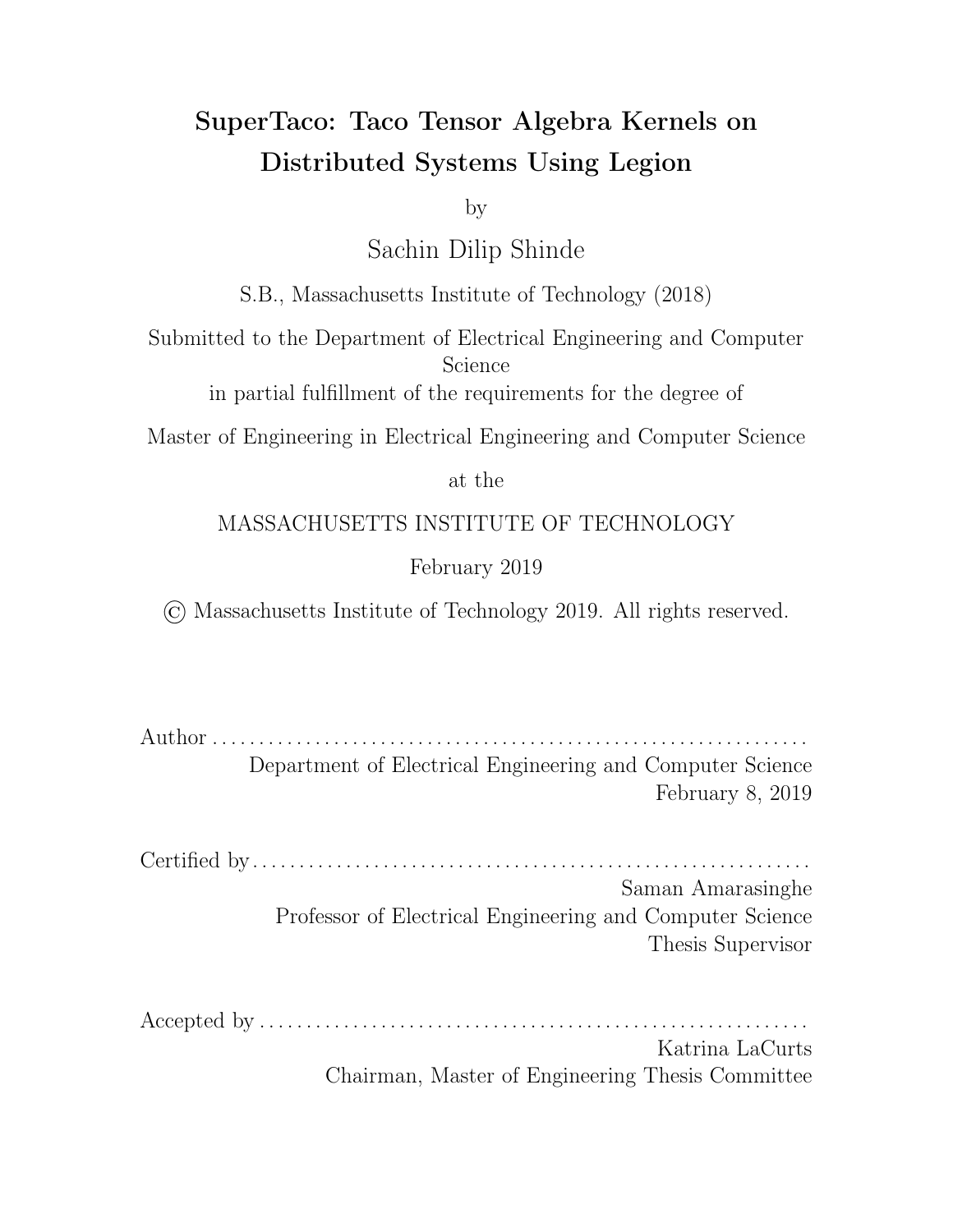ensures that this kernel task won't run until the previous kernel task operating on the same intermediate tensor block is finished. When the kernel task is launched, the return value of the task launch is a future wrapping the logical region that contains the new intermediate tensor block as computed by the kernel task. The innermost loop body then finally overwrites the old future in intermediate\_fts with the new one.

There is one slight workaround needed in this step's code generation due to a quirk surrounding Legion index spaces. Index spaces in Legion are immutable, which means that once a logical region is created, its size cannot be changed. This is an issue if a parent task has a child task that returns an output of variable size that can't be easily bounded, specifically if the parent wants to pass that output as an input to another child task via futures. While the parent task will have the proper privileges needed to access the logical region once the child task ends, it cannot pass these privileges to the second child since the logical region is contained in a future. Thus, naively the second child task would not be able to access the logical region since it would not have the proper privileges (the inline map would fail). If the size were fixed, the parent could create the logical region itself, and just pass it to both child tasks using region requirements while stating the appropriate privilege in the region requirements. However, since the output is variably sized, the parent's logical region may not be big enough to contain the output.

Legion presents a workaround for this problem using partitioning and virtual mapping. Returning to the previous example, the parent task would create a very large logical region (larger than any relevant memory scale) and pass it to both tasks using region requirements, but declare that the region must be virtually mapped. This means that when the child tasks run, that region will not be instantiated as a physical instance. The first child task, after it computes the variably-sized output, partitions o a part of this large region, and stores the output in that logical region via an inline mapping. (This will only create a physical instance for the smaller partitioned region, and not create a physical instance for the parent region.) The first child task then returns the logical region via future, which is then passed to the second child task.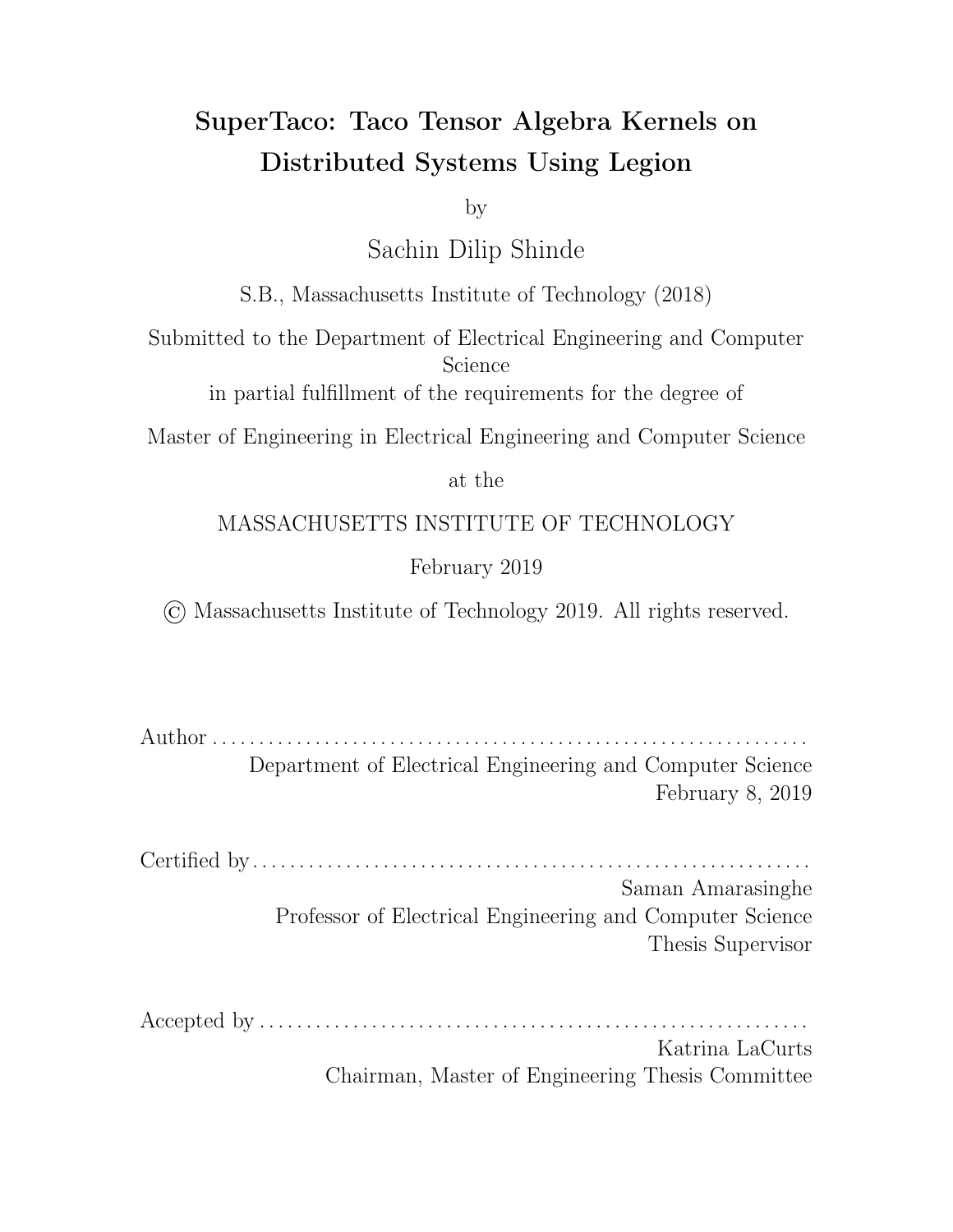This time, however, when the second child task attempts to inline map the logical region, it will also pass the virtually mapped region it received from its parent task within the inline map's region requirement. This allows the inline map to succeed, since the second child task has privileges on an ancestor of the desired logical region.

We can use a similar solution in our code generation. That is, along with the intermediate\_fts array, we create an intermediate\_lrs array that contains the very large logical region that the corresponding logical region in the future was partitioned from. Going back to the first step of code generation (initialization), instead of creating the logical region for the intermediate tensor block the typical way via runtime, the innermost loop body creates a very large logical region and stores it into intermediate I rs array using the key  $k_I + \lambda_I$   $k_J$ . The innermost loop body then partitions a small portion of this region for the sentinel value, and inline maps the partitioned logical region to store the sentinel value in it before wrapping it in a future and placing it in intermediate\_fts.

For the second step of code generation, the innermost loop body would fetch the very large logical region from the intermediate I rs array using the key  $k_I +$  $\lambda_I$   $k_J$ , and then add it to the kernel task launch with a region requirement that specifies the region is virtually mapped (with read-only privilege). This would allow the kernel task to read the intermediate tensor block. The innermost loop body would then create a new very large logical region, add it to the kernel task launch with a region requirement that specifies the region is virtually mapped (with write-discard privilege), and then overwrite the logical region in the intermediate\_lrs array using the same key  $k_I + \lambda_I$   $k_J$ . This allows the kernel task to partition part of this logical region for storing its output.

With this, we've generated code for the distributed kernel computation. For the specifics of how the kernel task code is generated, see Section 4.5.3. We can now finally move to the third step of the transformed expression, in which we generate code for summing together the intermediate tensors into the output tensor. This is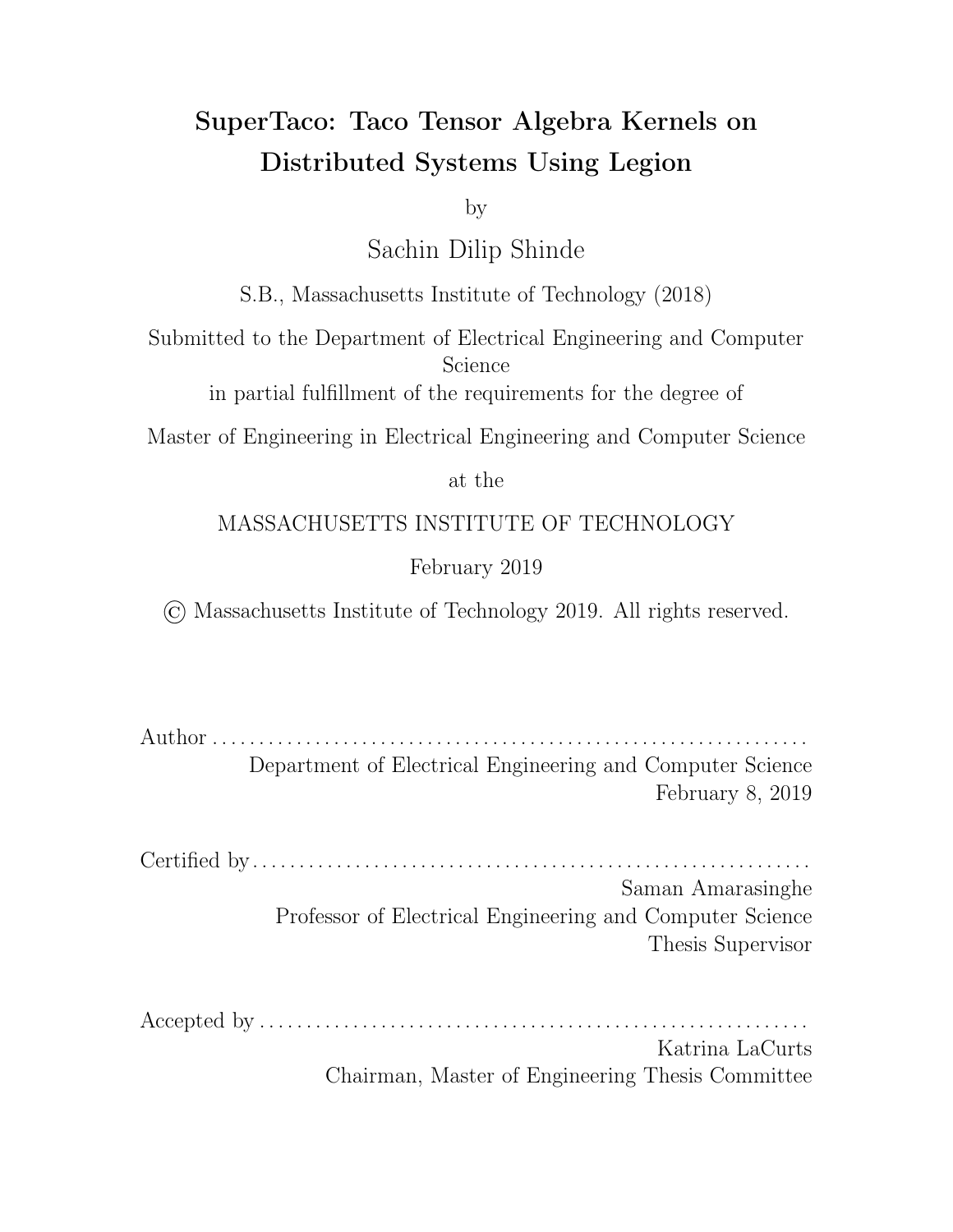given by

$$
\mathcal{S}_{I_0} \mathcal{S}_{I_1} \dots \mathcal{S}_{I_{R-1}} \left[ \mathcal{S}_{i_0} \mathcal{S}_{i_1} \dots \mathcal{S}_{i_{R-1}} \left( A_{i_0 i_1 \dots i_{R-1}}^{I_0 I_1 \dots I_{R-1}} = \sum_{J_0} \sum_{J_1} \dots \sum_{J_{R^{\theta-1}}} \bar{A}_{i_0 i_1 \dots i_{R-1}}^{I_0 I_1 \dots I_{R-1} J_0 J_1 \dots J_{R^{\theta-1}}} \right) \right]
$$

Note that the summations on the right-hand side are not restricted by order, and can be done in any manner. Naively, we could view this as a nested loop of only free variables, and compute the sum

$$
\mathcal{S}_{i_0} \mathcal{S}_{i_1} \dots \mathcal{S}_{i_{R-1}} \left( A_{i_0 i_1 \dots i_{R-1}}^{I_0 I_1 \dots I_{R-1}} = \sum_{J_0} \sum_{J_1} \dots \sum_{J_{R^{\theta-1}}} \bar{A}_{i_0 i_1 \dots i_{R-1}}^{I_0 I_1 \dots I_{R-1} J_0 J_1 \dots J_{R^{\theta-1}}} \right)
$$

in a child task. But this could potentially overflow memory for the node that executes the task. Moreover, the tensor sum would be pairwise for e ciency sake and not  $n$ ary, so many of the intermediate tensor blocks for a child task would be waiting in memory to be added. A better solution is to launch summation tasks that sum a pair of tensor blocks, and form a tree of summation tasks with the root summation task returning the desired output tensor block. There will be a tree here for every output tensor block, so in order to hide the latency of summation, we should schedule the summation tasks by launching all summation tasks that are on one tree level before moving to the next level of summation tasks, moving towards the roots.

For this step's code generation, we emit three nested for loops, launching the pairwise summation task in the innermost loop body. The first loop iterates through stride lengths  $s_i$ , starting at 1 and doubling every loop iteration, and stopping when it's at least  $\lambda_J$ . The stride here represents what level of the tree is being iterated through, with stride of 1 being the leaves. The second loop iterates through the mapping keys  $k_J$  for  $fJ_0, J_1, \ldots, J_{R-1}g$ . However, instead of going from 0 to  $\lambda_J$  1, it instead starts at 0 and increments by twice the stride  $s$  every loop iteration, stopping when at least  $\lambda_J$  s. The third loop iterates through the mapping keys  $k_I$  for  $f_0, I_1, \ldots, I_{R-1}$ ,  $g_i$ going as usual from 0 to  $\lambda_I$  1.

In the innermost loop body, the mapping keys are computed for the two tensor blocks being summed together, which are  $k_I + \lambda_I$   $k_J$  for the first tensor block and  $k_I + \lambda_I$   $(k_J + s)$  for the second tensor block. These are used to index into the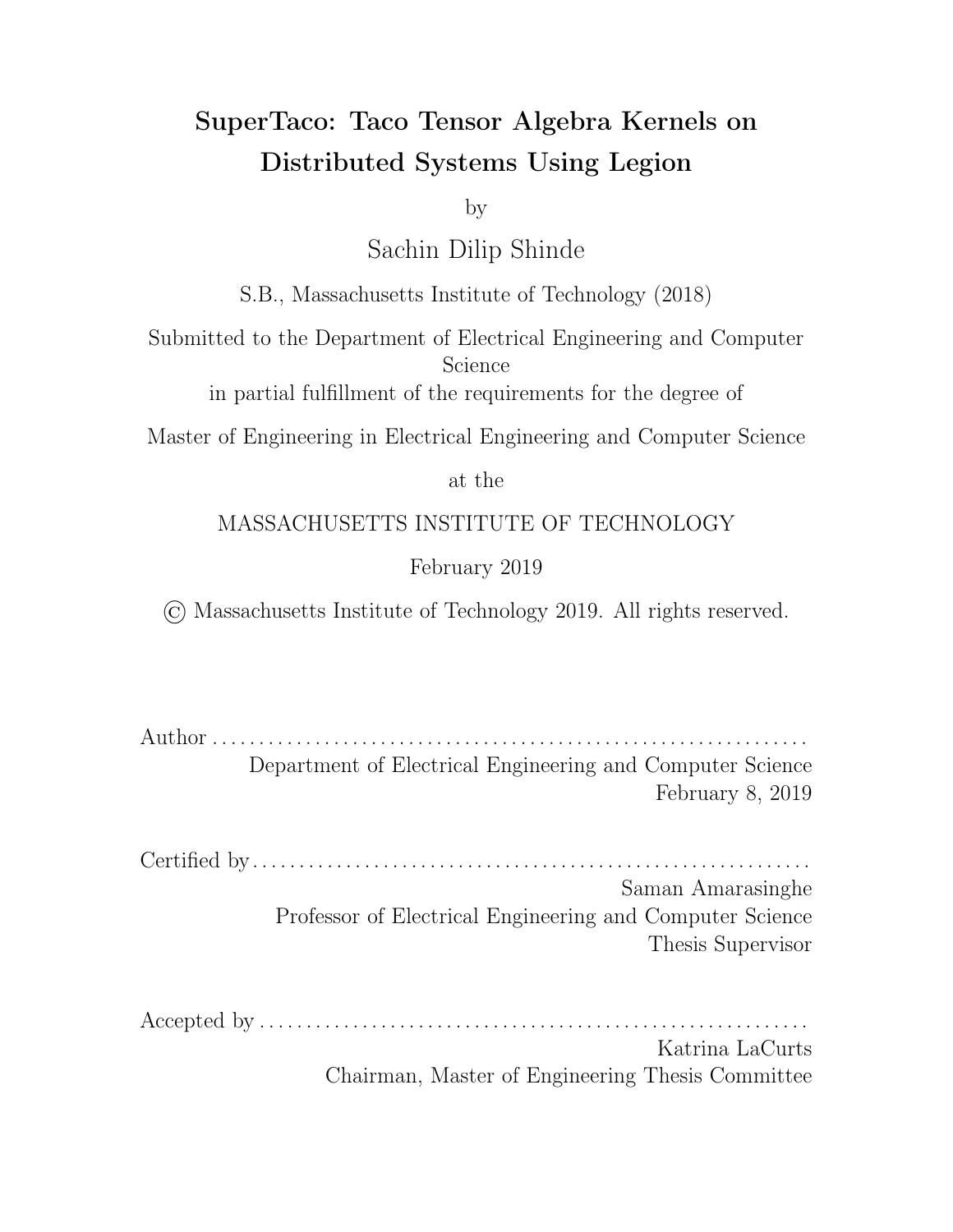intermediate\_fts and intermediate\_lrs arrays to get to the futures wrapping the logical regions containing those tensor blocks, along with the very large logical regions from which they were partitioned. The innermost loop body adds the two futures to the summation task launch and adds the two logical regions to the task launch with virtually-mapped region requirements (with read-only privilege). The innermost loop body then creates a new very large logical region, adds it to the kernel task launch with a region requirement that specifies the region is virtually mapped (with write-discard privilege), and then overwrite the logical region in the intermediate\_lrs array using the first tensor's mapping key  $k_I + \lambda_I k_J$ . The return value of the summation task launch is a future wrapping the logical region that contains the sum of the two input tensors. The innermost loop body finally overwrites the old future of the first tensor in intermediate\_fts with the new one. After these for loops finish executing, the output tensor block for  $f_0, I_1, \ldots, I_{R-1}$  will be located in a future-wrapped logical region in intermediate\_fts using key  $\sigma_I$ . This generated code thus sums together the intermediate tensor blocks in a tree-like fashion into the output tensor blocks. For the specifics of how the summation task code is generated, see Section 4.5.4.

This section has introduced how SuperTaco generates code to compute distributed tensor algebra, but it isn't the whole picture. Section 4.5.5 describes how tasks are mapped to nodes, which is controlled by the distribution schedule and greatly a ects data movement. Section 4.5.6 talks about an aspect of Legion garbage collection that could cause this code generation technique to result in memory overflow, and how we prevent that by placing tensor block evictions in the kernel computation's for loop nest.

#### 4.5.3 Kernel Task

The kernel task used in code generation consists of two steps: the main kernel is evaluated for specific tensor blocks, and then the temporary result is summed into a cumulative intermediate tensor block. First, the original kernel must be evaluated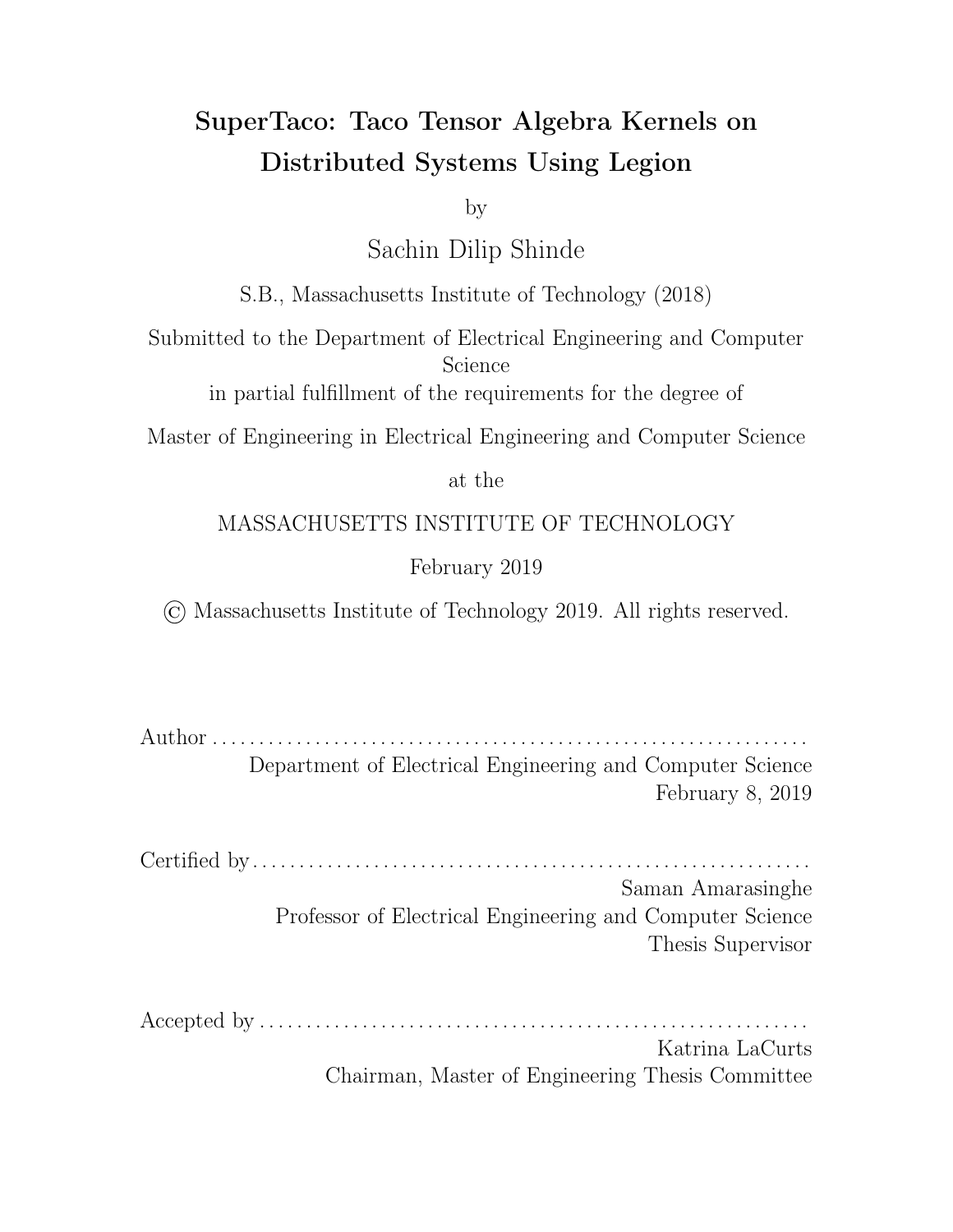via

$$
\mathcal{S}_{i_0} \mathcal{S}_{i_1} \dots \mathcal{S}_{i_{R-1}} \left( \bar{A}_{i_0 i_1 \dots i_{R-1}}^{I_0 I_1 \dots I_{R-1}} = expr \right)
$$

This requires the parent task to supply the child task with the logical regions of the block tensor operands, which were attained during the distributed tensor loading step. Which block tensor operands are supplied depends on the values of the block index variables  $(I_0,I_1,\ldots,I_{R-1},J_0,J_1,\ldots,J_{R^\theta-1},J_0^\theta,J_1^\theta,\ldots,J_{R^{\theta\theta}-1}^\theta)$  when the child task is executed, which is in turn dictated by the for loops in the parent task. These logical regions will be mapped at the start of task execution since they were passed to the kernel task via region requirements.

To generate the code to compute the kernel, we need only supply the original tensor algebra expression to the Taco command-line tool, and it will accordingly generate the C code for the assemble() and compute() functions to calculate  $\bar{A}^{I_0I_1...I_{R-1}}_{i_0i_1...i_{R-1}}$  $\frac{^{I_0 I_1...I_R-1}}{^{i_0 i_1...i_R-1}}$  (recall from Section 4.2 that these functions require slight modification for handling dense dimensions e ciently). Note some metadata and pointer marshalling is required to setup the block tensor operands using Taco's native in-memory tensor format, but no large copies are needed here. The generated code thus marshalls the input tensors, and then calls assemble() and compute() to calculate the kernel.

The next step is to sum this temporary tensor into the previous intermediate tensor block with

$$
\mathcal{S}_{i_0} \mathcal{S}_{i_1} \dots \mathcal{S}_{i_{R-1}} \left( \bar{A}_{i_0 i_1 \dots i_{R-1}}^{I_0 I_1 \dots I_{R-1}} \right) = \bar{A}_{i_0 i_1 \dots i_{R-1}}^{I_0 I_1 \dots I_{R-1}} \right)
$$

To evaluate this expression, we do not directly sum into the intermediate tensor block as written. Instead we add the previous intermediate tensor block to the temporary tensor to generate a new intermediate tensor block. The parent task provides the old intermediate tensor block to the child task through a future containing a logical region, while the child task returns a future containing a logical region with the new intermediate tensor block.

Recall that since the logical region containing the previous intermediate tensor block is contained in a future, the logical region will not be automatically mapped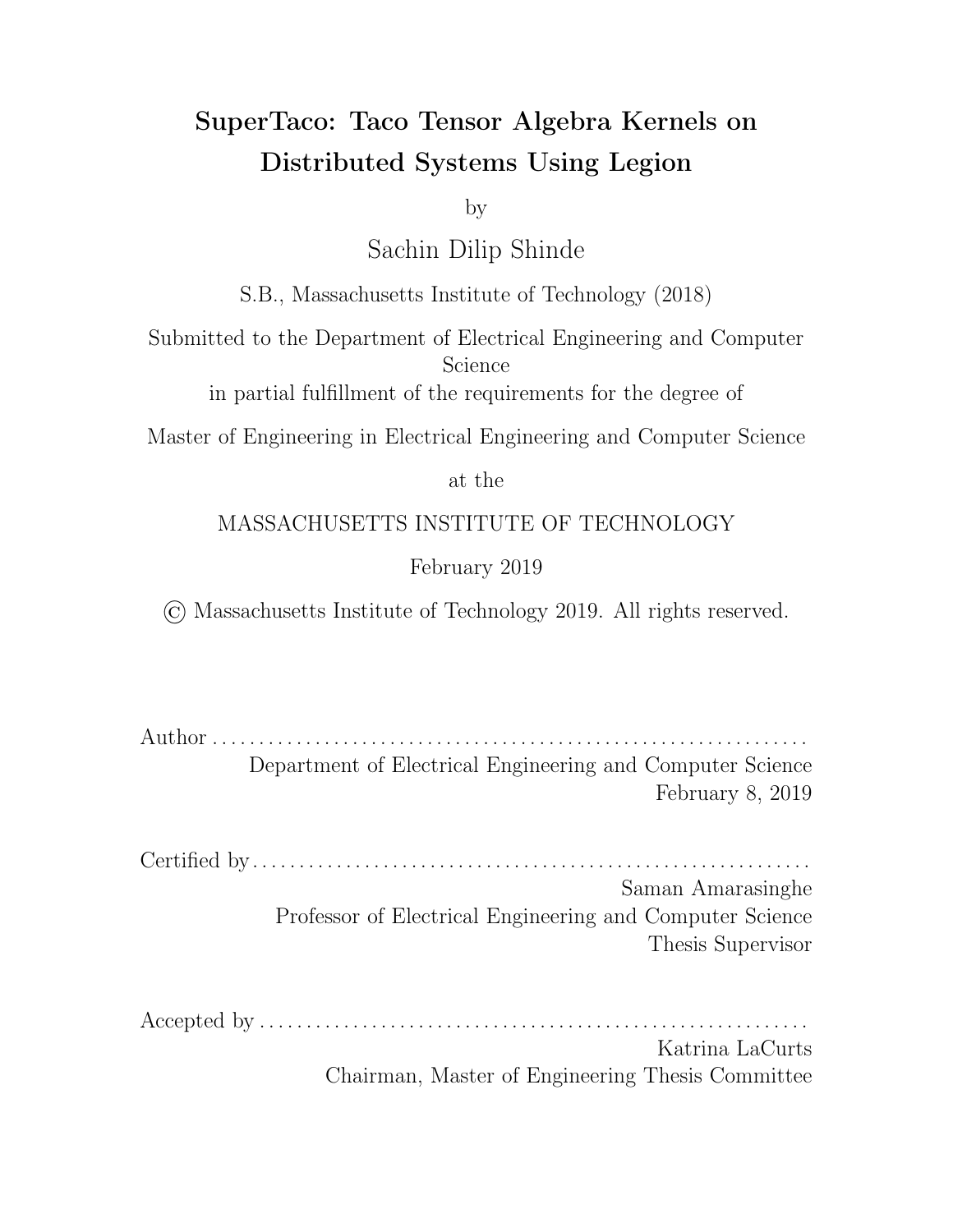before the child task runs. The child task must instead inline map the logical region (while passing a reference to the large ancestor logical region provided by the parent task to satisfy privilege checks). This may cause a delay since Legion will have to move the data while the child task is executing instead of before it executes. We hide some of this latency by initiating the inline map before executing the main kernel, so that the child task can do useful work while waiting for a physical instance of the old intermediate tensor block to become available to the processor.

To execute the summation to the old intermediate tensor block, we again call the Taco command-line tool, this time with the summation kernel

$$
\mathcal{S}_{i_0}\mathcal{S}_{i_1}\ldots\mathcal{S}_{i_{R-1}}\left((\bar{A}^{new})^{I_0I_1\ldots I_{R-1}}_{i_0i_1\ldots i_{R-1}} = (\bar{A}^{old})^{I_0I_1\ldots I_{R-1}}_{i_0i_1\ldots i_{R-1}} + \bar{A}^{I_0I_1\ldots I_{R-1}}_{i_0i_1\ldots i_{R-1}}\right)
$$

We then execute the resulting assemble() and compute() functions to calculate the new immediate tensor block. While marshalling the inputs to the two functions avoids large copies, marshalling the output of compute() into a logical region requires a copy of all the data arrays in the tensor block. The logical region itself, after being partitioned from a very large logical region provided by the parent task, must still be mapped inline for access. However, since this logical region was created on this node and has never been mapped before, the logical region is guaranteed empty and will inline map fast. After this computation is done, we also destroy the logical regions for the old intermediate tensor block and its ancestor so that Legion may garbage collect them.

One optimization we make to this kernel task is that we use a small sentinel value in the old intermediate tensor block future to indicate if there is no old intermediate tensor. This allows us to forgo initialization of the intermediate tensor block to the zero tensor, along with the addition of a tensor to the zero tensor. Instead, when the child kernel task sees the sentinel, it outputs the temporary tensor as the new intermediate tensor block and avoids the addition.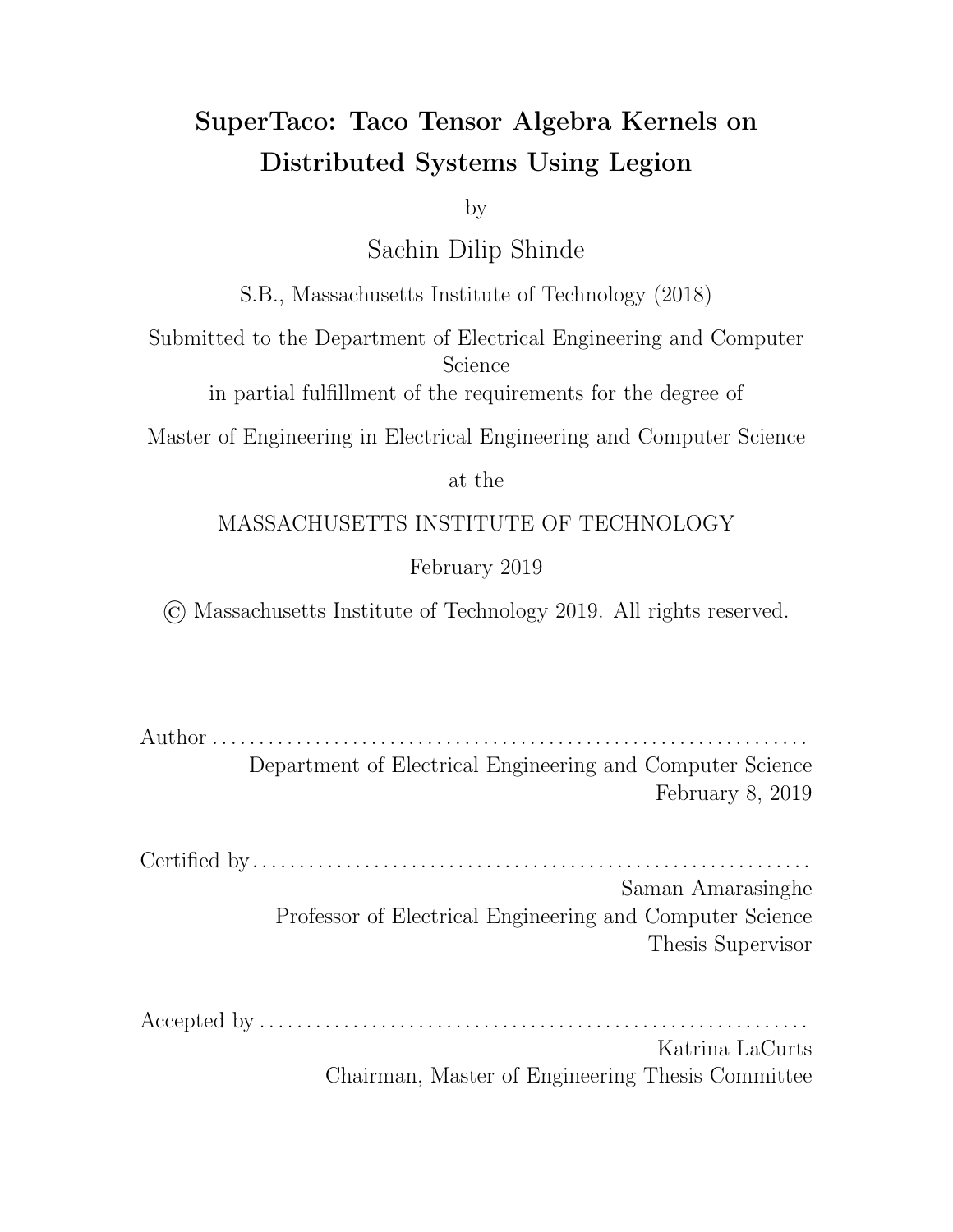### 4.5.4 Summation Task

The summation task in code generation just computes a pairwise addition between its input tensors, similar to the last half of the kernel task. The logical regions containing the first and second tensor blocks are extracted from their futures, and inline mapped (passing in the appropriate ancestor logical regions for privilege checks). The task must then wait for both logical regions to map to physical instances before proceeding. Unfortunately there is no way to hide the latency in this scenario, since unlike with the kernel task there is no kernel to execute.

Once the logical regions have mapped, the summation task code calls the same assemble() and compute() functions used during summation in the kernel task. Again, the input tensor marshalling into Taco's native tensor format is cheap and avoids large copies, but marshalling the output into a logical region is expensive due to having to copy the . tcs data arrays. The output logical region needs to be inline mapped after being partitioned o from the very large logical region provided by the parent task, but similar to the case with the kernel task, this should be fast since it's never been mapped before. Once the computation is complete, the summation task destroys the logical regions belonging to the input tensors (and their ancestors) so they can be garbage collected by Legion, and returns the output logical region to its parent in the form of a future.

## 4.5.5 Task Mapping

One of the considerations left out so far in our discussion is how tasks are mapped to processors for execution, and where the data in logical regions is stored and when it moves around. Having an understanding of this is necessary to minimize unneeded data movement and express di erent schemes for distributing computation

Tasks are mapped to processors using Legion mapper objects, which are userdefined objects that Legion can query during runtime to let the user make mapping decisions (see Section 2.4 for an overview). You can pass information about where a task should map in a Legion program through the task launch API, which lets you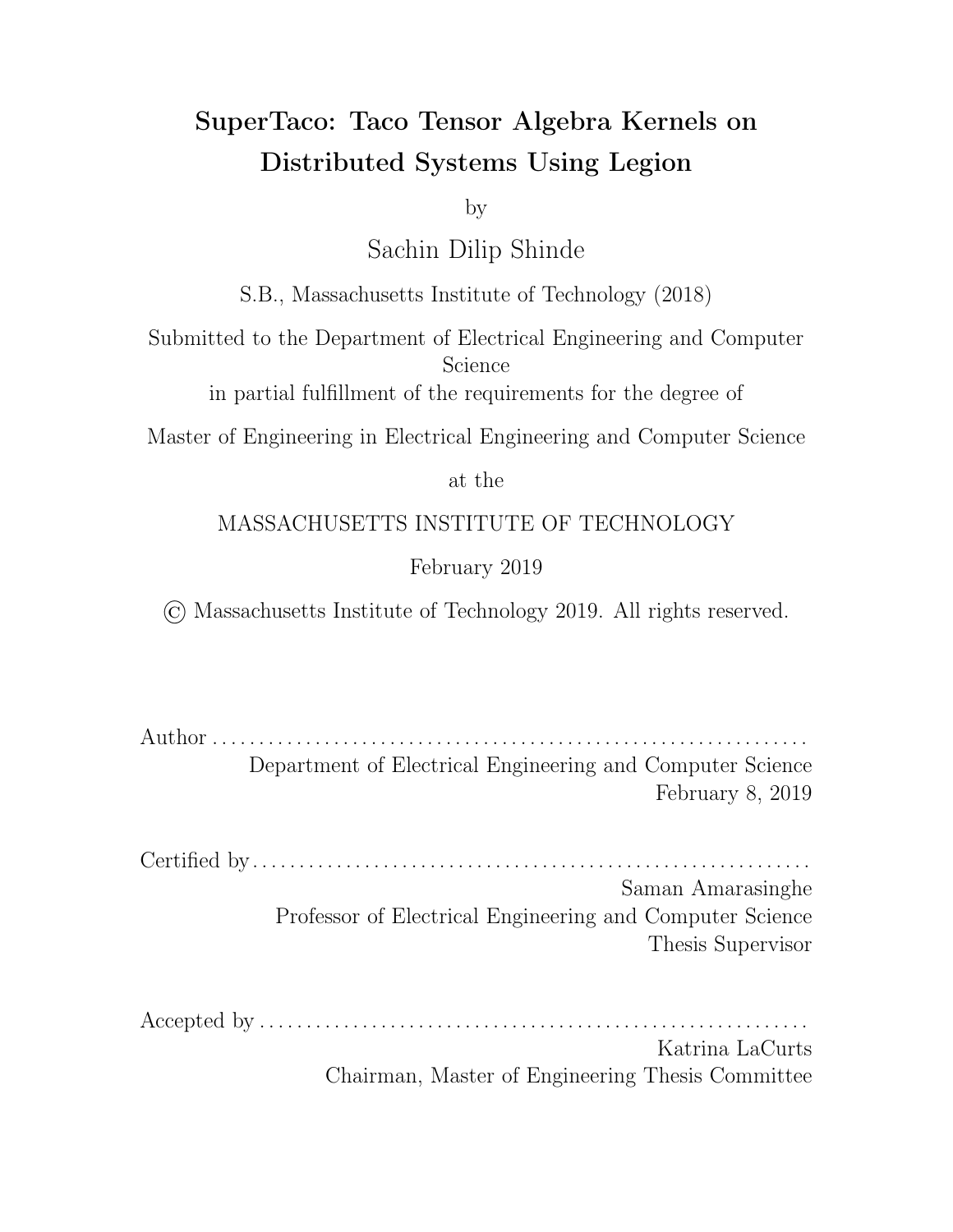tag the task with a mapper tag. When the runtime asks the mapper to map a task, it will pass the task's tag information along to the mapper. In this fashion, the Legion application can communicate with the mapper object about which processor the tag should map to.

Data movement in Legion, in contrast, is handled automatically. That is, if a Legion task runs on a processor that uses a logical region, Legion will automatically create a physical instance of that logical region on that node if it's not already on that node. That is, it will move the needed data by copying it from some other physical instance on another node. This means that to minimize data movement, tasks that use the same data should have a way of being mapped to the same node. SuperTaco implements a static mapper class that provides this functionality.

Before describing this mapper class, it's important to make a distinction between nodes and processors. It is often the case that a user doesn't need to map a task to a specific processor, but rather any processor on a node. For example, if a task is going to use a logical region and there's already a physical instance on some node, it doesn't matter which processor on that node that the task runs on. The physical instance won't need to be copied over the network provided the task is mapped to some processor on that node. For this reason, Legion provides a way to assign a task to a group of processors instead of a single processor. A task assigned to a group of processors will execute on whichever processor in the group becomes idle first, which e ectively provides a form of load balancing over those processors.

Using this functionality, the SuperTaco mapper can assign a task to a given node ID instead of a specific processor. The SuperTaco mapper class subclasses Legion's default mapper class while overriding two methods of the default mapper. The first is default\_policy\_select\_initial\_processor(), which the default mapper class uses in select\_task\_options() to determine which processor to send the task to for remote mapping. In this function, the SuperTaco mapper checks the tag of the task for a binary flag. If the flag is unset, the SuperTaco mapper will map the task like the default mapper would. However, if the flag is set, the SuperTaco mapper will extract a node ID from the rest of the tag, and take it modulo the number of nodes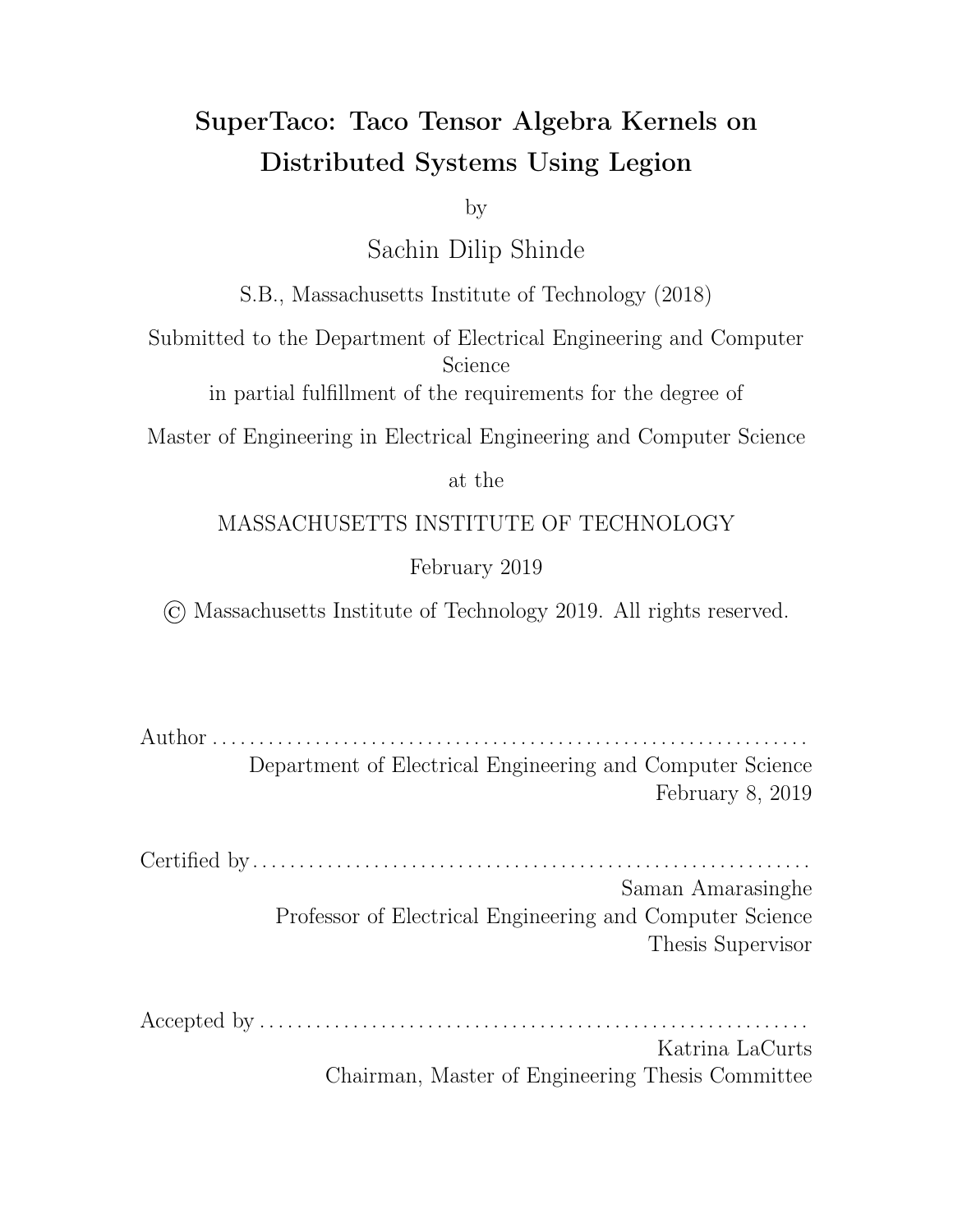to ensure it's a valid node ID. It will then give a processor on that node as the return value for default\_policy\_select\_initial\_processor(), which will cause the task to be remotely mapped at that node.

The second method of the default mapper class that the SuperTaco mapper overrides is default\_policy\_select\_target\_processors(), which the default mapper class uses in map\_task() to determine which processors a task can map to. Once again, the SuperTaco mapper checks the tag of the task for a binary flag, and if unset, maps the task like the default mapper. If the flag is set, the SuperTaco mapper will return a list of all local processors for default\_policy\_select\_target\_processors(), which will cause the task to be load-balanced over the processors on that node.

The SuperTaco mapper thus allows tasks to be targeted towards nodes and load balanced over their processors via the mapper tag in task launches. However, this does not decide what function should be used for the mapper tag for a given task. Since we desire tasks that use the same data to have the capacity to map to the same node, it makes sense here to use the same labels we use for data in the mapper tag function. In this context, the data is tensor blocks, and the labels are index variables. A natural choice is then to use the mapping key function  $\sigma$ () on some set of index variables as the mapper tag.

First consider how the tensor blocks are mapped. The node they reside on (at the start of computation) is the node they were assembled on, i.e. the node that the tensor block assembly task ran on. When this task is assembling a tensor block  $A^{I_0I_1...I_{R-1}}$ , the natural choice for the mapper tag for this task would be  $\sigma(T_0, I_1, \ldots, I_{R-1}, g)$ , since it would evenly distribute the tensor blocks across all nodes. We could potentially leave an index variable out, but then splitting along that index variable would be pointless since they would all end up on the same node regardless. For example, consider if a matrix  $B^{IJ}$  was had a mapper tag of  $\sigma(Tq)$  for tensor block assembly. All the blocks belonging to the same row would end up on the same node, which could have been accomplished by not splitting along  $J$  at all (and in that case,  $\sigma(Tg) = \sigma(T, Jg)$  since  $J = 0$  and  $P_i = 1$ ). Hence, in our generated Legion programs, the tensor block assembly task for  $A^{I_0I_1...I_R}$  uses a mapper tag function of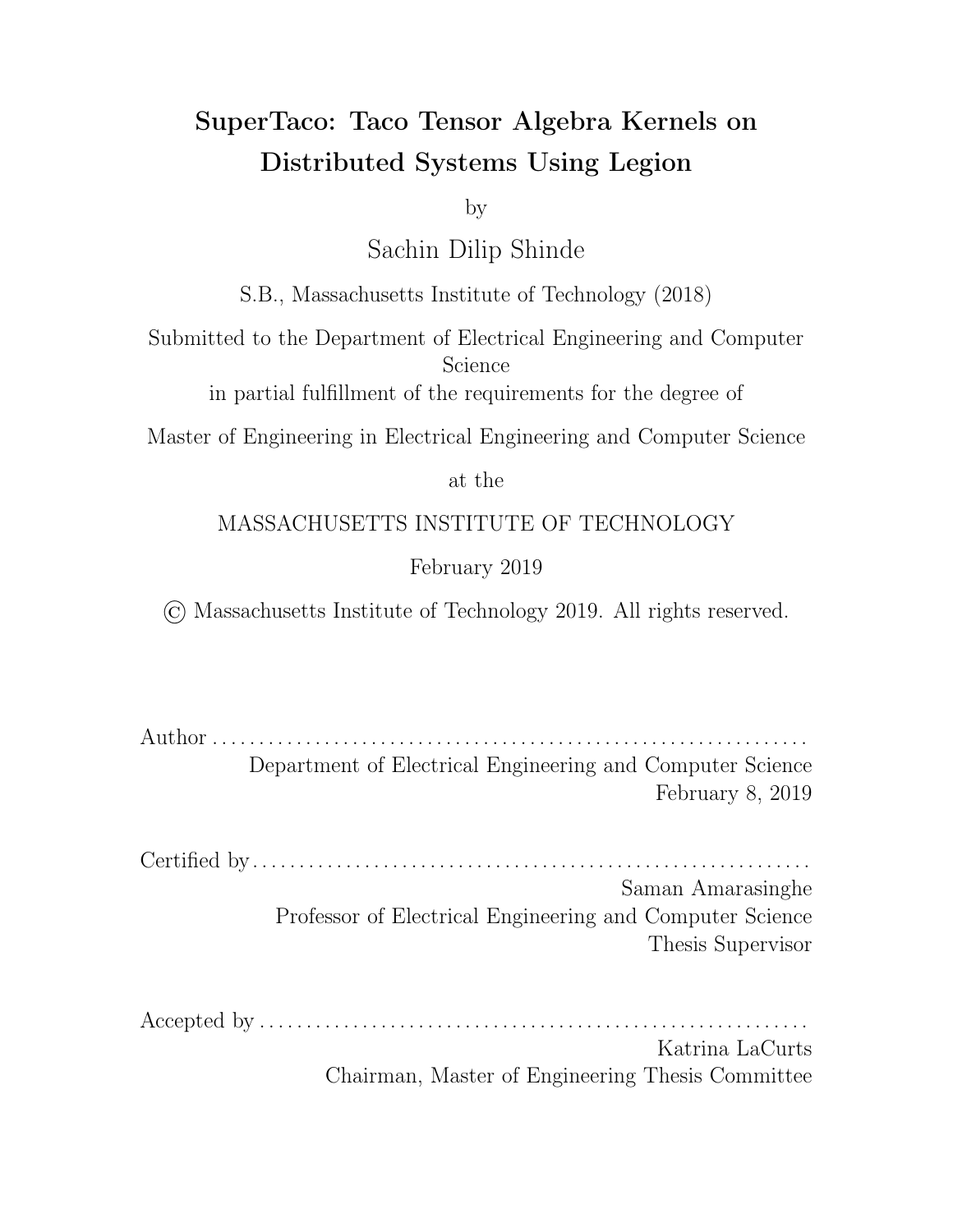$\sigma({\mathcal{F}} I_0, I_1, \ldots, I_{R-1}g).$ 

For the kernel task, the mapper tag is determined by the distribution schedule's mapping variables. That is, the kernel task's mapping tag is the mapping key function  $\sigma$ () applied to the set of the distribution schedule's mapping variables. This allows us to express a number of various task schedules. For example, the owner's compute rule, in which the node that stores an output block is responsible for performing the computations that sum into that block, can be expressed by making the mapping variables the same as the set of the output tensor's index variables. (This is the default behavior by SuperTaco if no mapping variables are given.) If we were computing SpMV  $a_i\,=\,\sum_j B_{ij}c_j$  and had split over both  $i$  and  $j$ , then to prevent the data movement of the matrix blocks, we could use the set of mapping variables  $\hat{r}$ ,  $j\hat{g}$ . In that case, the input vector block would be copied to each node.

For the summation task, the mapper tag is the same as the mapper tag for the kernel task  $(\sigma)$  applied to the set of the distribution schedule's mapping variables), with the exception that any non-parallel hoisted reduction variables  $J_m^{\ell}$  that appear in the mapping key function are set to  $P_{i_m}$  1 in that function. We use this because at the end of the kernel computation phase, the intermediate tensor block  $\bar{A}^{I_0I_1...I_R}$  1 JoJ<sub>1</sub>... J<sub>R</sub><sup>0</sup> 1 was last computed during a kernel task launch where the for loop variables  $(I_0, I_1, \ldots, I_{R-1}, J_0, J_1, \ldots, J_{R^{\rho}-1}, J_0^{\rho}, J_1^{\rho}, \ldots, J_{R^{\rho}-1}^{\rho})$  were set according to  $(I_0, I_1, \ldots, I_{R-1}, J_0, J_1, \ldots, J_{R^{\emptyset}-1}, P_{j_0^{\emptyset}}-1, P_{j_1^{\emptyset}-1}, \ldots, P_{j_{R^{\emptyset}-1}^{\emptyset}-1})$ . That is, the free variables and output-extension variables were as specified by the block variables in  $\bar{A}^{I_0I_1...I_R}$  <sup>1</sup>J<sub>0</sub>J<sub>1</sub>... J<sub>R</sub><sup>0</sup> <sup>1</sup>, but the remaining variables had exhausted their for loops and accordingly had  $J_m^{\emptyset}=P_{j_m}-1$ . This means the node that launched the task (and thus the node that currently stores the intermediate tensor block) is determined by the kernel task's mapper tag for that point. Recall that the first tensor in the summation has mapping key  $k_I + \lambda_I$   $k_J$ , meaning it corresponds to the intermediate tensor block  $\bar{A}^{I_0I_1...I_R}$   $^{1J_0J_1...J_R}$ , and that the summation output tensor is stored with the same key and ends up on the same node. This means that when the summation task launch executes, the second tensor is e ectively transferred to the node containing the first tensor and the summation of the two tensors stays at that node, taking the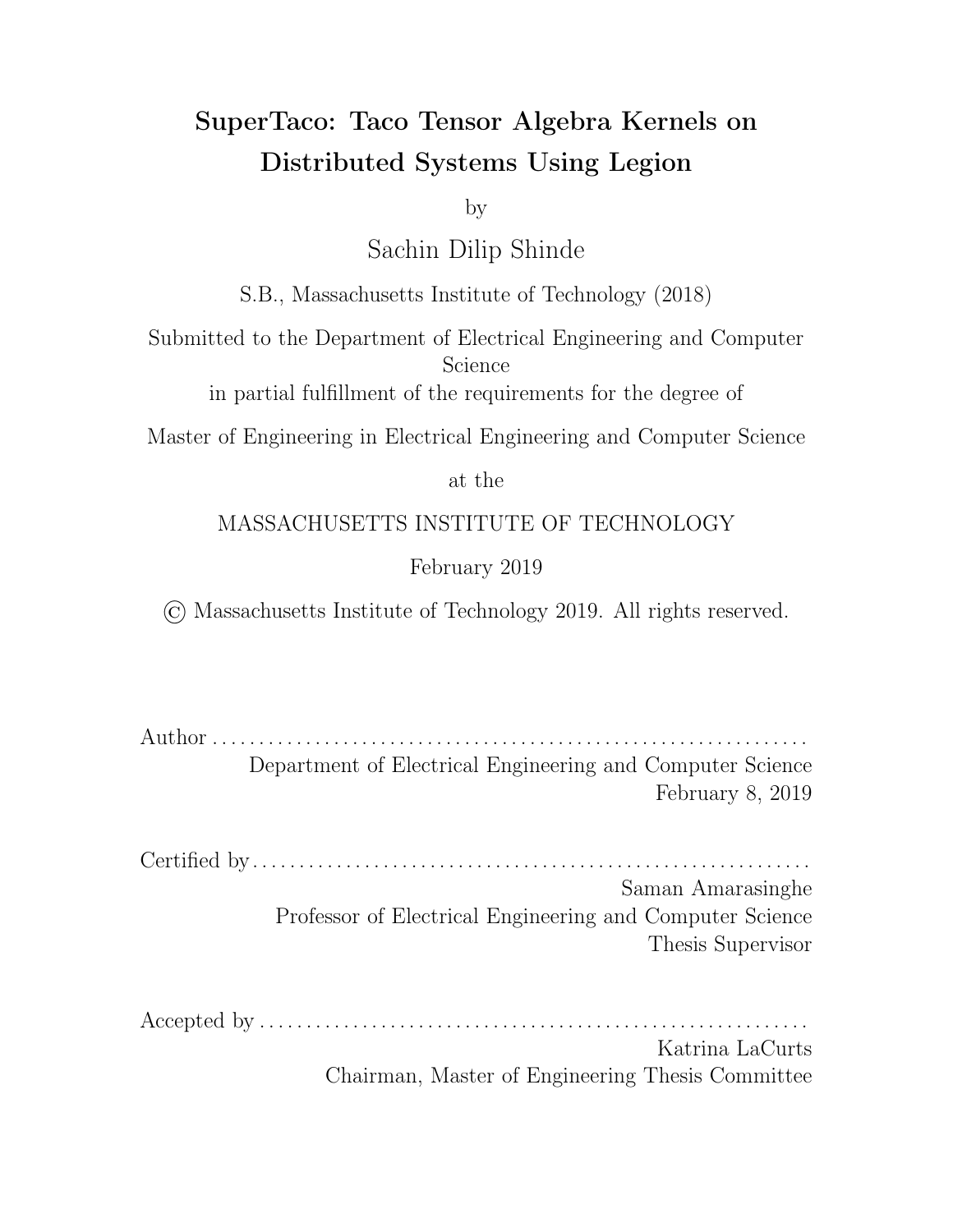place of the first tensor. Using this mapping technique, we can guarantee that each summation task only has to move one of its input tensors, which minimizes data movement.

With this, we have defined the mapper tag for each of the tasks relevant to the computation phase of tensor algebra distribution. For any remaining tasks, e.g. tasks during tensor loading or tensor storing, the tasks are distributed evenly across the nodes unless stated otherwise.

### 4.5.6 Tensor Block Eviction

One pitfall of Legion's approach to data is that physical instances will not be garbage collected unless either the logical region is destroyed, or the logical region is mapped to some node with read-write privileges, at which point all other physical instances become invalidated (or "evicted"). To understand how this becomes a problem, consider the SpMV example in the last section where we had split over both i and j. Suppose we used owner's compute for mapping, and knew that a node was big enough to hold a block  $B^{IJ}$ , but not an entire row  $B^I.$  Under owner's compute, a single node would be responsible for computing all parts of  $c^I$ , which means that over time, the node would eventually have loaded all the tensor blocks needed to compute  $c^I$ . That would include  $B^{IJ}$  for all J, which constitutes a row of J. Since none of those blocks would be garbage collected, this would result in an overflow of memory on the node.

To prevent this from happening, it is useful to think of all the kernel tasks that map to the same node by virtue of having the same mapping key; we call such kernel tasks a task group, and accordingly the task groups are labelled by the value of the kernel task's mapping key (equivalently, it could be labelled by the tuple of the distribution schedule's mapping variables that derived that mapping key). Tasks within a task group using di erent tensor blocks from the same tensor is what leads to multiple tensor blocks from the same tensor ending up on one node, which causes overflow.

A natural solution to this problem is to make sure that before a task in a task group loads a new tensor block from a tensor onto a node, that the old tensor block from that tensor is evicted from that node. However, recall that the only way to cause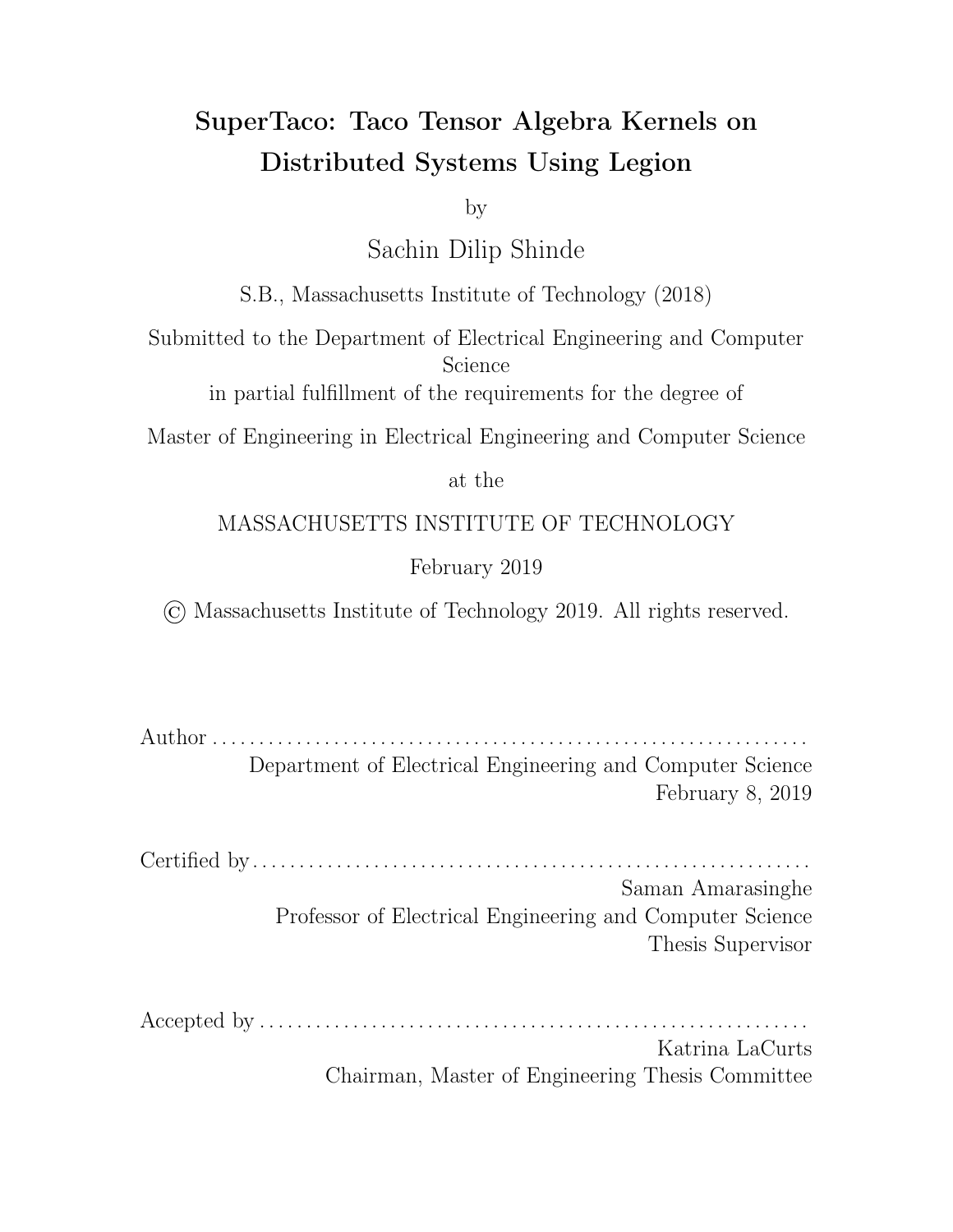eviction, which is to open a logical region with read-write privileges, causes eviction from all nodes (and thus all task groups). That is, there is no way to evict a tensor block from a single task group; tensor block eviction is an all-or-nothing process.

This means that task groups to some extent must stay synchronized about their evictions; if not, they could potentially disrupt another task group that was relying on a particular tensor block to stay on a node for a while for e cient computation of the tasks within the task group. To this end, we desire to perform evictions in the loop nest of the kernel computation step, since it o ers natural points of synchrony in each loop body.

As for where to evict a block tensor to, the solution that uses the least data movement is to have it stay on the node that constructed it. That is, when SuperTaco emits code to evict a tensor block, it will consist of a task launch with a region requirement with read-write privileges for the logical region containing the tensor block, and its mapper tag will be the same as the mapper tag for the tensor block assembly task (which from the previous section is the mapping key function  $\sigma()$ applied to the index variables of the tensor). In this fashion, if the tensor was never moving in the first place, then the tensor will continue to not move by evicting it to where it was constructed. Note that the body of the evict task is empty; the only purpose of the task is to invalidate physical instances, and it's done that by the time it executes so it can immediately return.

The next question is where in the loop nest to place evictions. To answer this, consider a tensor block  $A^{I_0I_1...I_R}$  1. Within a task group, certain block variables will stay "fixed", namely the block variables that are mapping variables. Only the nonmapping block variables of the tensor will change in the task group, and when any of them do, we need to evict the last tensor block accordingly. Inside the loop nest, this manifests when any of the non-mapping block variables increments in a loop header. However, we only need to evict in the deepest such loop, since that will in turn also evict for increments in the other non-mapping block variables. We also shouldn't evict in deeper loop nests, since that would cause unnecessary data movement through unnecessary eviction. Note that if all the block variables of the tensor are mapping,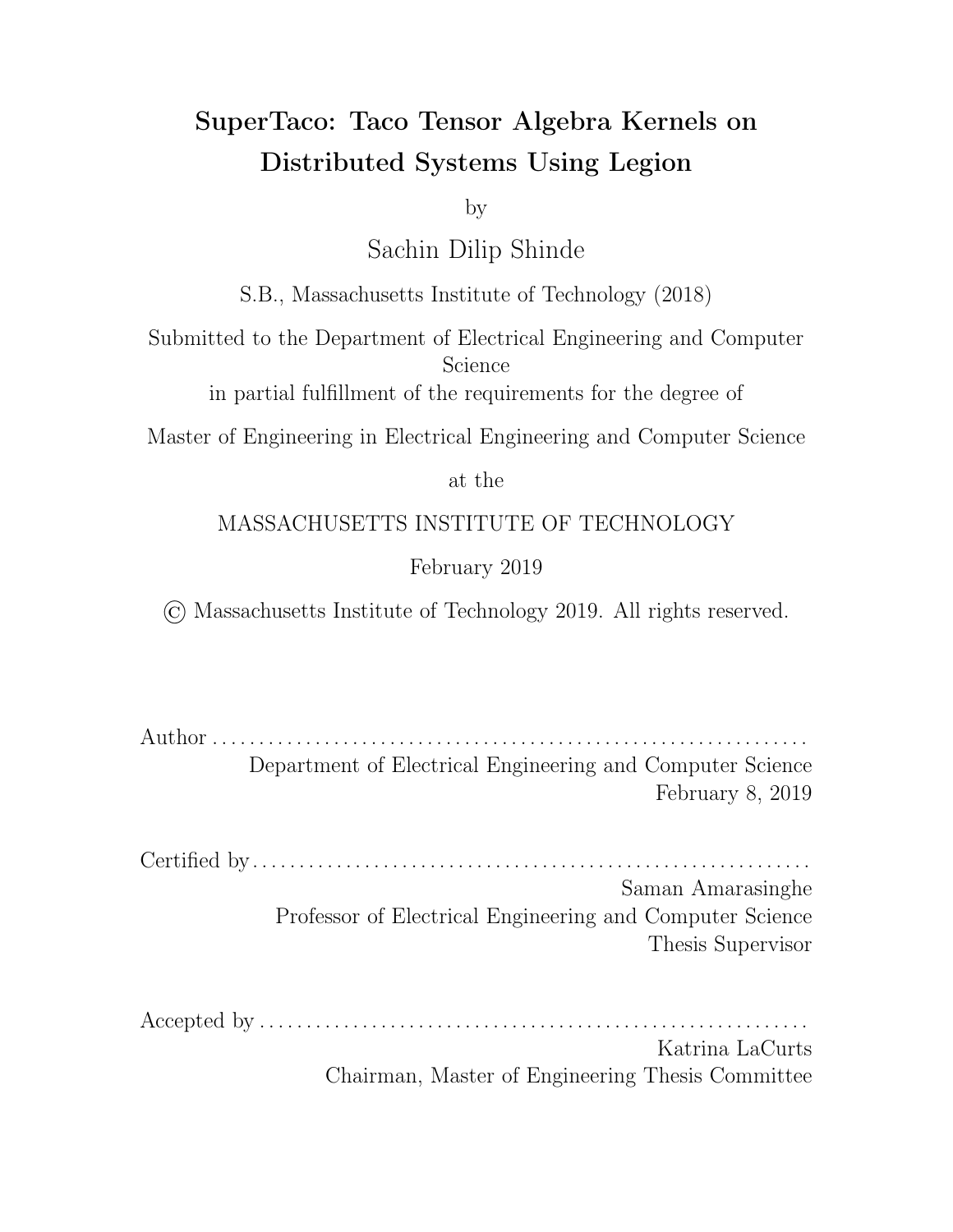then there is no need to evict it.

Thus, for each tensor  $A$ , SuperTaco decides where to place the tensor block eviction for  $A^{I_0I_1...I_R}$  in the loop nest by taking a list of the tensor block index variables and subtracting out the set of mapping variables, and if the resulting set is non-empty, then finding the deepest loop body with a loop variable in the set of such non-mapping tensor block variables. However, SuperTaco can't just place an eviction task launch at the bottom of this loop body. This is because the tensor block may depend on block index variables that haven't appeared yet in the loop nest. Conceptually, the later loops containing a block index variable that the tensor depends on means that more than just a single tensor block has been accessed since the last eviction (one for each tuple of such later variables), and accordingly more than just a single tensor block eviction is needed. Hence, SuperTaco instead emits a for loop nest at the bottom of this loop body, with a loop for each of the tensor's block index variables that occurs later in the loop nest. At the bottom of this loop nest, is when SuperTaco emits the eviction task launch, as described above.

The tensor block evictions have now been placed within the loop nest so that the old tensor blocks within each task group will be evicted once a new tensor block needs to be loaded, as determined by one of the non-mapping tensor block variables incrementing. However, while the non-mapping tensor block variables incrementing signals when the tensor block evictions should occur, it doesn't force the next series of kernel task launches that use the incremented values to happen after eviction is complete. That is, there's nothing making the next series of task launches dependent on the tensor block evictions, so new tensor blocks could be loaded into a task group's node before the old tensor block is evicted. (Note that this is not true for past task launches and evictions, since the read-write privilege of evict task launches means they will occur after past task launches that use the same tensor blocks.)

SuperTaco solves this problem by manually implementing the dependencies using futures; this requires modifying the evict task so that it returns a dummy value instead of doing nothing. Note a kernel task launch is only dependent on the last tensor block eviction corresponding to its task group, which means they have the same values for

67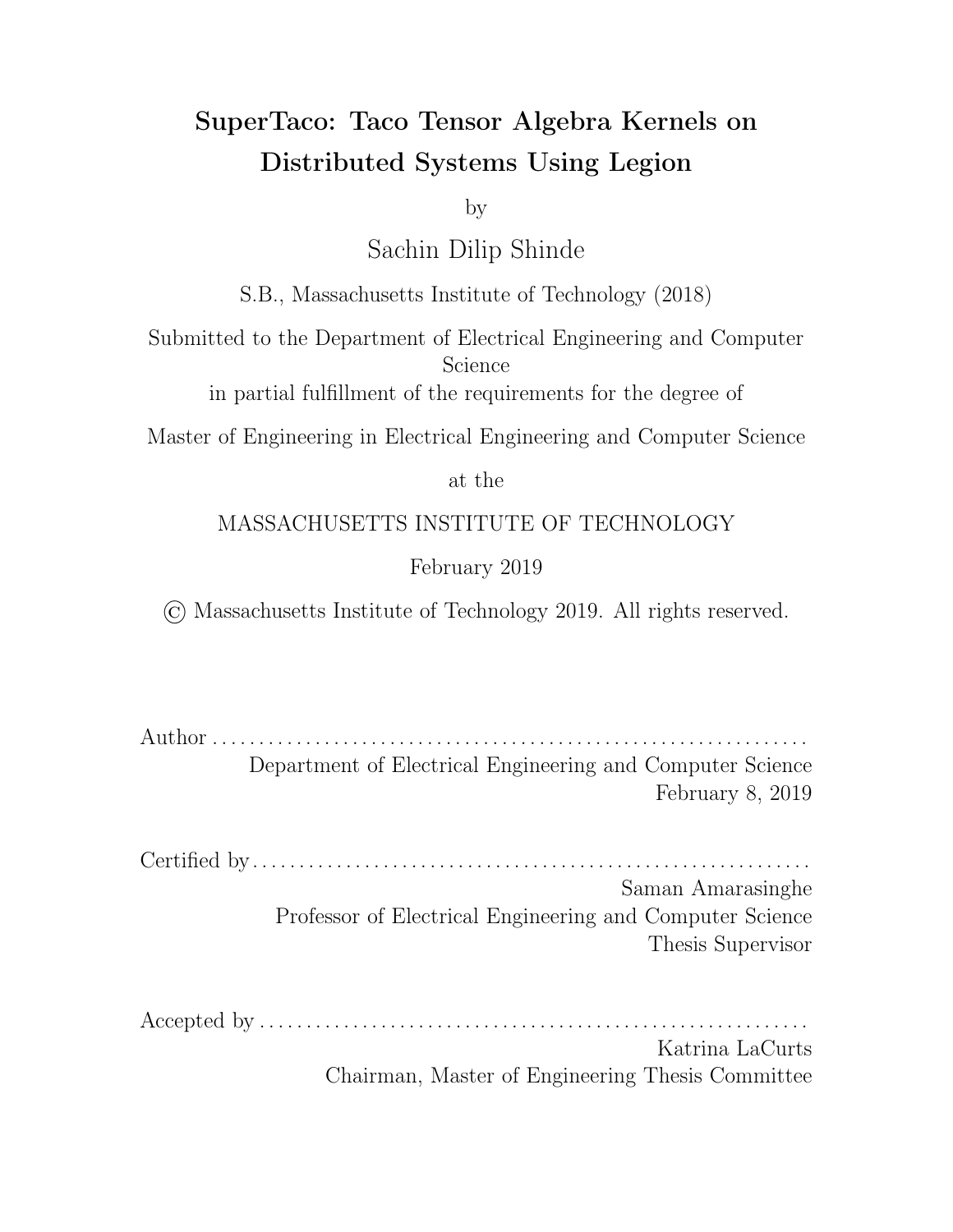the tensor block variables that are also mapping variables. Suppose for a tensor  $A_i$ , we call the set of its mapping tensor block variables  $f_1, \ldots, M_{T-1}, g;$  call its mapping key function  $\sigma({f_1}, {M_1}, \ldots, {M_{T-1}}) = \sigma_M$  and its mapping key size  $\lambda_M$ . Then SuperTaco generates code to create an array of futures evict\_fts with  $\lambda_M$ length right before the kernel computation loop nest, and to initialize all futures to ones that immediately resolve. When an evict task launch for tensor  $A$  is executed, the mapping key  $\sigma_M$  will be computed and the future returned from the evict task launch stored in evict\_fts using index  $\sigma_M$ . Additionally, in the kernel task launch loop body, SuperTaco adds code to compute  $\sigma_M$  and indexes into evict\_fts with it to get back the evict task launch future, adding it to the kernel task launch.

By augmenting the kernel computation loop nest with these evictions, SuperTaco ensures that the tasks within a task group can never load two dievent tensor blocks from the same tensor simultaneously, and thus bounds the memory consumed by a task group at the cost of a loss in parallelism. Note that if the number of task groups (equal to the mapping key size of the kernel task's mapping key) is many times larger than the number of nodes, then many task groups will alias to the same node, which in turn may cause an overflow even if each individual task group is limited to a single tensor block from each tensor. Thus, care must be taken when choosing the number of split ranges for mapping variables.

# 4.6 Distributed Tensor Storing

The third and last phase of a Legion program generated by SuperTaco is merging the tensor blocks together and storing the data to disk. Similar to tensor loading, a tensor may not be able to fit into a single node's memory, so this needs to be done in a distributed fashion. Most of the code that makes up this component is static, and the routines share similarities with the ones for distributed tensor loading.

During the first step (Section 4.6.1), each of the block tensors is split into tensor block pieces via load balancing. Unlike tensor loading, actual tensor size is not used to determine where to split the tensor block into pieces. Instead, the top-level task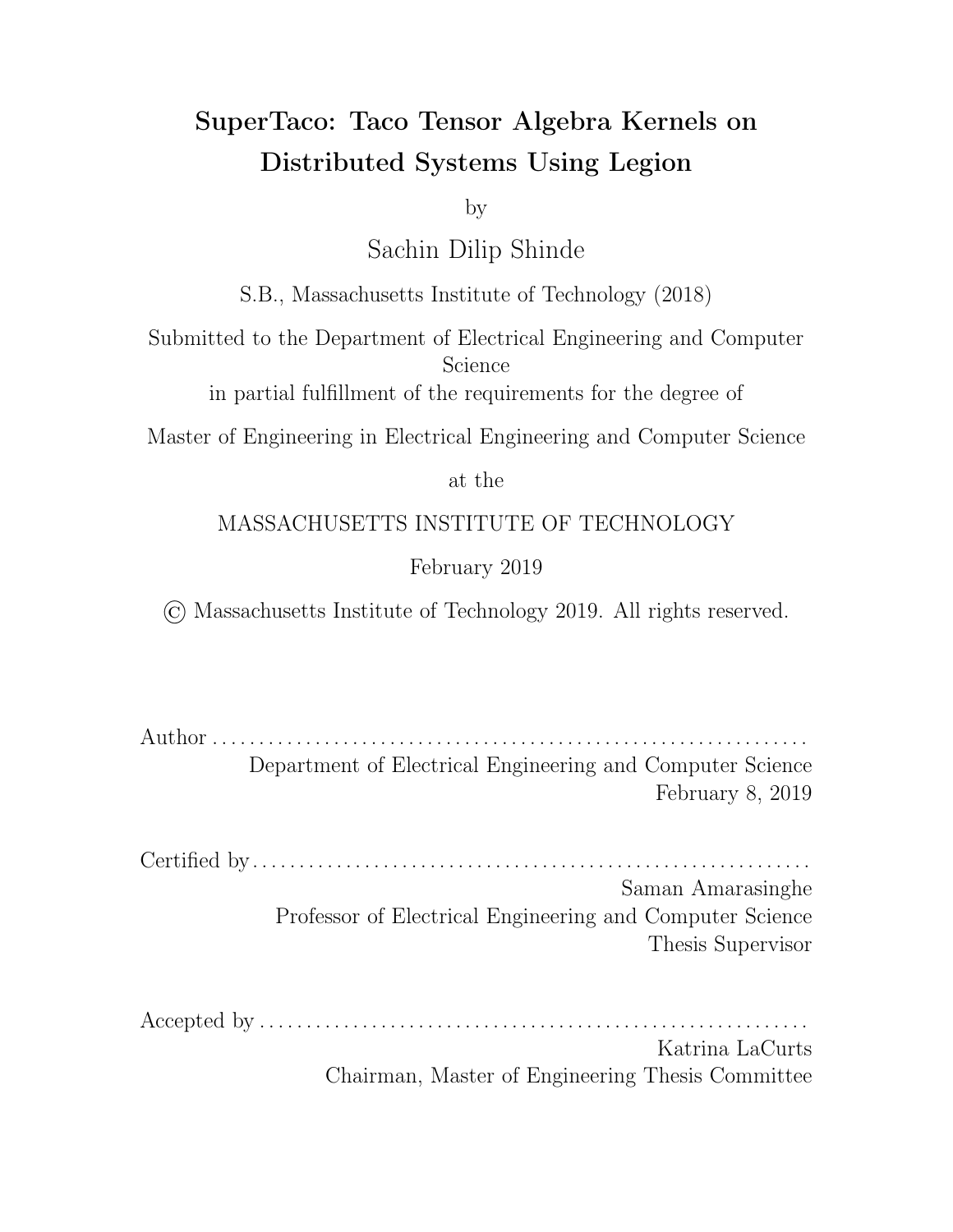partitions the space of index coordinates into equally sized pieces (*coordinate space* pieces), with the number of pieces equal to the number of processors; this gives a set of coordinates that would divide the the entire output tensor into roughly equally sized pieces provided the output tensor is not significantly skewed. The parent task creates a task for every output block, and each task iterates through its output block, finding the position vectors that yield index values close to the desired coordinates (but not going over). In this fashion, each output tensor block is split into tensor block pieces.

For the second step (Section 4.6.2), each processor is assigned a coordinate space piece, and gathers all the tensor block pieces that are within that same piece of space. Each tensor block piece comes with the o sets of each of its data arrays within the original data arrays to allow iteration. Each processor constructs a tournament tree, with each of the leaves being pointers to a tensor block piece and its iteration state. This allows for a multi-way merge between the tensor block pieces, which can create a piece of the output tensor. However, this process requires two parts.

The first part (Section 4.6.3) consists of each processor iterating through the entries of its output tensor piece via the tournament tree and gathering partial header information for the tensor. Similar to 4.4.2, the partial header information is sent back to the parent task, allowing it to assemble the full. tcs header for the output tensor. The parent task then creates the file on disk, and writes the header to it.

During the second part (Section 4.6.4), the parent task computes certain state information the processors need to make a second pass, in which it assembles the tensor pieces. The parent sends that state to the each processor, and the processors make their second pass to assemble the tensor pieces. For the final step (Section 4.6.5), each processor then must sequentially writeout its data arrays to disk.

#### 4.6.1 Load Balancing

Unlike tensor loading, we cannot split the tensor blocks based on their size. Instead, tensor blocks must be split on their coordinate value, i.e. the values of their indices. The parent task determines the space of coordinates as a Cartesian grid, with each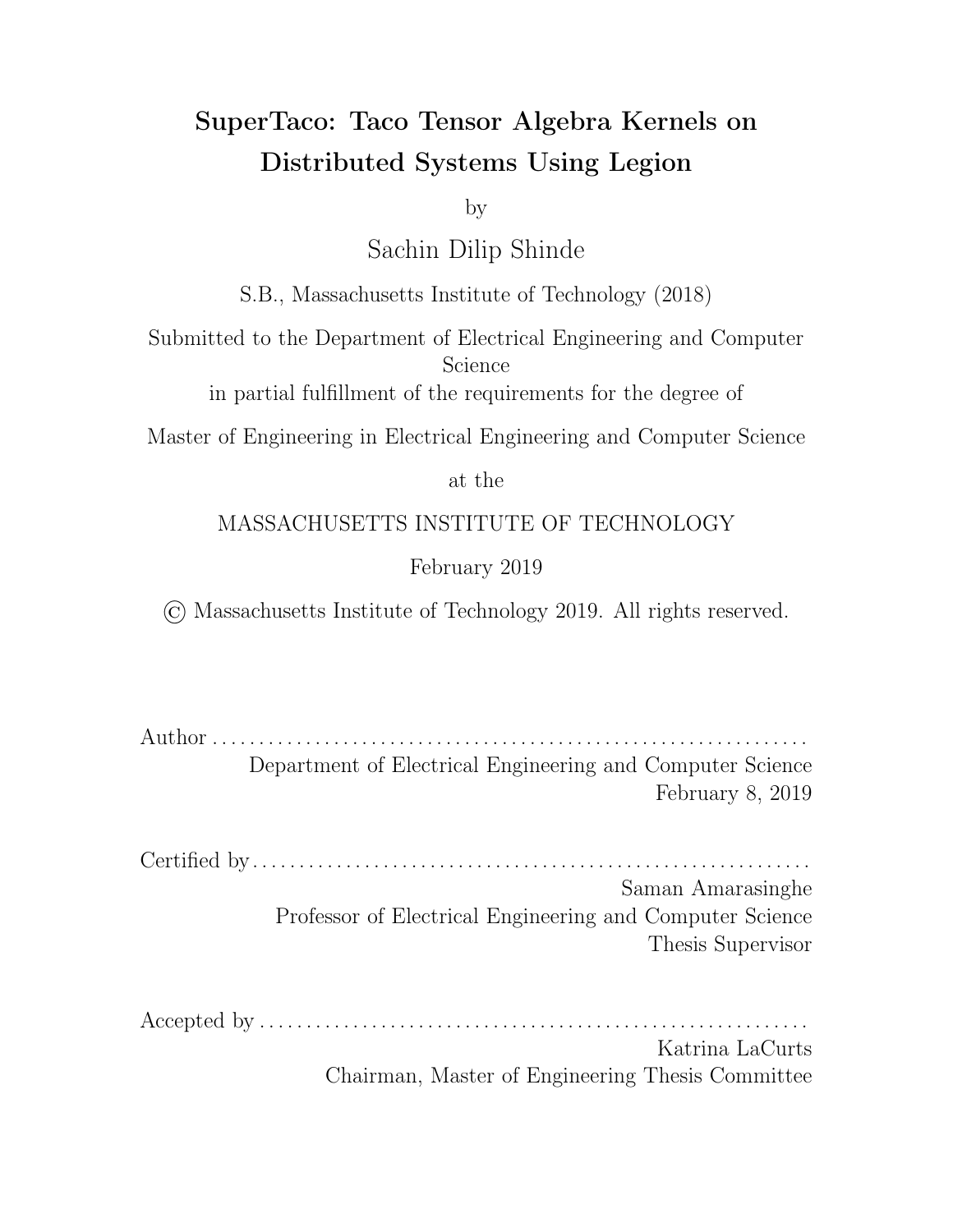index variable bound by a minimum and maximum. We could potentially determine these minima and maxima from the split ranges, but this could be inaccurate since they're user-defined. Instead, during the first-pass of streaming through input tensors in Section 4.4.2, recall that each processor additionally collects minima and maxima information to send to its parent task. The parent task here is augmented to compute a global minima/maxima for the whole tensor, which gives minima/maxima on the corresponding index variables. Pooling then gives a minima and maxima per index variable.

For an index variable i, let the minimum and maximum values found be  $i_{min}$ and  $i_{max}$ , so that the index size is  $Z_i = i_{k,max}$   $i_{k,min} + 1$ . For an output tensor  $A_{i_0i_1...i_{R-1}}$ , the parent task computes the size of the space of index coordinates as  $Z = Z_0 \, Z_1 \, \ldots \, Z_{R-1}$ . Next, the parent task computes the coordinates that give size o sets close to  $Z/N$ ,  $2Z/N$ , ...,  $(N-1)Z/N$ , where the size o set of a coordinate  $(i_0, i_1, \ldots, i_{R-1})$  is  $(i_{R-1} \quad i_{R-1,min}) + Z_{i_{R-1}}$   $((i_{R-2} \quad i_{R-2,min}) + Z_{i_{R-2}} \ldots ((i_1 \quad i_{1,min}) +$  $Z_{i_1}$   $((i_0 \quad i_{0,min}))) \ldots$ ). Note that this last function is the mapping key function, but with  $P_i$  replaced by  $Z_i$  and  $I_k$  replaced by  $i_k$   $i_{k,min}$ . Accordingly, computing the inverse to find the coordinates is the same as computing  $\sigma^{-1}$  as described in 4.5.2.

With this, the parent task has computed coordinates that span the range from  $(i_{0,min}, i_{1,min}, \ldots, i_{R-1,min})$  to  $(i_{0,max}, i_{1,max}, \ldots, i_{R-1,max})$ , and are equidistant in coordinate space (i.e. if you sorted the list of integer points in the Cartesian grid between the min and max points, the coordinates would be equally spaced in the list). The parent task now launches a task for every output block (using the output block's mapping key), passing the set of coordinates to each task via logical region. Each child task then iterates through its output block as described in 4.4.2, and determines the position vectors that give index values closest to the given coordinates (without going over). These position vectors thus conceptually break each tensor block into tensor block pieces.

To actually break the tensor block into tensor block pieces, each child task then creates a logical region for every coordinate space piece, and then for each tensor block piece, copies over the full header and the appropriate sections of the data arrays into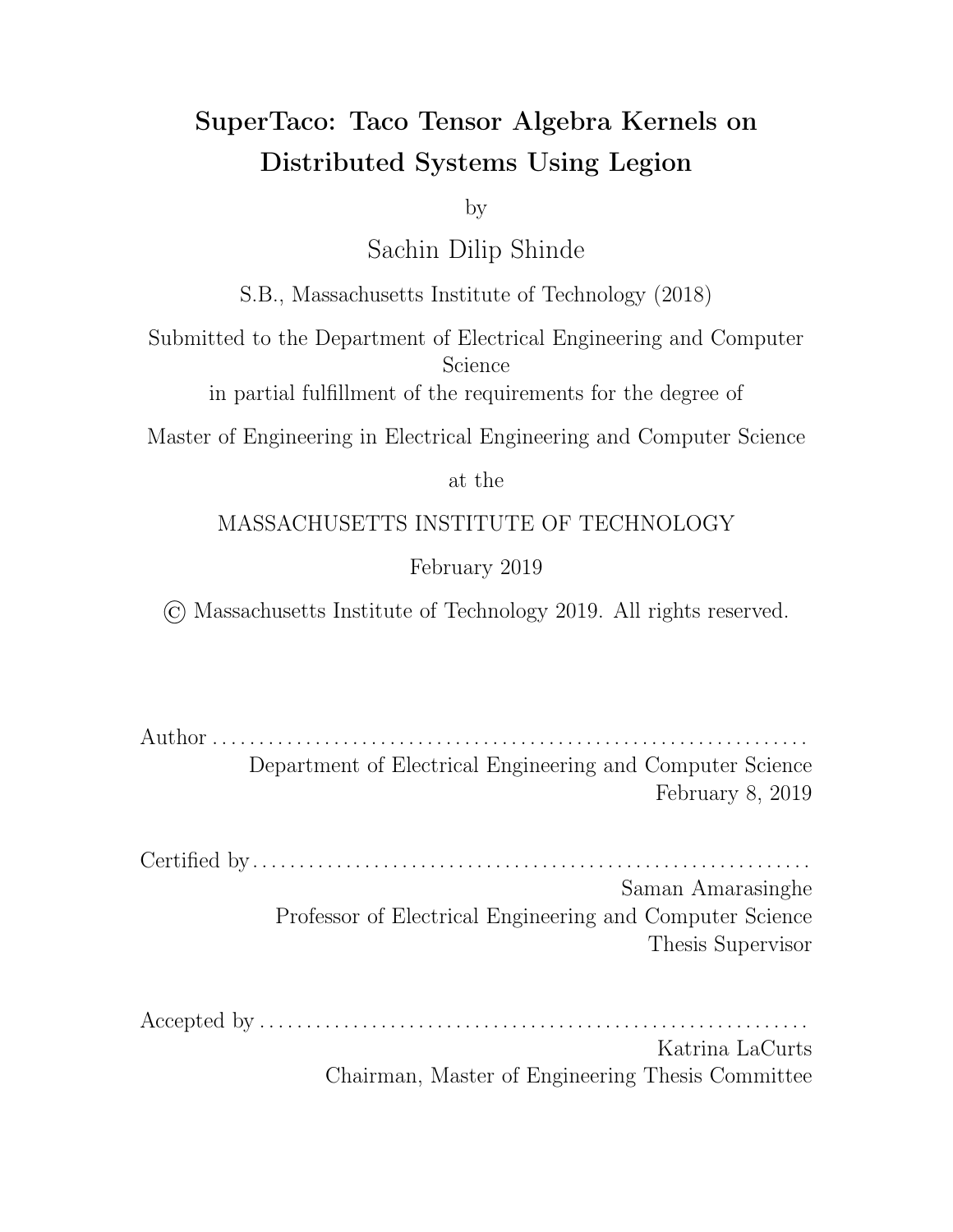the corresponding logical region. (The position vectors are used here to determine the size of the data array sections.) The o sets of each of the sections of the data arrays in their original data arrays is stored as a vector, and packed into the header to allow for iteration. The headers here are updated to point at the new byte o sets within the logical regions. The child tasks destroy their original tensor block logical regions so they can be garbage collected, and each child task then returns the logical regions corresponding to the tensor block pieces by placing them in a containing logical region, which was passed to the child task by the parent. After the parent task launches all the child tasks, it then maps the containing logical regions inline and waits for them to become available. This gives the parent task the logical regions for all the tensor block pieces.

### 4.6.2 Tournament Tree

Now that each tensor block has been split into pieces by position vectors, each processor will create a tournament tree and pull in the appropriate tensor block pieces to create an iterator for a multi-way merge. In the Legion program, the parent task launches a tournament tree task for each coordinate space piece, and for each task launch adds to it the logical regions for all tensor block pieces that correspond to the same coordinate space piece.

When the child task executes, it creates a tournament tree within a logical region, where there are enough leaves for each of the tensor block pieces; the remaining leaves are negative infinity sentinels. This tournament tree can perform a k-way merge on the tensor block pieces by keeping in each leaf a position vector (and index vector) that points into the appropriate tensor block piece. In this sense, the tournament tree can be treated like an iterator; when a value is consumed, the branch corresponding to the value is emptied, the leaf node of the branch has its tensor block piece make one step forward in iteration to the next position vector, and then the branch is updated with the new index values from that new position. When a tensor block piece is exhausted, its leaf becomes negative infinity. When all leaves are exhausted, the root node will become negative infinity, signalling the iterator is exhausted. Resetting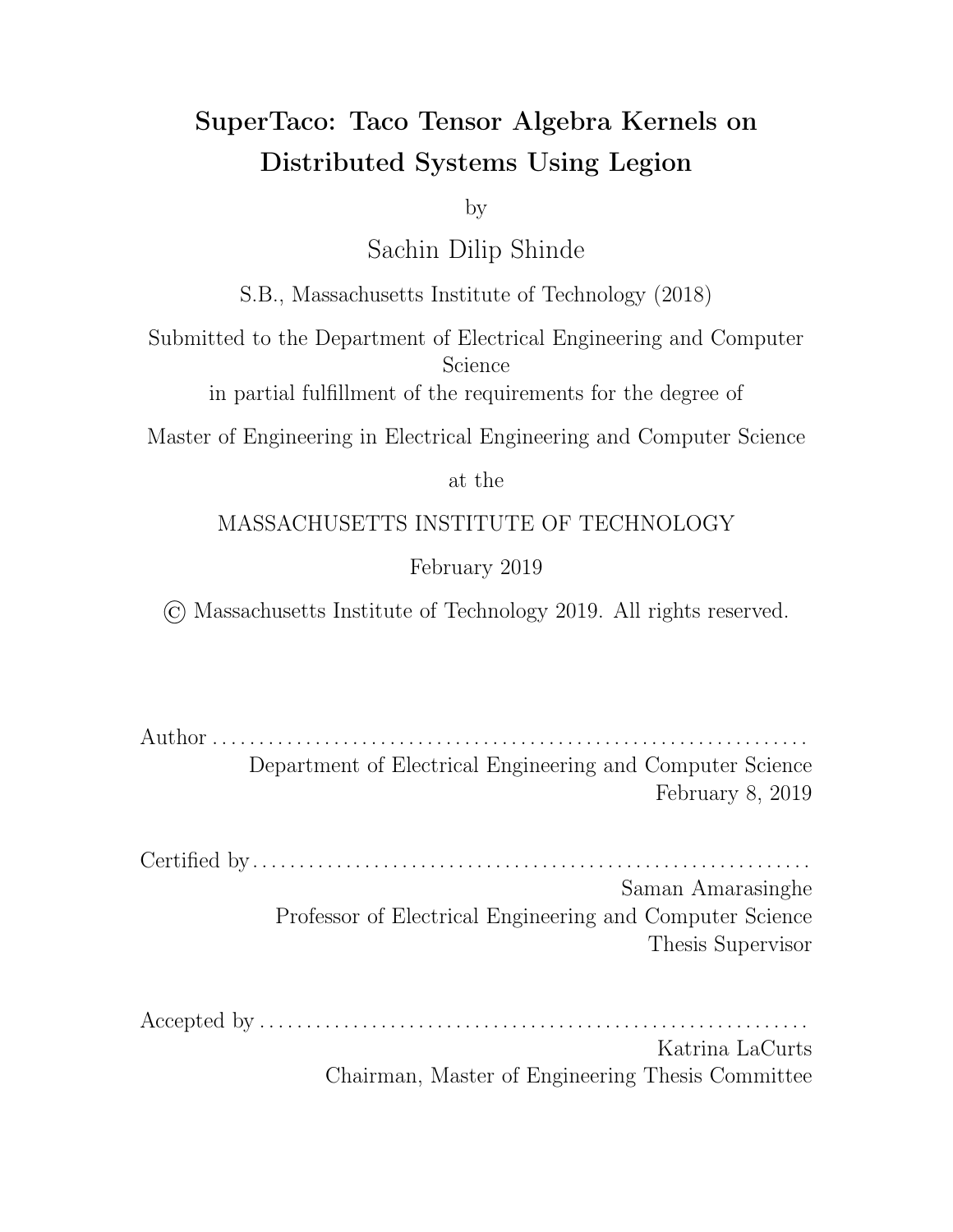just involves resetting the position vectors of all the tensor block pieces, fetching the index values, and updating the tournament tree. Using this schema, the tournament tree is an iterator over the merged tensor block pieces. Note that since this merge is over all tensor blocks, then the result must be the piece of the tensor that lies in the coordinate space piece. The tournament tree is then an iterator over that tensor piece.

Also note that all the components of this tournament tree iterator (the tournament tree itself, each of the tensor block pieces) are logical regions. This means that they can be returned to the parent task via being packaged in a containing logical region, and as long as the parent launches the next task that needs that iterator on the same node (which can be accomplished via the mapper tag), there will be no movement of that data over a network. The child task thus returns the logical regions of the components that make up the tournament iterator to the parent task.

#### 4.6.3 Tensor Header Assembly

The tournament tree from the previous section gave us an iterator over the tensor piece spanned by each coordinate space piece. For the next step, each processor gathers partial header information about the tensor piece it has, similar to how tensor block pieces were processed in Section 4.4.2. That is, we iterate through the entries of the tensor piece and gather information similar to the first-pass of . tns to . tcs conversion; we keep vectors that store the level size, minimum and maximum values, and additionally copies of the first and last lines encountered to account for edge e ects when the information is merged together with that of other processors.

In the Legion program, this is parallelized similar to the last section. The parent task launches a tensor header assembly task for every tensor piece/coordinate space piece, passing along the tournament tree iterator logical regions, and the parent task receives from each processor the header information they gathered while iterating through the tournament tree (via logical regions). The parent then reconstructs the .tcs header for the output tensor based on the partial header information it received from each processor. (Again, this is primarily pooling minima/maxima, summing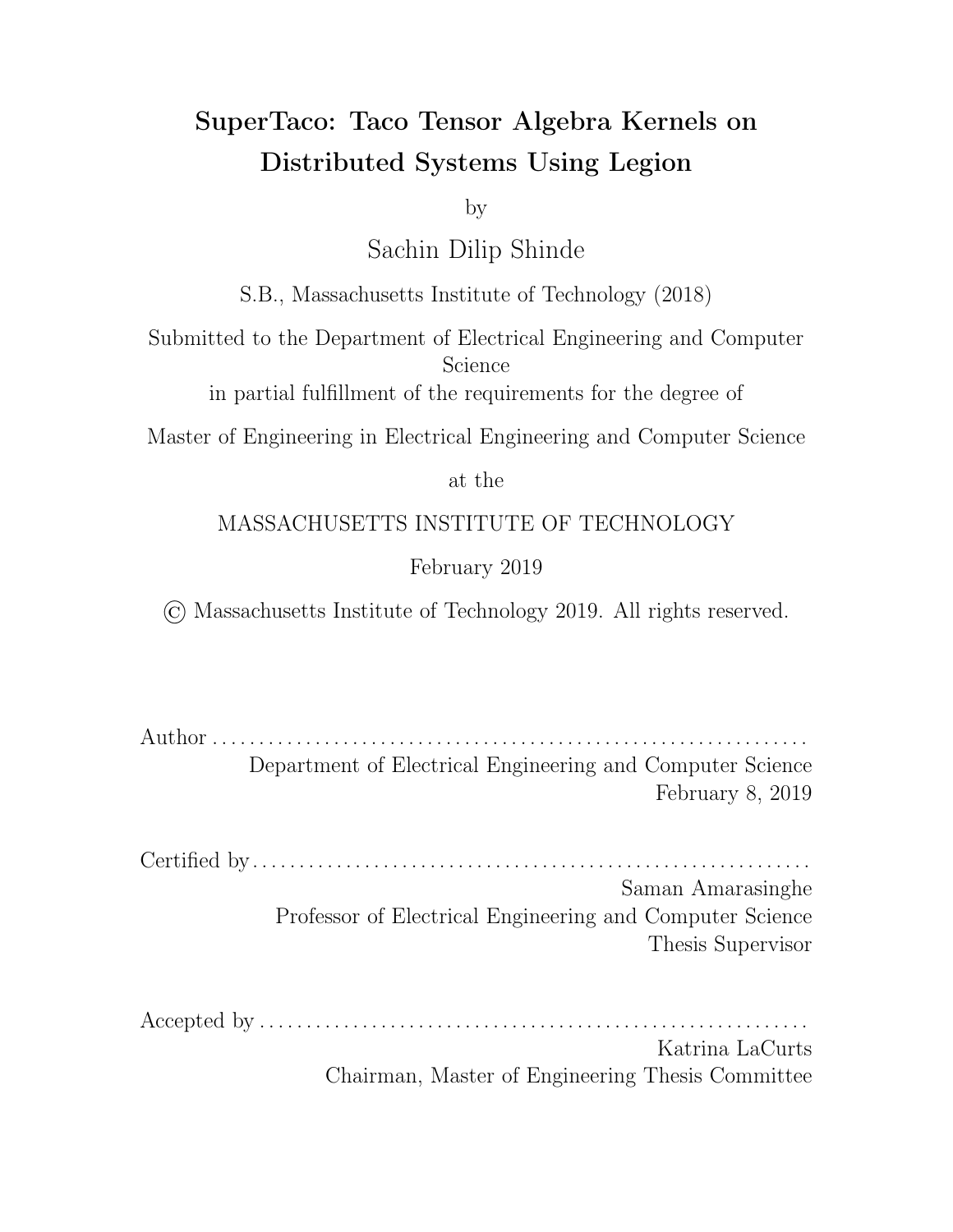level size vectors, and accounting for edge e ects.) The parent task then opens the file corresponding to the output tensor, and writes out its header to the file before closing it.

#### 4.6.4 Tensor Piece Assembly

Now that the output tensor's . tcs header has been computed, the next step is for each processor to make a second-pass through its tensor piece and assemble the piece itself, similar to how tensor block pieces were processed in Section 4.4.3. Once again we iterate through the tournament tree, and the callback resembles the second-pass of .tcs conversion to form the tensor pieces.

Recall from Section 4.4.3 that the second-pass of . tcs conversion can't be as easily parallelized due to the level counters being wrong for a processor that only passes through a tensor piece instead of the whole tensor. We use the same solution from that section, i.e. the parent task computes partial sums over the level size counters it collected from each processor (and accounts for edge e ects), and the parent additionally provides information to each processor about the sizes of the data arrays in that processor's tensor piece.

This allows the parallelization of the conversion's second-pass, and generates tensor pieces on each processor. In the Legion program, parallelization is similar to the previous section, but this time the parent task doesn't access the output of the task, i.e. the tensor pieces. The parent task does, however, have references to the logical regions holding that data, so it may pass those logical regions to other tasks. Also note that since the tournament tree iterators are no longer needed after the tensor pieces are assembled, the logical regions making up the tournament tree iterator are destroyed.

### 4.6.5 Tensor Writeout

The final step of tensor storing is writing the tensor pieces back to disk. This requires each processor to write its tensor piece to disk in-order, since the pos, idx, and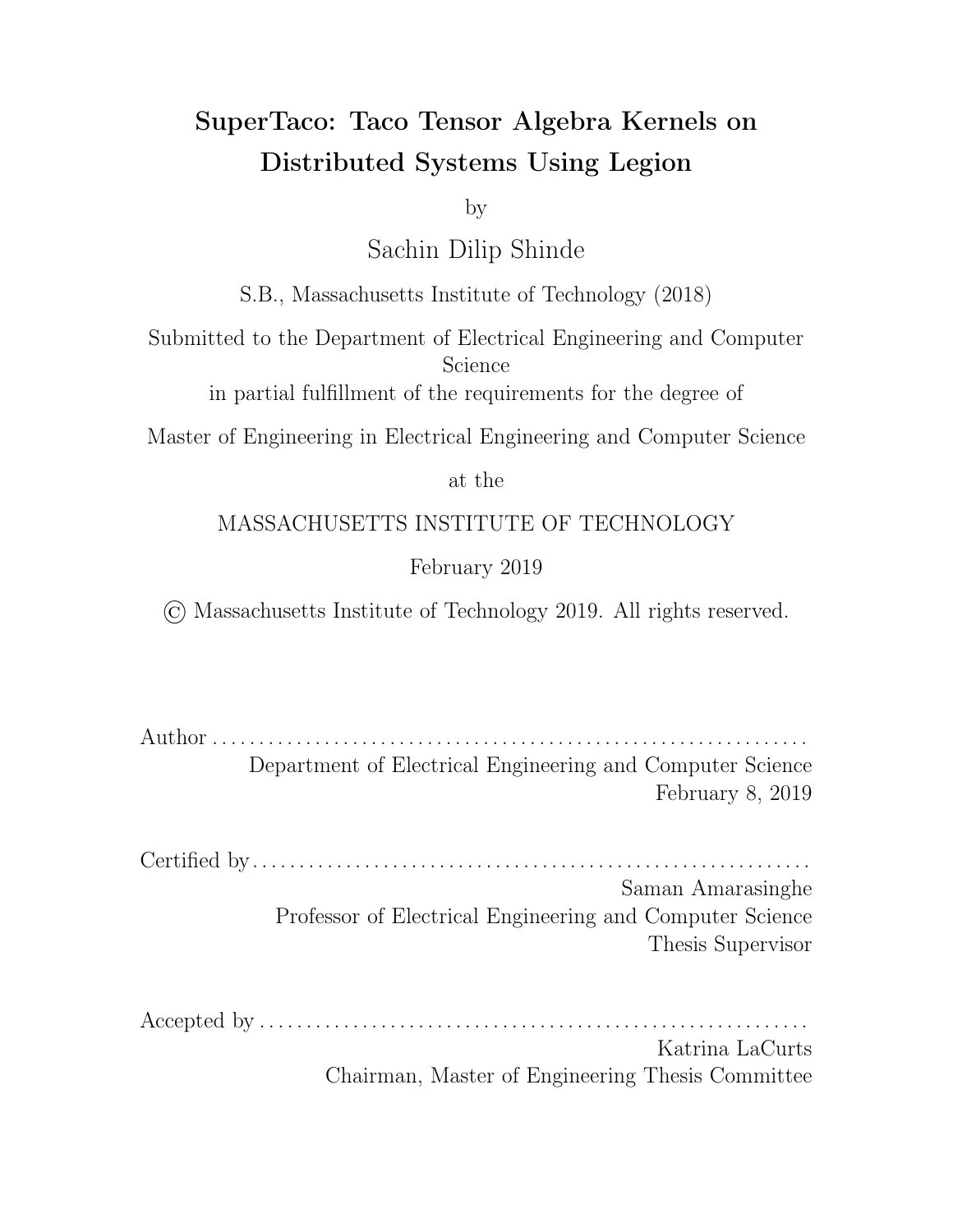val arrays within the tensor pieces can be concatenated to form the data section of the tensor. This cannot be done in parallel since the NFS filesystem does not allow processors on di erent nodes to write to the same file at the same time. Note that the generated code uses the same mapping key for this writeout task as the previous task, otherwise the entire tensor piece would move between nodes.

In the Legion program, a child task is launched per tensor piece with its corresponding tensor piece logical region, but the child tasks are sequential and in-order. The first child task holds the first tensor piece in its memory and writes out the first tensor piece to file, returning a future to the parent task with the disk o sets into each of the data arrays when its tensor piece ended. The parent task sends these o sets (via task argument) to the next child task to execute, which is responsible for writing out the second tensor piece starting at the data array o sets given by the first tensor piece. By repeating this process, the child tasks sequentially write their tensor pieces to file.

Thus, through these steps, we are able to store the tensor to disk in a distributed fashion. Note that our guarantees are not as strong here about load balancing compared to tensor loading, since we divide tensors based on coordinates instead of their actual size and accordingly any skew in the data density will cause imbalance. However, provided the output of the tensor operation is su ciently random, this method of load balancing will be adequate.

74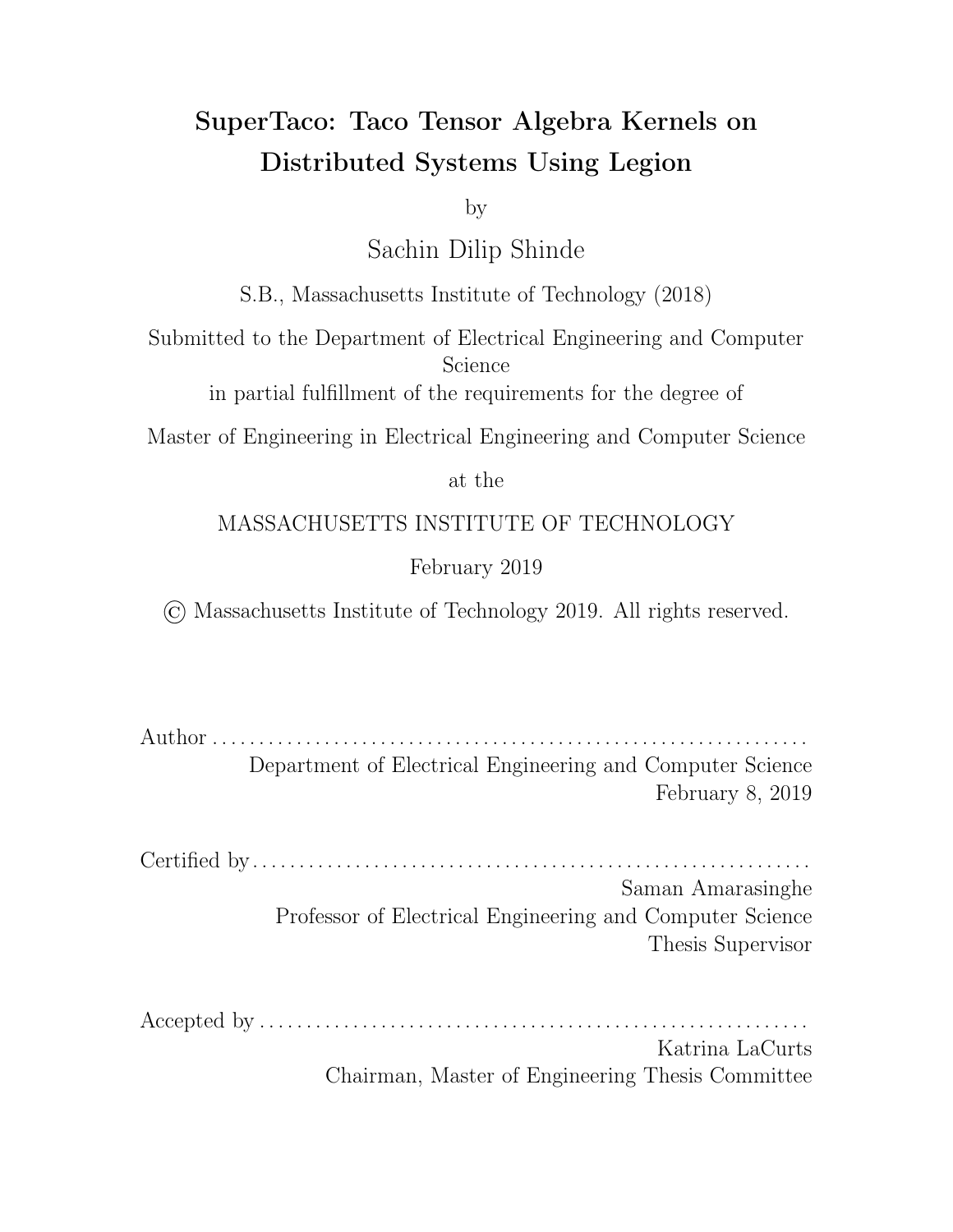# Chapter 5

## Evaluation

### 5.1 Experimental Methodology

To evaluate the performance of SuperTaco, we analyze the scalability of our generated programs for sparse matrix-vector (SpMV) multiplication  $a_i = \sum_j B_{ij} c_j$  and tensortimes-matrix (TTM) multiplication  $A_{ijk} = \sum_l B_{ijl} C_{kl}$ . We specifically look at strong scaling, in which the problem size remains fixed but the number of cores/processors in the system increases. For each experiment, we first test processor scaling on a single node to test multicore performance. We then see how performance scales as we increase the number of nodes up to 10 while using 4 cores per node and then 20 cores per node. We only measure the execution time of the distributed computation, and not tensor loading or storing. This is because in practical applications, loading and storing are done as seldom as possible due to the unavoidable cost of disk I/O; data is kept in memory as long as it can be. To assess the overhead of splitting and data movement, we perform an additional experiment in which we increase the number of split ranges for a reduction variable (without output-extension) for an owner's compute schedule at fixed core count (5 nodes with 20 cores per node), and observe the corresponding slowdown.

Evaluation was performed on an Infiniband cluster, with each node possessing two 12-core CPUs and 128 GB of memory. The CPUs were Intel Xeon E5-2695 v2 CPUs at 2.40 GHz, with 32 KB L1 data cache, 32 KB L1 instruction cache, 256 KB L2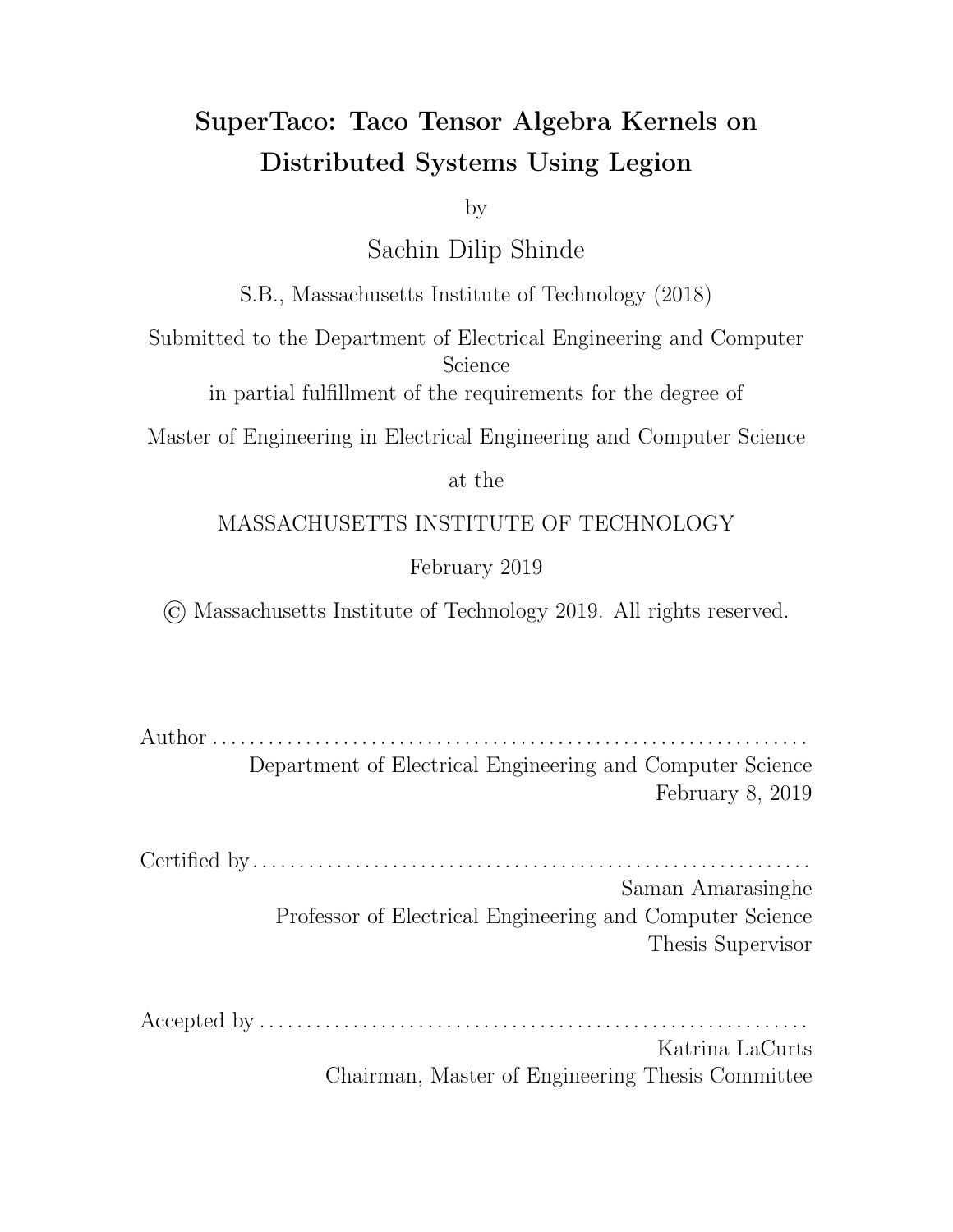cache, and 30720 KB L3 cache. Generated Legion programs and the Legion runtime were compiled with GCC 8.2.0 using -03 -march=ivybridge. Legion is configured to run using GASNet for networking, which is in turn configured to use i bv-conduit for communicating over Infiniband. We reserved two cores per node as utility cores for Legion, leaving 22 cores per node for compute at maximum.

### 5.2 SpMV Results

SpMV is an algebraic kernel  $a_i = \sum_j B_{ij} c_j$  that appears widely throughout scientific and engineering applications. In this section, we see how the computation of SpMV scales when distributed using SuperTaco. The sparse matrix  $B_{ij}$  we use is formatted CSR (i.e. as (dense $_{d_1},$ sparse $_{d_2})$ ) while the vector  $c_j$  is dense. The matrix has dimensions of  $50000000$   $50000000$  and is randomly populated with a density of 1  $10^{-6}$ . In. tns form it takes up 72 GB, while its. tcs form takes up 38 GB.

For the distribution schedule, splitting along  $j$  (columns) is expensive since it must either be sequential or require combining partial sums due to  $j$  being a reduction variable. There's not much benefit in splitting along  $j$  either, since the input vector  $c_j$  is relatively small compared to the sparse matrix, and any parallelism we get from using partial sums could also just be attained by splitting more along  $i$  (rows) instead. So for index splitting, we only split along  $i$ . We shall use a number of split ranges equal to the number of processors being tested. For the mapping variables of the schedule, we use  $i$ . This, along with  $j$  not being split, means that each node contains a row block of  $B_{ij}^{I0}$  and computes the corresponding output row block  $a_i^I$  $\frac{I}{i}$ . The input vector  $c_i^0$  is not blocked, and correspondingly every node gets a copy of it. Since  $i$  is a free variable and accordingly in the output already, we can't extend along it, so the schedule has no output-extension variables. With this, we've completely described our schedule.

The results of our strong scaling experiments for SpMV are shown in Figure 5-1. For single-node, performance scales almost linearly for the first few cores and then degrades to 50% strong scaling e ciency, speeding up 10.1x when going from 1 to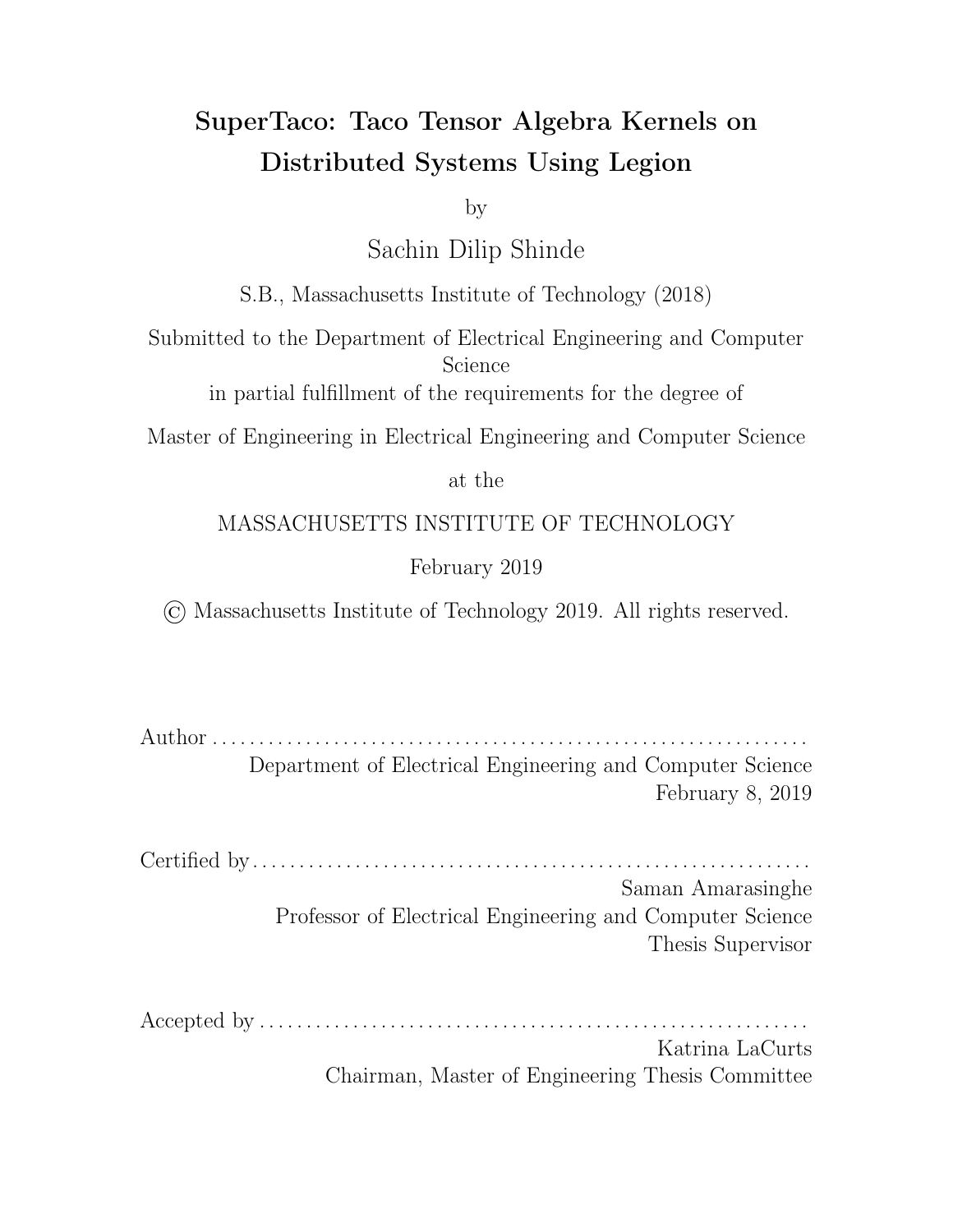

(a) Scaling across processors for a single node.



(b) Scaling across nodes with 4 cores per node.



(c) Scaling across nodes with 20 cores per node.

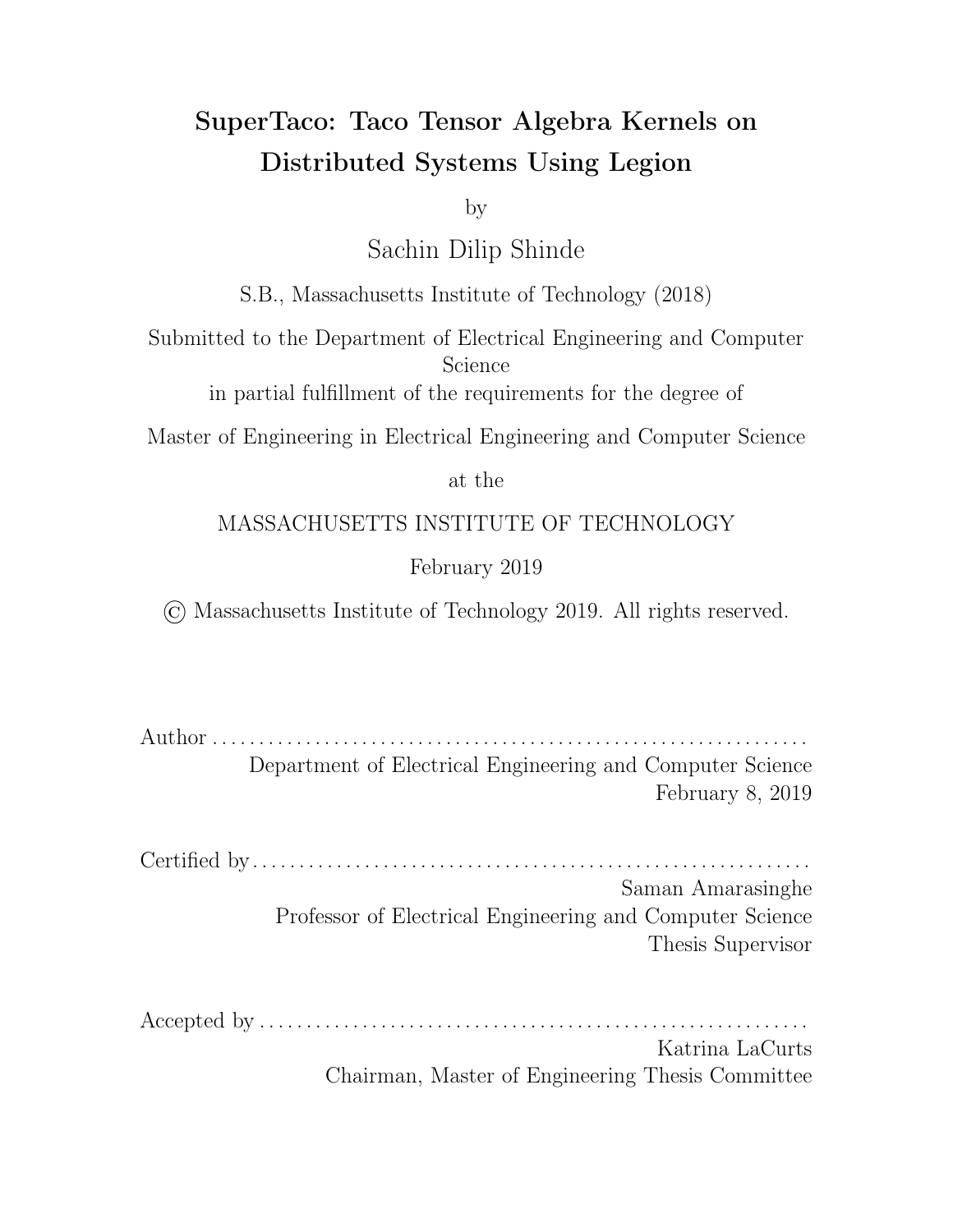20 cores. When we scale across nodes instead, we get similar e ciencies; for 4 cores per node, the strong scaling e ciency is  $50\%$  when going from 1 to 7 nodes due to a  $3.49x$  speedup, and for 20 cores per node, the strong scaling e ciency is 58% when going from 1 to 6 nodes due to a 3.45x speedup.

For experiments past 6-7 nodes, the performance noticeably degrades as shown in Figures 5-1b and 5-1c. Note that this degradation occurs around a certain number of nodes and not a certain number of processors, indicating that node-to-node communication could potentially be to blame.

The distribution schedule above for SpMV minimized data movement, since the matrix rows and output vector rows were already assembled on the nodes they needed to be on for computation; the only tensor that needed moving was the input vector, which is relatively small. While this is good for  $e$  cient computation, it doesn't give us information about the costs of data movement. We also don't get information about the cost of index splitting; previously we only split as much as needed to make sure all processors were utilized. However, scenarios can arise in which we need to split more, e.g. if the tensor blocks don't fit into a node's memory otherwise.

Our next experiment thus performs SpMV using a suboptimal distribution schedule. In this case we split along  $i$ , but also along reduction variable  $j$ . To force parts of the matrix to move around the network, we set the mapping variable to only  $i$ (owner's compute). We don't use output-extension on  $j$ , since owner's compute here means different  $B^{IJ}$  can't be computed on simultaneously for the same  $I$ , i.e. tensor block evictions would serialize the task launches that output-extension along  $j$  would try to parallelize. For the index variable ordering, it's more e cient to use  $(j, i)$  since there is no parallelism along  $j$ . To ensure we don't underutilize or overutilize the processors, the kernel mapping key size should be around the number of processors, so we set the number of split ranges for  $i$  to be the number of processors. The only variable in our distribution schedule remaining is the number of split ranges for  $i$ , which will be varied during the experiment.

The results of this overhead analysis experiment are shown in Figure 5-2. Note that we use a smaller sparse matrix here of size 300000 300000 with a density of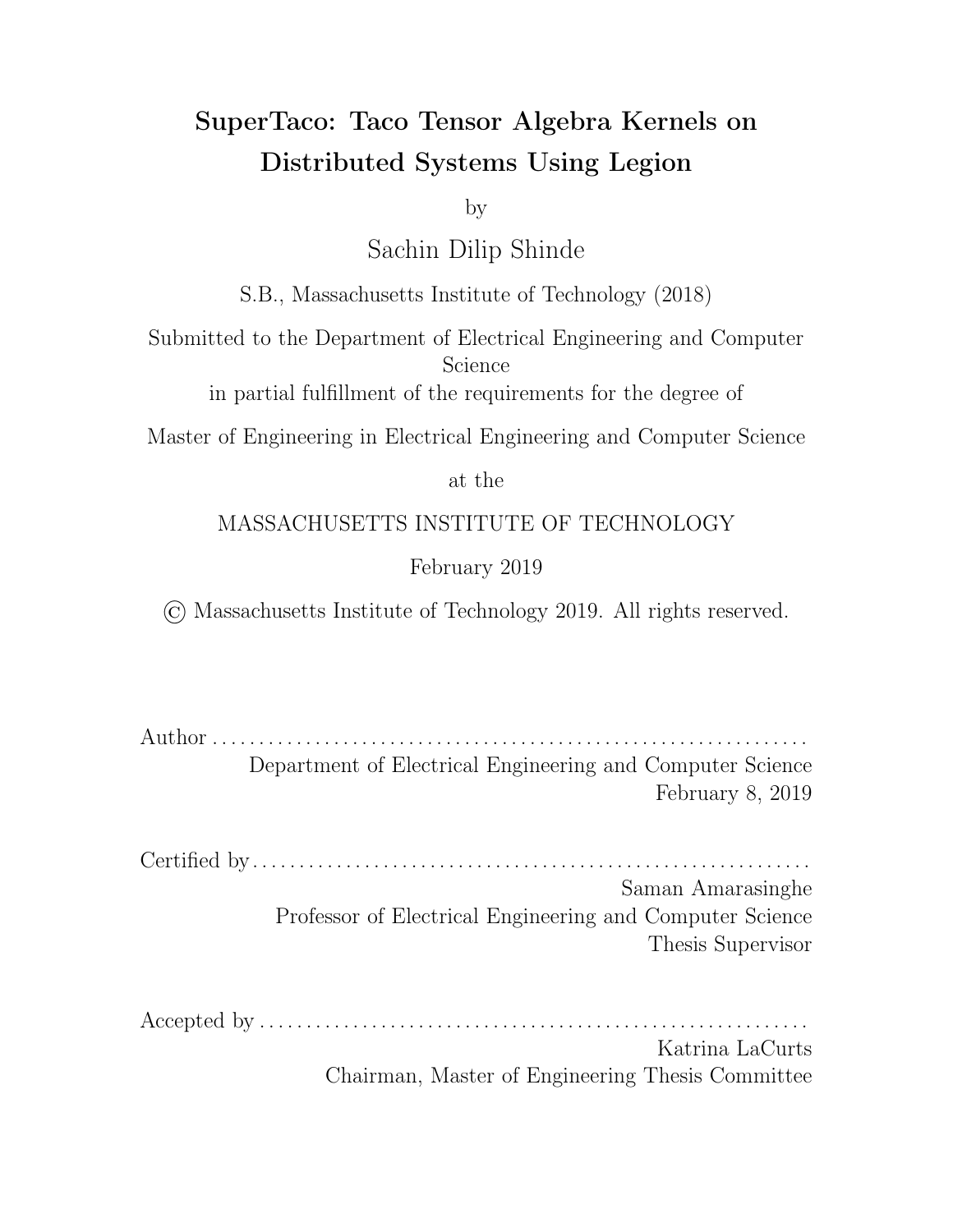

Figure 5-2: Overhead from increasing the number of splits along reduction variable  $j$ in SpMV. The red curve is a quadratic fit with equation  $y = 0.445x^2$  1.015 $x + 2.043$ .

 $1$  10<sup>2</sup>, since the scale of the slowdown makes experiments longer. The slowdown here is super-linear with the number of split ranges, and although it appears to almost be linear when the number of split ranges nears 10, the slowdown for 20 split ranges is 150x (compared to 37.1x at 10 split ranges). Using polynomial fitting determines that the curve is close to a quadratic fit (shown in red in Figure 5-2); the quadratic curve predicts a slowdown of 160x at 20 split ranges, which is close to the actual 150x. The overhead of splitting along the reduction variable for SpMV is thus nearly quadratic in the number of split ranges.

### 5.3 TTM Results

While SpMV is a ubiquitous kernel, it only involves matrices and vectors, and does not take advantage of Taco's ability to generate code for higher-order tensor expressions. The TTM kernel  $A_{ijk}=\sum_l B_{ijl}C_{kl}$  involves a rank-3 tensor, and is central to the Alternative Least Squares (ALS) method of solving non-convex optimization problems [14]. In this section, we see how the computation of TTM scales when distributed using SuperTaco. The sparse tensor  $B_{ijl}$  we use is formatted CSF (i.e. as (sparse<sub>d1</sub>, sparse<sub>d2</sub>, sparse<sub>d3</sub>)) while the matrix  $C_{kl}$  is dense. The tensor has dimensions of  $500000 - 50000 - 5000$  and is randomly populated with a density of 1  $10^{-6}$ . while the matrix is 32 5000. This is meant to be a slightly larger imitation of the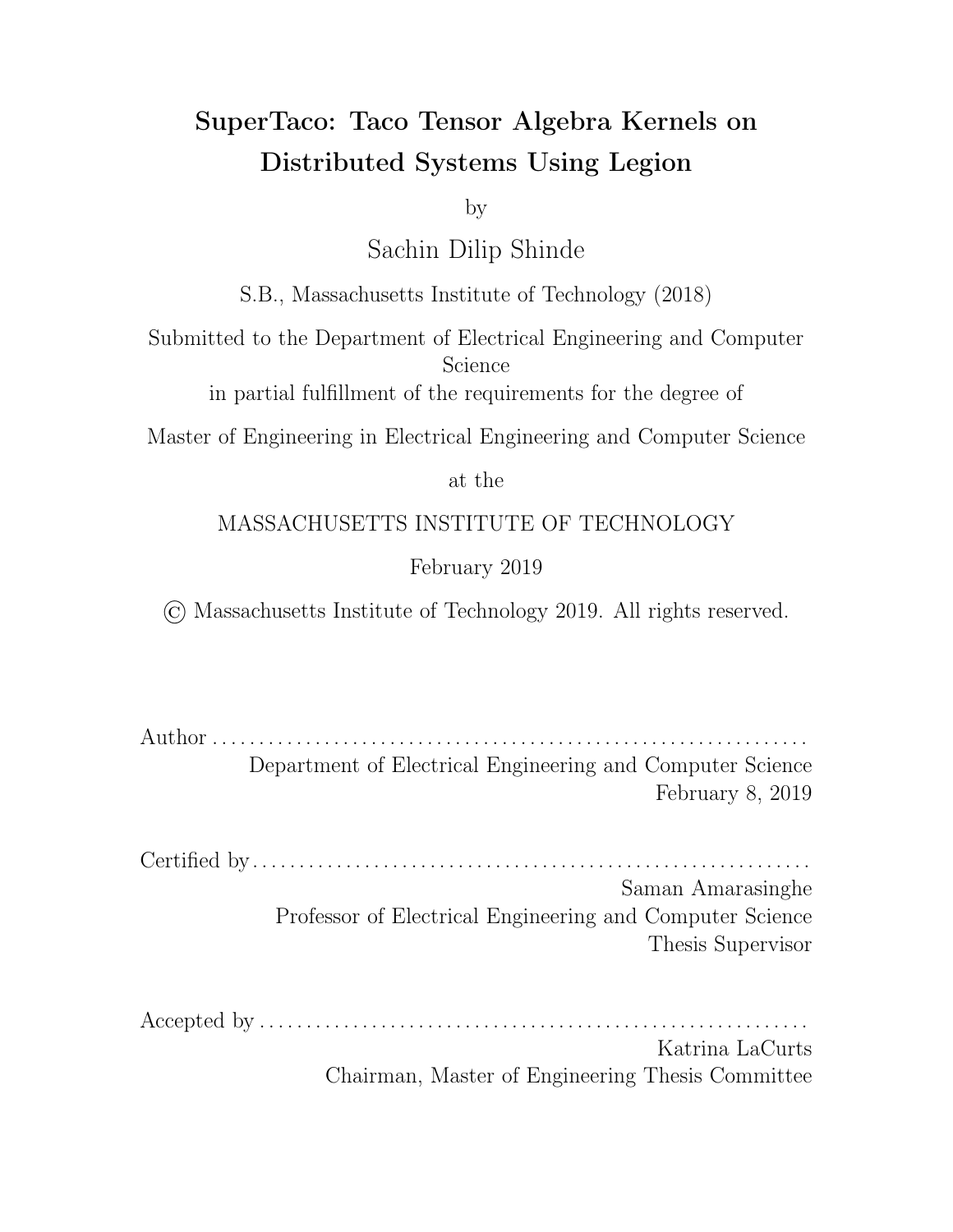Netflix Prize tensor (approximately  $480K$  18K  $2K$  with a sparsity of 5.79 10  $^6$ ), which has previously been used to evaluate TTM implementations [15]. In . tns form the tensor takes up 3.6 GB, while its . tcs form takes up 3.8 GB.

For the distribution schedule, splitting along the reduction variable  $l$  is again expensive since it must either be sequential or require combining partial sums, and the benefits in this context are low. We shouldn't split along  $k$  either, since  $k$ 's dimension size is 32 and we may want to scale past that. The best candidates for splitting are then  $i$  and  $j$ . We could potentially split them both, but this would complicate analysis. Since the first mode is largest in dimension size, we choose to split  $i$  since there will be a less of a chance of equidistant split points resulting in skewed block sizes. For the mapping variables of the schedule, we just use  $i$ . Then in terms of mapping, each node contains a row block of  $B_{ijl}^{I00}$  and computes the corresponding output row block  $A_{ijk}^{I00}$ . The input matrix  $C_{kl}^{00}$  is not blocked, and correspondingly every node gets a copy of it; this is fine since it only contains 160K entries as a dense matrix, which comes out to 1.28 MB for the val array. Since  $i$  is a free variable and accordingly in the output already, we can't extend along it, so the schedule has no output-extension variables. With this, we've completely described our schedule.

The results of our strong scaling experiments for TTM are shown in Figure 5-3. The trends are somewhat similar to SpMV. For single-node, performance scales almost linearly for the first few cores and then degrades to  $58\%$  strong scaling e ciency, speeding up 9.25x when going from 1 to 16 cores. Unlike the SpMV case there is a slight dip in performance at 20 cores; this could potentially be due to TTM requiring a much larger write bandwidth since it's writing to a tensor instead of a vector. More specifically, for this TTM computation the output tensor has 1.81 billion non-zero entries while the input tensor only has 125 million.

When we scale across nodes instead, the  $e$  ciencies are slightly digerent depending on whether we use 4 cores per node or 20 cores per node. In the former case, the strong scaling  $e$  ciency is 46% when going from 1 to 9 nodes due to a 4.14x speedup. In the latter, the strong scaling e ciency is 68% when going from 1 to 7 nodes due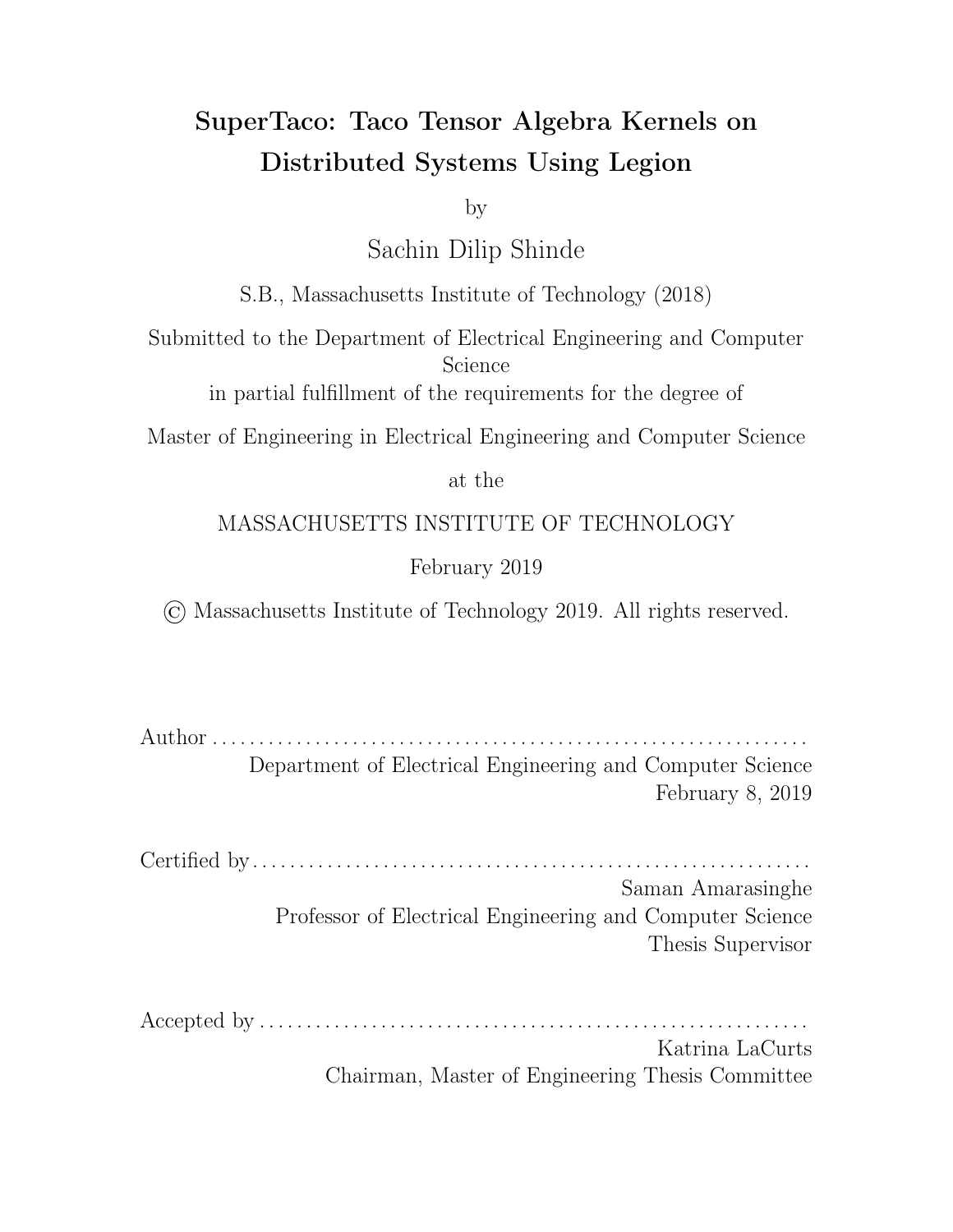

(a) Scaling across processors for a single node.



(b) Scaling across nodes with 4 cores per node.



(c) Scaling across nodes with 20 cores per node.

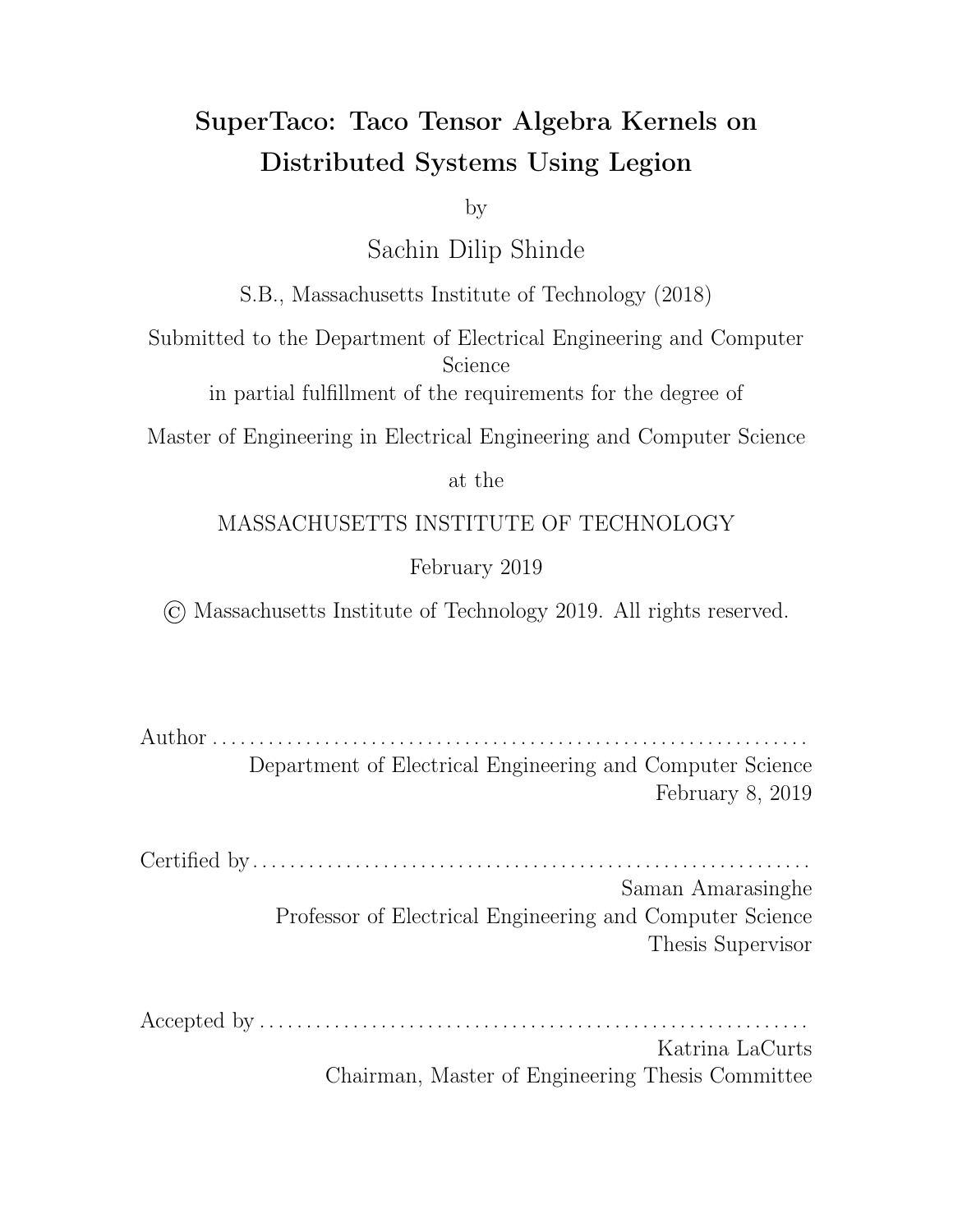to a 4.75x speedup. Lower cores per node led to less e ciency, but more nodes could be used before performance degradation.

Similar to the case of SpMV, the degradation in performance happens closer to a certain node count threshold than a processor count threshold. However in this case, the number of processors shifts where that threshold is slightly; more cores per node brings down the node threshold.

Once again our distribution schedule used above minimized data movement, since the tensor rows and output vector rows were already assembled on the nodes they needed to be on for computation; the only tensor that needed moving was the input matrix, which is only 1.28 MB. While this is good for  $e$  cient computation, it doesn't give us information about the costs of data movement. We also don't get information about the cost of index splitting.

Our next experiment thus performs TTM using a suboptimal distribution schedule. In this case we split along  $i$ , but also along reduction variable  $l$ . To force parts of the tensor to move around the network, we set the mapping variable to only  $i$ (owner's compute). We don't use output-extension on  $l$ , since owner's compute here means di erent  $B^{I0L}$  can't be computed on simultaneously for the same  $I$ , i.e. tensor block evictions would serialize the task launches that output-extension along  $l$  would try to parallelize. For the index variable ordering, it's more e cient to use  $(j, k, l, i)$ , with  $(j, k)$  on the outside since they're not split, then *l* since there is no parallelism along  $l$ , then  $i$  since kernel tasks can be parallelized along it. To ensure we don't underutilize or overutilize the processors, the kernel mapping key size should be around the number of processors, so we set the number of split ranges for  $i$  to be the number of processors. The only variable in our distribution schedule remaining is the number of split ranges for  $l$ , which will be varied during the experiment.

The results of this overhead analysis experiment are shown in Figure 5-4. We use the same tensors and matrices here as the previous TTM experiment. The slowdown curve is much less smooth than the SpMV case. While the general trend is for the slowdown to get worse, there's a bump in the slowdown curve where it rises fast and then falls suddenly before increasing. Once again, the curve appears to be almost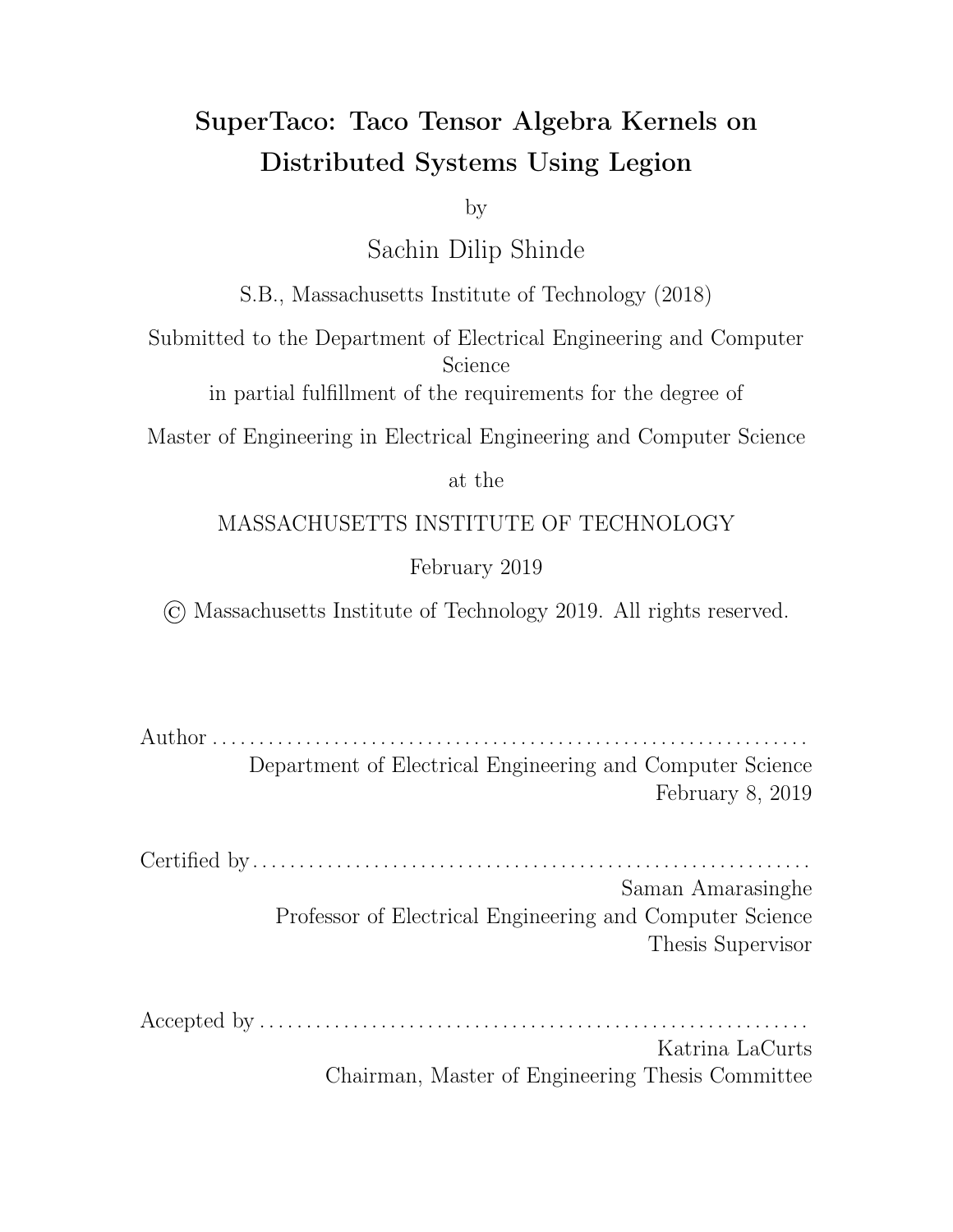

Figure 5-4: Overhead from increasing the number of splits along reduction variable  $l$ in SpMV.

linear when the number of split ranges nears 10, but the slowdown for 20 split ranges is 34.5x (compared to 11.2x at 10 split ranges). This isn't quite quadratic, but it's still super-linear. Moreover, the scale of the slowdown is much smaller than SpMV; at 10 split ranges SpMV is 3.3x worse, and at 200 split ranges SpMV is 4.3x worse. Overall, the overhead of splitting along the reduction variable for TTM is super-linear, but sub-quadratic and not as steep as the SpMV slowdown curve.

### 5.4 Discussion

The strong scaling e ciencies for the kernels we analyzed were generally consistent, with the TTM kernel coming out slightly higher at 20 cores per node but slightly lower at 4 cores per node. If we take the optimal conditions for each kernel, then the SpMV kernel achieves a 33.3x speedup from single-core performance (45.0 sec) by using 8 nodes with 20 cores per node (for an overall strong scaling e ciency of 21%), while the TTM kernel achieves a 42.0x speedup from single-core performance (55.9 sec) by using 7 nodes with 20 cores per node (for an overall strong scaling e ciency of 30%).

As for the performance degradation that occurs past a certain number of nodes, Legion's profiling tool points to a few potential causes. One is the inline mapping performed in the kernel task. When accessing a physical instance that has been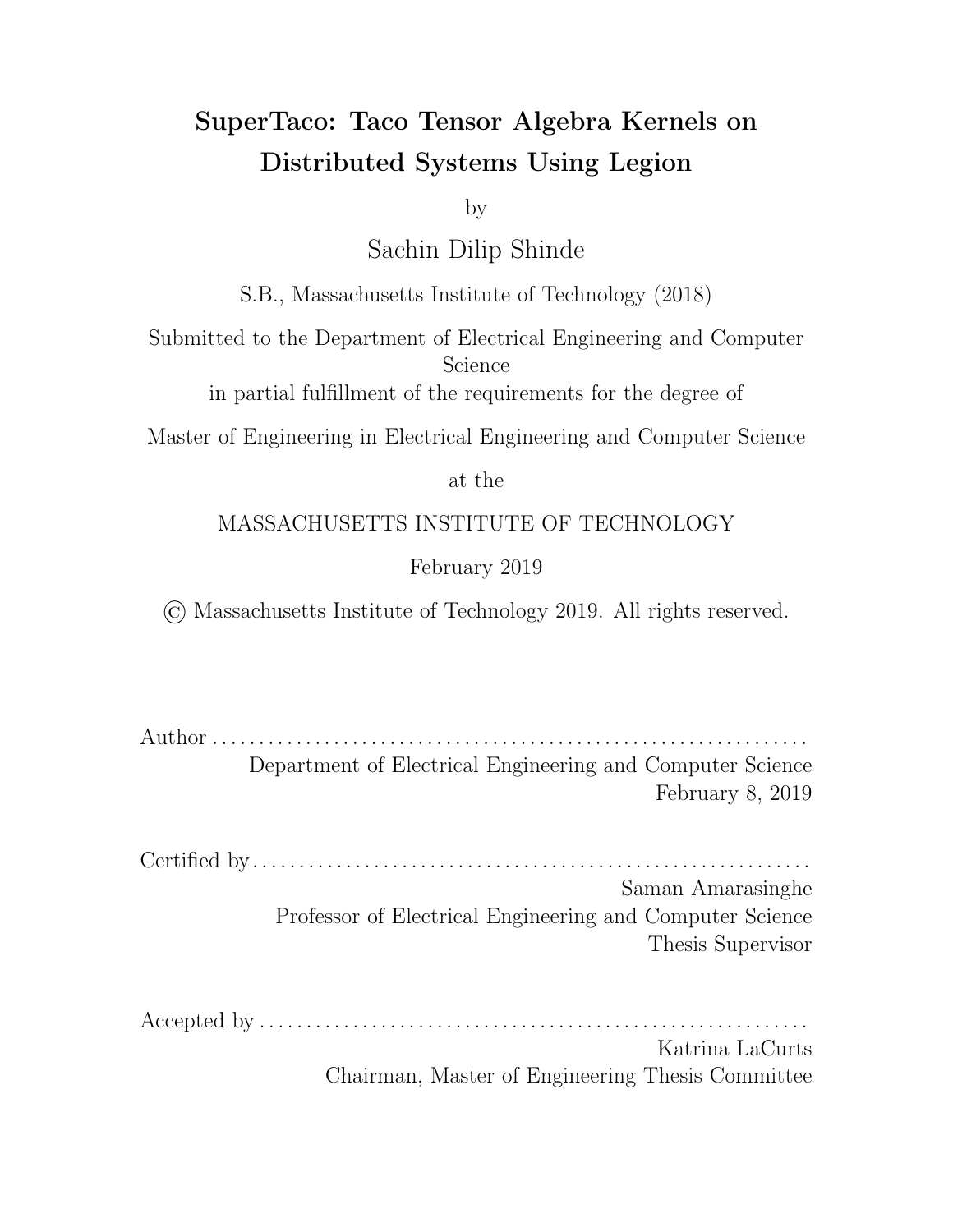mapped inline, the task can potentially yield to the scheduler when accessing the instance initially, even if the requested instance is in memory. This can delay the completion of the kernel task for some time, and potentially significantly increase compute time when compute time becomes small. It also delays the execution of any tasks that depend on this task to complete first.

Unfortunately the inline mapping cannot easily be avoided. Logical regions have a fixed size upon creation, so since the kernel task returns a variably-sized output tensor, the kernel task must create that logical region in its context and return it either through a future or inside another logical region that was provided to the task at launch. To avoid the inline mapping in the next kernel task that uses that logical region, the logical region must be provided in a region requirement to the task when it launches in the parent. But getting a reference to the logical region would require either waiting on the containing future or performing an inline map on the containing logical region. Both of these would stall the parent task, which would be worse than stalling the child task. One potential solution is to have the parent launch a helper task that depends on the containing future or has a region requirement for the containing logical region. The helper task would then launch the child task using the results of the containing future or a physical instance of the containing logical region, which would be guaranteed to be available to the helper task when it runs. This has the downside that the kernel task is no longer able to hide the latency of the logical region mapping with the kernel assemble() and compute() like it did before. Furthermore, for any kernel tasks that would have waited little time after yielding to resume, the helper task may impose more of a delay.

Another noticeable issue found by the profiling tool is that the starts of kernel tasks that should take place in parallel aren't synchronized. When a group of tasks that can be run in parallel is issued on a node, some of those tasks can start much later than the others, sometimes as long as 1–2 seconds. The discrepancy between start times is so long that the scheduler may execute multiple kernel tasks on the same processor while another processor waits for its first kernel task to execute. It's unclear what's causing these delays in some of the kernel tasks. It could be a delay in task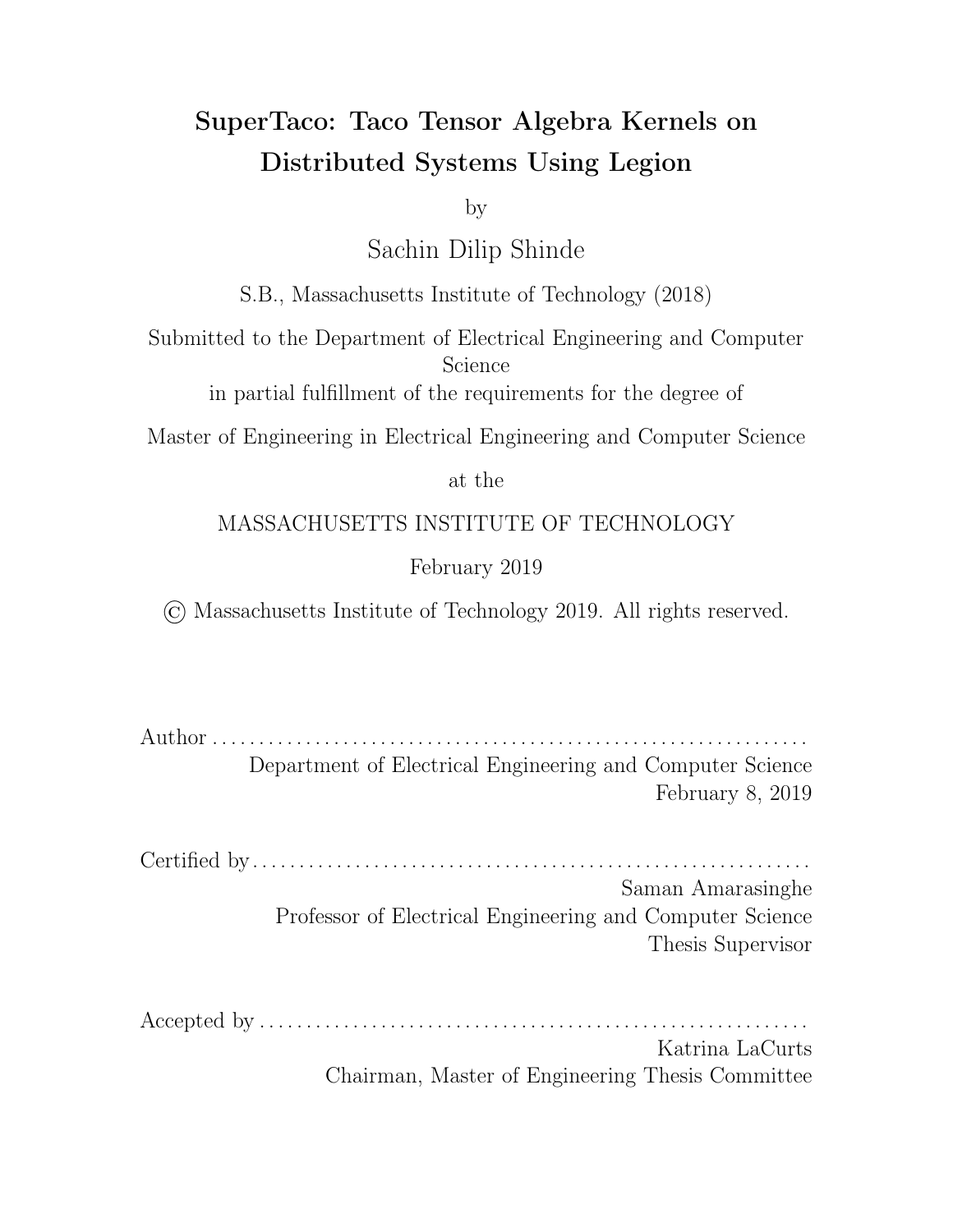mapping or a delay in other control signals in the Legion runtime. It's also possible there's a logical region dependency that hasn't mapped yet, and the kernel task is waiting on that dependency to resolve. However, in both kernels, the distribution schedules are such that very little tensor data needs to be transferred between nodes. Performance degradation appearing at a certain node count threshold and not a processor threshold supports the idea that this delay is at least in part caused by node-to-node communication issues.

With regards to the overhead analysis for reduction variable splitting, SpMV experienced a steep quadratic slowdown with increasing splits along the reduction variable while TTM had a gentler sub-quadratic slowdown. We expected at least linearity from the slowdown, since more reduction variable split ranges means more tasks that must be executed sequentially, and accordingly any fixed costs of those tasks (e.g. summation into the output tensor, copying output tensor data, Legion overheads) manifest as a linear cost in the number of reduction variable splits. What can lead to super-linearity is if the kernel task execution time increases with more splits, or if the time between kernel tasks (e.g. time spent waiting for data) increases with more splits. Given that the SpMV kernel requires much less work to execute than the TTM kernel, SpMV's increased slowdown with splitting could be due to the time spent computing the kernel being on the scale of other factors which cause delay linear in the number of splits, while the TTM kernel isn't as a ected as heavily because its kernel compute time outweighs these factors. Determining what those factors are that cause super-linearity will require further study.

While SuperTaco has shown an ability to scale to 120–140 cores with 20–30% strong-scaling e ciency for various kernels, future work must be done to minimize performance degradation with further scaling and determine how to structure our generated Legion programs to avoid hidden latencies.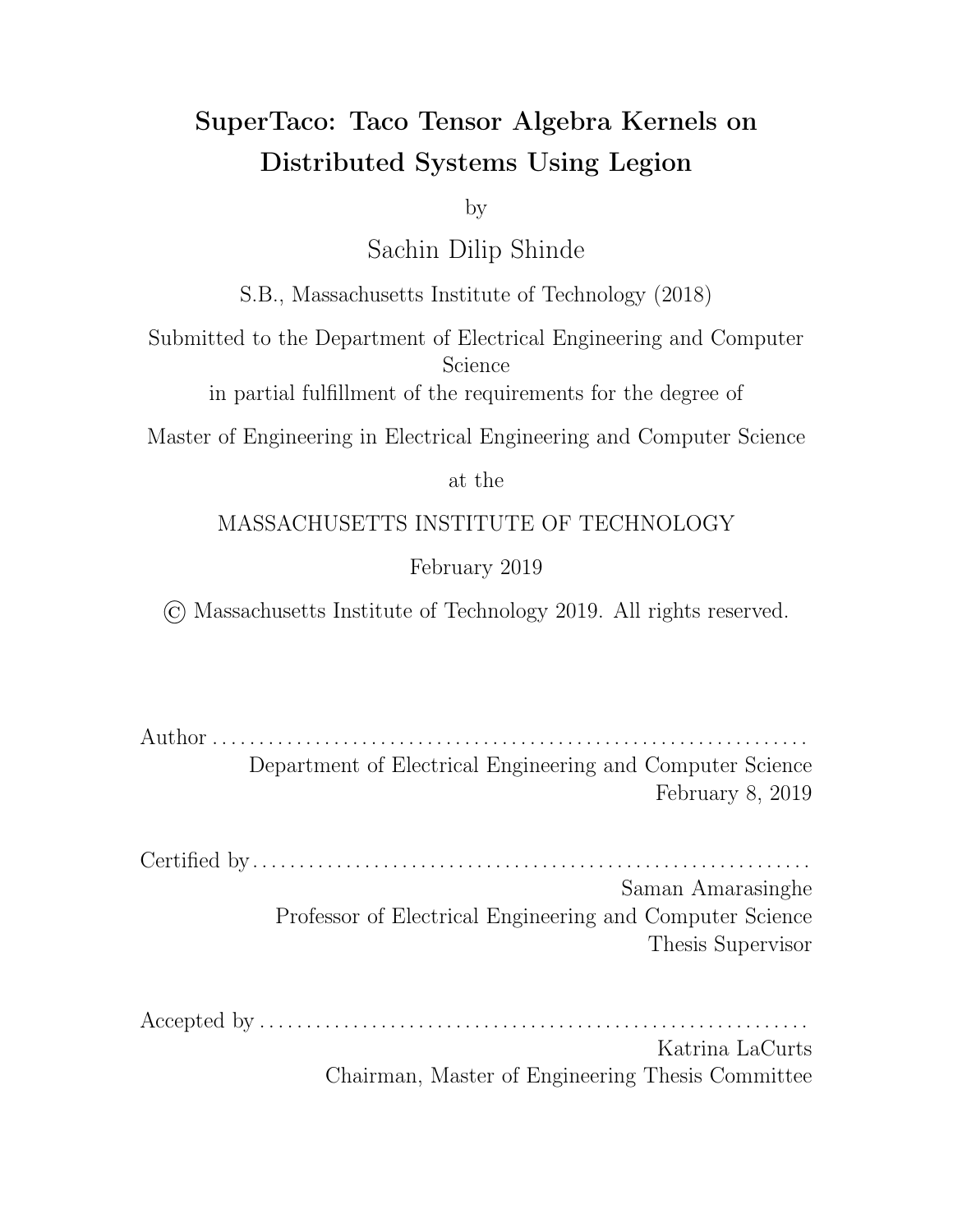# Chapter 6

# Conclusion and Future Work

In this work, we have demonstrated a code generation technique for creating Legion programs to distribute Taco tensor algebra kernels. The technique is versatile in that it can structure the distributed computation in a variety of ways, which is controllable through a scheduling language. Our scaling analyses showed that our tested kernels achieved significant speedup for both multi-core and multi-node settings, but the scaling e ciency could be improved.

Looking forward, there are three areas of SuperTaco that need focus. The most pressing one is improving scalability by reducing overhead associated with the Legion runtime. In some cases, this may amount to changing what paradigms we use, how we structure tasks, or tweaking environment settings. In other cases though, it may require actively working with the Legion team to come up with a satisfactory solution. One example of this is Legion's garbage collection; if there was a method to mark a physical instance as invalid, we wouldn't have to resort to tensor block eviction, which forces all physical instances to be marked invalid instead of just one and forces tasks to synchronize. However, being able to invalidate a specific physical instance could be potentially unsafe if it's the only physical instance, and determining whether it's the last remaining physical instance in a distributed system could be costly. Finding a tenable middle ground for these kinds of problems will require e ort.

The next area is the scheduling policy. While this work introduces a scheduling language, it doesn't formalize any policies of how to choose a distribution schedule in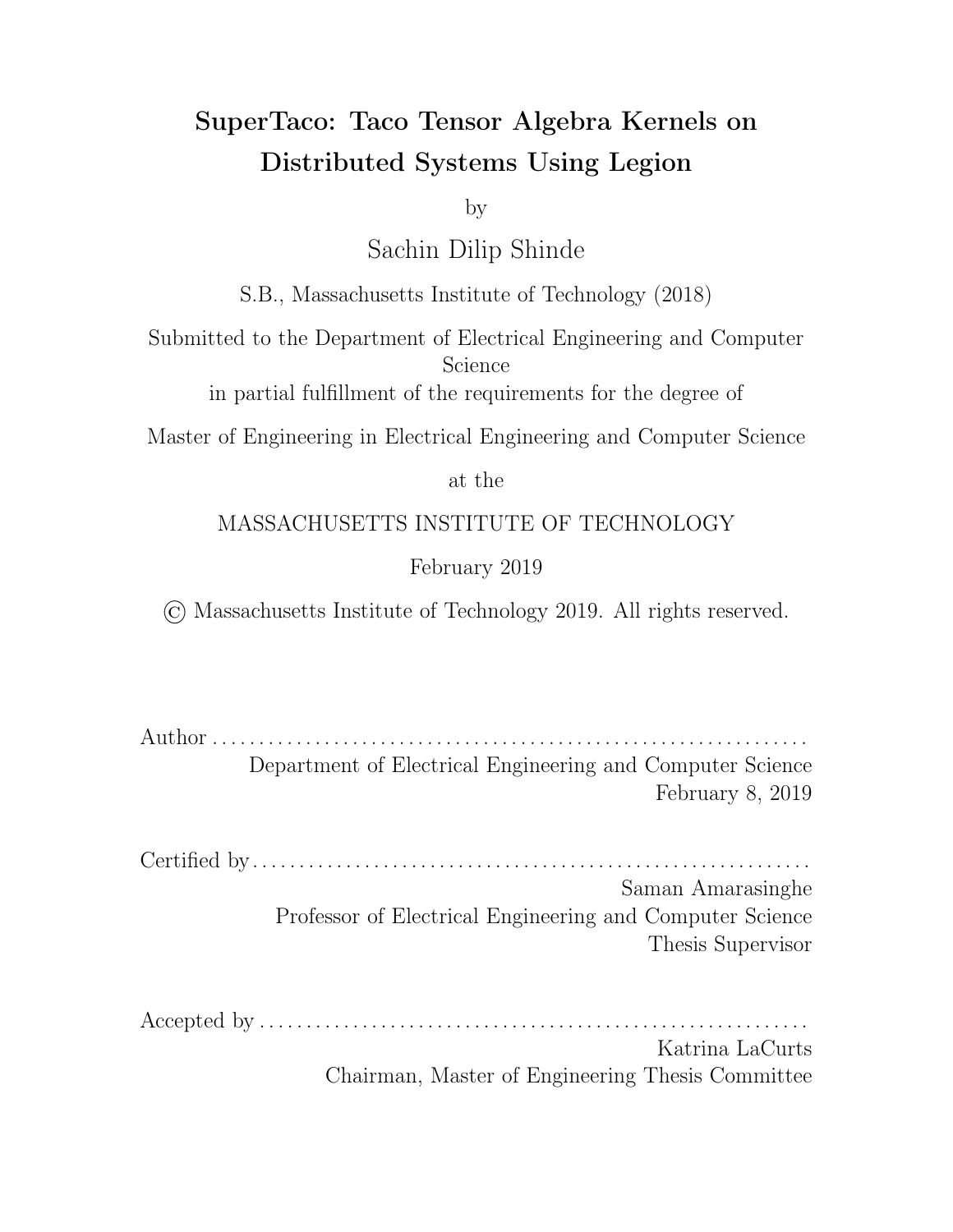the general case. There are many metrics that could be used to gauge the performance of a policy, such as the amount of data movement incurred or running time. However, we have not developed e cient algorithms or heuristics for choosing schedules, and instead typically reason about it on a case-by-case basis.

The third area is evaluation. The Taco compiler is a very versatile tensor algebra library in that it can compile a wide variety of expressions to C code, and the choice added through distribution schedules means there's now a wide variety of ways to distribute those computations. However, very few of these cases have been tested and evaluated for performance. This is made worse by the fact that performance can depend on the sizes and data patterns of the tensors. Without more evaluations, it will be di cult to gauge optimal policy beyond theoretical models.

The Taco compiler was groundbreaking in its ability to compile general sparse tensor algebra expressions into competitive C code, and the SuperTaco project has the potential to extend those performance gains to a distributed setting. If further development can address Legion overhead, scheduling policy, and evaluation, then in the future SuperTaco may be competitive with hand-optimized distributed kernels.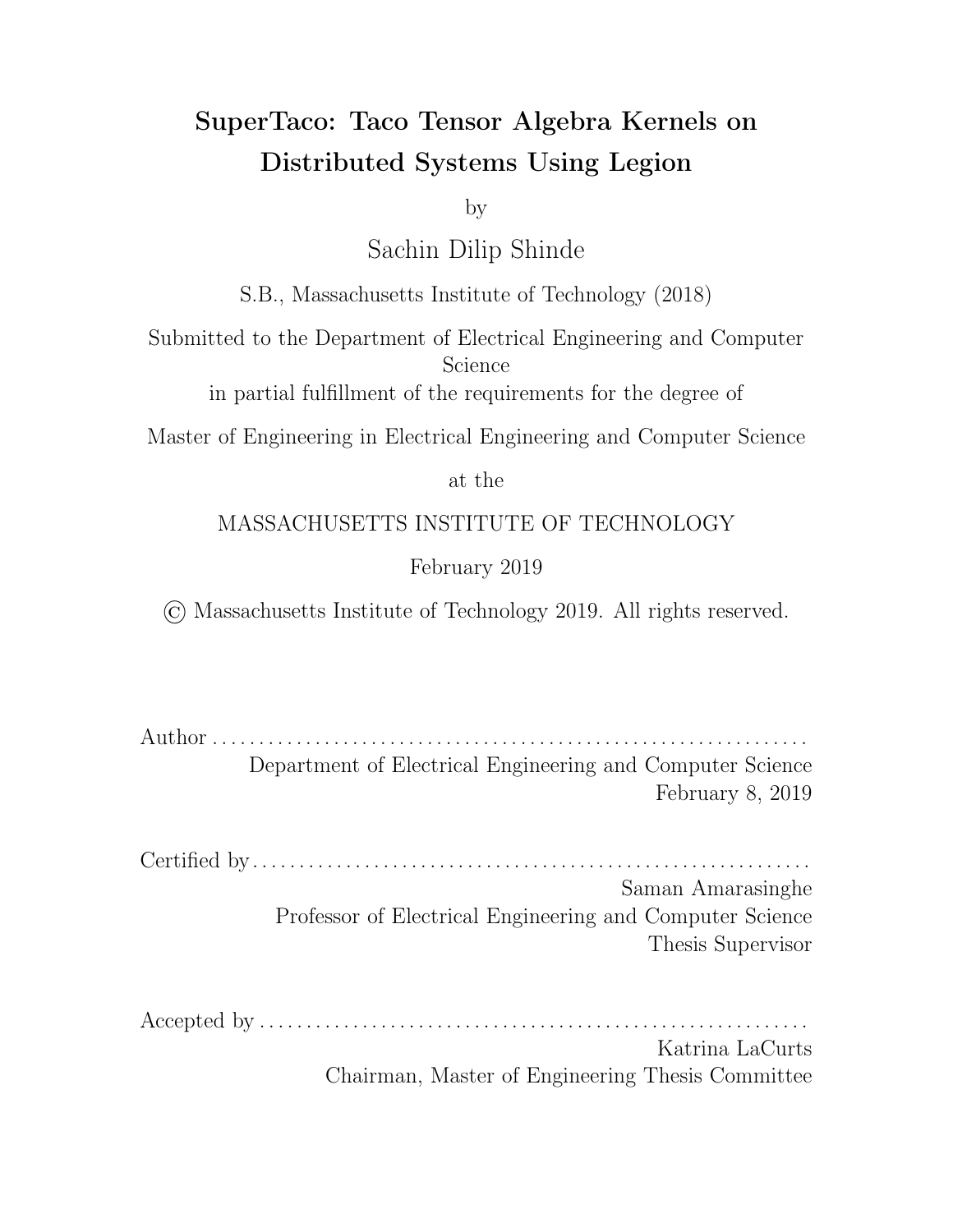# Bibliography

- [1] T. G. Kolda and B. W. Bader, "Tensor decompositions and applications," SIAM Rev., vol. 51, no. 3, pp. 455–500, Aug. 2009, issn: 0036-1445. doi: 10.1137/ 07070111X. [Online]. Available: http://dx.doi.org/10.1137/07070111X.
- [2] J. Bennett, C. Elkan, B. Liu, P. Smyth, and D. Tikk, "Kdd cup and workshop 2007," SIGKDD Explor. Newsl., vol. 9, no. 2, pp. 51–52, Dec. 2007, issn: 1931- 0145. doi: 10.1145/1345448.1345459. [Online]. Available: http://doi.acm. org/10.1145/1345448.1345459.
- [3] B. Viswanath, A. Mislove, M. Cha, and K. P. Gummadi, "On the evolution of user interaction in facebook," in Proceedings of the 2Nd ACM Workshop on Online Social Networks, ser. WOSN '09, Barcelona, Spain: ACM, 2009, pp. 37–42, isbn: 978-1-60558-445-4. doi: 10.1145/1592665.1592675. [Online]. Available: http://doi.acm.org/10.1145/1592665.1592675.
- [4] J. McAuley and J. Leskovec, "Hidden factors and hidden topics: Understanding rating dimensions with review text," in Proceedings of the 7th ACM Conference on Recommender Systems, ser. RecSys '13, Hong Kong, China: ACM, 2013, pp. 165–172, isbn: 978-1-4503-2409-0. doi: 10.1145/2507157.2507163. [Online]. Available: http://doi.acm.org/10.1145/2507157.2507163.
- [5] F. Kjolstad, S. Kamil, S. Chou, D. Lugato, and S. Amarasinghe, "The tensor algebra compiler," Proc. ACM Program. Lang., vol. 1, no. OOPSLA, 77:1–77:29, Oct. 2017, issn: 2475-1421. doi: 10.1145/3133901. [Online]. Available: http: //doi.acm.org/10.1145/3133901.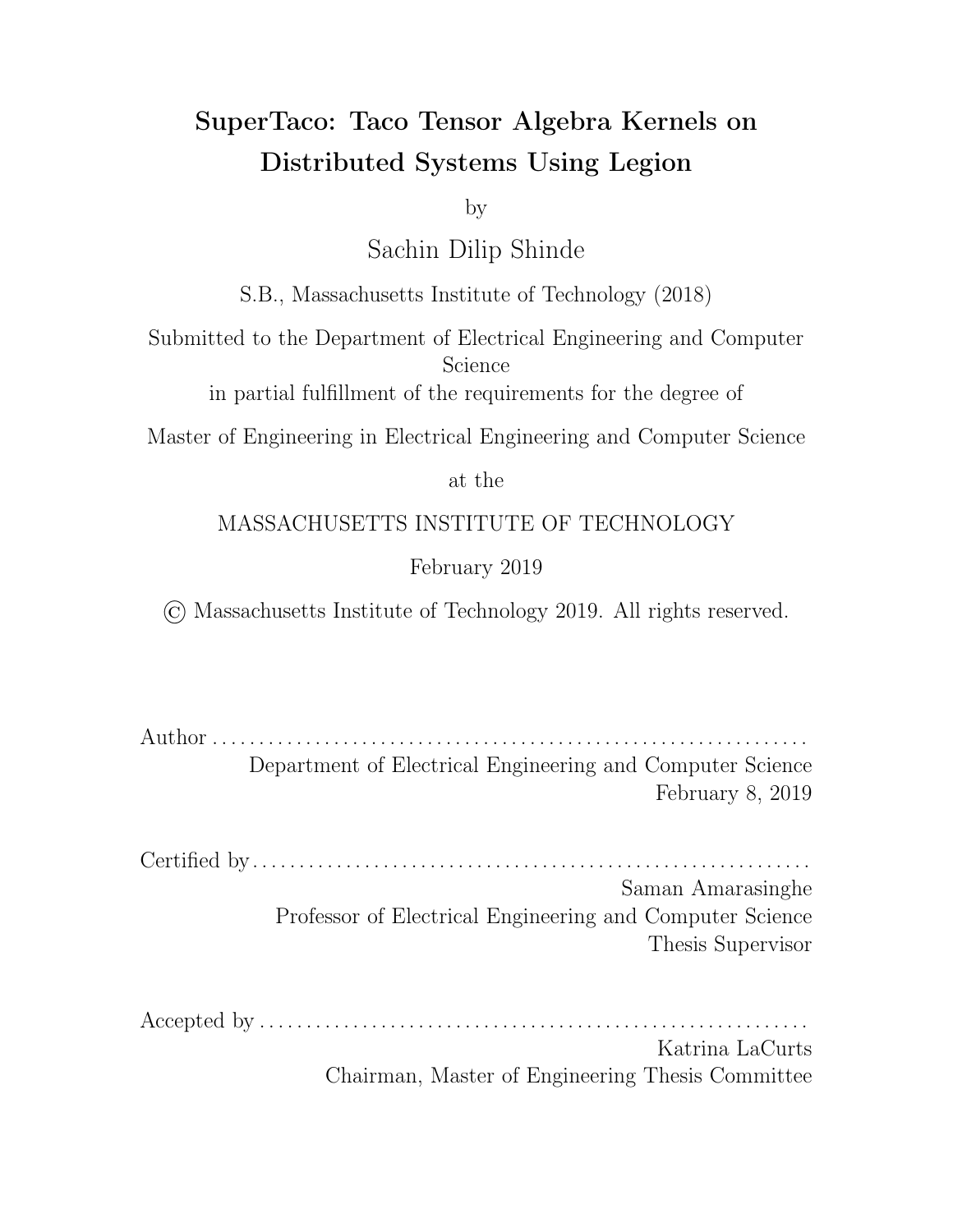- [6] S. Chou, F. Kjolstad, and S. Amarasinghe, "Format abstraction for sparse tensor algebra compilers," Proc. ACM Program. Lang., vol. 2, no. OOPSLA, 123:1– 123:30, Oct. 2018, issn: 2475-1421. doi: 10.1145/3276493. [Online]. Available: http://doi.acm.org/10.1145/3276493.
- [7] M. Bauer, S. Treichler, E. Slaughter, and A. Aiken, "Legion: Expressing locality and independence with logical regions," in Proceedings of the International Conference on High Performance Computing, Networking, Storage and Analysis, ser. SC '12, Salt Lake City, Utah: IEEE Computer Society Press, 2012, 66:1–66:11, isbn: 978-1-4673-0804-5. [Online]. Available: http://dl.acm.org/ citation.cfm?id=2388996.2389086.
- [8] S. Hiranandani, K. Kennedy, and C.-W. Tseng, "Compiling fortran d for mimd distributed-memory machines," Commun. ACM, vol. 35, no. 8, pp. 66–80, Aug. 1992, issn: 0001-0782. doi: 10 . 1145 / 135226 . 135230. [Online]. Available: http://doi.acm.org/10.1145/135226.135230.
- [9] M. E. Bauer, "Legion: Programming distributed heterogeneous architectures with logical regions," PhD thesis, Stanford University, 2014.
- [10] S. Williams, L. Oliker, R. Vuduc, J. Shalf, K. Yelick, and J. Demmel, "Optimization of sparse matrix-vector multiplication on emerging multicore platforms," in Proceedings of the 2007 ACM/IEEE Conference on Supercomputing, ser. SC '07, Reno, Nevada: ACM, 2007, 38:1–38:12, isbn: 978-1-59593-764-3. doi: 10.1145/1362622.1362674. [Online]. Available: http://doi.acm.org/ 10.1145/1362622.1362674.
- [11] D. Merrill and M. Garland, "Merge-based parallel sparse matrix-vector multiplication," in Proceedings of the International Conference for High Performance Computing, Networking, Storage and Analysis, ser. SC '16, Salt Lake City, Utah: IEEE Press, 2016, 58:1–58:12, isbn: 978-1-4673-8815-3. [Online]. Available: http://dl.acm.org/citation.cfm?id=3014904.3014982.
- [12] S. Balay, W. D. Gropp, L. C. McInnes, and B. F. Smith, "Modern software tools for scientific computing," in, E. Arge, A. M. Bruaset, and H. P. Langtan-